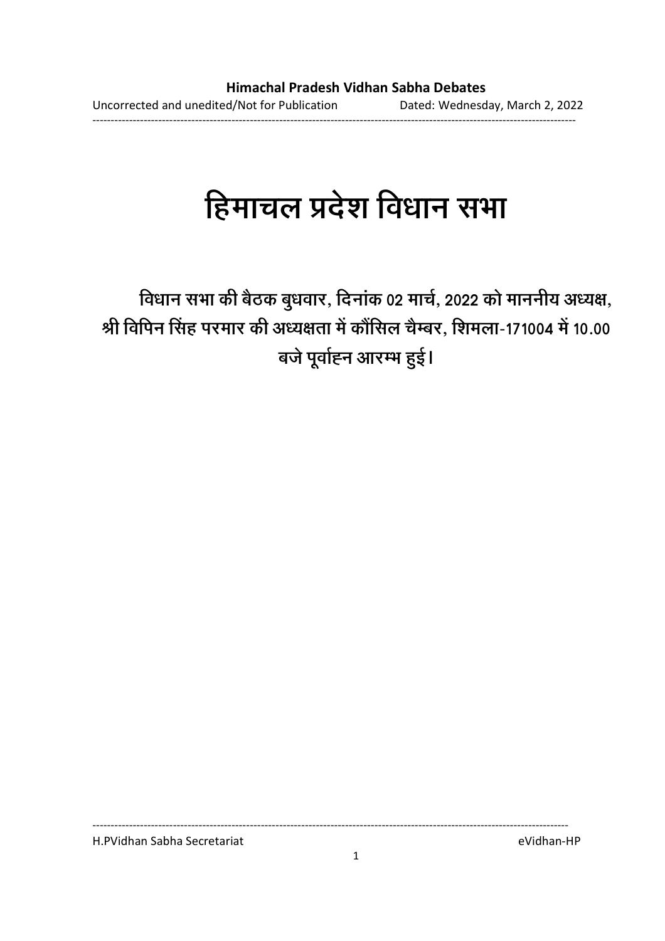# हिमाचल प्रदेश विधान सभा

विधान सभा की बैठक बुधवार, दिनाक 02 मार्च, 2022 को माननीय अध्यक्ष, श्री विपिन सिंह परमार की अध्यक्षता में कौंसिल चैम्बर, शिमला-171004 में 10.00 बजे पूर्वाह्न आरम्भ हुई।

H.PVidhan Sabha Secretariat eVidhan-HP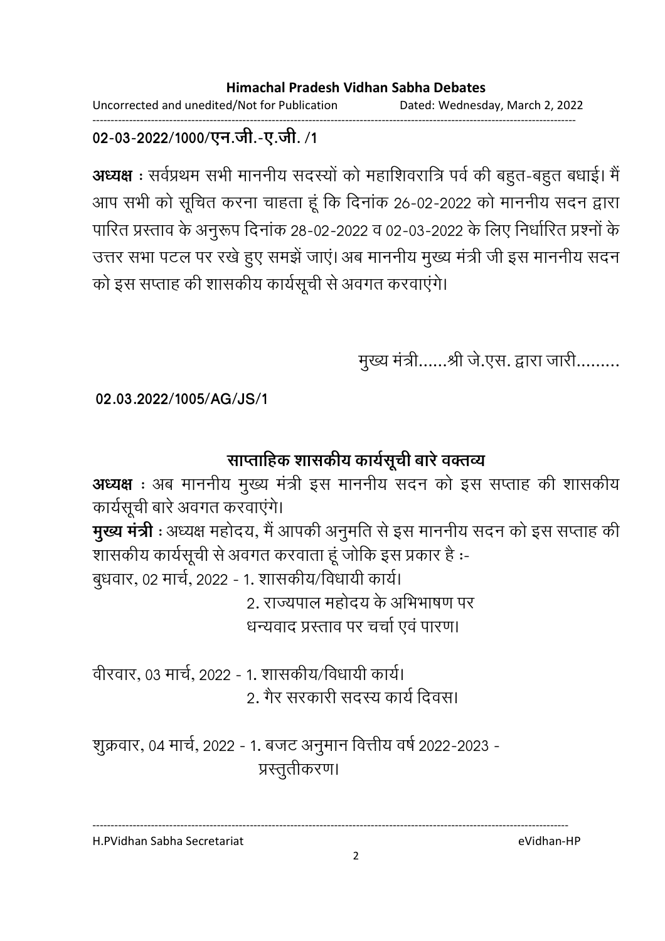Uncorrected and unedited/Not for Publication Dated: Wednesday, March 2, 2022 ------------------------------------------------------------------------------------------------------------------------------------

### 02-03-2022/1000/एन.जी.-ए.जी. /1

**अध्यक्ष** : सर्वप्रथम सभी माननीय सदस्यों को महाशिवरात्रि पर्व की बहुत-बहुत बधाई। मैं आप सभी को सूचित करना चाहता हूँ कि दिनाक 26-02-2022 को माननीय सदन द्वारा पारित प्रस्ताव के अनुरूप दिनांक 28-02-2022 व 02-03-2022 के लिए निर्धारित प्रश्नों के उत्तर सभा पटल पर रखे हुए समझे जाए। अब माननीय मुख्य मंत्री जी इस माननीय सदन | को इस सप्ताह की शासकीय कार्यसूची से अवगत करवाएंगे।

मुख्य मंत्री......श्री जे.एस. द्वारा जारी.........

**02.03.2022/1005/AG/JS/1**

# साप्ताहिक शासकीय कार्यसूची बारे वक्तव्य

**अध्यक्ष** : अब माननीय मुख्य मंत्री इस माननीय सदन को इस सप्ताह की शासकीय कार्यसूची बारे अवगत करवाएंगे। **मुख्य मंत्री** : अध्यक्ष महोदय, मैं आपकी अनुमति से इस माननीय सदन को इस सप्ताह की शासकीय कार्यसूची से अवगत करवाता हूं जोकि इस प्रकार है :-बुधवार, 02 मार्च, 2022 - 1. शासकीय/विधायी कार्य। 2. राज्यपाल महोदय के अभिभाषण पर धन्यवाद प्रस्ताव पर चर्चा एवं पारण।

वीरवार, 03 मार्च, 2022 - 1. शासकीय/विधायी कार्य। 2. गैर सरकारी सदस्य कार्य दिवस।

शुक्रवार, 04 मार्च, 2022 - 1. बजट अनुमान वित्तीय वर्ष 2022-2023 -प्रस्तुतीकरण।

H.PVidhan Sabha Secretariat eVidhan-HP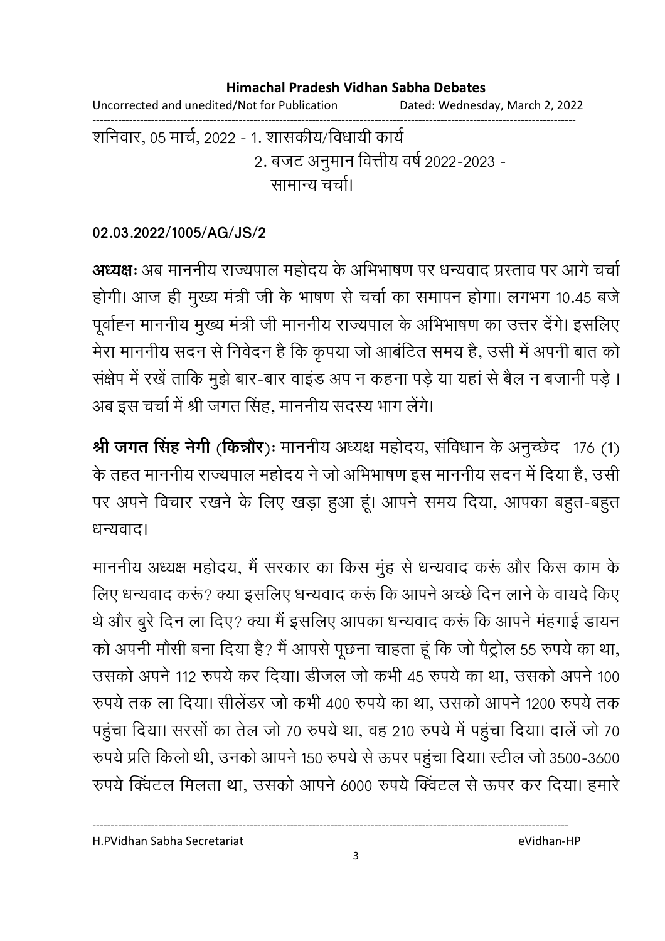Uncorrected and unedited/Not for Publication Dated: Wednesday, March 2, 2022 ------------------------------------------------------------------------------------------------------------------------------------

शनिवार, 05 मार्च, 2022 - 1. शासकीय/विधायी कार्य 2. बजट अनुमान वित्तीय वर्ष 2022-2023 -सामान्य चर्चा।

### **02.03.2022/1005/AG/JS/2**

**अध्यक्षः** अब माननीय राज्यपाल महोदय के अभिभाषण पर धन्यवाद प्रस्ताव पर आगे चर्चा होगी। आज ही मुख्य मंत्री जी के भाषण से चर्चा का समापन होगा। लगभग 10.45 बर्ज पूर्वाह्न माननीय मुख्य मंत्री जी माननीय राज्यपाल के अभिभाषण का उत्तर देंगे। इसलिए मेरा माननीय सदन से निवेदन है कि कृपया जो आबर्टित समय है, उसी में अपनी बात को सक्षेप में रखे ताकि मुझे बार-बार वाइंड अप न कहना पड़े या यहां से बैल न बजानी पड़ें । अब इस चर्चा में श्री जगत सिंह, माननीय सदस्य भाग लेंगे।

**श्री जगत सिंह नेगी (किन्नौर)ः** माननीय अध्यक्ष महोदय, सर्विधान के अनुच्छेद 176 (1) के तहत माननीय राज्यपाल महोदय ने जो अभिभाषण इस माननीय सदन में दिया है, उसी पर अपने विचार रखने के लिए खड़ा हुआ हूं। आपने समय दिया, आपका बहुत-बहुत धन्यवाद।

माननीय अध्यक्ष महोदय, मैं सरकार का किस मुंह से धन्यवाद करू और किस काम के लिए धन्यवाद करूं? क्या इसलिए धन्यवाद करूं कि आपने अच्छे दिन लाने के वायदे किए थे और बुरे दिन ला दिए? क्या मैं इसलिए आपका धन्यवाद करूं कि आपने मंहगाई डायन को अपनी मौसी बना दिया है? मैं आपसे पूछना चाहता हूं कि जो पैट्रोल 55 रुपये का था, उसको अपने 112 रुपये कर दिया। डीजल जो कभी 45 रुपये का था, उसको अपने 100 रुपर्य तक ला दिया। सेलिंडर जो कभी 400 रुपर्य का था, उसको आपने 1200 रुपर्य तक पहुंचा दिया। सरसों का तेल जो 70 रुपये था, वह 210 रुपये में पहुंचा दिया। दालें जो 70 रुपर्य प्रति किलो थी, उनको आपने 150 रुपर्य से ऊपर पहुंचा दिया। स्टील जो 3500-3600 रुपये क्विंटल मिलता था, उसको आपने 6000 रुपये क्विंटल से ऊपर कर दिया। हमारे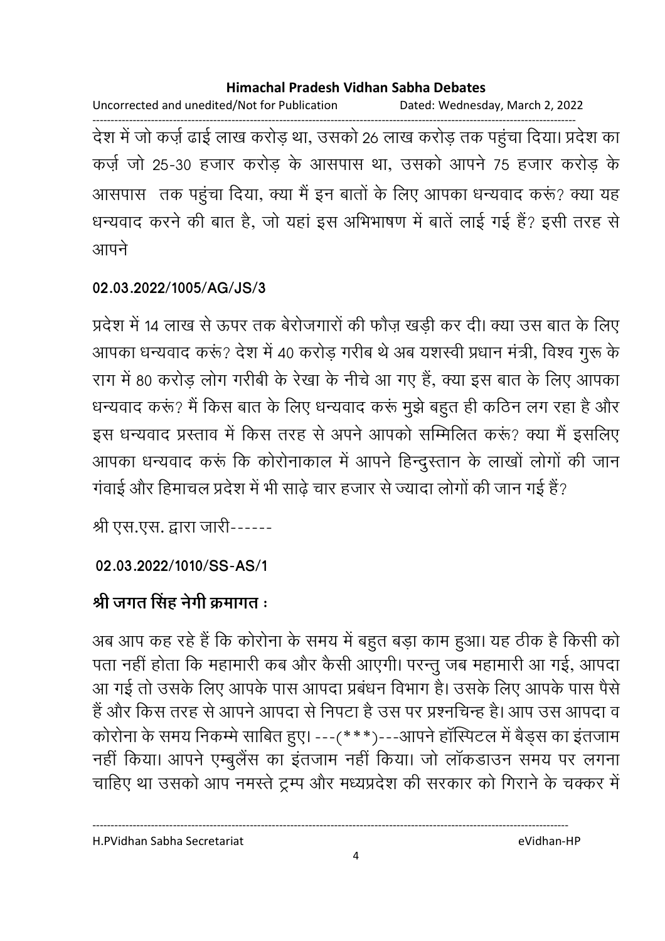Uncorrected and unedited/Not for Publication Dated: Wednesday, March 2, 2022 ------------------------------------------------------------------------------------------------------------------------------------ देश में जो कर्ज़ ढाई लाख करोड़ था, उसको 26 लाख करोड़ तक पहुचा दिया। प्रदेश का कर्ज़ जो 25-30 हजार करोड के आसपास था, उसको आपने 75 हजार करोड के आसपास) तक पहुंचा दिया, क्या मैं इन बातों के लिए आपका धन्यवाद करूं? क्या यह धन्यवाद करने की बात है, जो यहां इस अभिभाषण में बातें लाई गई है? इसी तरह से आपने

### **02.03.2022/1005/AG/JS/3**

प्रदेश में 14 लाख से ऊपर तक बेरोजगारों की फौज़ खड़ी कर दी। क्या उस बात के लिए आपका धन्यवाद करू? देश में 40 करोड़ गरीब थे अब यशस्वी प्रधान मंत्री, विश्व गुरू के राग में 80 करोड़ लोग गरीबी के रेखा के नीचे आ गए हैं, क्या इस बात के लिए आपका धन्यवाद करू? मैं किस बात के लिए धन्यवाद करू मुझे बहुत ही कठिन लग रहा है और इस धन्यवाद प्रस्ताव में किस तरह से अपने आपको सम्मिलित करूं? क्या मैं इसलिए आपका धन्यवाद करू कि कोरोनाकाल में आपने हिन्दुस्तान के लाखों लोगों की जान गवाई और हिमाचल प्रदेश में भी साढ़े चार हजार से ज्यादा लोगों की जान गई है?

श्री एस.एस. द्वारा जारी------

**02.03.2022/1010/SS-AS/1**

# श्री जगत सिंह नेगी क्रमांगत **:**

अब आप कह रहे हैं कि कोरोना के समय में बहुत बड़ा काम हुआ। यह ठीक है किसी को पता नहीं होता कि महामारी कब और कैसी आएगी। परन्तु जब महामारी आ गई, आपदा आ गई तो उसके लिए आपके पास आपदा प्रबंधन विभाग है। उसके लिए आपके पास पैसे हैं और किस तरह से आपने आपदा से निपटा है उस पर प्रश्नचिन्ह है। आप उस आपदा व कोरोना के समय निकम्मे साबित हुए। ---(\*\*\*)---आपने हॉस्पिटल में बैड्स का इंतजाम नहीं किया। आपने एम्बुलैंस का इंतजाम नहीं किया। जो लॉकडाउन समय पर लगना चाहिए था उसको आप नमस्ते ट्रम्प और मध्यप्रदेश की सरकार को गिराने के चक्कर में

H.PVidhan Sabha Secretariat eVidhan-HP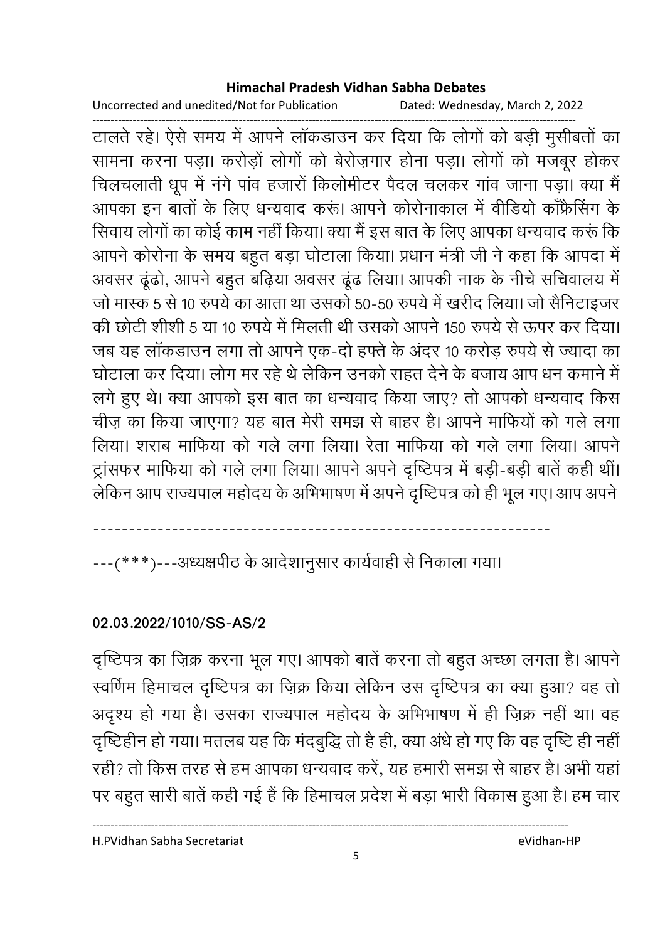Uncorrected and unedited/Not for Publication Dated: Wednesday, March 2, 2022

------------------------------------------------------------------------------------------------------------------------------------ टालते रहे। ऐसे समय में आपने लाकडाउन कर दिया कि लोगों को बड़ी मुसीबतों का सामना करना पड़ा। करोड़ों लोगों को बेरोज़गार होना पड़ा। लोगों को मजबूर होकर चिलचलाती धूप में नगे पाव हजारों किलोमीटर पैदल चलकर गांव जाना पड़ा। क्या मैं आपका इन बातों के लिए धन्यवाद करूं। आपने कोरोनाकाल में वीडियो काफ्रेंसिंग के सिवाय लोगों का कोई काम नहीं किया। क्या मैं इस बात के लिए आपका धन्यवाद करूं कि आपने कोरोना के समय बहुत बड़ा घोटाला किया। प्रधान मंत्री जी ने कहा कि आपदा में अवसर ढूढो, आपने बहुत बढ़िया अवसर ढूढ लिया। आपकी नाक के नीचे सचिवालय में जो मास्क 5 से 10 रुपये का आता था उसको 50-50 रुपये में खरीद लिया। जो सैनिटाइजर की छोटी शीशी 5 या 10 रुपर्य में मिलती थी उसको आपने 150 रुपर्य से ऊपर कर दिया। जब यह लॉकडाउन लगा तो आपने एक-दो हफ्ते के अंदर 10 करोड़ रुपये से ज्यादा का घोटाला कर दिया। लोग मर रहे थे लेकिन उनको राहत देने के बजाय आप धन कमाने में लगे हुए थे। क्या आपको इस बात का धन्यवाद किया जाए? तो आपको धन्यवाद किस चीज़ का किया जाएगा? यह बात मेरी समझ से बाहर है। आपने मार्फियों को गले लगा लिया। शराब माफिया को गले लगा लिया। रेता माफिया को गले लगा लिया। आपने ट्रासफर मार्फिया को गर्ल लगा लिया। आपने अपने दृष्टिपत्र में बड़ी-बड़ी बातें कहीं थी। लेकिन आप राज्यपाल महोदय के अभिभाषण में अपने दृष्टिपत्र को ही भूल गए। आप अपने

----------------------------------------------------------------

---(\*\*\*)---अध्यक्षपीठ के आदेशानुसार कार्यवाही से निकाला गया।

### **02.03.2022/1010/SS-AS/2**

दृष्टिपत्र का ज़िक्र करना भूल गए। आपको बातें करना तो बहुत अच्छा लगता है। आपने स्वर्णिम हिमाचल दृष्टिपत्र का ज़िक्र किया लेकिन उस दृष्टिपत्र का क्या हुआ? वह तो अदृश्य हो गया है। उसका राज्यपाल महोदय के अभिभाषण में ही ज़िक्र नहीं था। वह दृष्टिहीन हो गया। मतलब यह कि मदबुद्धि तो है ही, क्या अर्ध हो गए कि वह दृष्टि ही नहीं। रही? तो किस तरह से हम आपका धन्यवाद करे, यह हमारी समझ से बाहर है। अभी यहां पर बहुत सारी बातें कहीं गई है कि हिमाचल प्रदेश में बड़ा भारी विकास हुआ है। हम चार

H.PVidhan Sabha Secretariat eVidhan-HP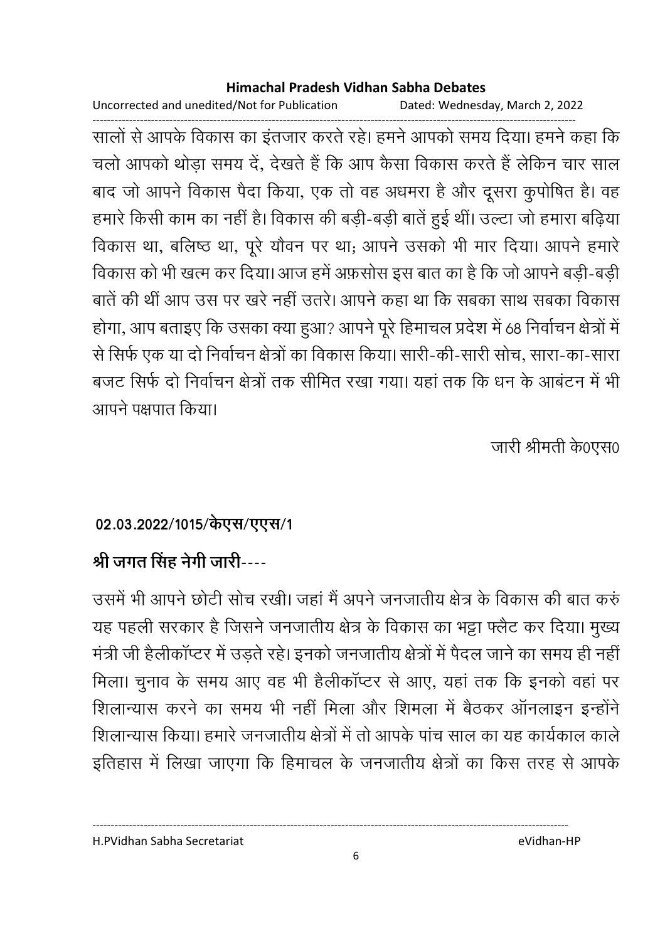Uncorrected and unedited/Not for Publication Dated: Wednesday, March 2, 2022

------------------------------------------------------------------------------------------------------------------------------------ सालों से आपके विकास का इतजार करते रहे। हमने आपको समय दिया। हमने कहा कि चलो आपको थोड़ा समय दें, देखते हैं कि आप कैसा विकास करते हैं लेकिन चार साल बाद जो आपने विकास पैदा किया, एक तो वह अधमरा है और दूसरा कुपोषित है। वह हमारे किसी काम का नहीं है। विकास की बड़ी-बड़ी बातें हुई थी। उल्टा जो हमारा बढ़िया विकास था, बलिष्ठ था, पूरे यौवन पर था; आपने उसको भी मार दिया। आपने हमारे विकास को भी खत्म कर दिया। आज हमें अफ़सोस इस बात का है कि जो आपने बड़ी-बड़ी बातें की थी आप उस पर खरे नहीं उतरें। आपने कहा था कि सबका साथ सबका विकास होगा, आप बताइए कि उसका क्या हुआ? आपने पूरे हिमाचल प्रदेश में 68 निर्वाचन क्षेत्रों में से सिर्फ एक या दो निर्वाचन क्षेत्रों का विकास किया। सारी-की-सारी सोच, सारा-का-सारा बजट सिर्फ दो निर्वाचन क्षेत्रों तक सीमित रखा गया। यहां तक कि धन के आंबटन में भी आपने पक्षपात किया।

जारी श्रीमती के0एस0

# 02.03.2022/1015/केएस/एएस/1

# <u>श्री जगत सिंह नेगी जारी----</u>

उसमें भी आपने छोटी सोच रखी। जहां में अपने जनजातीय क्षेत्र के विकास की बात करु यह पहली सरकार है जिसने जनजातीय क्षेत्र के विकास का भट्टा फ्लैट कर दिया। मुख्य मंत्री जी हैलीकाप्टर में उड़ते रहे। इनको जनजातीय क्षेत्रों में पैदल जाने का समय ही नहीं। मिला। चुनाव के समय आए वह भी हैलीकाप्टर से आए, यहां तक कि इनको वहां पर शिलान्यास करने का समय भी नहीं मिला और शिमला में बैठकर आनलाइन इन्होंने शिलान्यास किया। हमारे जनजातीय क्षेत्रों में तो आपके पांच साल का यह कार्यकाल काले इतिहास में लिखा जाएगा कि हिमाचल के जनजातीय क्षेत्रों का किस तरह से आपके

H.PVidhan Sabha Secretariat eVidhan-HP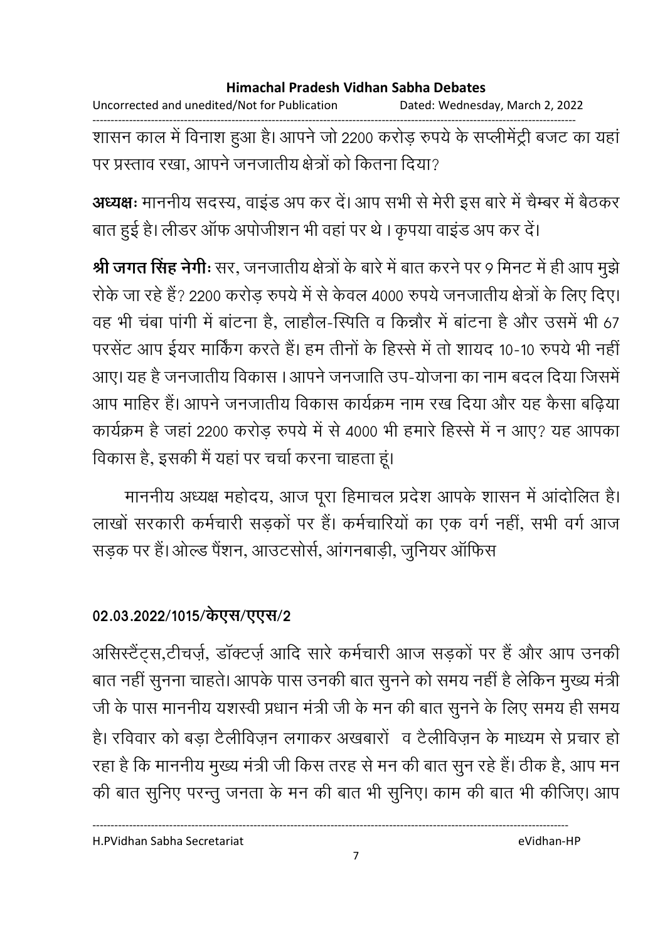Uncorrected and unedited/Not for Publication Dated: Wednesday, March 2, 2022

------------------------------------------------------------------------------------------------------------------------------------ शासन काल में विनाश हुआ है। आपने जो 2200 करोड़ रुपये के सप्लेमिट्री बजट का यहां पर प्रस्ताव रखा, आपने जनजातीय क्षेत्रों को कितना दिया?

**अध्यक्षः** माननीय सदस्य, वाइड अप कर दें। आप सभी से मेरी इस बारे में चैम्बर में बैठकर बात हुई है। लेंडिर आफ अपोजीशन भी वहां पर थे । कृपया वाइंड अप कर दें।

**श्री जगत सिंह नेगीः** सर, जनजातीय क्षेत्रों के बारे में बात करने पर 9 मिनट में ही आप मुझे रकि जा रहे हैं? 2200 करोड़ रुपये में से केवल 4000 रुपये जनजातीय क्षेत्रों के लिए दिए। वह भी चबा पांगी में बाटना है, लाहौल-स्पिति व किन्नौर में बाटना है और उसमें भी 67 परसेंट आप ईयर मार्किंग करते हैं। हम तीनों के हिस्से में तो शायद 10-10 रुपये भी नहीं | आए। यह है जनजातीय विकास । आपने जनजाति उप-योजना का नाम बदल दिया जिसमें आप माहिर है। आपने जनजातीय विकास कार्यक्रम नाम रख दिया और यह कैसा बढ़ियां कार्यक्रम है जहां 2200 करोड़ रुपये में से 4000 भी हमारे हिस्से में न आए? यह आपका विकास है, इसकी मैं यहां पर चर्चा करना चाहता हूं।

माननीय अध्यक्ष महोदय, आज पूरा हिमाचल प्रदेश आपके शासन में आदोलित हैं। लाखो सरकारी कर्मचारी सड़को पर है। कर्मचारियों का एक वर्ग नहीं, सभी वर्ग आज सड़क पर है। ओल्ड पैशन, आउटसोर्स, आगनबाड़ी, जुनियर आफिस

### 02.03.2022/1015/केएस/एएस/2

आसस्टैट्स,टीचज़े, डाक्टज़े आदि सारे कर्मचारी आज सड़को पर है और आप उनकी बात नहीं सुनना चाहते। आपके पास उनकी बात सुनने को समय नहीं है लेकिन मुख्य मंत्री | जी के पास माननीय यशस्वी प्रधान मंत्री जी के मन की बात सुनने के लिए समय ही समय हैं। रविवार को बड़ा टैलीविज़न लगाकर अखबारों व टैलीविज़न के माध्यम से प्रचार हो । रहा है कि माननीय मुख्य मंत्री जी किस तरह से मन की बात सुन रहे हैं। ठीक है, आप मन की बात सुनिए परन्तु जनता के मन की बात भी सुनिए। काम की बात भी कीजिए। आप

H.PVidhan Sabha Secretariat eVidhan-HP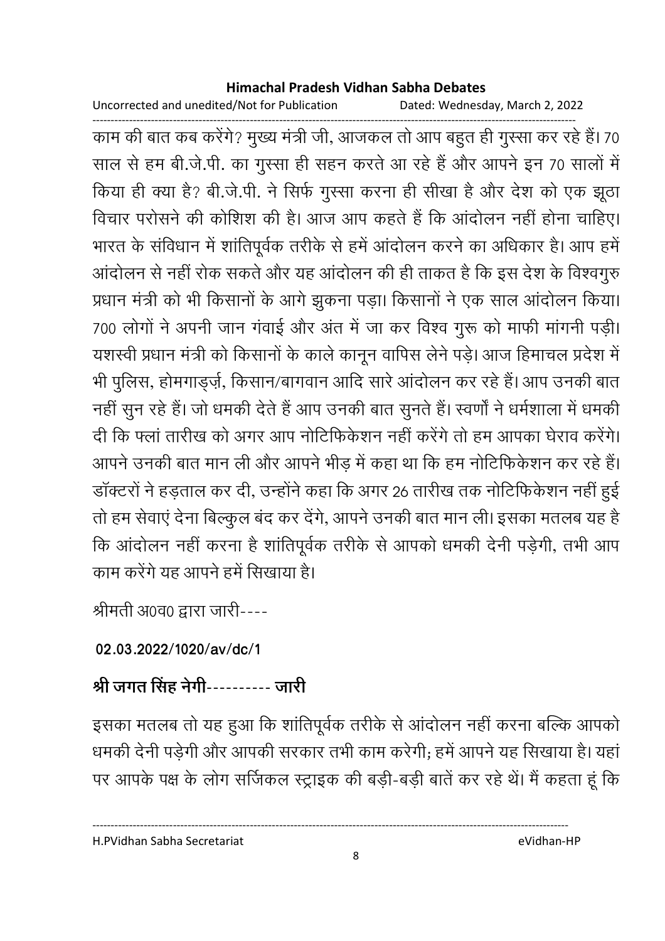Uncorrected and unedited/Not for Publication Dated: Wednesday, March 2, 2022

------------------------------------------------------------------------------------------------------------------------------------ काम की बात कब करेंगे? मुख्य मंत्री जी, आजकल तो आप बहुत ही गुस्सा कर रहे हैं। 70 साल से हम बी.जे.पी. का गुस्सा ही सहन करते आ रहे हैं और आपने इन 70 सालों में किया ही क्या है? बी.जे.पी. ने सिर्फ गुस्सा करना ही सीखा है और देश को एक झूठा विचार परोसने की कोशिश की है। आज आप कहते हैं कि आदोलन नहीं होना चाहिए। भारत के सर्विधान में शातिपूर्वक तरीके से हमें आदोलन करने का अधिकार है। आप हमें आदोलन से नहीं रोक सकते और यह आदोलन की ही ताकत है कि इस देश के विश्वगुरु प्रधान मंत्री को भी किसानों के आगे झुंकना पड़ा। किसानों ने एक साल आंदोलन किया। 700 लोगों ने अपनी जान गवाई और अंत में जा कर विश्व गुरू को मार्फी मांगनी पड़ी। यशस्वी प्रधान मंत्री को किसानों के काले कानून वार्पिस लेने पड़ें। आज हिमाचल प्रदेश में भी पुलिस, होमगांड्ज़े, किसान/बागवान आदि सारे आदोलन कर रहे हैं। आप उनकी बात नहीं सुन रहे हैं। जो धमकी देते हैं आप उनकी बात सुनते हैं। स्वर्णों ने धर्मशाला में धमकी दी कि फ्ला तारीख को अगर आप नोटिफिकेशन नहीं करेंगे तो हम आपका घेराव करेंगे। आपने उनकी बात मान ली और आपने भीड़ में कहा था कि हम नोटिफिकेशन कर रहे हैं। डाक्टरों ने हड़ताल कर दी, उन्होंने कहा कि अगर 26 तारीख तक नोटिफिकेशन नहीं हुई | तो हम सेवाएं देना बिल्कुल बंद कर देंगे, आपने उनकी बात मान ली। इसका मतलब यह हैं ' कि आदोलन नहीं करना है शार्तिपूर्वक तरीके से आपको धमकी देनी पड़ेगी, तभी आप काम करेंगे यह आपने हमें सिखाया है।

श्रीमती अ0व0 द्वारा जारी----

# **02.03.2022/1020/av/dc/1**

# श्री जगत सिंह नेगी---------- जारी

इसका मतलब तो यह हुआ कि शांतिपूर्वक तरीके से आदोलन नहीं करना बल्कि आपको धमकी देनी पड़ेगी और आपकी सरकार तभी काम करेगी; हमें आपने यह सिखाया है। यहां पर आपके पक्ष के लोग सर्जिकल स्ट्राइक की बड़ी-बड़ी बाते कर रहे थे। मैं कहता हूं कि

H.PVidhan Sabha Secretariat eVidhan-HP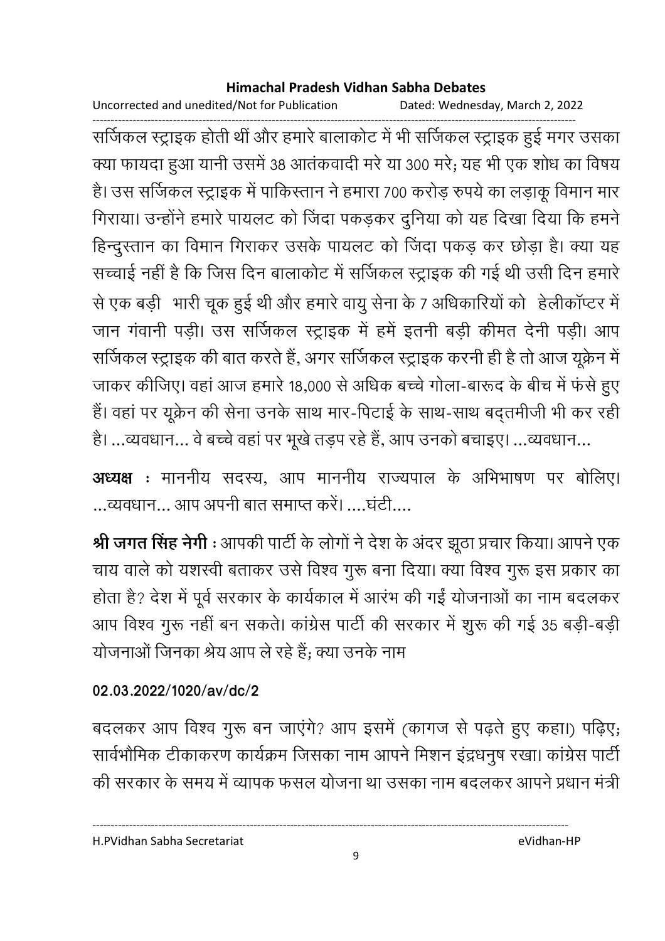Uncorrected and unedited/Not for Publication Dated: Wednesday, March 2, 2022

------------------------------------------------------------------------------------------------------------------------------------ संजिकल स्ट्राइक होती थी और हमारे बालाकोट में भी संजिकल स्ट्राइक हुई मंगर उसका क्या फायदा हुआ यानी उसमें 38 आतंकवादी मरे या 300 मरे; यह भी एक शोध का विषय है। उस सर्जिकल स्ट्राइक में पाकिस्तान ने हमारा 700 करोड़ रुपये का लड़ाकू विमान मार गिराया। उन्होंने हमारे पायलट को जिंदा पकड़कर दुनिया को यह दिखा दिया कि हमने हिन्दुस्तान का विमान गिराकर उसके पायलट को जिंदा पकड़ कर छोड़ा है। क्या यह सच्चाई नहीं है कि जिस दिन बालाकोट में सजिकल स्ट्राइक की गई थी उसी दिन हमारे. ) / O #" ह V ह) 
 ) ) 7 \*
 ह). g;4 7 जान गवानी पड़ी। उस सजिकल स्ट्राइक में हमें इतनी बड़ी कीमत देनी पड़ी। आप सर्जिकल स्ट्राइक की बात करते हैं, अगर सर्जिकल स्ट्राइक करनी ही है तो आज यूक्रेन में जाकर कीजिए। वहां आज हमारे 18,000 से अधिक बच्चे गोला-बारूद के बीच में फर्स हुए हैं। वहां पर यूक्रेन की सेना उनके साथ मार-पिटाई के साथ-साथ बद्तमीजी भी कर रही है। ...व्यवधान... वे बच्चे वहां पर भूखे तड़प रहे हैं, आप उनको बचाइए। ...व्यवधान...

**अध्यक्ष** : माननीय सदस्य, आप माननीय राज्यपाल के अभिभाषण पर बोलिए। ...व्यवधान... आप अपनी बात समाप्त करें। ....घटी....

**श्री जगत सिंह नेगी** : आपकी पार्टी के लोगों ने देश के अंदर झूठा प्रचार किया। आपने एक चाय वाले को यशस्वी बताकर उसे विश्व गुरू बना दिया। क्या विश्व गुरू इस प्रकार का होता है? देश में पूर्व सरकार के कार्यकाल में आरंभ की गई योजनाओं का नाम बदलकर आप विश्व गुरू नहीं बन सकते। कांग्रेस पार्टी की सरकार में शुरू की गई 35 बड़ी-बड़ी योजनाओं जिनका श्रेय आप ले रहे हैं; क्या उनके नाम

### **02.03.2022/1020/av/dc/2**

बदलकर आप विश्व गुरू बन जाएंगे? आप इसमें (कागज से पढ़ते हुए कहा।) पढ़िए; सार्वभौमिक टीकांकरण कार्यक्रम जिसका नाम आपने मिशन इंद्रधनुष रखा। कांग्रेस पार्टी की सरकार के समय में व्यापक फसल योजना था उसका नाम बदलकर आपने प्रधान मंत्री.

H.PVidhan Sabha Secretariat eVidhan-HP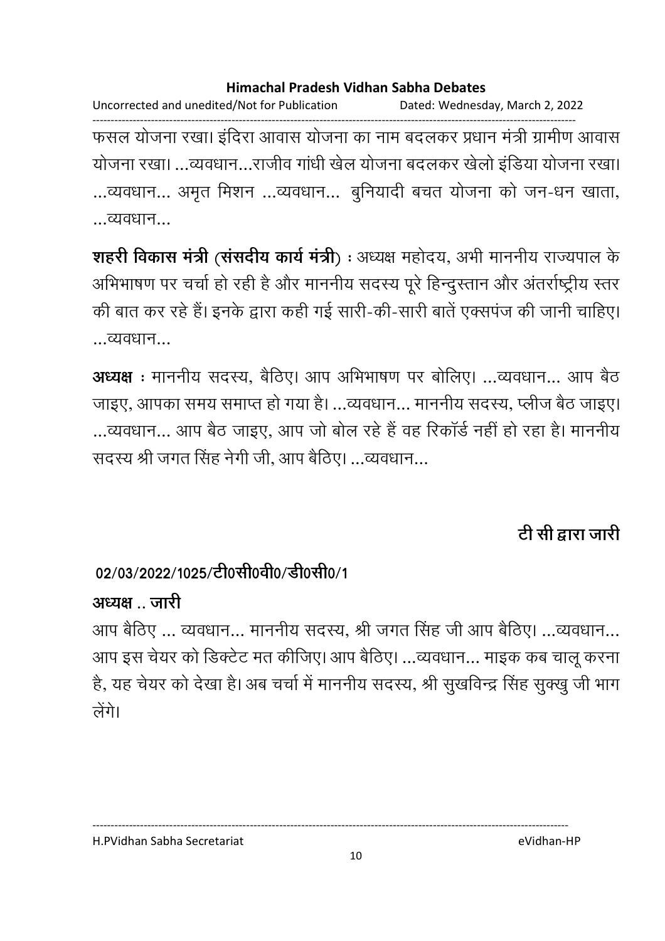Uncorrected and unedited/Not for Publication Dated: Wednesday, March 2, 2022

------------------------------------------------------------------------------------------------------------------------------------ फसल योजना रखा। इंदिरा आवास योजना का नाम बदलकर प्रधान मंत्री ग्रामीण आवास योजना रखा। …व्यवधान…राजीव गांधी खेल योजना बदलकर खेलो इंडिया योजना रखा। …व्यवधान... अमृत मिशन …व्यवधान... बुनियादी बचत योजना को जन-धन खाता, …व्यवधान…

**शहरी विकास मंत्री (संसदीय कार्य मंत्री**) : अध्यक्ष महोदय, अभी माननीय राज्यपाल के आभेभाषण पर चर्चा हो रही है और माननीय सदस्य पूरे हिन्दुस्तान और अंतर्राष्ट्रीय स्तर की बात कर रहे हैं। इनके द्वारा कहीं गई सारी-की-सारी बातें एक्सपंज की जानी चाहिए। व्यवधान

**अध्यक्ष** : माननीय सदस्य, बैठिए। आप अभिभाषण पर बोलिए। ...व्यवधान... आप बैठ जाइए, आपका समय समाप्त हो गया है। …व्यवधान… माननीय सदस्य, प्लीज बैठ जाइए। …व्यवधान… आप बैठ जाइए, आप जो बोल रहे हैं वह रिकार्ड नहीं हो रहा है। माननीय सदस्य श्री जगत सिंह नेगी जी, आप बैठिए। …व्यवधान…

# टी सी द्वारा जारी

# 02/03/2022/1025/टी0सी0वी0/डी0सी0/1

# अध्यक्ष जारी

आप बैठिए … व्यवधान… माननीय सदस्य, श्री जगत सिंह जी आप बैठिए। …व्यवधान… आप इस चेयर को डिक्टेट मत कीजिए। आप बैठिए। …व्यवधान… माइक कब चालू करना है, यह चेयर को देखा है। अब चर्चा में माननीय सदस्य, श्री सुखर्विन्द्र सिंह सुक्खु जी भाग लेंगे।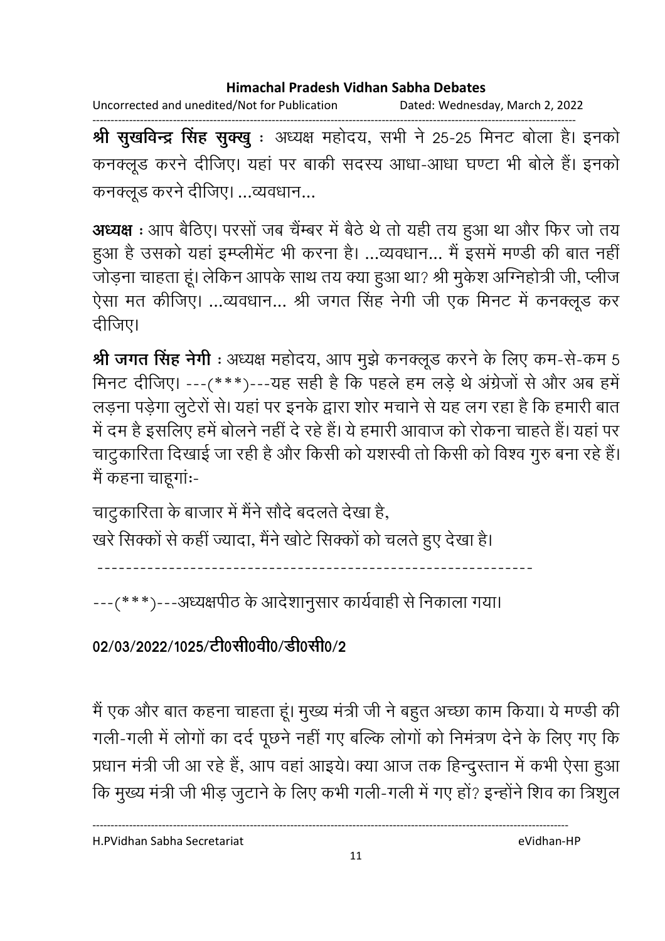Uncorrected and unedited/Not for Publication Dated: Wednesday, March 2, 2022

------------------------------------------------------------------------------------------------------------------------------------ **श्री सुखर्विन्द्र सिंह सुक्खु** : अध्यक्ष महोदय, सभी ने 25-25 मिनट बोला है। इनको कनक्लूड करने दीजिए। यहां पर बाकी सदस्य आधा-आधा घण्टा भी बोले हैं। इनको कनक्लूड करने दीजिए। …व्यवधान…

**अध्यक्ष** : आप बैठिए। परसो जब चैम्बर में बैठे थे तो यही तय हुआ था और फिर जो तय हुआ है उसको यहां इम्प्लेमिट भी करना है। …व्यवधान… मैं इसमें मण्डी की बात नहीं जोड़ना चाहता हूं। लेकिन आपके साथ तय क्या हुआ था? श्री मुकेश ओग्नेहोत्री जी, प्लीज ऐसा मत कीजिए। ...व्यवधान... श्री जगत सिंह नेगी जी एक मिनट में कनक्लूड कर दाजिए।

**श्री जगत सिंह नेगी** : अध्यक्ष महोदय, आप मुझे कनक्लूड करने के लिए कम-से-कम 5 मिनट दीजिए। ---(\*\*\*)---यह सही है कि पहले हम लड़े थे अंग्रेजों से और अब हमें लड़ना पड़ेगा लुटेरों से। यहां पर इनके द्वारा शोर मचाने से यह लग रहा है कि हमारी बात में दम है इसलिए हमें बोलने नहीं दें रहे हैं। ये हमारी आवाज को रोकना चाहते हैं। यहां पर चांटुकारिता दिखाई जा रही है और किसी को यशस्वी तो किसी को विश्व गुरु बना रहे हैं। मैं कहना चाहूगांः-

चाटुकारिता के बाजार में मैंने सौदे बदलते देखा है,

खरे सिक्कों से कहीं ज्यादा, मैंने खोटे सिक्कों को चलते हुए देखा है।

-------------------------------------------------------------

---(\*\*\*)---अध्यक्षपीठ के आदेशानुसार कार्यवाही से निकाला गया।

02/03/2022/1025/टी0सी0वी0/डी0सी0/2

मैं एक और बात कहना चाहता हूं। मुख्य मंत्री जी ने बहुत अच्छा काम किया। ये मण्डी की गली-गली में लोगों का दर्द पूछने नहीं गए बल्कि लोगों को निमंत्रण देने के लिए गए कि प्रधान मंत्री जी आ रहे हैं, आप वहां आइये। क्या आज तक हिन्दुस्तान में कभी ऐसा हुआ कि मुख्य मंत्री जी भीड़ जुटाने के लिए कभी गली-गली में गए हो? इन्होंने शिव का त्रिशुल

H.PVidhan Sabha Secretariat eVidhan-HP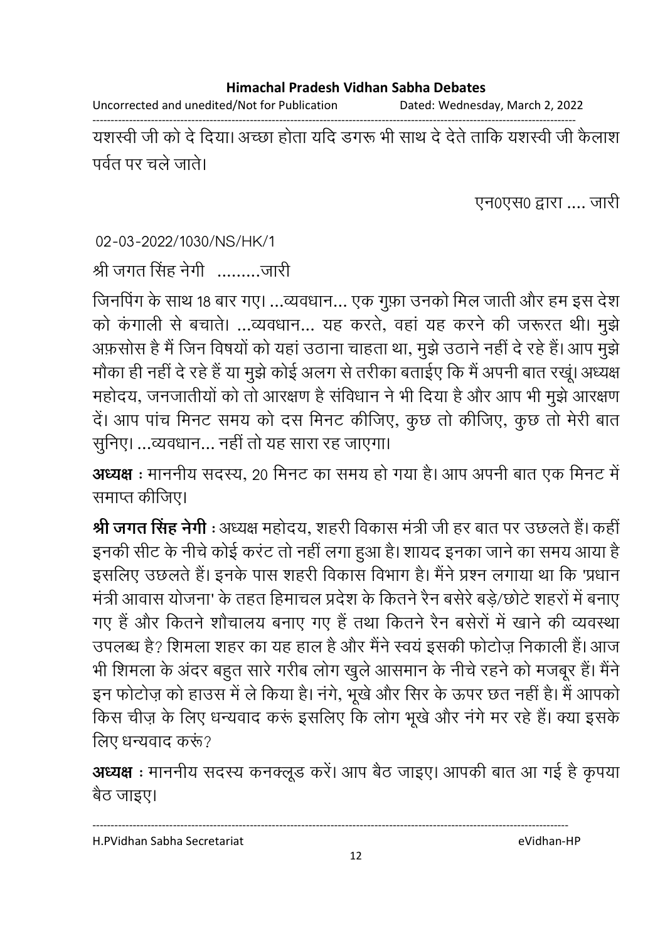Uncorrected and unedited/Not for Publication Dated: Wednesday, March 2, 2022

------------------------------------------------------------------------------------------------------------------------------------ यशस्वी जी को दें दिया। अच्छा होता यदि डगरू भी साथ दें देते ताकि यशस्वी जी कैलाश पर्वत पर चले जाते।

एन0एस0 द्वारा .... जारी

02-03-2022/1030/NS/HK/1

श्री जगत सिंह नेगी ..........जारी

जिनपिंग के साथ 18 बार गए। …व्यवधान… एक गुफ़ा उनको मिल जाती और हम इस देश को कंगाली से बचाते। …व्यवधान… यह करते, वहां यह करने की जरूरत थी। मुझे अफ़सोस है मैं जिन विषयों को यहां उठाना चाहता था, मूझे उठाने नहीं दे रहे हैं। आप मुझे मोंका ही नहीं दें रहे हैं या मुझे कोई अलग से तरीका बताईए कि मैं अपनी बात रखू। अध्यक्ष महोदय, जनजातीयों को तो आरक्षण है सर्विधान ने भी दिया है और आप भी मुझे आरक्षण दें। आप पांच मिनट समय को दस मिनट कीजिए, कुछ तो कीजिए, कुछ तो मेरी बात सुनिए। ...व्यवधान... नहीं तो यह सारा रह जाएगा।

**अध्यक्ष** : माननीय सदस्य, 20 मिनट का समय हो गया है। आप अपनी बात एक मिनट में समाप्त कीजिए।

**श्री जगत सिंह नेगी** : अध्यक्ष महोदय, शहरी विकास मंत्री जी हर बात पर उछलते हैं। कहीं इनकी सीट के नीचे कोई करट तो नहीं लगा हुआ है। शायद इनका जाने का समय आया हैं-इसलिए उछलते हैं। इनके पास शहरी विकास विभाग है। मैंने प्रश्न लगाया था कि 'प्रधान मंत्री आवास योजना' के तहत हिमाचल प्रदेश के कितने रैन बसेरे बड़े/छोटे शहरों में बनाए गए हैं और कितने शौचालय बनाए गए हैं तथा कितने रैन बसेरों में खाने की व्यवस्था उपलब्ध है? शिमला शहर का यह हाल है और मैंने स्वय इसकी फोटोज़ निकाली है। आज भी शिमला के अंदर बहुत सारे गरीब लोग खुले आसमान के नीचे रहने को मजबूर है। मैंने इन फोटोज़ को हाउस में ले किया है। नंगे, भूखे और सिर के ऊपर छत नहीं है। मैं आपको किस चीज़ के लिए धन्यवाद करूं इसलिए कि लोग भूखें और नगे मर रहे हैं। क्या इसके लिए धन्यवाद करूं?

**अध्यक्ष** : माननीय सदस्य कनक्लूड करे। आप बैठ जाइए। आपकी बात आ गई है कृपया बैठ जाइए।

12

----------------------------------------------------------------------------------------------------------------------------------

H.PVidhan Sabha Secretariat eVidhan-HP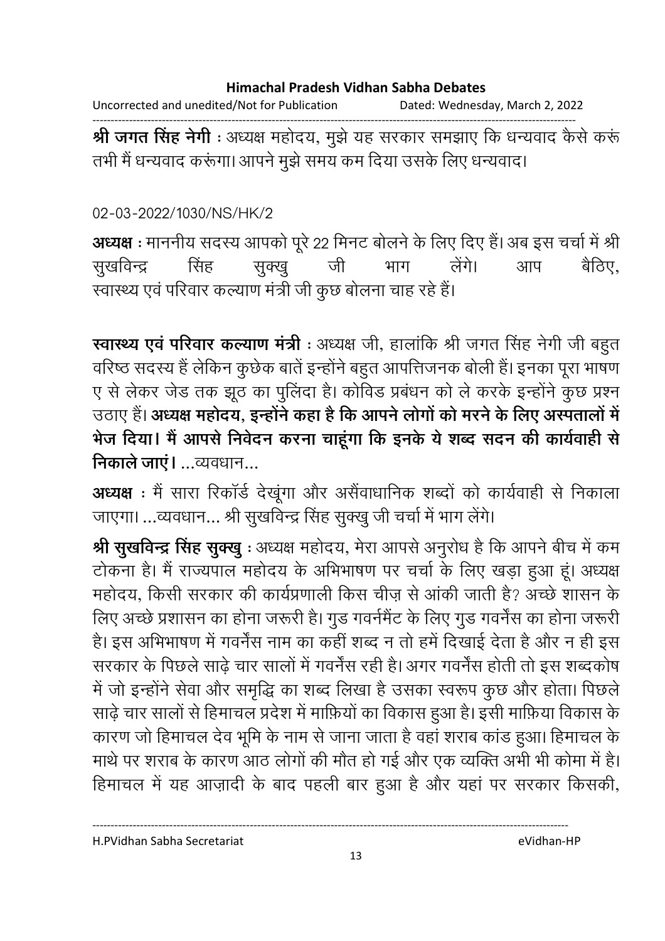Uncorrected and unedited/Not for Publication Dated: Wednesday, March 2, 2022

------------------------------------------------------------------------------------------------------------------------------------ **श्री जगत सिंह नेगी** : अध्यक्ष महोदय, मुझे यह सरकार समझाएं कि धन्यवाद कैसे करू तभी मैं धन्यवाद करूंगा। आपने मुझे समय कम दिया उसके लिए धन्यवाद।

### 02-03-2022/1030/NS/HK/2

**अध्यक्ष** : माननीय सदस्य आपको पूरे 22 मिनट बोलने के लिए दिए हैं। अब इस चर्चा में श्री सुखविन्द्र सिंह सुक्खु जी भाग लेंगे। आप बैठिए. स्वास्थ्य एवं परिवार कल्याण मंत्री जी कुछ बोलना चाह रहे हैं।

**स्वास्थ्य एव परिवार कल्याण मंत्री** : अध्यक्ष जी, हालाकि श्री जगत सिंह नेगी जी बहुत वरिष्ठ सदस्य है लेकिन कुछेक बाते इन्होंने बहुत आपत्तिजनक बोली है। इनका पूरा भाषण ए से लेकर जेड तक झूठ का पुलिंदा है। कोविड प्रबंधन को ले करके इन्होंने कुछ प्रश्न उठाए हैं। **अध्यक्ष महोदय, इन्होंने कहा है कि आपने लोगों को मरने के लिए अस्पतालों में** भेज दिया। मैं आपसे निवेदन करना चाहूगा कि इनके ये शब्द सदन की कार्यवाही से **निकाले जाए।** …व्यवधान…

**अध्यक्ष** : मै सारा रिकार्ड देखूगा और असैवाधानिक शब्दों को कार्यवाही से निकाला जाएगा। …व्यवधान… श्री सुखर्विन्द्र सिंह सुक्खु जी चर्चा में भाग लेंगे।

**श्री सुखर्विन्द्र सिंह सुक्खु** : अध्यक्ष महोदय, मेरा आपसे अनुरोध है कि आपने बीच में कम टोकना है। मैं राज्यपाल महोदय के अभिभाषण पर चर्चा के लिए खड़ा हुआ हूं। अध्यक्ष महोदय, किसी सरकार की कार्यप्रणाली किस चीज़ से आकी जाती है? अच्छे शासन के लिए अच्छे प्रशासन का होना जरूरी है। गुड गवर्नमैंट के लिए गुड गवर्नस का होना जरूरी | हैं। इस अभिभाषण में गवर्नेस नाम का कहीं शब्द न तो हमें दिखाई देता है और न ही इस सरकार के पिछले साढ़े चार सालों में गवर्नेस रही है। अगर गवर्नेस होती तो इस शब्दकोष में जो इन्होंने सेवा और समृद्धि का शब्द लिखा है उसका स्वरूप कुछ और होता। पिछले साढ़े चार सालों से हिमाचल प्रदेश में माफ़ियों का विकास हुआ है। इसी माफ़िया विकास के कारण जो हिमाचल देव भूमि के नाम से जाना जाता है वहां शराब कांड हुआ। हिमाचल के मार्थ पर शराब के कारण आठ लोगों की मौत हो गई और एक व्यक्ति अभी भी कोमा में हैं। हिमाचल में यह आज़ादी के बाद पहली बार हुआ है और यहां पर सरकार किसकी,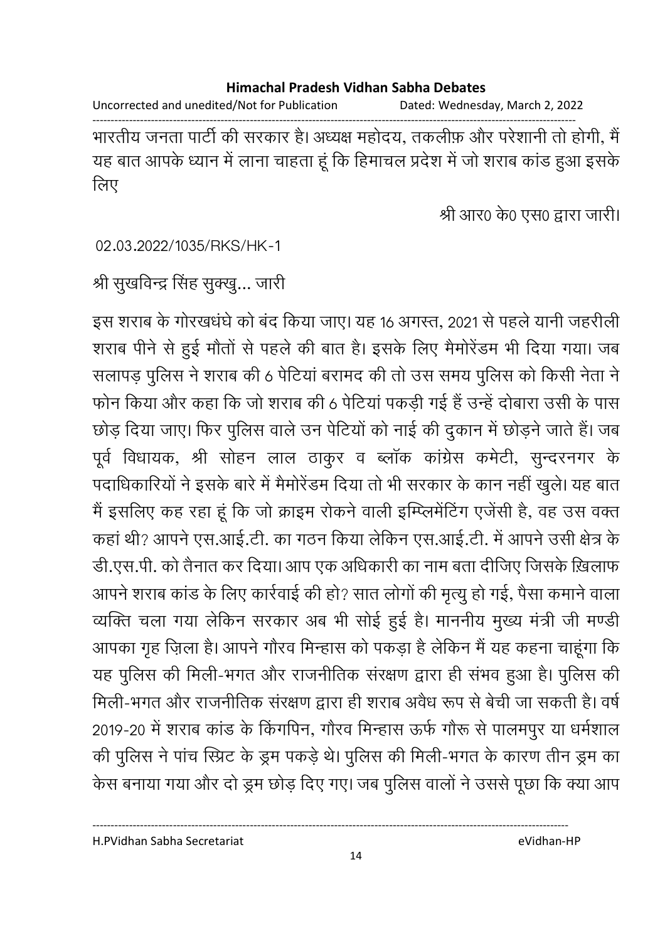Uncorrected and unedited/Not for Publication Dated: Wednesday, March 2, 2022

------------------------------------------------------------------------------------------------------------------------------------ भारतीय जनता पार्टी की सरकार है। अध्यक्ष महोदय, तकलीफ़ और परेशानी तो होगी, मैं यह बात आपके ध्यान में लाना चाहता हूं कि हिमाचल प्रदेश में जो शराब कांड हुआ इसके लिए

श्री आर0 के0 एस0 द्वारा जारी।

02.03.2022/1035/RKS/HK-1

श्री सुखर्विन्द्र सिंह सुक्खु… जारी

इस शराब के गोरखधर्घ को बंद किया जाए। यह 16 अगस्त, 2021 से पहले यांनी जहरीली शराब पीने से हुई मौतों से पहले की बात है। इसके लिए मैमोरेडम भी दिया गया। जब सलापड़ पुलिस ने शराब की 6 पेंटिया बरामद की तो उस समय पुलिस को किसी नेता ने फोन किया और कहा कि जो शराब की 6 पेंटिया पकड़ी गई है उन्हें दोबारा उसी के पास छोड़ दिया जाए। फिर पुलिस वाले उन पेंटियों को नाई की दुकान में छोड़ने जाते हैं। जब पूर्व विधायक, श्री सोहन लाल ठाकुर व ब्लाक कांग्रेस कर्मेटी, सुन्दरनगर के पदाधिकारियों ने इसके बारे में मैमोरेडम दिया तो भी सरकार के कान नहीं खुले। यह बात में इसलिए कह रहा हूं कि जो क्राइम रोकने वाली इम्प्लिमेंटिंग एजेंसी हैं, वह उस वक्त कहा थी? आपने एस.आई.टी. का गठन किया लेकिन एस.आई.टी. में आपने उसी क्षेत्र के डी.एस.पी. को तैनात कर दिया। आप एक अधिकारी का नाम बता दीजिए जिसके ख़िलाफ आपने शराब कांड के लिए कार्रवाई की हो? सात लोगों की मृत्यु हो गई, पैसा कमाने वाला व्यक्ति चला गया लेकिन सरकार अब भी सोई हुई है। माननीय मुख्य मंत्री जी मण्डी आपका गृह ज़िला है। आपने गौरव मिन्हास को पकड़ा है लेकिन मैं यह कहना चाहूंगा कि यह पुलिस की मिली-भगत और राजनीतिक सरक्षण द्वारा ही सभव हुआ है। पुलिस की मिली-भगत और राजनीतिक सरक्षण द्वारा ही शराब अवैध रूप से बेची जा सकती है। वर्ष 2019-20 में शराब कांड के किंगपिन, गौरव मिन्हास ऊर्फ गौरू से पालमपुर या धर्मशाल की पुलिस ने पांच स्प्रिंट के ड्रम पंकड़े थे। पुलिस की मिली-भगत के कारण तीन ड्रम का केस बनाया गया और दो ड्रम छोड़ दिए गए। जब पुलिस वालों ने उससे पूछा कि क्या आप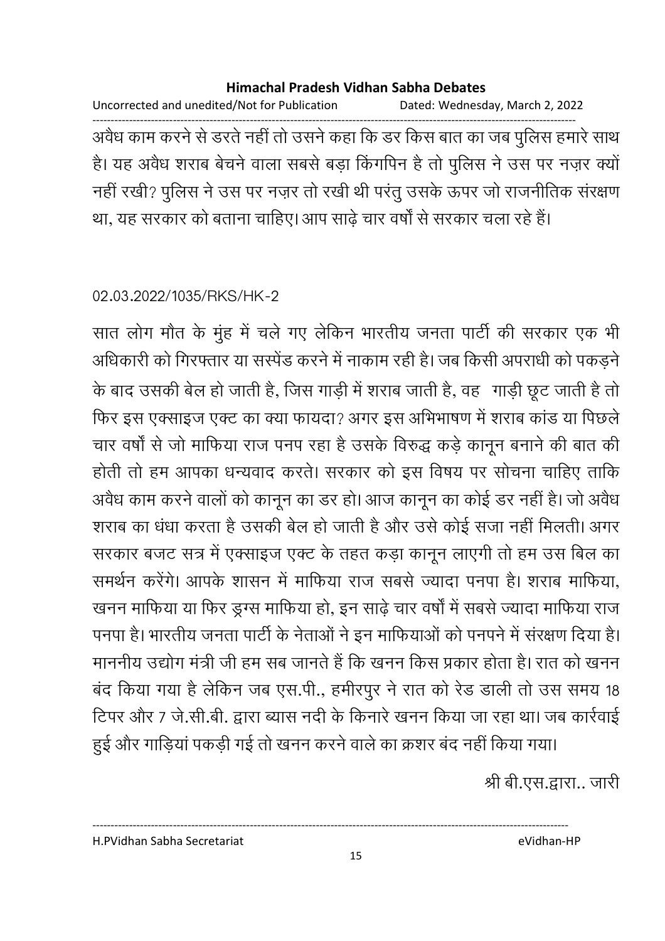Uncorrected and unedited/Not for Publication Dated: Wednesday, March 2, 2022 ------------------------------------------------------------------------------------------------------------------------------------ अवैध काम करने से डरते नहीं तो उसने कहा कि डर किस बात का जब पुलिस हमारे साथ है। यह अवैध शराब बेचने वाला सबसे बड़ा किंगपिन है तो पुलिस ने उस पर नज़र क्यों नहीं रखी? पुलिस ने उस पर नज़र तो रखी थी परंतु उसके ऊपर जो राजनीतिक सरक्षण था, यह सरकार को बताना चाहिए। आप साढ़े चार वर्षों से सरकार चला रहे हैं।

02.03.2022/1035/RKS/HK-2

सात लोग मौत के मुंह में चले गए लेकिन भारतीय जनता पार्टी की सरकार एक भी आंधकारी को गिरफ्तार या संस्पेंड करने में नाकाम रही है। जब किसी अपराधी को पकड़ने के बाद उसकी बेल हो जाती है, जिस गाड़ी में शराब जाती है, वह गाड़ी छूट जाती है तो फिर इस एक्साइज एक्ट का क्या फायदा? अगर इस अभिभाषण में शराब कांड या पिछले चार वर्षों से जो मार्फिया राज पनप रहा है उसके विरुद्ध कड़े कानून बनाने की बात की होती तो हम आपका धन्यवाद करते। सरकार को इस विषय पर सोचना चाहिए ताकि अवैध काम करने वालों को कानून का डर हो। आज कानून का कोई डर नहीं है। जो अवैध शराब का धंधा करता है उसकी बेल हो जाती है और उसे कोई सजा नहीं मिलती। अगर सरकार बजट सत्र में एक्साइज एक्ट के तहत कड़ा कानून लाएंगी तो हम उस बिल का समर्थन करेंगे। आपके शासन में माफिया राज सबसे ज्यादा पनपा है। शराब माफिया, खनन माफिया या फिर ड्रग्स माफिया हो, इन साढ़े चार वर्षों में सबसे ज्यादा माफिया राज पनपा है। भारतीय जनता पार्टी के नेताओं ने इन मार्फियाओं को पनपने में सरक्षण दिया है। माननीय उद्योग मंत्री जी हम सब जानते हैं कि खनन किस प्रकार होता है। रात को खनन बंद किया गया है लेकिन जब एस.पी., हमीरपुर ने रात को रेंड डाली तो उस समय 18 टिपर और 7 जे.सी.बी. द्वारा ब्यास नदी के किनारे खनन किया जा रहा था। जब कार्रवाई

हुई और गाड़िया पकड़ी गई तो खनन करने वाले का क्रशर बंद नहीं किया गया। श्री बी.एस.द्वारा.. जारी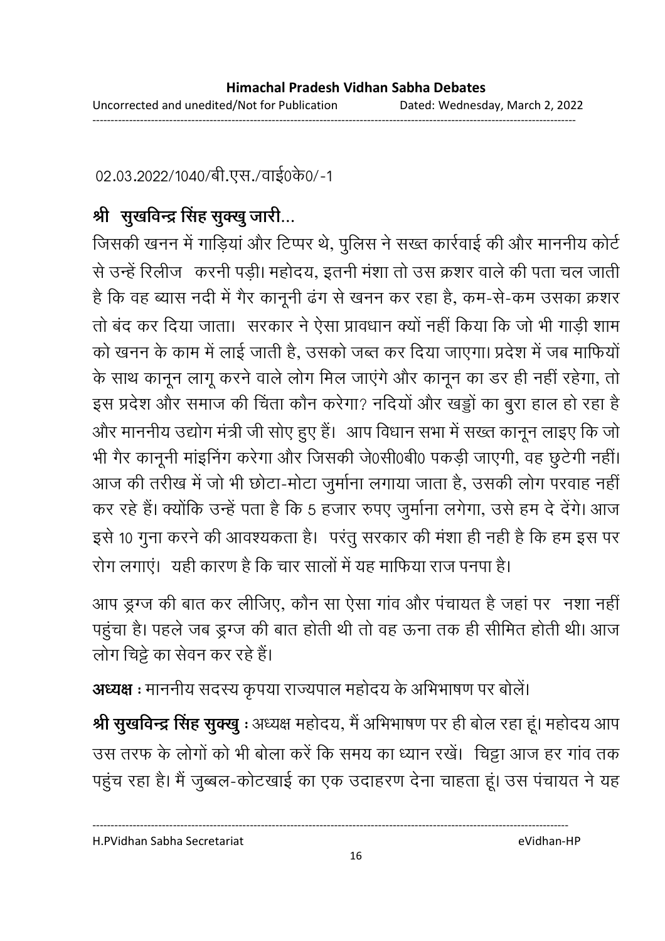02.03.2022/1040/बी.एस./वाई0के0/-1

# श्री सुखविन्द्र सिंह सुक्खु जारी...

जिसकी खनन में गाड़िया और टिप्पर थे, पुलिस ने सख्त कार्रवाई की और माननीय कोर्ट से उन्हें रिलीज | करनी पड़ी। महोदय, इतनी मशा तो उस क्रशर वाले की पता चल जाती है कि वह ब्यास नदी में गैर कानूनी ढंग से खनन कर रहा है, कम-से-कम उसका क्रशर तो बंद कर दिया जाता। सरकार ने ऐसा प्रावधान क्यों नहीं किया कि जो भी गाड़ी शाम को खनन के काम में लाई जाती है, उसको जब्त कर दिया जाएगा। प्रदेश में जब माफियों के साथ कानून लागू करने वाले लोग मिल जाएंगे और कानून का डर ही नहीं रहेगा, तो इस प्रदेश और समाज की चिंता कौन करेगा? नदियों और खड्डों का बुरा हाल हो रहा है और माननीय उद्योग मंत्री जी सोए हुए हैं। आप विधान सभा में सख्त कानून लाइए कि जो भी गैर कानूनी माइनिंग करेगा और जिसकी जे0सी0बी0 पकड़ी जाएगी, वह छुटेंगी नहीं। आज की तरीख में जो भी छोटा-मोटा जुर्माना लगाया जाता है, उसकी लोग परवाह नहीं | कर रहे हैं। क्योंकि उन्हें पता है कि 5 हजार रुपए जुर्माना लगेगा, उसे हम दे देंगे। आज इसे 10 गुना करने की आवश्यकता है। परंतु सरकार की मशा ही नहीं है कि हम इस पर रोग लगाए। यही कारण है कि चार सालों में यह माफिया राज पनपा है।

आप ड्रंग्ज की बात कर लीजिए, कौन सा ऐसा गांव और पंचायत है जहां पर 'नशा नहीं' पहुंचा है। पहले जब ड्रग्ज की बात होती थी तो वह ऊंना तक ही सीमित होती थी। आज लोग चिट्टे का सेवन कर रहे हैं।

**अध्यक्ष** : माननीय सदस्य कृपया राज्यपाल महोदय के अभिभाषण पर बोले।

**श्री सुखविन्द्र सिंह सुक्खु** : अध्यक्ष महोदय, मैं अभिभाषण पर ही बोल रहा हूं। महोदय आप उस तरफ के लोगों को भी बोला करें कि समय का ध्यान रखें। चिट्टा आज हर गांव तक पहुंच रहा है। मैं जुब्बल-कोटखाई का एक उदाहरण देना चाहता हूं। उस पंचायत ने यह

H.PVidhan Sabha Secretariat eVidhan-HP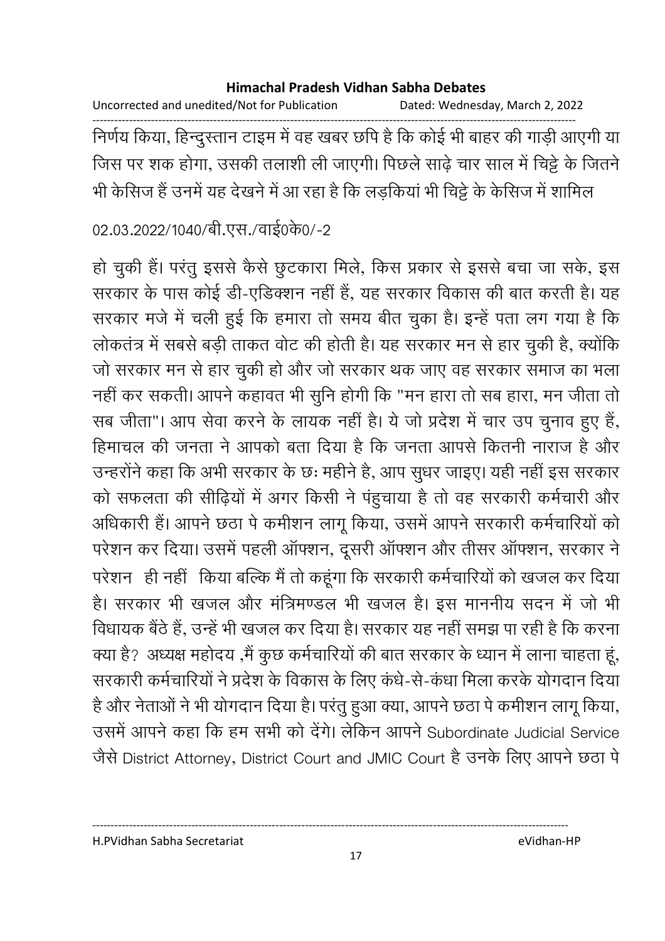Uncorrected and unedited/Not for Publication Dated: Wednesday, March 2, 2022

------------------------------------------------------------------------------------------------------------------------------------ निर्णय किया, हिन्दुस्तान टाइम में वह खबर छपि है कि कोई भी बाहर की गाड़ी आएगी या जिस पर शक होगा, उसकी तलाशी ली जाएगी। पिछले साढ़े चार साल में चिट्टे के जितने भी कैसिज है उनमें यह देखने में आ रहा है कि लड़किया भी चिट्टे के कैसिज में शामिल

02.03.2022/1040/बी.एस./वाई0के0/-2

हो चुकी है। परंतु इससे कैसे छुटकारा मिले, किस प्रकार से इससे बचा जा सके, इस सरकार के पास कोई डी-एडिक्शन नहीं है, यह सरकार विकास की बात करती है। यह सरकार मर्ज में चली हुई कि हमारा तो समय बीत चुका है। इन्हें पता लग गया है कि लोकतंत्र में सबसे बड़ी ताकत वोट की होती है। यह सरकार मन से हार चुकी है, क्योंकि जो सरकार मन से हार चुकी हो और जो सरकार थक जाए वह सरकार समाज का भला नहीं कर सकती। आपने कहावत भी सुनि होगी कि "मन हारा तो सब हारा, मन जीता तो सब जीता"। आप सेवा करने के लायक नहीं हैं। ये जो प्रदेश में चार उप चुनाव हुए हैं, हिमाचल की जनता ने आपको बता दिया है कि जनता आपसे कितनी नाराज है और उन्हरनि कहा कि अभी सरकार के छः महीने हैं, आप सुधर जाइए। यही नहीं इस सरकार को सफलता की सीढ़ियों में अगर किसी ने पहुचाया है तो वह सरकारी कर्मचारी और आंधकारी है। आपने छंठा पे कमीशन लागू किया, उसमें आपने सरकारी कर्मचारियों को परेशन कर दिया। उसमें पहली आफ्शन, दूसरी आफ्शन और तीसर आफ्शन, सरकार ने परेशन ) ही नहीं | किया बल्कि मैं तो कहूँगा कि सरकारी कर्मचारियों को खजल कर दिया हैं। सरकार भी खजल और मंत्रिमण्डल भी खजल है। इस माननीय सदन में जो भी विधायक बैठे हैं, उन्हें भी खजल कर दिया है। सरकार यह नहीं समझ पा रही है कि करना क्या है? अध्यक्ष महोदय ,मैं कुछ कर्मचारियों की बात सरकार के ध्यान में लाना चाहता हूं, सरकारी कर्मचारियों ने प्रदेश के विकास के लिए कंधे-से-कंधा मिला करके योगदान दिया है और नेताओं ने भी योगदान दिया है। परंतु हुआ क्या, आपने छठा पे कमीशन लागू किया, उसमें आपने कहा कि हम सभी को देंगे। लेकिन आपने Subordinate Judicial Service जैसे District Attorney, District Court and JMIC Court है उनके लिए आपने छठा पे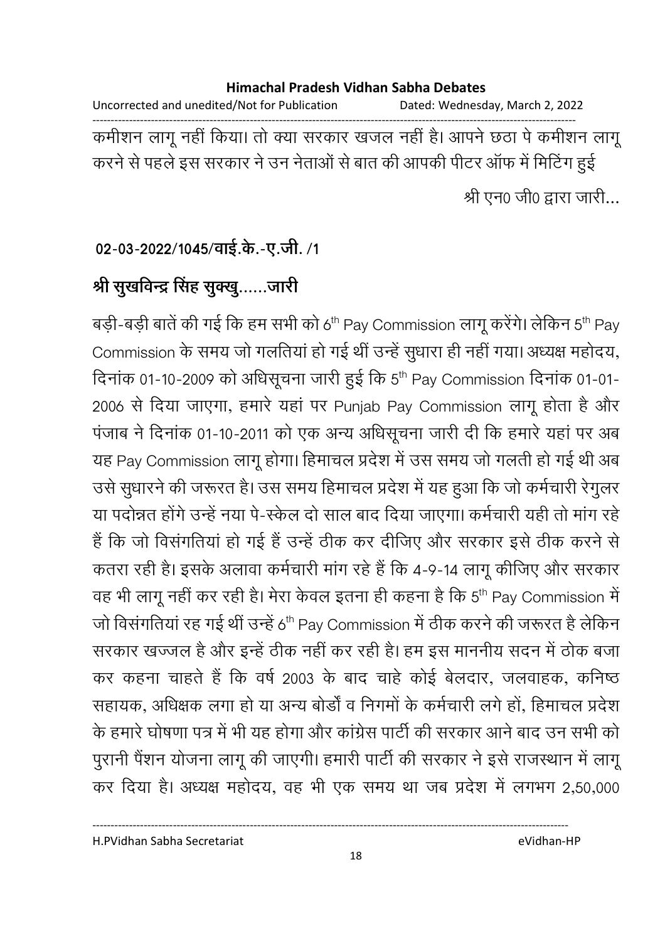Uncorrected and unedited/Not for Publication Dated: Wednesday, March 2, 2022 ------------------------------------------------------------------------------------------------------------------------------------ कर्मीशन लागू नहीं किया। तो क्या सरकार खजल नहीं हैं। आपने छठा पे कर्मीशन लागू करने से पहले इस सरकार ने उन नेताओं से बात की आपकी पीटर आफ में मिटिंग हुई श्री एन0 जी0 द्वारा जारी...

### 02-03-2022/1045/वाई.के.-ए.जी. /1

# श्री सुखर्विन्द्र सिंह सुक्<u>खु</u>……जारी

बड़ी-बड़ी बातें की गई कि हम सभी को 6<sup>th</sup> Pay Commission लागू करेंगे। लेकिन 5<sup>th</sup> Pay Commission के समय जो गलतिया हो गई थी उन्हें सुधारा ही नहीं गया। अध्यक्ष महोदय, दिनांक 01-10-2009 को अधिसूचना जारी हुई कि 5<sup>th</sup> Pay Commission दिनांक 01-01-2006 से दिया जाएगा, हमारे यहां पर Punjab Pay Commission लागू होता है और पजाब ने दिनाक 01-10-2011 को एक अन्य अधिसूचना जारी दी कि हमारे यहां पर अब यह Pay Commission लागू होगा। हिमाचल प्रदेश में उस समय जो गलती हो गई थी अब उसे सुधारने की जरूरत है। उस समय हिमाचल प्रदेश में यह हुआ कि जो कर्मचारी रेगुलर या पदोन्नत होंगे उन्हें नया पे-स्केल दो साल बाद दिया जाएगा। कर्मचारी यही तो मांग रहें है कि जो विसंगतियां हो गई है उन्हें ठीक कर दीजिए और सरकार इसे ठीक करने से कतरा रही है। इसके अलावा कर्मचारी मांग रहे हैं कि 4-9-14 लांगू कीजिए और सरकार वह भी लागू नहीं कर रही है। मेरा केवल इतना ही कहना है कि 5<sup>th</sup> Pay Commission में जो विसंगतियां रह गई थीं उन्हें 6<sup>th</sup> Pay Commission में ठीक करने की जरूरत है लेकिन सरकार खज्जल है और इन्हें ठीक नहीं कर रही है। हम इस माननीय सदन में ठोक बजा कर कहना चाहते हैं कि वर्ष 2003 के बाद चाहे कोई बेलदार, जलवाहक, कनिष्ठ सहायक, अधिक्षक लगा हो या अन्य बोर्डो व निगमों के कर्मचारी लगे हो, हिमाचल प्रदेश के हमारे घोषणा पत्र में भी यह होगा और कांग्रेस पार्टी की सरकार आने बाद उन सभी को पुरानी पैशन योजना लागू की जाएगी। हमारी पार्टी की सरकार ने इसे राजस्थान में लागू कर दिया है। अध्यक्ष महोदय, वह भी एक समय था जब प्रदेश में लगभग 2,50,000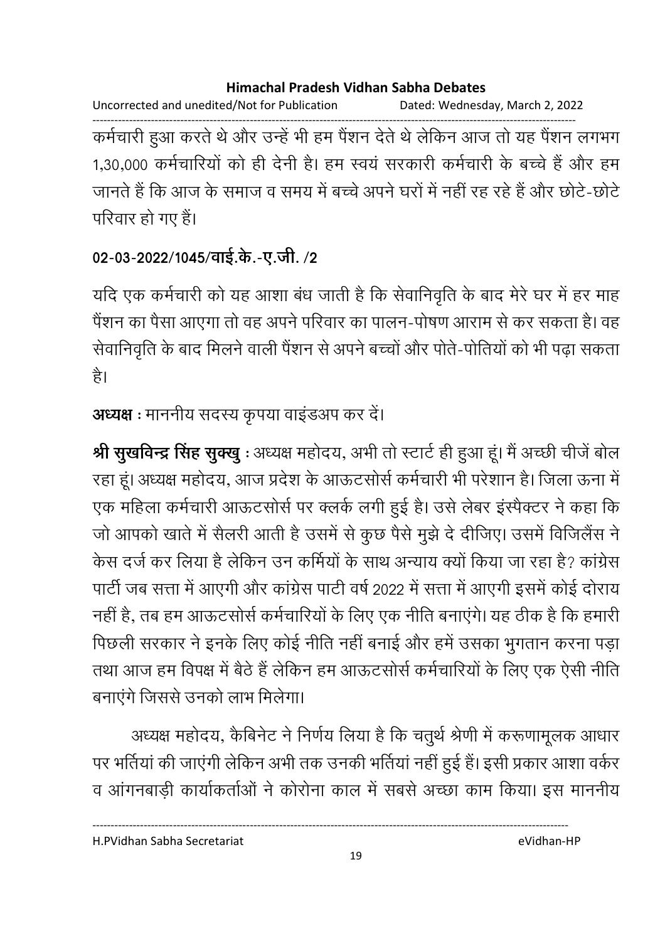Uncorrected and unedited/Not for Publication Dated: Wednesday, March 2, 2022

------------------------------------------------------------------------------------------------------------------------------------ कर्मचारी हुआ करते थे और उन्हें भी हम पैशन देते थे लेकिन आज तो यह पैशन लगभग 1,30,000 कर्मचारियों को ही देनी हैं। हम स्वयं सरकारी कर्मचारी के बच्चे हैं और हम जानते हैं कि आज के समाज व समय में बच्चे अपने घरों में नहीं रह रहे हैं और छोटे-छोटे परिवार हो गए हैं।

# 02-03-2022/1045/वाई.के.-ए.जी. /2

यदि एक कर्मचारी को यह आशा बंध जाती है कि सेवानिवृति के बाद मेरे घर में हर माह पैंशन का पैसा आएगा तो वह अपने परिवार का पालन-पोषण आराम से कर सकता है। वह सेवानिवृति के बाद मिलने वाली पैशन से अपने बच्चों और पति-पोर्तियों को भी पढ़ा सकता | है।

# **अध्यक्ष** : माननीय सदस्य कृपया वाइंडअप कर दें।

**श्री सुखर्विन्द्र सिंह सुक्खु** : अध्यक्ष महोदय, अभी तो स्टार्ट ही हुआ हूं। मैं अच्छी चीजे बोल रहा हूं। अध्यक्ष महोदय, आज प्रदेश के आऊटसोर्स कर्मचारी भी परेशान है। जिला ऊना में एक महिला कर्मचारी आऊटसोर्स पर क्लके लगी हुई है। उसे लेबर इस्पेक्टर ने कहा कि जो आपको खाते में सैलरी आती हैं उसमें से कुछ पैसे मुझे दें दीजिए। उसमें विजिलैस ने केस दर्ज कर लिया है लेकिन उन कर्मियों के साथ अन्याय क्यों किया जा रहा है? कांग्रेस पार्टी जब सत्ता में आएगी और कांग्रेस पार्टी वर्ष 2022 में सत्ता में आएगी इसमें कोई दौराय नहीं हैं, तब हम आऊटसोर्स कर्मचारियों के लिए एक नीति बनाएंगे। यह ठीक है कि हमारी पिछली सरकार ने इनके लिए कोई नीति नहीं बनाई और हमें उसका भुगतान करना पड़ा तथा आज हम विपक्ष में बैठे हैं लेकिन हम आऊटसोर्स कर्मचारियों के लिए एक ऐसी नीति बनाएंगे जिससे उनको लाभ मिलेगा।

अध्यक्ष महोदय, कैबिनेट ने निर्णय लिया है कि चतुर्थ श्रेणी में करूणामूलक आधार पर भतिया की जाएगी लेकिन अभी तक उनकी भतिया नहीं हुई है। इसी प्रकार आशा वर्कर व आगनबाड़ी कार्याकर्ताओं ने कोरोना काल में सबसे अच्छा काम किया। इस माननीय

H.PVidhan Sabha Secretariat eVidhan-HP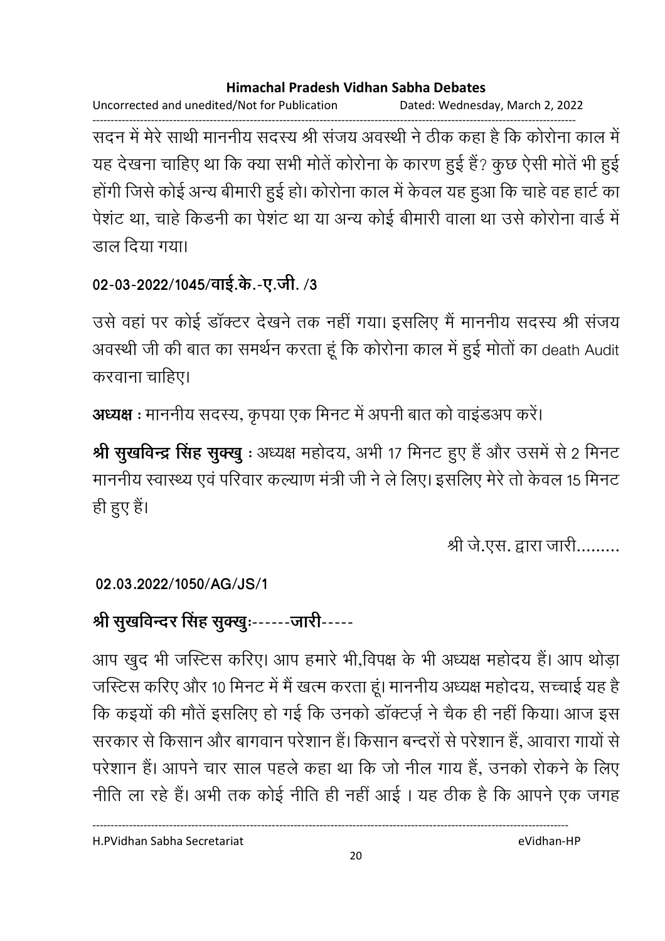Uncorrected and unedited/Not for Publication Dated: Wednesday, March 2, 2022

------------------------------------------------------------------------------------------------------------------------------------ सदन में मेरे साथी माननीय सदस्य श्री सजय अवस्थी ने ठीक कहा है कि कोरोना काल में यह देखना चाहिए था कि क्या सभी मोते कोरोना के कारण हुई है? कुछ ऐसी मोते भी हुई होगी जिसे कोई अन्य बीमारी हुई हो। कोरोना काल में केवल यह हुआ कि चाहे वह हार्ट का पेशट था, चाहे किंडनी का पेशट था या अन्य कोई बीमारी वाला था उसे कोरोना वार्ड में डाल दिया गया।

# 02-03-2022/1045/वाई.के.-ए.जी. /3

उसे वहां पर कोई डाक्टर देखने तक नहीं गया। इसलिए मैं माननीय सदस्य श्री संजय अवस्थी जी की बात का समर्थन करता हूं कि कोरोना काल में हुई मोतों का death Audit करवाना चाहिए।

**अध्यक्ष** : माननीय सदस्य, कृपया एक मिनट में अपनी बात को वाइंडअप करें।

**श्री सुखर्विन्द्र सिंह सुक्खु** : अध्यक्ष महोदय, अभी 17 मिनट हुए हैं और उसमें से 2 मिनट माननीय स्वास्थ्य एवं परिवार कल्याण मंत्री जी ने ले लिए। इसलिए मेरे तो केवल 15 मिनट ही हुए हैं।

श्री जे.एस. द्वारा जारी.........

### **02.03.2022/1050/AG/JS/1**

# श्री सुखर्विन्दर सिंह सुक्खुः------जारी-----

आप खुद भी जस्टिस करिए। आप हमारे भी,विपक्ष के भी अध्यक्ष महोदय है। आप थोड़ा जस्टिस करिए और 10 मिनट में मैं खत्म करता हूं। माननीय अध्यक्ष महोदय, सच्चाई यह हैं-कि कइयों की मौते इसलिए हो गई कि उनको डाक्टज़े ने चैक ही नहीं किया। आज इस सरकार से किसान और बागवान परेशान हैं। किसान बन्दरों से परेशान हैं, आवारा गायों से परेशान है। आपने चार साल पहले कहा था कि जो नील गाय है, उनको रोकने के लिए नीति ला रहे हैं। अभी तक कोई नीति ही नहीं आई । यह ठीक है कि आपने एक जगह

H.PVidhan Sabha Secretariat eVidhan-HP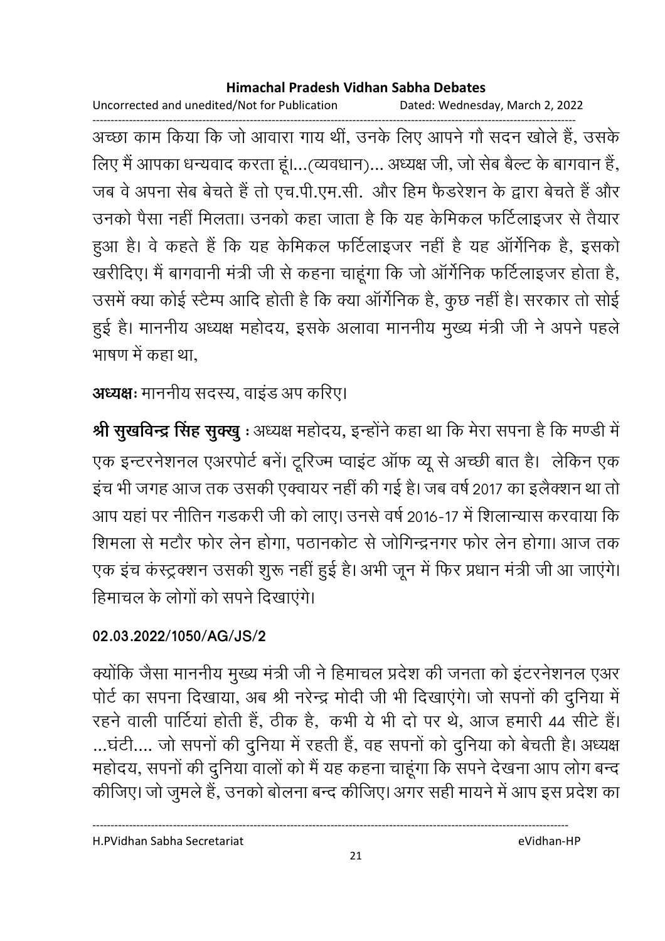Uncorrected and unedited/Not for Publication Dated: Wednesday, March 2, 2022

------------------------------------------------------------------------------------------------------------------------------------ अच्छा काम किया कि जो आवारा गाय थी, उनके लिए आपने गौ सदन खोले हैं, उसके लिए मैं आपका धन्यवाद करता हूं।…(व्यवधान)… अध्यक्ष जी, जो सेब बैल्ट के बागवान है, जब वे अपना सेब बेचते हैं तो एच.पी.एम.सी. और हिम फैंडरेशन के द्वारा बेचते हैं और उनको पैसा नहीं मिलता। उनको कहा जाता है कि यह केमिकल फर्टिलाइजर से तैयार हुआ है। वे कहते हैं कि यह केमिकल फर्टिलाइजर नहीं है यह ऑर्गेनिक है, इसको खरीदिए। मैं बागवानी मंत्री जी से कहना चाहूँगा कि जो आगेनिक फटिलाइजर होता है, उसमें क्या कोई स्टैम्प आदि होती है कि क्या आगेनिक है, कुछ नहीं है। सरकार तो सोई हुई है। माननीय अध्यक्ष महोदय, इसके अलावा माननीय मुख्य मंत्री जी ने अपने पहले भाषण में कहा था.

**अध्यक्षः** माननीय सदस्य, वाइंड अप करिए।

**श्री सुखविन्द्र सिंह सुक्खु** : अध्यक्ष महोदय, इन्होंने कहा था कि मेरा सपना है कि मण्डी में एक इन्टरनेशनल एअरपोर्ट बने। टूरिज्म प्वाइट आफ व्यू से अच्छी बात है। लेकिन एक इच भी जगह आज तक उसकी एक्वायर नहीं की गई है। जब वर्ष 2017 का इलैक्शन था तो आप यहां पर नीतिन गडकरी जी को लाए। उनसे वर्ष 2016-17 में शिलान्यास करवाया कि शिमला से मटौर फोर लेन होगा, पठानकोट से जोगिन्द्रनगर फोर लेन होगा। आज तक एक इच कस्ट्रक्शन उसकी शुरू नहीं हुई है। अभी जून में फिर प्रधान मंत्री जी आ जाएंगे। हिमाचल के लोगों को सपने दिखाएंगे।

### **02.03.2022/1050/AG/JS/2**

क्योंकि जैसा माननीय मुख्य मंत्री जी ने हिमाचल प्रदेश की जनता को इंटरनेशनल एअर पोर्ट का सपना दिखाया, अब श्री नरेन्द्र मोदी जी भी दिखाएंगे। जो सपनों की दुनिया में रहने वाली पार्टिया होती है, ठीक है, कभी ये भी दो पर थे, आज हमारी 44 सीटें हैं। …घटी…. जो सपनों की दुनिया में रहती है, वह सपनों को दुनिया को बेचती है। अध्यक्ष महोदय, सपनों की दुनिया वालों को मैं यह कहना चाहूंगा कि सपने देखना आप लोग बन्द कीजिए। जो जुमले हैं, उनको बोलना बन्द कीजिए। अगर सही मायने में आप इस प्रदेश का

H.PVidhan Sabha Secretariat eVidhan-HP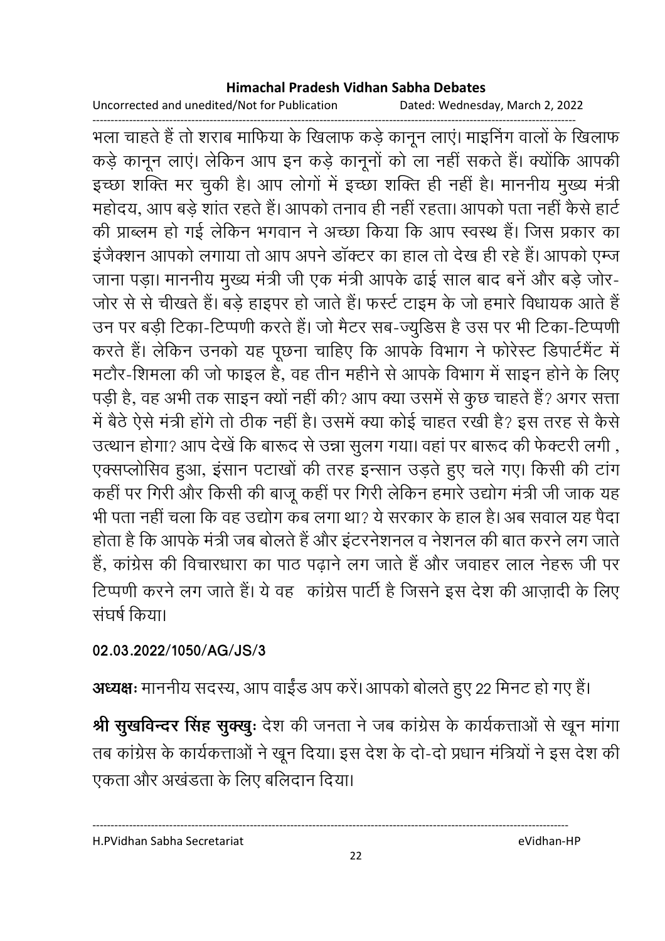Uncorrected and unedited/Not for Publication Dated: Wednesday, March 2, 2022

------------------------------------------------------------------------------------------------------------------------------------ भला चाहते हैं तो शराब मार्फिया के खिलाफ कड़े कानून लाए। माइनिंग वालों के खिलाफ कड़े कानून लाए। लेकिन आप इन कड़े कानूनों को ला नहीं सकते हैं। क्योंकि आपकी इच्छा शक्ति मर चुकी है। आप लोगों में इच्छा शक्ति ही नहीं हैं। माननीय मुख्य मंत्री महोदय, आप बड़े शांत रहते हैं। आपको तनाव ही नहीं रहता। आपको पता नहीं कैसे हार्ट की प्राब्लम हो गई लेकिन भगवान ने अच्छा किया कि आप स्वस्थ हैं। जिस प्रकार का इजैक्शन आपको लगाया तो आप अपने डाक्टर का हाल तो देख ही रहे हैं। आपको एम्ज जाना पड़ा। माननीय मुख्य मंत्री जी एक मंत्री आपके ढाई साल बाद बने और बड़े जोर-जोर से से चीखते हैं। बड़े हाइपर हो जाते हैं। फर्स्ट टाइम के जो हमारे विधायक आते हैं | उन पर बड़ी टिका-टिप्पणी करते हैं। जो मैटर सब-ज्युडिस है उस पर भी टिका-टिप्पणी करते हैं। लेकिन उनको यह पूछना चाहिए कि आपके विभाग ने फोरेस्ट डिपार्टमैंट में मटौर-शिमला की जो फाइल है, वह तीन महीने से आपके विभाग में साइन होने के लिए पड़ी है, वह अभी तक साइन क्यों नहीं की? आप क्या उसमें से कुछ चाहते हैं? अगर सत्ता में बैठे ऐसे मंत्री होंगे तो ठीक नहीं हैं। उसमें क्या कोई चाहत रखी है? इस तरह से कैसे उत्थान होगा? आप देखें कि बारूद से उन्ना सुलग गया। वहां पर बारूद की फेक्टरी लगी , एक्सप्लोसिव हुआ, इसान पटाखो की तरह इन्सान उड़ते हुए चले गए। किसी की टांग कहीं पर गिरी और किसी की बाजू कहीं पर गिरी लेकिन हमारे उद्योग मंत्री जी जाक यह भी पता नहीं चला कि वह उद्योग कब लगा था? ये सरकार के हाल है। अब सवाल यह पैदा होता है कि आपके मंत्री जब बोलते हैं और इंटरनेशनल व नेशनल की बात करने लग जाते. हैं, कांग्रेस की विचारधारा का पाठ पढ़ाने लग जाते हैं और जवाहर लाल नेहरू जी पर टिप्पणी करने लग जाते हैं। ये वह कांग्रेस पार्टी है जिसने इस देश की आज़ादी के लिए संघर्ष किया।

### **02.03.2022/1050/AG/JS/3**

**अध्यक्षः** माननीय सदस्य, आप वाईंड अप करे। आपको बोलते हुए 22 मिनट हो गए हैं।

**श्री सुखर्विन्दर सिंह सुक्खुः** देश की जनता ने जब कांग्रेस के कार्यकत्ताओं से खून मांगा तब कांग्रेस के कार्यकत्ताओं ने खून दिया। इस देश के दो-दो प्रधान मंत्रियों ने इस देश की एकता और अखंडता के लिए बलिदान दिया।

H.PVidhan Sabha Secretariat eVidhan-HP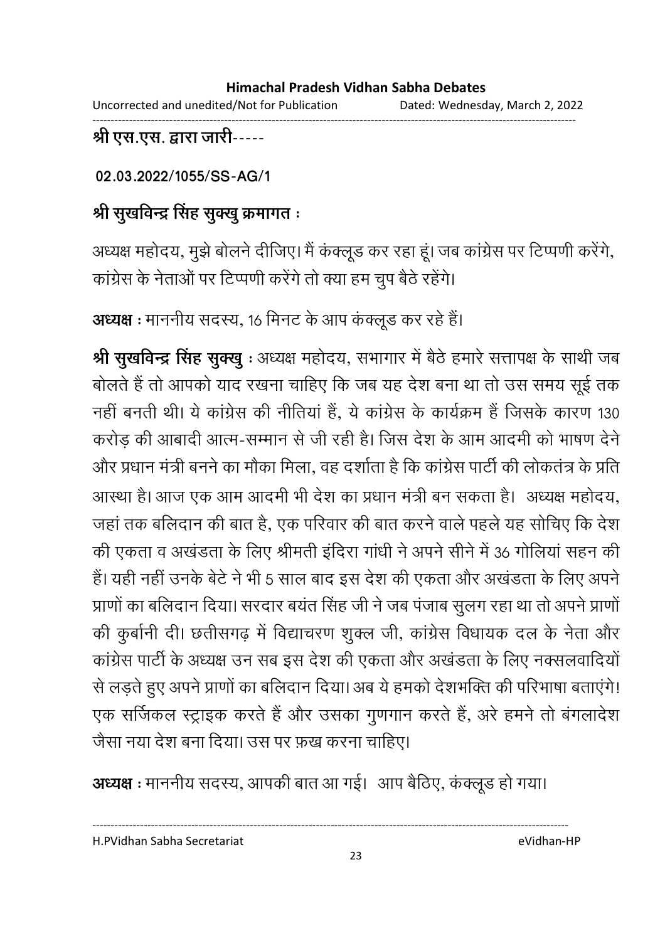Uncorrected and unedited/Not for Publication Dated: Wednesday, March 2, 2022 ------------------------------------------------------------------------------------------------------------------------------------

### श्री एस.एस. द्वारा जारी-----

**02.03.2022/1055/SS-AG/1**

# श्री सुखर्विन्द्र सिंह सुक्खु क्रमागत <del>:</del>

अध्यक्ष महोदय, मुझे बोलने दीजिए। मैं कक्लूड कर रहा हूं। जब कांग्रेस पर टिप्पणी करेंगे, कांग्रेस के नेताओं पर टिप्पणी करेंगे तो क्या हम चुप बैठे रहेंगे।

**अध्यक्ष** : माननीय सदस्य, 16 मिनट के आप कक्लूड कर रहे हैं।

**श्री सुखर्विन्द्र सिंह सुक्खु** : अध्यक्ष महोदय, सभागार में बैठे हमारे सत्तापक्ष के साथी जब बोलते हैं तो आपको याद रखना चाहिए कि जब यह देश बना था तो उस समय सूई तक नहीं बनती थी। ये कांग्रेस की नीतिया है, ये कांग्रेस के कार्यक्रम है जिसके कारण 130 करोड़ की आबादी आत्म-सम्मान से जी रही है। जिस देश के आम आदमी को भाषण देने और प्रधान मंत्री बनने का मौका मिला, वह दशीता है कि कांग्रेस पार्टी की लोकतंत्र के प्रति-आस्था है। आज एक आम आदमी भी देश का प्रधान मंत्री बन सकता है। अध्यक्ष महोदय, जहाँ तक बलिदान की बात है, एक परिवार की बात करने वाले पहले यह सोचिए कि देश की एकता व अखंडता के लिए श्रीमती इंदिरा गांधी ने अपने सीने में 36 गोलिया सहन की हैं। यही नहीं उनके बेटे ने भी 5 साल बाद इस देश की एकता और अखडता के लिए अपने प्राणों का बलिदान दिया। सरदार बयत सिंह जी ने जब पंजाब सुलग रहा था तो अपने प्राणों | की कुर्बानी दी। छतीसगढ़ में विद्याचरण शुक्ल जी, कांग्रेस विधायक दल के नेता और कांग्रेस पार्टी के अध्यक्ष उन सब इस देश की एकता और अखंडता के लिए नक्सलवादियों से लड़ते हुए अपने प्राणों का बलिदान दिया। अब ये हमको देशभक्ति की परिभाषा बताएंगे! एक सर्जिकल स्ट्राइक करते हैं और उसका गुणगान करते हैं, अरे हमने तो बंगलादेश जैसा नया देश बना दिया। उस पर फ़ख करना चाहिए।

**अध्यक्ष** : माननीय सदस्य, आपकी बात आ गई। आप बैठिए, कक्लूड हो गया।

----------------------------------------------------------------------------------------------------------------------------------

H.PVidhan Sabha Secretariat eVidhan-HP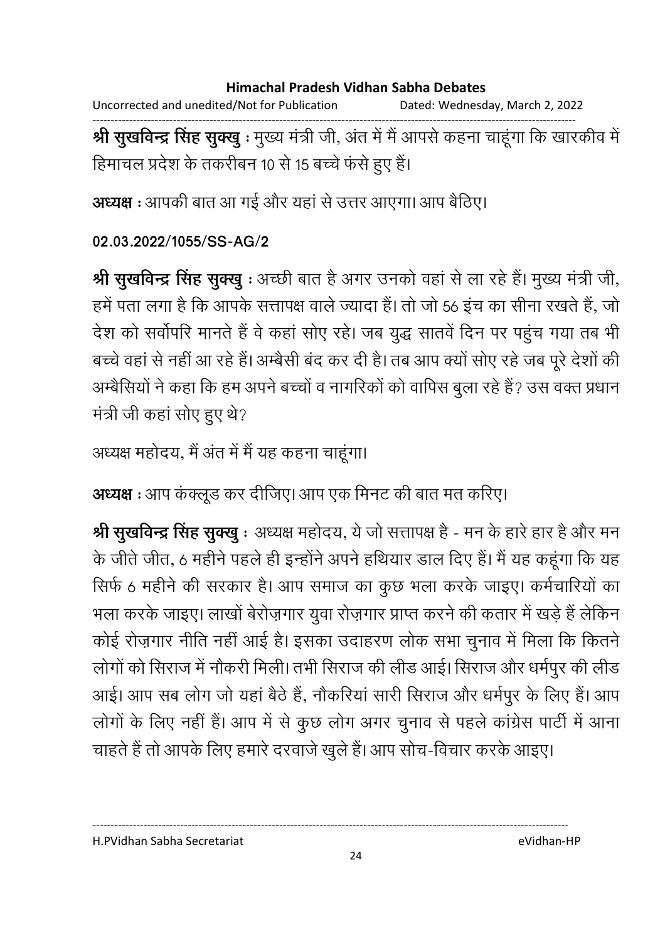Uncorrected and unedited/Not for Publication Dated: Wednesday, March 2, 2022

------------------------------------------------------------------------------------------------------------------------------------ **श्री सुखर्विन्द्र सिंह सुक्खु** : मुख्य मंत्री जी, अंत में मैं आपसे कहना चाहूंगा कि खारकीव में हिमाचल प्रदेश के तकरीबन 10 से 15 बच्चे फर्स हुए हैं।

**अध्यक्ष** : आपकी बात आ गई और यहां से उत्तर आएगा। आप बैठिए।

### **02.03.2022/1055/SS-AG/2**

**श्री सुखर्विन्द्र सिंह सुक्खु** : अच्छी बात है अगर उनको वहां से ला रहे हैं। मुख्य मंत्री जी, हमें पता लगा है कि आपके सत्तापक्ष वाले ज्यादा है। तो जो 56 इच का सीना रखते हैं, जो देश को सर्वापरि मानते हैं वे कहा सोए रहे। जब युद्ध सातवे दिन पर पहुंच गया तब भी बच्चे वहां से नहीं आ रहे हैं। अम्बैसी बंद कर दी हैं। तब आप क्यों सोए रहे जब पूरे देशों की अम्बेसियों ने कहा कि हम अपने बच्चों व नागरिकों को वापिस बुला रहे हैं? उस वक्त प्रधान मंत्री जी कहा सोए हुए थे?

```
अध्यक्ष महोदय, मैं अंत में मैं यह कहना चाहूंगा।
```
**अध्यक्ष :** आप कक्लूड कर दीजिए। आप एक मिनट की बात मत करिए।

**श्री सुखर्विन्द्र सिंह सुक्खु** : अध्यक्ष महोदय, ये जो सत्तापक्ष है - मन के हारे हार है और मन के जीते जीत, 6 महीने पहले ही इन्होंने अपने हथियार डाल दिए हैं। मैं यह कहूँगा कि यह सिर्फ 6 महीने की सरकार है। आप समाज का कुछ भला करके जाइए। कर्मचारियों का भला करके जाइए। लाखों बेरोज़गार युवा रोज़गार प्राप्त करने की कतार में खड़े हैं लेकिन कोई रोज़गार नीति नहीं आई है। इसका उदाहरण लोक सभा चुनाव में मिला कि कितने लोगों को सिराज में नौकरी मिली। तभी सिराज की लीड आई। सिराज और धर्मपुर की लीड आई। आप सब लोग जो यहाँ बैठे हैं, नौकरिया सारी सिराज और धर्मपुर के लिए हैं। आप लोगों के लिए नहीं हैं। आप में से कुछ लोग अगर चुनाव से पहले कांग्रेस पार्टी में आना चाहते हैं तो आपके लिए हमारे दरवाजे खुले हैं। आप सोच-विचार करके आइए।

H.PVidhan Sabha Secretariat eVidhan-HP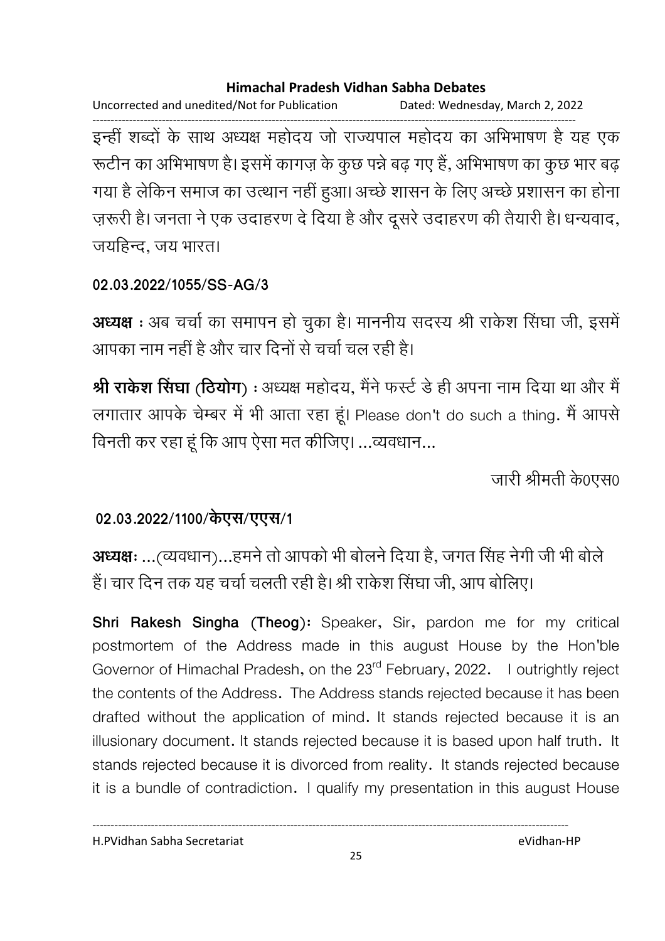Uncorrected and unedited/Not for Publication Dated: Wednesday, March 2, 2022 ------------------------------------------------------------------------------------------------------------------------------------ इन्ही शब्दों के साथ अध्यक्ष महोदय जो राज्यपाल महोदय का अभिभाषण है यह एक रूटीन का अभिभाषण है। इसमें कांगज़ के कुछ पन्ने बढ़ गए हैं, अभिभाषण का कुछ भार बढ़ गया है लेकिन समाज का उत्थान नहीं हुआ। अच्छे शासन के लिए अच्छे प्रशासन का होना ज़रूरी है। जनता ने एक उदाहरण दें दिया है और दूसरे उदाहरण की तैयारी है। धन्यवाद, जयहिन्द, जय भारत।

### **02.03.2022/1055/SS-AG/3**

**अध्यक्ष** : अब चर्चा का समापन हो चुका है। माननीय सदस्य श्री राकेश सिंघा जी, इसमे आपका नाम नहीं है और चार दिनों से चर्चा चल रही है।

**श्री राकेश सिंघा** (**ठियोग**) : अध्यक्ष महोदय, मैंने फर्स्ट डे ही अपना नाम दिया था और मैं लगातार आपके चेम्बर में भी आता रहा हूं। Please don't do such a thing. मैं आपसे विनती कर रहा हू कि आप ऐसा मत कीजिए। …व्यवधान…

जारी श्रीमती के0एस0

### 02.03.2022/1100/केएस/एएस/1

**अध्यक्षः …**(व्यवधान)…हमने तो आपको भी बोलने दिया है, जगत सिंह नेगी जी भी बोले है। चार दिन तक यह चर्चा चलती रही है। श्री राकेश सिंघा जी, आप बोलिए।

**Shri Rakesh Singha (Theog):** Speaker, Sir, pardon me for my critical postmortem of the Address made in this august House by the Hon'ble Governor of Himachal Pradesh, on the 23<sup>rd</sup> February, 2022. I outrightly reject the contents of the Address. The Address stands rejected because it has been drafted without the application of mind. It stands rejected because it is an illusionary document. It stands rejected because it is based upon half truth. It stands rejected because it is divorced from reality. It stands rejected because it is a bundle of contradiction. I qualify my presentation in this august House

H.PVidhan Sabha Secretariat eVidhan-HP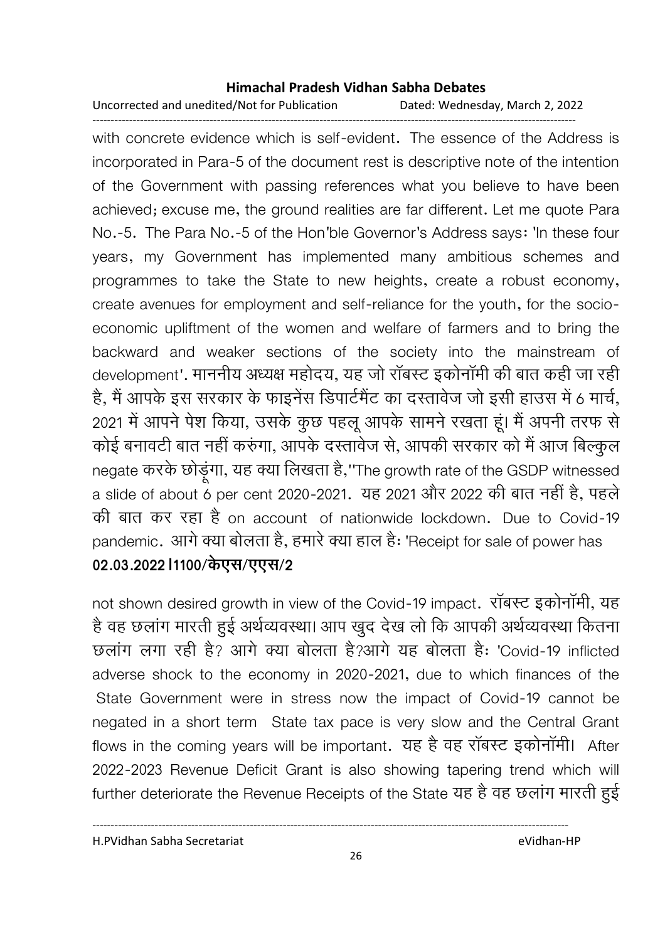Uncorrected and unedited/Not for Publication Dated: Wednesday, March 2, 2022 ------------------------------------------------------------------------------------------------------------------------------------

with concrete evidence which is self-evident. The essence of the Address is incorporated in Para-5 of the document rest is descriptive note of the intention of the Government with passing references what you believe to have been achieved; excuse me, the ground realities are far different. Let me quote Para No.-5. The Para No.-5 of the Hon'ble Governor's Address says: 'In these four years, my Government has implemented many ambitious schemes and programmes to take the State to new heights, create a robust economy, create avenues for employment and self-reliance for the youth, for the socioeconomic upliftment of the women and welfare of farmers and to bring the backward and weaker sections of the society into the mainstream of development'. माननीय अध्यक्ष महोदय, यह जो राबस्ट इकोनामी की बात कही जा रही हैं, मैं आपके इस सरकार के फाइनेस डिपार्टमैंट का दस्तावेज जो इसी हाउस में 6 मार्च, 2021 में आपने पेश किया, उसके कुछ पहलू आपके सामने रखता हूं। मैं अपनी तरफ से कोई बनावटी बात नहीं करुंगा, आपके दस्तावेज से, आपकी सरकार को मैं आज बिल्कुल negate करके छोड़ूगा, यह क्या लिखता है,''The growth rate of the GSDP witnessed a slide of about 6 per cent 2020-2021. यह 2021 और 2022 की बात नहीं है, पहले की बात कर रहा है on account of nationwide lockdown. Due to Covid-19 pandemic. आगे क्या बोलता है, हमारे क्या हाल है: 'Receipt for sale of power has 02.03.2022 l1100/केएस/एएस/2

not shown desired growth in view of the Covid-19 impact**. राबस्ट इकोनामी, यह** है वह छलाग मारती हुई अर्थव्यवस्था। आप खुद देख लो कि आपकी अर्थव्यवस्था कितना छलाग लगा रही है? आगे क्या बोलता है?आगे यह बोलता है: 'Covid-19 inflicted adverse shock to the economy in 2020-2021, due to which finances of the State Government were in stress now the impact of Covid-19 cannot be negated in a short term State tax pace is very slow and the Central Grant flows in the coming years will be important. यह है वह राबस्ट इकोनामी। After 2022-2023 Revenue Deficit Grant is also showing tapering trend which will further deteriorate the Revenue Receipts of the State यह है वह छलाग मारती हुई ।

H.PVidhan Sabha Secretariat eVidhan-HP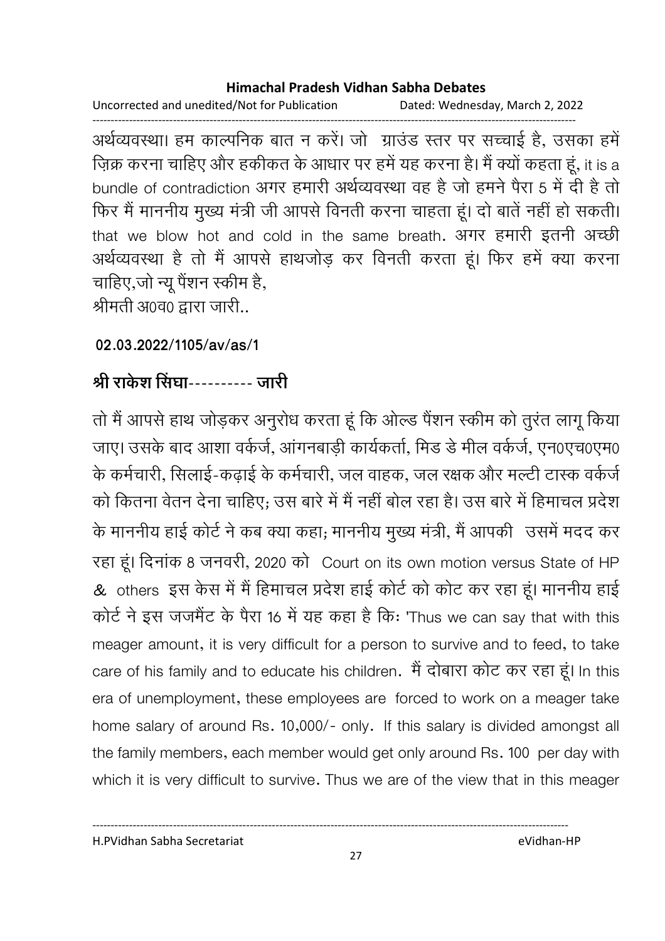Uncorrected and unedited/Not for Publication Dated: Wednesday, March 2, 2022 ------------------------------------------------------------------------------------------------------------------------------------

अर्थव्यवस्था। हम काल्पनिक बात न करें। जो ग्राउंड स्तर पर सच्चाई है, उसका हमें ज़िक्र करना चाहिए और हकीकत के आधार पर हमें यह करना है। मैं क्यों कहता हूं, it is a bundle of contradiction अगर हमारी अर्थव्यवस्था वह है जो हमने पैरा 5 में दी है तो फिर मैं माननीय मुख्य मंत्री जी आपसे विनती करना चाहता हूं। दो बातें नहीं हो सकती। that we blow hot and cold in the same breath. अगर हमारी इतनी अच्छी अर्थव्यवस्था है तो मैं आपसे हाथजोड़ कर विनती करता हूं। फिर हमें क्या करना चाहिए,जो न्यू पेशन स्कीम है, श्रीमती अ0व0 द्वारा जारी..

**02.03.2022/1105/av/as/1**

# श्री राकेश सिंघा---------- जारी

तों में आपसे हाथ जोड़कर अनुरोध करता हूं कि ओल्ड पैशन स्कीम को तुरंत लागू किया जाए। उसके बाद आशा वर्कजे, आगनबाड़ी कार्यकर्ता, मिंड डे मील वर्कजे, एन0एच0एम0 के कर्मचारी, सिलाई-कढ़ाई के कर्मचारी, जल वाहक, जल रक्षक और मल्टी टास्क वर्कजे को कितना वेतन देना चाहिए; उस बारे में मैं नहीं बोल रहा है। उस बारे में हिमाचल प्रदेश )  ह 4 ) X
 ह;  9
 \$ , ! 27 रहा हूं। दिनाक 8 जनवरी, 2020 को Court on its own motion versus State of HP . & others इस केस में मैं हिमाचल प्रदेश हाई कोर्ट को कोट कर रहा हूं। माननीय हाई कोर्ट ने इस जजमैंट के पैरा 16 में यह कहा है कि: 'Thus we can say that with this meager amount, it is very difficult for a person to survive and to feed, to take care of his family and to educate his children. मैं दोबारा कोट कर रहा हूं। In this era of unemployment, these employees are forced to work on a meager take home salary of around Rs. 10,000/- only. If this salary is divided amongst all the family members, each member would get only around Rs. 100 per day with which it is very difficult to survive. Thus we are of the view that in this meager

H.PVidhan Sabha Secretariat eVidhan-HP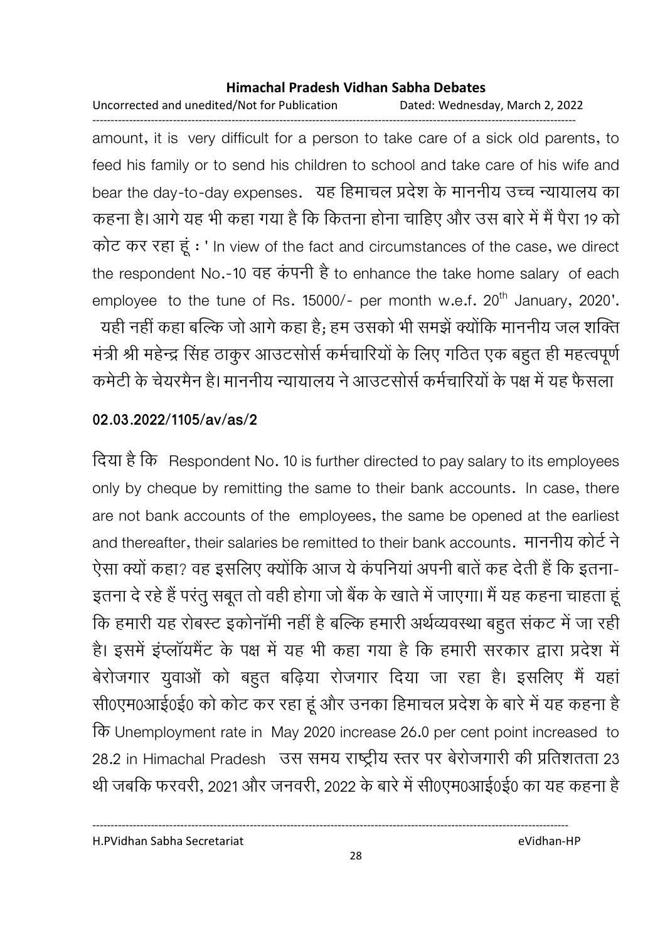Uncorrected and unedited/Not for Publication Dated: Wednesday, March 2, 2022 ------------------------------------------------------------------------------------------------------------------------------------

amount, it is very difficult for a person to take care of a sick old parents, to feed his family or to send his children to school and take care of his wife and bear the day-to-day expenses. यह हिमाचल प्रदेश के माननीय उच्च न्यायालय का कहना है। आगे यह भी कहा गया है कि कितना होना चाहिए और उस बारे में मैं पैरा 19 को कोट कर रहा हूं : ' In view of the fact and circumstances of the case, we direct the respondent No.-10 वह कपनी है to enhance the take home salary of each employee to the tune of Rs. 15000/- per month w.e.f. 20<sup>th</sup> January, 2020'. -यही नहीं कहा बल्कि जो आगे कहा है; हम उसको भी समझे क्योंकि माननीय जल शक्ति मंत्री श्री महेन्द्र सिंह ठाकुर आउटससि कर्मचारियों के लिए गठित एक बहुत ही महत्वपूर्ण कर्मटी के चेयरमैन हैं। माननीय न्यायालय ने आउटसोर्स कर्मचारियों के पक्ष में यह फैसला

#### **02.03.2022/1105/av/as/2**

दिया है कि Respondent No. 10 is further directed to pay salary to its employees only by cheque by remitting the same to their bank accounts. In case, there are not bank accounts of the employees, the same be opened at the earliest and thereafter, their salaries be remitted to their bank accounts. माननीय कोर्ट ने ऐसा क्यों कहा? वह इसलिए क्योंकि आज ये कंपनिया अपनी बातें कह देती है कि इतना-इतना दे रहे हैं परंतु सबूत तो वहीं होगा जो बैंक के खाते में जाएगा। मैं यह कहना चाहता हू कि हमारी यह रोबस्ट इकोनामी नहीं है बल्कि हमारी अर्थव्यवस्था बहुत सकट में जा रहीं। हैं। इसमें इप्लायमैंट के पक्ष में यह भी कहा गया है कि हमारी सरकार द्वारा प्रदेश में बेरोजगार युवाओं को बहुत बढ़िया रोजगार दिया जा रहा है। इसलिए मैं यहां सी0एम0आई0ई0 को कोट कर रहा हूं और उनका हिमाचल प्रदेश के बारे में यह कहना है Unemployment rate in May 2020 increase 26.0 per cent point increased to 28.2 in Himachal Pradesh 2 
 oZ )8< 23 थी जबकि फरवरी, 2021 और जनवरी, 2022 के बारे में सी0एम0आई0ई0 का यह कहना हैं |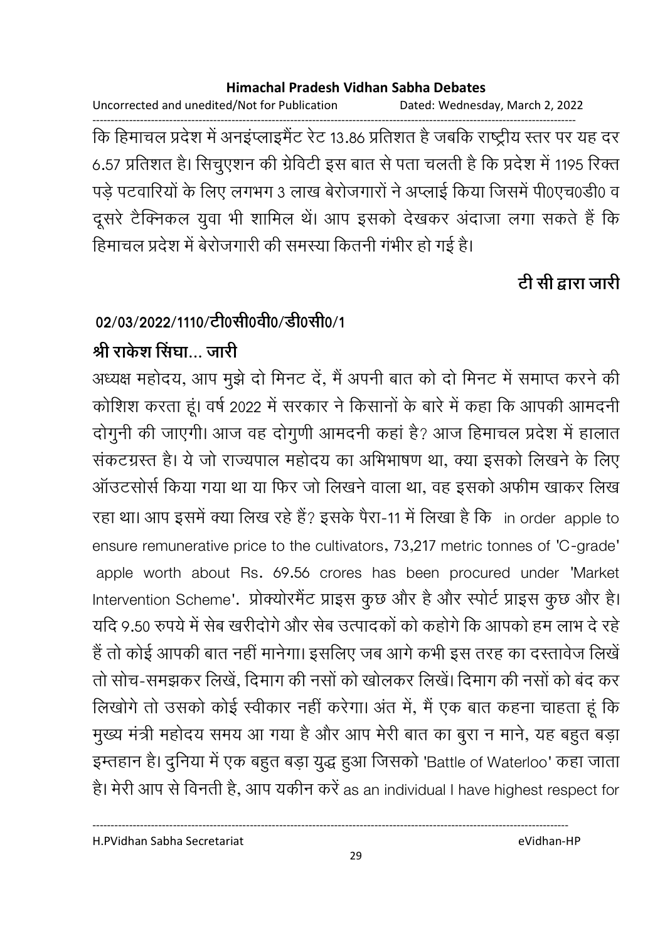Uncorrected and unedited/Not for Publication Dated: Wednesday, March 2, 2022

------------------------------------------------------------------------------------------------------------------------------------ कि हिमाचल प्रदेश में अनइप्लाइमैंट रेंट 13.86 प्रतिशत है जबकि राष्ट्रीय स्तर पर यह दर 6.57 प्रतिशत है। सिचुएशन की ग्रेविटी इस बात से पता चलती है कि प्रदेश में 1195 रिक्त पड़े पटवारियों के लिए लगभग 3 लाख बेरोजगारों ने अप्लाई किया जिसमें पी0एच0डी0 व दूसरे टैक्निकल युवा भी शामिल थे। आप इसको देखकर अंदाजा लगा सकते हैं कि हिमाचल प्रदेश में बेरोजगारी की समस्या कितनी गंभीर हो गई है।

# <u>टी सी द्वारा जारी</u>

# 02/03/2022/1110/टी0सी0वी0/डी0सी0/1

# श्री राकेश सिंघा… जारी

अध्यक्ष महोदय, आप मुझे दो मिनट दे, मैं अपनी बात को दो मिनट में समाप्त करने की कोशिश करता हूं। वर्ष 2022 में सरकार ने किसानों के बारे में कहा कि आपकी आमंदनी दोगुनी की जाएगी। आज वह दोगुणी आमंदनी कहा है? आज हिमाचल प्रदेश में हालात संकटग्रस्त है। ये जो राज्यपाल महोदय का अभिभाषण था, क्या इसको लिखने के लिए आउटसोर्स किया गया था या फिर जो लिखने वाला था, वह इसको अफीम खाकर लिख रहा था। आप इसमें क्या लिख रहे हैं? इसके पैरा-11 में लिखा है कि in order apple to ensure remunerative price to the cultivators, 73,217 metric tonnes of 'C-grade' apple worth about Rs. 69.56 crores has been procured under 'Market Intervention Scheme'. प्रोक्योरमैंट प्राइस कुछ और है और स्पोर्ट प्राइस कुछ और है। यदि 9.50 रुपये में सेब खरीदोंगे और सेब उत्पादकों को कहोंगे कि आपको हम लाभ दे रहें है तो कोई आपकी बात नहीं मानेगा। इसलिए जब आगे कभी इस तरह का दस्तावेज लिखें तों सोच-समझकर लिखे, दिमांग की नसों को खोलकर लिखे। दिमांग की नसों को बंद कर लिखोगे तो उसको कोई स्वीकार नहीं करेगा। अंत में, मैं एक बात कहना चाहता हूं कि मुख्य मंत्री महोदय समय आ गया है और आप मेरी बात का बुरा न माने, यह बहुत बड़ा इम्तहान है। दुनिया में एक बहुत बड़ा युद्ध हुआ जिसको 'Battle of Waterloo' कहा जाता है। मेरी आप से विनती है, आप यकीन करें as an individual I have highest respect for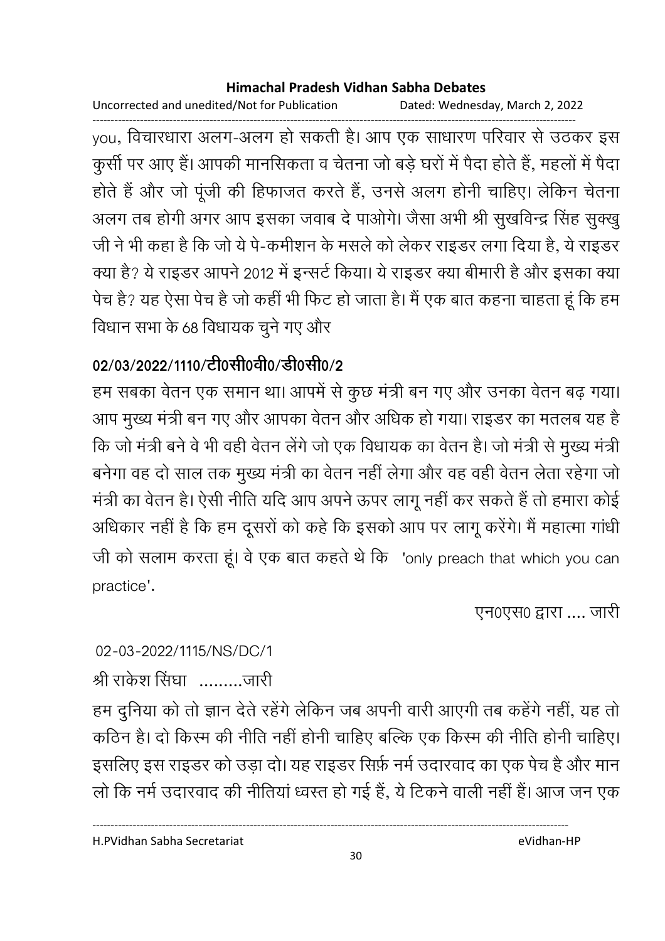Uncorrected and unedited/Not for Publication Dated: Wednesday, March 2, 2022

----------------------------------------------------------------------------------------------------------------------------------- you, विचारधारा अलग-अलग हो सकती है। आप एक साधारण परिवार से उठकर इस कुसी पर आए है। आपकी मानसिकता व चेतना जो बड़े घरों में पैदा होते हैं, महलों में पैदा होते हैं और जो पूर्जी की हिफाजत करते हैं, उनसे अलग होनी चाहिए। लेकिन चेतना अलग तब होगी अगर आप इसका जवाब दे पाओगे। जैसा अभी श्री सुखर्विन्द्र सिंह सुक्खु जी ने भी कहा है कि जो ये पे-कर्माशन के मसले को लेकर राइंडर लगा दिया है, ये राइंडर क्या है? ये राइंडर आपने 2012 में इन्सर्ट किया। ये राइंडर क्या बीमारी हैं और इसका क्या पेच हैं? यह ऐसा पेच है जो कहीं भी फिट हो जाता है। मैं एक बात कहना चाहता हूं कि हम विधान सभा के 68 विधायक चुने गए और

# 02/03/2022/1110/टी0सी0वी0/डी0सी0/2

हम सबका वेतन एक समान था। आपमें से कुछ मंत्री बन गए और उनका वेतन बढ़ गया। आप मुख्य मंत्री बन गए और आपका वेतन और अधिक हो गया। राइंडर का मतलब यह हैं कि जो मंत्री बने वे भी वहीं वेतन लेंगे जो एक विधायक का वेतन है। जो मंत्री से मुख्य मंत्री बनेगा वह दो साल तक मुख्य मंत्री का वेतन नहीं लेगा और वह वहीं वेतन लेता रहेगा जो मंत्री का वेतन है। ऐसी नीति यदि आप अपने ऊपर लागू नहीं कर सकते हैं तो हमारा कोई आंधकार नहीं है कि हम दूसरों को कहें कि इसको आप पर लागू करेंगे। मैं महात्मा गांधी जी को सलाम करता हूँ। वे एक बात कहते थे कि "only preach that which you can" practice'.

एन0एस0 द्वारा .... जारी

### 02-03-2022/1115/NS/DC/1

श्री राकेश सिंघा ..........जारी

हम दुनिया को तो ज्ञान देते रहेंगे लेकिन जब अपनी वारी आएगी तब कहेंगे नहीं, यह तो कठिन है। दो किस्म की नीति नहीं होनी चाहिए बल्कि एक किस्म की नीति होनी चाहिए। इसलिए इस राइडर को उड़ा दो। यह राइडर सिर्फ़ नर्म उदारवाद का एक पेच है और मान लों कि नर्म उदारवाद की नीतिया ध्वस्त हो गई है, ये टिकने वाली नहीं हैं। आज जन एक

H.PVidhan Sabha Secretariat eVidhan-HP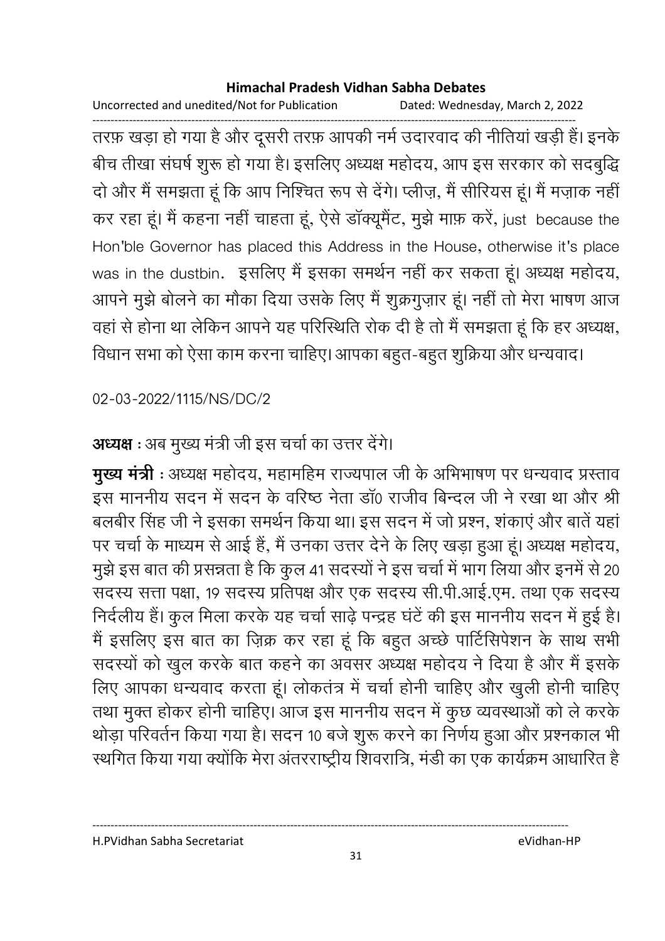Uncorrected and unedited/Not for Publication Dated: Wednesday, March 2, 2022

------------------------------------------------------------------------------------------------------------------------------------ तरफ़ खड़ा हो गया है और दूसरी तरफ़ आपकी नर्म उदारवाद की नीतियां खड़ी हैं। इनके बीच तीखा संघर्ष शुरू हो गया है। इसलिए अध्यक्ष महोदय, आप इस सरकार को सदबुद्धि दों और मैं समझता हूं कि आप निश्चित रूप से देंगे। प्लीज़, मैं सीरियस हूं। मैं मज़ाक नहीं कर रहा हूं। मैं कहना नहीं चाहता हूं, ऐसे डॉक्यूमैंट, मुझे माफ़ करें, just because the Hon'ble Governor has placed this Address in the House, otherwise it's place was in the dustbin. इसलिए मैं इसका समर्थन नहीं कर सकता हूं। अध्यक्ष महोदय, आपने मुझे बोलने का मौका दिया उसके लिए मैं शुक्रगुज़ार हूं। नहीं तो मेरा भाषण आज वहाँ से होना था लेकिन आपने यह परिस्थिति रोक दी है तो मैं समझता हूँ कि हर अध्यक्ष, विधान सभा को ऐसा काम करना चाहिए। आपका बहुत-बहुत शुक्रिया और धन्यवाद।

02-03-2022/1115/NS/DC/2

# **अध्यक्ष** : अब मुख्य मंत्री जी इस चर्चा का उत्तर देंगे।

**मुख्य मंत्री** : अध्यक्ष महोदय, महामहिम राज्यपाल जी के अभिभाषण पर धन्यवाद प्रस्ताव इस माननीय सदन में सदन के वरिष्ठ नेता डा0 राजीव बिन्दल जी ने रखा था और श्री बलबीर सिंह जी ने इसका समर्थन किया था। इस सदन में जो प्रश्न, शकाएं और बातें यहां पर चर्चा के माध्यम से आई हैं, मैं उनका उत्तर देने के लिए खड़ा हुआ हूं। अध्यक्ष महोदय, मुझे इस बात की प्रसन्नता है कि कुल 41 सदस्यों ने इस चर्चा में भाग लिया और इनमें से 20 संदस्य सत्ता पक्षा, 19 संदस्य प्रतिपक्ष और एक संदस्य सी.पी.आई.एम. तथा एक संदस्य निर्दलीय है। कुल मिला करके यह चर्चा साढ़े पन्द्रह घंटे की इस माननीय सदन में हुई है। मैं इसलिए इस बात का ज़िक्र कर रहा हूँ कि बहुत अच्छे पार्टिसिपेशन के साथ सभी सदस्यों को खुल करके बात कहने का अवसर अध्यक्ष महोदय ने दिया है और मैं इसके लिए आपका धन्यवाद करता हूं। लोकतंत्र में चर्चा होनी चाहिए और खुली होनी चाहिए तथा मुक्त होकर होनी चाहिए। आज इस माननीय सदन में कुछ व्यवस्थाओं को ले करके थोड़ा परिवर्तन किया गया है। सदन 10 बजे शुरू करने का निर्णय हुआ और प्रश्नकाल भी रथगित किया गया क्योंकि मेरा अंतरराष्ट्रीय शिवरात्रि, मंडी का एक कार्यक्रम आधारित हैं-

H.PVidhan Sabha Secretariat eVidhan-HP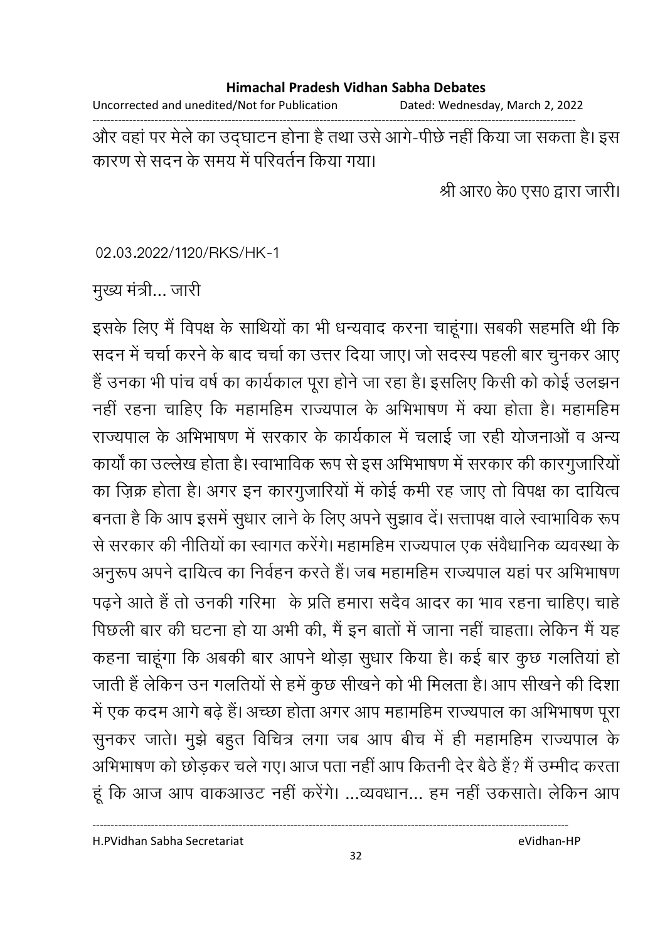#### **Himachal Pradesh Vidhan Sabha Debates**  Uncorrected and unedited/Not for Publication Dated: Wednesday, March 2, 2022

------------------------------------------------------------------------------------------------------------------------------------ और वहां पर मेले का उद्घाटन होना है तथा उसे आगे-पीछे नहीं किया जा सकता है। इस कारण से सदन के समय में परिवर्तन किया गया।

श्री आर0 के0 एस0 द्वारा जारी।

02.03.2022/1120/RKS/HK-1

मुख्य मंत्री… जारी

इसके लिए मैं विपक्ष के साथियों का भी धन्यवाद करना चाहूंगा। सबकी सहमति थी कि सदन में चर्चा करने के बाद चर्चा का उत्तर दिया जाए। जो सदस्य पहली बार चुनकर आए है उनका भी पांच वर्ष का कार्यकाल पूरा होने जा रहा है। इसलिए किसी को कोई उलझन नहीं रहना चाहिए कि महामहिम राज्यपाल के अभिभाषण में क्या होता है। महामहिम राज्यपाल के अभिभाषण में सरकार के कार्यकाल में चलाई जा रही योजनाओं व अन्य कार्यों का उल्लेख होता है। स्वाभाविक रूप से इस अभिभाषण में सरकार की कारगुजारियों का ज़िक्र होता है। अगर इन कारगुजारियों में कोई कमी रह जाए तो विपक्ष का दायित्व बनता है कि आप इसमें सूधार लाने के लिए अपने सूझाव दें। सत्तापक्ष वाले स्वाभाविक रूप से सरकार की नीतियों का स्वागत करेंगे। महामहिम राज्यपाल एक सर्वधानिक व्यवस्था के अनुरूप अपने दायित्व का निर्वहन करते हैं। जब महामहिम राज्यपाल यहां पर अभिभाषण पढ़ने आते हैं तो उनकी गरिमा के प्रति हमारा सदैव आदर का भाव रहना चाहिए। चाहें पिछली बार की घटना हो या अभी की, मैं इन बातों में जाना नहीं चाहता। लेकिन मैं यह कहना चाहूँगा कि अबकी बार आपने थोड़ा सुधार किया है। कई बार कुछ गलतिया हो जाती है लेकिन उन गलतियों से हमें कुछ सीखने को भी मिलता है। आप सीखने की दिशा में एक कदम आगे बढ़े हैं। अच्छा होता अगर आप महामहिम राज्यपाल का अभिभाषण पूरा सुनकर जाते। मुझे बहुत विचित्र लगा जब आप बीच में ही महामहिम राज्यपाल के आभेभाषण को छोड़कर चले गए। आज पता नहीं आप कितनी देर बैठे हैं? मैं उम्मीद करता हूं कि आज आप वाकआउट नहीं करेंगे। ...व्यवधान... हम नहीं उकसाते। लेकिन आप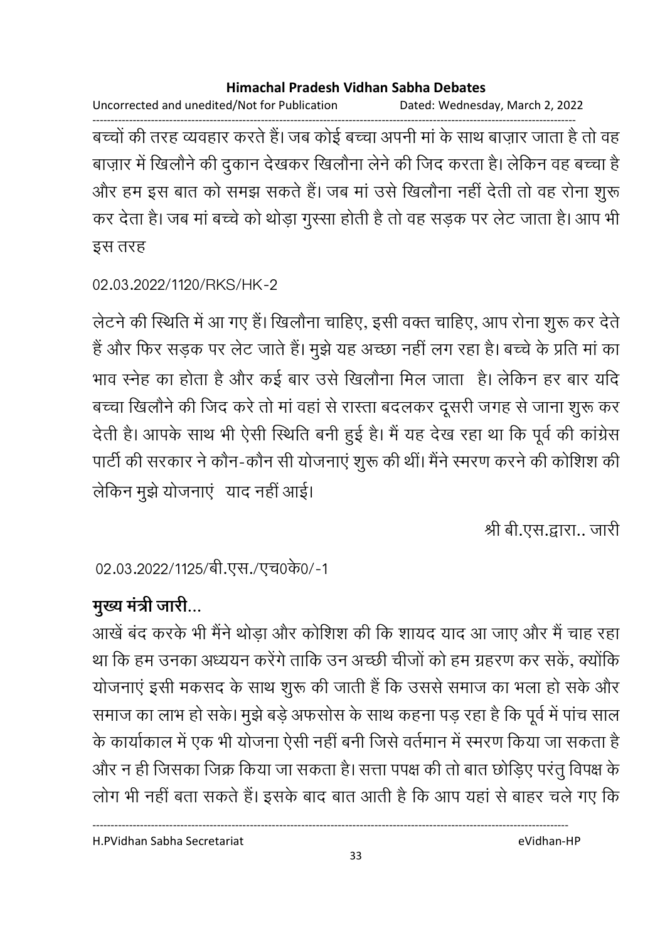Uncorrected and unedited/Not for Publication Dated: Wednesday, March 2, 2022 ------------------------------------------------------------------------------------------------------------------------------------

बच्चों की तरह व्यवहार करते हैं। जब कोई बच्चा अपनी मा के साथ बाज़ार जाता है तो वह बाज़ार में खिलौने की दुकान देखकर खिलौना लेने की जिंद करता है। लेकिन वह बच्चा है और हम इस बात को समझ सकते हैं। जब मा उसे खिलौना नहीं देती तो वह रोना शुरू कर देता है। जब मा बच्चे को थोड़ा गुस्सा होती है तो वह सड़क पर लेट जाता है। आप भी इस तरह

```
02.03.2022/1120/RKS/HK-2
```
लेटने की स्थिति में आ गए हैं। खिलौना चाहिए, इसी वक्त चाहिए, आप रोना शुरू कर देते. हैं और फिर सड़क पर लेट जाते हैं। मुझे यह अच्छा नहीं लग रहा है। बच्चे के प्रति मां का भाव स्नेह का होता है और कई बार उसे खिलौना मिल जाता) है। लेकिन हर बार यदि बच्चा खिलौने की जिंद करें तो मा वहां से रास्ता बदलकर दूसरी जगह से जाना शुरू कर देती हैं। आपके साथ भी ऐसी स्थिति बनी हुई है। मैं यह देख रहा था कि पूर्व की कांग्रेस पार्टी की सरकार ने कौन-कौन सी योजनाएं शुरू की थी। मैंने स्मरण करने की कोशिश की लेकिन मुझे योजनाएं याद नहीं आई।

श्री बी.एस.द्वारा.. जारी

02.03.2022/1125/बी.एस./एच0के0/-1

# मुख्य मंत्री जारी...

आखें बंद करके भी मैंने थोड़ा और कोशिश की कि शायद याद आ जाए और मैं चाह रहा था कि हम उनका अध्ययन करेंगे ताकि उन अच्छी चीजों को हम ग्रहरण कर सके, क्योंकि योजनाए इसी मकसद के साथ शुरू की जाती है कि उससे समाज का भला हो सके और समाज का लाभ हो सके। मुझे बड़े अफसोस के साथ कहना पड़ रहा है कि पूर्व में पांच साल के कार्याकाल में एक भी योजना ऐसी नहीं बनी जिसे वर्तमान में स्मरण किया जा सकता है। और न ही जिसका जिक्र किया जा सकता है। सत्ता पपक्ष की तो बात छोड़िए परंतु विपक्ष के लोग भी नहीं बता सकते हैं। इसके बाद बात आती है कि आप यहां से बाहर चले गए कि

H.PVidhan Sabha Secretariat eVidhan-HP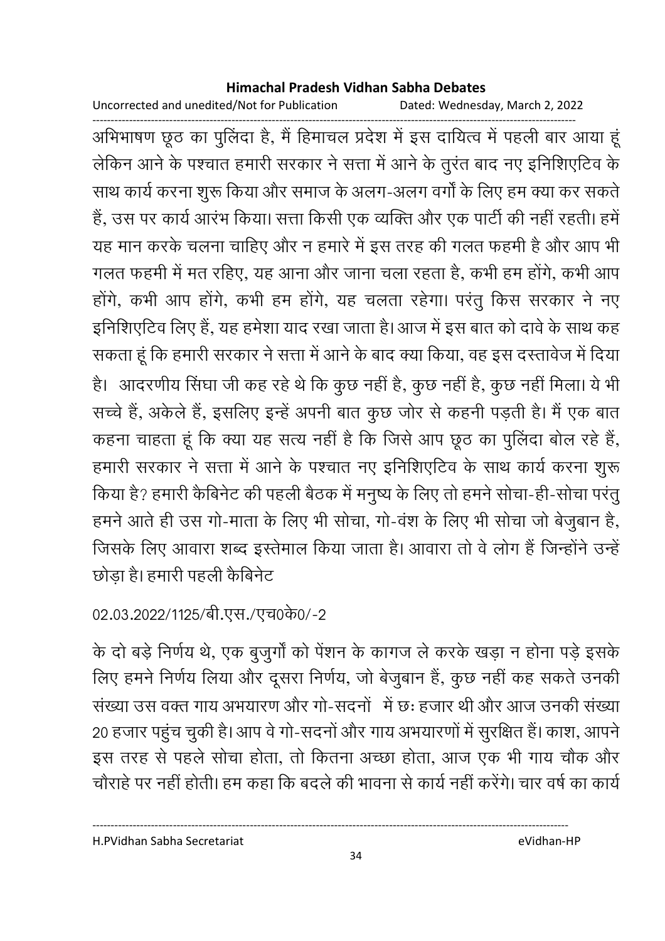Uncorrected and unedited/Not for Publication Dated: Wednesday, March 2, 2022

------------------------------------------------------------------------------------------------------------------------------------ आभेभाषण छूठ का पुलिदा है, मैं हिमाचल प्रदेश में इस दायित्व में पहली बार आया हू लेकिन आने के पश्चात हमारी सरकार ने सत्ता में आने के तुरंत बाद नए इनिशिएटिव के साथ कार्य करना शुरू किया और समाज के अलग-अलग वर्गों के लिए हम क्या कर सकते हैं, उस पर कार्य आरंभ किया। सत्ता किसी एक व्यक्ति और एक पार्टी की नहीं रहती। हमें यह मान करके चलना चाहिए और न हमारे में इस तरह की गलत फहमी है और आप भी गलत फहमी में मत रहिए, यह आना और जाना चला रहता है, कभी हम होंगे, कभी आप होंगे, कभी आप होंगे, कभी हम होंगे, यह चलता रहेगा। परंतु किस सरकार ने नए इनिशिएटिव लिए हैं, यह हमेशा याद रखा जाता है। आज में इस बात को दावे के साथ कह सकता हूँ कि हमारी सरकार ने सत्ता में आने के बाद क्या किया, वह इस दस्तावेज में दिया हैं। आदरणीय सिंघा जी कह रहे थे कि कुछ नहीं है, कुछ नहीं है, कुछ नहीं मिला। ये भी सच्चे हैं, अंकेले हैं, इसलिए इन्हें अपनी बात कुछ जोर से कहनी पड़ती हैं। मैं एक बात कहना चाहता हूं कि क्या यह सत्य नहीं है कि जिसे आप छूठ का पुलिंदा बोल रहे हैं, हमारी सरकार ने सत्ता में आने के पश्चात नए इनिशिएटिव के साथ कार्य करना शुरू किया है? हमारी कैबिनेट की पहली बैठक में मनुष्य के लिए तो हमने सोचा-ही-सोचा परंतु हमने आते ही उस गो-माता के लिए भी सोचा, गो-वंश के लिए भी सोचा जो बेजुबान है, जिसके लिए आवारा शब्द इस्तेमाल किया जाता है। आवारा तो वे लोग हैं जिन्होंने उन्हें छोड़ा है। हमारी पहली कैबिनेट

# 02.03.2022/1125/बी.एस./एच0के0/-2

के दो बड़े निर्णय थे, एक बुजुर्गों को पेंशन के कागज ले करके खड़ा न होना पड़े इसके लिए हमने निर्णय लिया और दूसरा निर्णय, जो बेजुबान है, कुछ नहीं कह सकते उनकी \$9
 2 X <
 \* 
G V <- 7 R: ह8 V !8 2 \$9
 20 हजार पहुंच चुकी है। आप वे गो-सदनों और गाय अभयारणों में सुरक्षित हैं। काश, आपने इस तरह से पहले सोचा होता, तो कितना अच्छा होता, आज एक भी गाय चौक और चौराहे पर नहीं होती। हम कहा कि बदले की भावना से कार्य नहीं करेंगे। चार वर्ष का कार्य

H.PVidhan Sabha Secretariat eVidhan-HP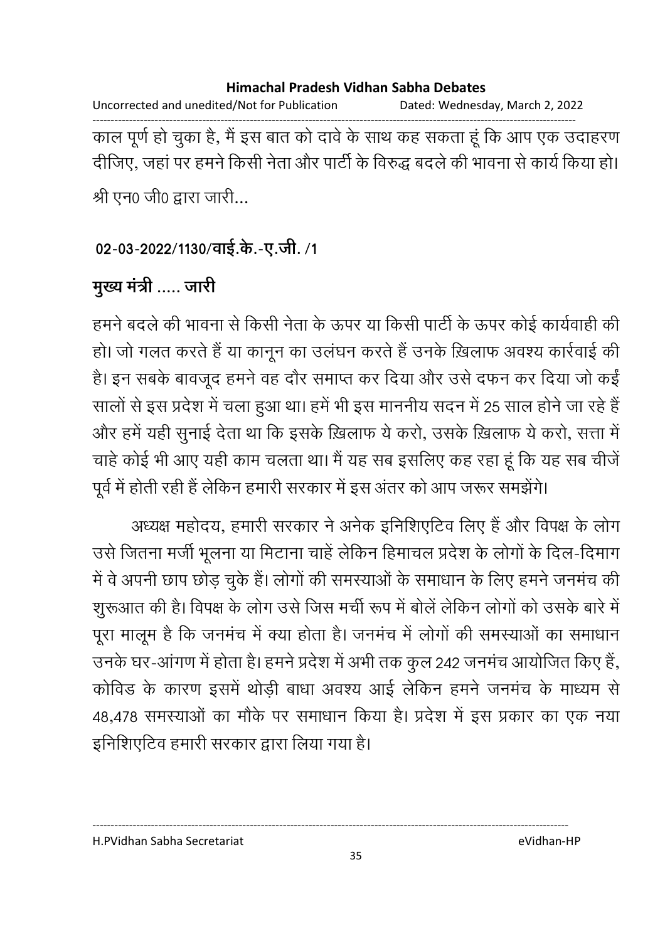Uncorrected and unedited/Not for Publication Dated: Wednesday, March 2, 2022 ------------------------------------------------------------------------------------------------------------------------------------ काल पूर्ण हो चुका है, मैं इस बात को दावे के साथ कह सकता हूं कि आप एक उदाहरण दीजिए, जहां पर हमने किसी नेता और पार्टी के विरुद्ध बदले की भावना से कार्य किया हो। श्री एन0 जी0 द्वारा जारी...

### 02-03-2022/1130/वाई.के.-ए.जी. /1

# मुख्य मंत्री ..... जारी

हमने बदले की भावना से किसी नेता के ऊपर या किसी पार्टी के ऊपर कोई कार्यवाही की हो। जो गलत करते हैं या कानून का उलघन करते हैं उनके ख़िलाफ अवश्य कार्रवाई की है। इन सबके बावजूद हमने वह दौर समाप्त कर दिया और उसे दफन कर दिया जो कईं सालों से इस प्रदेश में चला हुआ था। हमें भी इस माननीय सदन में 25 साल होने जा रहे हैं | और हमें यही सुनाई देता था कि इसके ख़िलाफ ये करो, उसके ख़िलाफ ये करो, सत्ता में चाहे कोई भी आए यही काम चलता था। मैं यह सब इसलिए कह रहा हूं कि यह सब चीजें पूर्व में होती रही है लेकिन हमारी सरकार में इस अंतर को आप जरूर समझेंगे।

अध्यक्ष महोदय, हमारी सरकार ने अनेक इनिशिएटिव लिए हैं और विपक्ष के लोग उसे जितना मर्जी भूलना या मिटाना चाहें लेकिन हिमाचल प्रदेश के लोगों के दिल-दिमाग में वे अपनी छाप छोड़ चुके हैं। लोगों की समस्याओं के समाधान के लिए हमने जनमंच की शुरूआत की है। विपक्ष के लोग उसे जिस मंची रूप में बोले लेकिन लोगों को उसके बारे में पूरा मालूम है कि जनमंच में क्या होता है। जनमंच में लोगों की समस्याओं का समाधान उनके घर-आगण में होता है। हमने प्रदेश में अभी तक कुल 242 जनमंच आयोजित किए हैं, कोविड के कारण इसमें थोड़ी बांधा अवश्य आई लेकिन हमने जनमंच के माध्यम से 48,478 समस्याओं का मौके पर समाधान किया है। प्रदेश में इस प्रकार का एक नया इनिशिएटिव हमारी सरकार द्वारा लिया गया है।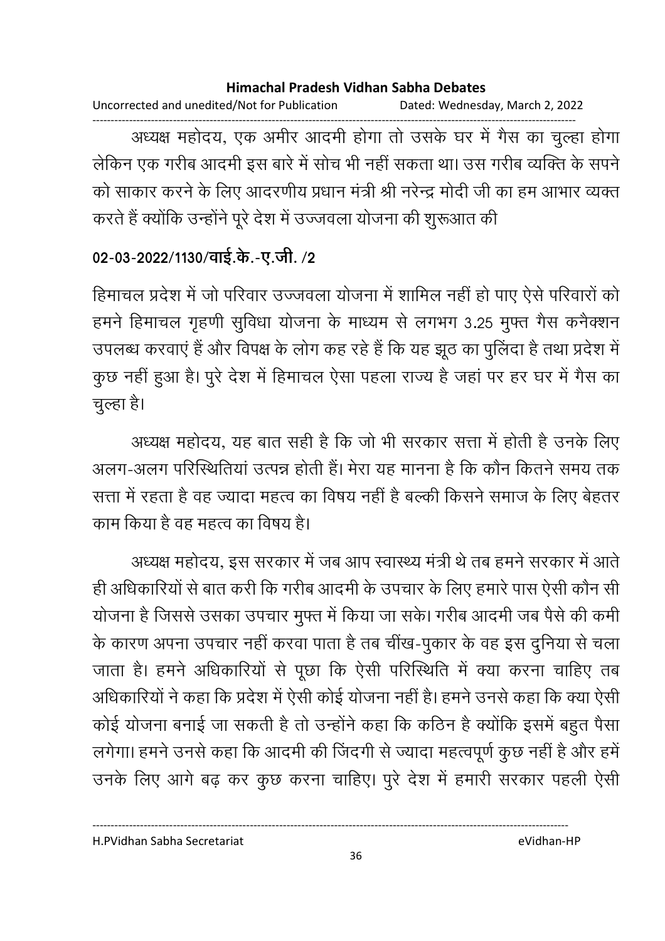Uncorrected and unedited/Not for Publication Dated: Wednesday, March 2, 2022

------------------------------------------------------------------------------------------------------------------------------------ अध्यक्ष महोदय, एक अमीर आदमी होगा तो उसके घर में गैस का चुल्हा होगा लेकिन एक गरीब आदमी इस बारे में सोच भी नहीं सकता था। उस गरीब व्यक्ति के संपने को साकार करने के लिए आदरणीय प्रधान मंत्री श्री नरेन्द्र मोदी जी का हम आभार व्यक्त करते हैं क्योंकि उन्होंने पूरे देश में उज्जवला योजना की शुरूआत की

### 02-03-2022/1130/वाई.के.-ए.जी. /2

हिमाचल प्रदेश में जो परिवार उज्जवला योजना में शामिल नहीं हो पाए ऐसे परिवारों को हमने हिमाचल गृहणी सुविधा योजना के माध्यम से लगभग 3.25 मुफ्त गैस कर्नेक्शन उपलब्ध करवाएं हैं और विपक्ष के लोग कह रहे हैं कि यह झूठ का पुलिंदा है तथा प्रदेश में कुछ नहीं हुआ है। पुरे देश में हिमाचल ऐसा पहला राज्य है जहां पर हर घर में गैस का चुल्हा है।

अध्यक्ष महोदय, यह बात सही है कि जो भी सरकार सत्ता में होती है उनके लिए अलग-अलग परिस्थितिया उत्पन्न होती है। मेरा यह मानना है कि कौन कितने समय तक सत्ता में रहता है वह ज्यादा महत्व का विषय नहीं है बल्की किसने समाज के लिए बेहतर काम किया है वह महत्व का विषय है।

अध्यक्ष महोदय, इस सरकार में जब आप स्वास्थ्य मंत्री थे तब हमने सरकार में आते. ही अधिकारियों से बात करी कि गरीब आदमी के उपचार के लिए हमारे पास ऐसी कौन सी योजना है जिससे उसका उपचार मुफ्त में किया जा सके। गरीब आदमी जब पैसे की कमी के कारण अपना उपचार नहीं करवा पाता है तब चींख-पुकार के वह इस दुनिया से चला जाता है। हमने अधिकारियों से पूछा कि ऐसी परिस्थिति में क्या करना चाहिए तब आंधकारियों ने कहा कि प्रदेश में ऐसी कोई योजना नहीं है। हमने उनसे कहा कि क्या ऐसी कोई योजना बनाई जा सकती है तो उन्होंने कहा कि कठिन है क्योंकि इसमें बहुत पैसा लगेगा। हमने उनसे कहा कि आदमी की जिंदगी से ज्यादा महत्वपूर्ण कुछ नहीं है और हमें। उनके लिए आगे बढ़ कर कुछ करना चाहिए। पुरे देश में हमारी सरकार पहली ऐसी

H.PVidhan Sabha Secretariat eVidhan-HP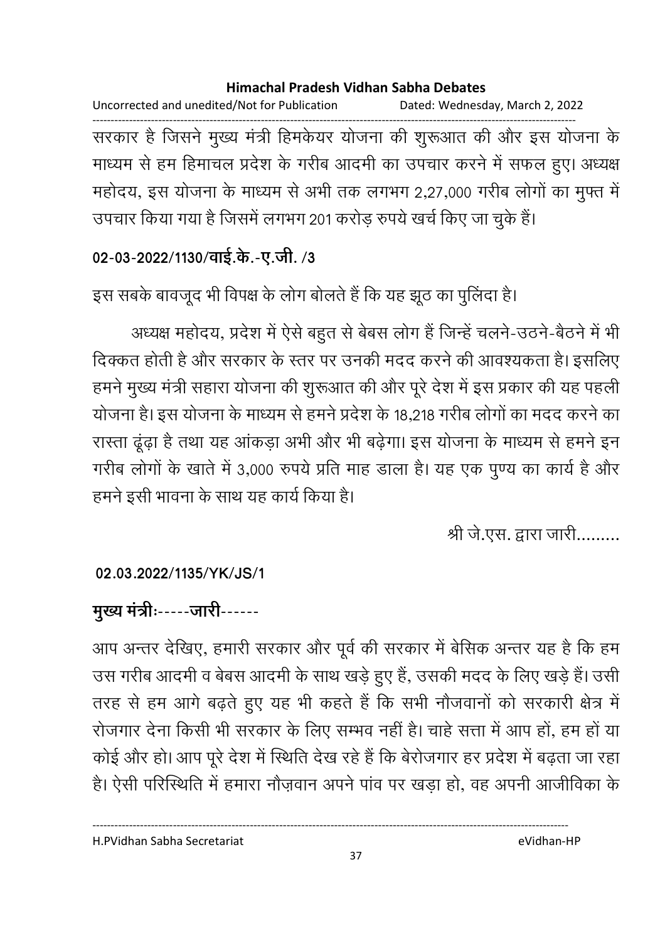Uncorrected and unedited/Not for Publication Dated: Wednesday, March 2, 2022

------------------------------------------------------------------------------------------------------------------------------------ सरकार है जिसने मुख्य मंत्री हिमकेयर योजना की शुरूआत की और इस योजना के माध्यम से हम हिमाचल प्रदेश के गरीब आदमी का उपचार करने में सफल हुए। अध्यक्ष महोदय, इस योजना के माध्यम से अभी तक लगभग 2,27,000 गरीब लोगों का मुफ्त में उपचार किया गया है जिसमें लगभग 201 करोड़ रुपये खर्च किए जा चुके हैं।

### 02-03-2022/1130/वाई.के.-ए.जी. /3

इस सबके बावजूद भी विपक्ष के लोग बोलते हैं कि यह झूठ का पुलिदा है।

अध्यक्ष महोदय, प्रदेश में ऐसे बहुत से बेबस लोग है जिन्हें चलने-उठने-बैठने में भी दिक्कत होती है और सरकार के स्तर पर उनकी मदद करने की आवश्यकता है। इसलिए हमने मुख्य मंत्री सहारा योजना की शुरूआत की और पूरे देश में इस प्रकार की यह पहली। योजना है। इस योजना के माध्यम से हमने प्रदेश के 18,218 गरीब लोगों का मदद करने का रास्ता ढूढ़ा है तथा यह आकड़ा अभी और भी बढ़ेगा। इस योजना के माध्यम से हमने इन गरीब लोगों के खाते में 3,000 रुपये प्रति माह डाला है। यह एक पुण्य का कार्य है और हमने इसी भावना के साथ यह कार्य किया है।

श्री जे.एस. द्वारा जारी.........

### **02.03.2022/1135/YK/JS/1**

## मुख्य मंत्रीः-----जारी------

आप अन्तर देखिए, हमारी सरकार और पूर्व की सरकार में बेंसिक अन्तर यह है कि हम उस गरीब आदमी व बेबस आदमी के साथ खड़े हुए है, उसकी मदद के लिए खड़े हैं। उसी तरह से हम आगे बढ़ते हुए यह भी कहते हैं कि सभी नौजवानों को सरकारी क्षेत्र में रोजगार देना किसी भी सरकार के लिए सम्भव नहीं है। चाहे सत्ता में आप हो, हम हो या कोई और हो। आप पूरे देश में स्थिति देख रहे हैं कि बेरोजगार हर प्रदेश में बढ़ता जा रहा हैं। ऐसी परिस्थिति में हमारा नौज़वान अपने पाव पर खड़ा हो, वह अपनी आजीविका के

H.PVidhan Sabha Secretariat eVidhan-HP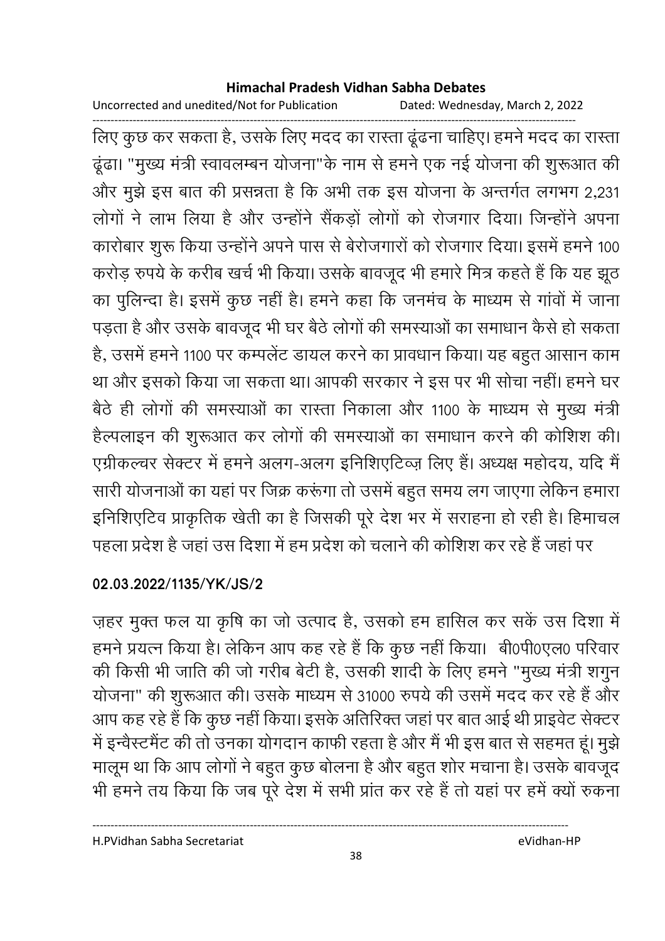Uncorrected and unedited/Not for Publication Dated: Wednesday, March 2, 2022

------------------------------------------------------------------------------------------------------------------------------------ लिए कुछ कर सकता है, उसके लिए मदद का रास्ता ढूंढना चाहिए। हमने मदद का रास्ता ढूढा। "मुख्य मंत्री स्वावलम्बन योजना"के नाम से हमने एक नई योजना की शुरूआत की और मुझे इस बात की प्रसन्नता है कि अभी तक इस योजना के अन्तर्गत लगभग 2,231 लोगों ने लाभ लिया है और उन्होंने सैंकड़ों लोगों को रोजगार दिया। जिन्होंने अपना कारोबार शुरू किया उन्होंने अपने पास से बेरोजगारों को रोजगार दिया। इसमें हमने 100 करोड़ रुपये के करीब खर्च भी किया। उसके बावजूद भी हमारे मित्र कहते हैं कि यह झूठ का पुलिन्दा है। इसमें कुछ नहीं है। हमने कहा कि जनमंच के माध्यम से गांवों में जाना पड़ता है और उसके बावजूद भी घर बैठे लोगों की समस्याओं का समाधान कैसे हो सकता | है, उसमें हमने 1100 पर कम्पलेंट डायल करने का प्रावधान किया। यह बहुत आसान काम था और इसको किया जा सकता था। आपकी सरकार ने इस पर भी सोचा नहीं। हमने घर बैठे ही लोगों की समस्याओं का रास्ता निकाला और 1100 के माध्यम से मुख्य मंत्री हैल्पलाइन की शुरूआत कर लोगों की समस्याओं का समाधान करने की कोशिश की। एग्रीकल्चर सेक्टर में हमने अलग-अलग इनिशिएटिव्ज़ लिए हैं। अध्यक्ष महोदय, यदि मैं सारी योजनाओं का यहां पर जिक्र करूंगा तो उसमें बहुत समय लग जाएगा लेकिन हमारा इनिशिएटिव प्राकृतिक खेती का है जिसकी पूरे देश भर में सराहना हो रही है। हिमाचल पहला प्रदेश है जहां उस दिशा में हम प्रदेश को चलाने की कोशिश कर रहे हैं जहां पर

### **02.03.2022/1135/YK/JS/2**

ज़हर मुक्त फल या कृषि का जो उत्पाद है, उसको हम हासिल कर सकें उस दिशा में हमने प्रयत्न किया है। लेकिन आप कह रहे हैं कि कुछ नहीं किया। बी0पी0एल0 परिवार की किसी भी जाति की जो गरीब बेटी हैं, उसकी शादी के लिए हमने "मुख्य मंत्री शगुन योजना" की शुरूआत की। उसके माध्यम से 31000 रुपये की उसमें मदद कर रहे हैं और आप कह रहे हैं कि कुछ नहीं किया। इसके अतिरिक्त जहां पर बात आई थी प्राइवेट सेक्टर-में इन्वेस्टमैंट की तो उनका योगदान काफी रहता है और मैं भी इस बात से सहमत हूं। मुझे मालूम था कि आप लोगों ने बहुत कुछ बोलना है और बहुत शोर मचाना है। उसके बावजूद भी हमने तय किया कि जब पूरे देश में सभी प्रांत कर रहे हैं तो यहां पर हमें क्यों रुकना

H.PVidhan Sabha Secretariat eVidhan-HP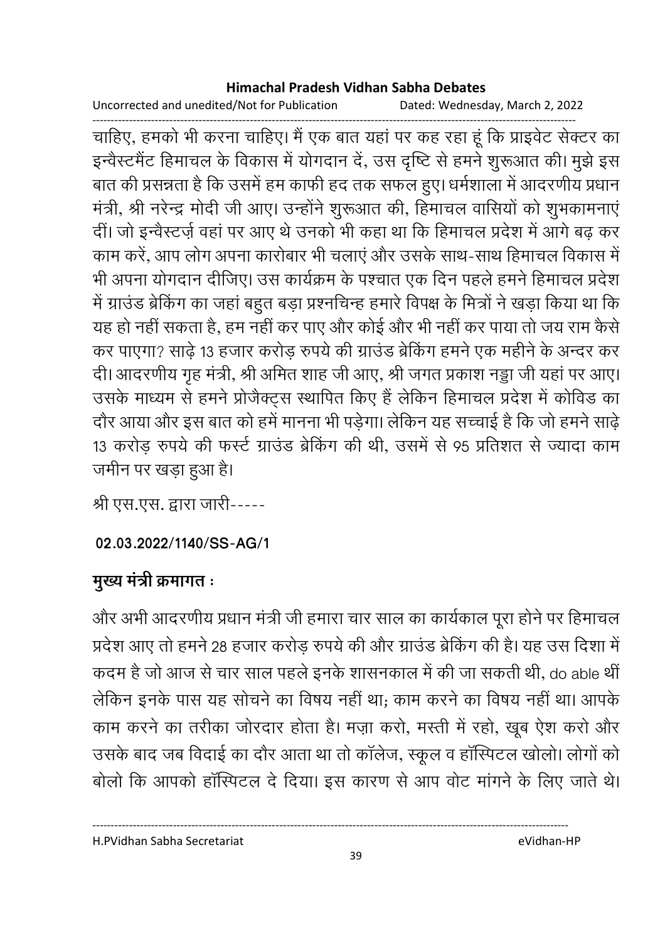Uncorrected and unedited/Not for Publication Dated: Wednesday, March 2, 2022

------------------------------------------------------------------------------------------------------------------------------------ चाहिए, हमको भी करना चाहिए। मैं एक बात यहां पर कह रहा हूँ कि प्राइवेंट सेक्टर का इन्वैस्टमैंट हिमाचल के विकास में योगदान दें, उस दृष्टि से हमने शुरूआत की। मुझे इस बात की प्रसन्नता है कि उसमें हम काफी हद तक सफल हुए। धर्मशाला में आदरणीय प्रधान मंत्री, श्री नरेन्द्र मोदी जी आए। उन्होंने शुरूआत की, हिमाचल वासियों को शुभकामनाएं दी। जो इन्वेस्टज़े वहां पर आए थे उनको भी कहा था कि हिमाचल प्रदेश में आगे बढ़ कर काम करे, आप लोग अपना कारोबार भी चलाए और उसके साथ-साथ हिमाचल विकास में भी अपना योगदान दीजिए। उस कार्यक्रम के पश्चात एक दिन पहले हमने हिमाचल प्रदेश में ग्राउंड ब्रेकिंग का जहां बहुत बड़ा प्रश्नचिन्ह हमारे विपक्ष के मित्रों ने खड़ा किया था कि यह हो नहीं सकता है, हम नहीं कर पाएं और कोई और भी नहीं कर पाया तो जय राम कैसे कर पाएगा? साढ़े 13 हजार करोड़ रुपये की ग्राउंड ब्रेकिंग हमने एक महीने के अन्दर कर दी। आदरणीय गृह मंत्री, श्री अमित शाह जी आए, श्री जगत प्रकाश नड्डा जी यहां पर आए। उसके माध्यम से हमने प्रोजैक्ट्स स्थापित किए हैं लेकिन हिमाचल प्रदेश में कोविड का दौर आया और इस बात को हमें मानना भी पड़ेगा। लेकिन यह सच्चाई है कि जो हमने साढ़ें 13 करोड़ रुपये की फर्स्ट ग्राउंड ब्रेकिंग की थी, उसमें से 95 प्रतिशत से ज्यादा काम जमीन पर खड़ा हुआ है।

श्री एस.एस. द्वारा जारी-----

## **02.03.2022/1140/SS-AG/1**

# **मुख्य मंत्री क्रमागत**ः

और अभी आदरणीय प्रधान मंत्री जी हमारा चार साल का कार्यकाल पूरा होने पर हिमाचल प्रदेश आए तो हमने 28 हजार करोड़ रुपये की और ग्राउंड ब्रेकिंग की है। यह उस दिशा में कदम है जो आज से चार साल पहले इनके शासनकाल में की जा सकती थी, do able थीं | लेकिन इनके पास यह सोचने का विषय नहीं था; काम करने का विषय नहीं था। आपके काम करने का तरीका जोरदार होता है। मज़ा करो, मस्ती में रहो, खूब ऐश करों और उसके बाद जब विदाई का दौर आता था तो कॉलेज, स्कूल व हॉस्पिटल खोलो। लोगों को बोलो कि आपको हॉस्पिटल दे दिया। इस कारण से आप वोट मांगने के लिए जाते थे।

H.PVidhan Sabha Secretariat eVidhan-HP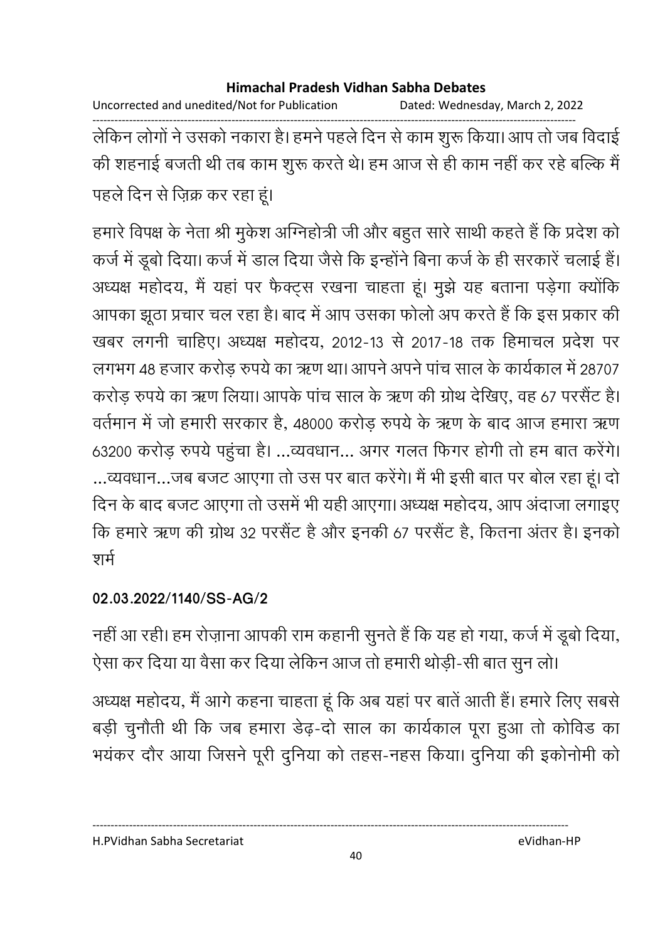Uncorrected and unedited/Not for Publication Dated: Wednesday, March 2, 2022

------------------------------------------------------------------------------------------------------------------------------------ लेकिन लोगों ने उसको नकारा है। हमने पहले दिन से काम शुरू किया। आप तो जब विदाई की शहनाई बजती थी तब काम शुरू करते थे। हम आज से ही काम नहीं कर रहे बल्कि मैं पहले दिन से ज़िक्र कर रहा हूं।

हमारे विपक्ष के नेता श्री मुकेश ओग्नेहोत्री जी और बहुत सारे साथी कहते हैं कि प्रदेश को कर्ज में डूबो दिया। कर्ज में डाल दिया जैसे कि इन्होंने बिना कर्ज के ही सरकारे चलाई है। अध्यक्ष महोदय, मैं यहां पर फैक्ट्स रखना चाहता हूं। मुझे यह बताना पड़ेगा क्योंकि आपका झूठा प्रचार चल रहा है। बाद में आप उसका फोलो अप करते हैं कि इस प्रकार की खबर लगनी चाहिए। अध्यक्ष महोदय, 2012-13 से 2017-18 तक हिमाचल प्रदेश पर लगभग 48 हजार करोड़ रुपये का ऋण था। आपने अपने पांच साल के कार्यकाल में 28707 करोड़ रुपये का ऋण लिया। आपके पांच साल के ऋण की ग्रोथ देखिए, वह 67 परसैंट हैं। वर्तमान में जो हमारी सरकार है, 48000 करोड़ रुपये के ऋण के बाद आज हमारा ऋण 63200 करोड़ रुपये पहुंचा है। …व्यवधान… अगर गलत फिगर होंगी तो हम बात करेंगे। …व्यवधान…जब बजट आएगा तो उस पर बात करेंगे। मैं भी इसी बात पर बोल रहा हूं। दो दिन के बाद बजट आएगा तो उसमें भी यही आएगा। अध्यक्ष महोदय, आप अदाजा लगाइए कि हमारे ऋण की ग्रोथ 32 परसैंट है और इनकी 67 परसैंट है, कितना अंतर है। इनको शर्म

## **02.03.2022/1140/SS-AG/2**

नहीं आ रही। हम रोज़ाना आपकी राम कहानी सुनते हैं कि यह हो गया, कर्ज में डूबो दिया, ऐसा कर दिया या वैसा कर दिया लेकिन आज तो हमारी थोड़ी-सी बात सुन लो।

अध्यक्ष महोदय, मैं आगे कहना चाहता हूं कि अब यहां पर बातें आती है। हमारे लिए सबसे बड़ी चुनौती थी कि जब हमारा डेढ़-दो साल का कार्यकाल पूरा हुआ तो कोविंड का भयकर दौर आया जिसने पूरी दुनिया को तहस-नहंस किया। दुनिया की इकोनोमी को

#### H.PVidhan Sabha Secretariat eVidhan-HP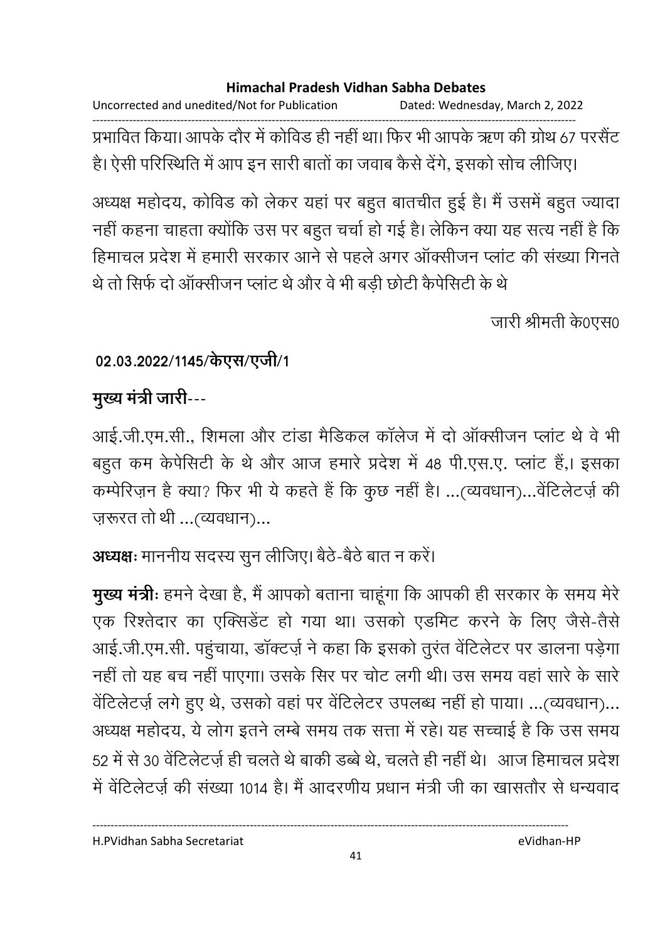Uncorrected and unedited/Not for Publication Dated: Wednesday, March 2, 2022 ------------------------------------------------------------------------------------------------------------------------------------

प्रभावित किया। आपके दौर में कोविड ही नहीं था। फिर भी आपके ऋण की ग्रोथ 67 परसैंट हैं। ऐसी परिस्थिति में आप इन सारी बातों का जवाब कैसे देंगे, इसको सोच लीजिए।

अध्यक्ष महोदय, कोविंड को लेकर यहां पर बहुत बातचीत हुई है। मैं उसमें बहुत ज्यादा नहीं कहना चाहता क्योंकि उस पर बहुत चर्चा हो गई है। लेकिन क्या यह सत्य नहीं है कि हिमाचल प्रदेश में हमारी सरकार आने से पहले अगर आक्सीजन प्लाट की संख्या गिनते. थे तो सिर्फ दो आक्सीजन प्लाट थे और वे भी बड़ी छोटी कैपेसिटी के थे

जारी श्रीमती के0एस0

## 02.03.2022/1145/केएस/एजी/1

## <u>मुख्य मंत्री जारी---</u>

आई.जी.एम.सी., शिमला और टाडा मैडिकल कालेज में दो आक्सीजन प्लाट थे वे भी बहुत कम केपेसिटी के थे और आज हमारे प्रदेश में 48 पी.एस.ए. प्लांट है,। इसका कम्पेरिज़न है क्या? फिर भी ये कहते हैं कि कुछ नहीं है। …(व्यवधान)…वेंटिलेंटज़े की ज़रूरत तो थी …(व्यवधान)…

**अध्यक्षः** माननीय सदस्य सुन लीजिए। बैठे-बैठे बात न करें।

**मुख्य मंत्रीः** हमने देखा है, मैं आपको बताना चाहूँगा कि आपकी ही सरकार के समय मेरे एक रिश्तेदार का एक्सिडेंट हो गया था। उसको एडमिट करने के लिए जैसे-तैसे आई.जी.एम.सी. पहुचाया, डाक्टज़े ने कहा कि इसको तुरंत वेटिलेटर पर डालना पड़ेगा नहीं तो यह बच नहीं पाएगा। उसके सिर पर चोट लगी थी। उस समय वहां सारे के सारे वेंटिलेटर्ज़ लगे हुए थे, उसको वहां पर वेंटिलेटर उपलब्ध नहीं हो पाया। ...(व्यवधान)... अध्यक्ष महोदय, ये लोग इतने लम्बे समय तक सत्ता में रहे। यह सच्चाई है कि उस समय 52 में से 30 वेटिलेंटज़ें ही चलते थे बाकी डब्बे थे, चलते ही नहीं थे। आज हिमाचल प्रदेश में वेटिलेंटज़े की संख्या 1014 हैं। मैं आंदरणीय प्रधान मंत्री जी का खासतौर से धन्यवाद

H.PVidhan Sabha Secretariat eVidhan-HP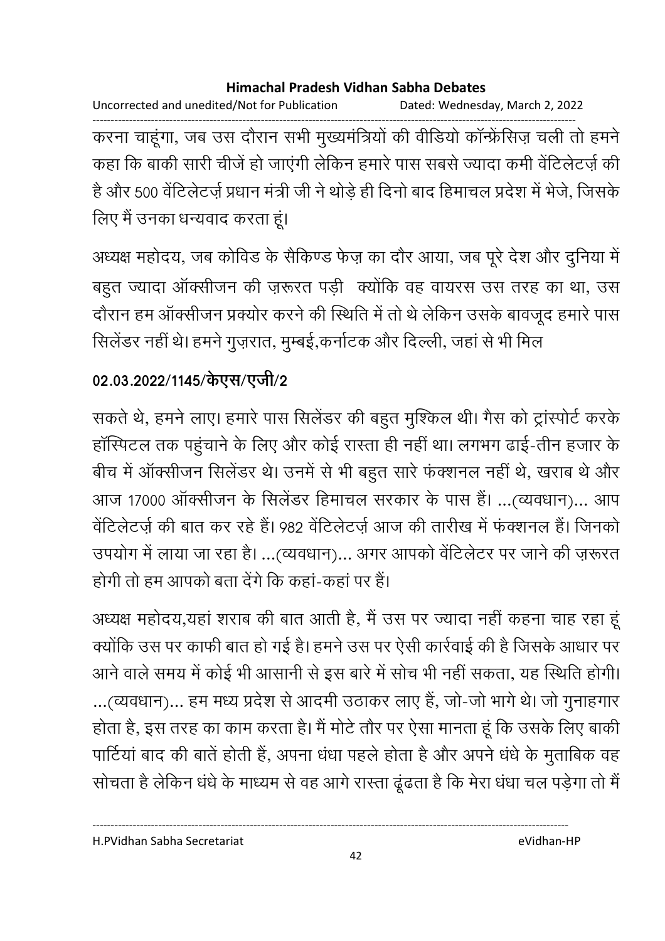Uncorrected and unedited/Not for Publication Dated: Wednesday, March 2, 2022

------------------------------------------------------------------------------------------------------------------------------------ करना चाहूंगा, जब उस दौरान सभी मुख्यमंत्रियों की वीडियों कान्फ्रेसिज़ चली तो हमने कहा कि बाकी सारी चीजे हो जाएगी लेकिन हमारे पास सबसे ज्यादा कमी वेटिलेटज़े की है और 500 वेटिलेंटज़े प्रधान मंत्री जी ने थोड़े ही दिनों बाद हिमाचल प्रदेश में भेजें, जिसके लिए मैं उनका धन्यवाद करता हूं।

अध्यक्ष महोदय, जब कोविड के सैकिण्ड फेज़ का दौर आया, जब पूरे देश और दुनिया में बहुत ज्यादा आक्सीजन की ज़रूरत पड़ी क्योंकि वह वायरस उस तरह का था, उस दौरान हम आक्सीजन प्रक्योर करने की स्थिति में तो थे लेकिन उसके बावजूद हमारे पास सिलेंडर नहीं थे। हमने गुज़रात, मुम्बई,कर्नाटक और दिल्ली, जहां से भी मिल

## 02.03.2022/1145/केएस/एजी/2

सकते थे, हमने लाए। हमारे पास सिलेंडर की बहुत मुश्किल थी। गैस को ट्रास्पोर्ट करके हास्पिटल तक पहुंचाने के लिए और कोई रास्ता ही नहीं था। लगभग ढाई-तीन हजार के बीच में आक्सीजन सिलेंडर थे। उनमें से भी बहुत सारे फक्शनल नहीं थे, खराब थे और आज 17000 आर्क्सीजन के सिलेंडर हिमाचल सरकार के पास है। ...(व्यवधान)... आप वेटिलेटज़े की बात कर रहे हैं। 982 वेटिलेटज़े आज की तारीख में फक्शनल हैं। जिनको उपयोग में लाया जा रहा है। …(व्यवधान)… अगर आपको वेटिलेटर पर जाने की ज़रूरत होगी तो हम आपको बता देंगे कि कहा-कहा पर है।

अध्यक्ष महोदय,यहां शराब की बात आती है, मैं उस पर ज्यादा नहीं कहना चाह रहा हू क्योंकि उस पर काफी बात हो गई है। हमने उस पर ऐसी कार्रवाई की है जिसके आधार पर आने वाले समय में कोई भी आसानी से इस बारे में सोच भी नहीं सकता, यह स्थिति होगी। ...(व्यवधान)... हम मध्य प्रदेश से आदमी उठाकर लाए है, जो-जो भागे थे। जो गुनाहगार होता है, इस तरह का काम करता है। मैं मोर्ट तौर पर ऐसा मानता हूं कि उसके लिए बाकी पाटिया बाद की बातें होती हैं, अपना धंधा पहले होता है और अपने धंधे के मुताबिक वह सोचता है लेकिन धंधे के माध्यम से वह आगे रास्ता ढूंढता है कि मेरा धंधा चल पड़ेगा तो मैं

H.PVidhan Sabha Secretariat eVidhan-HP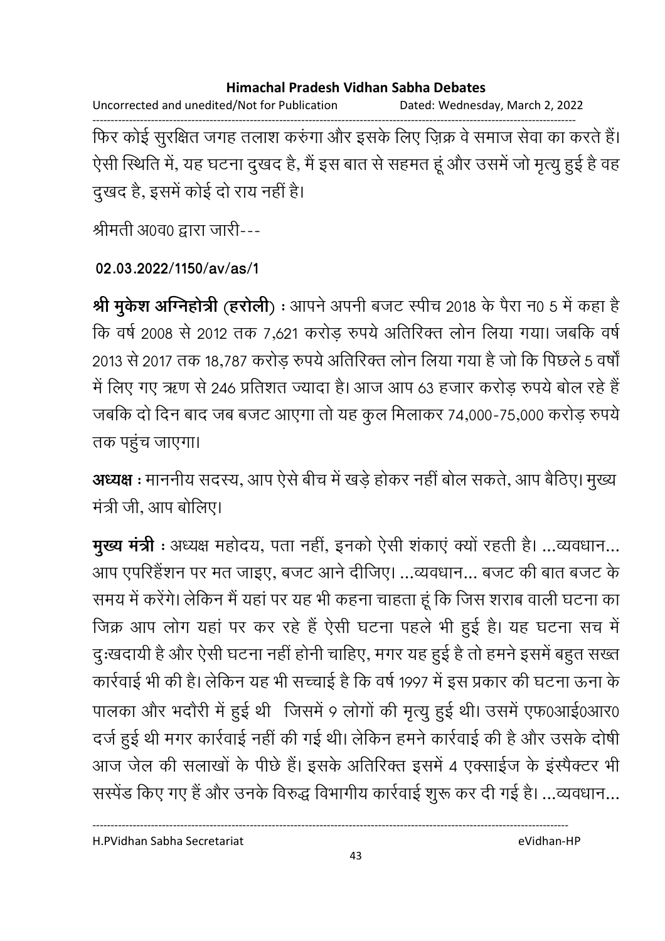Uncorrected and unedited/Not for Publication Dated: Wednesday, March 2, 2022

------------------------------------------------------------------------------------------------------------------------------------ फिर कोई सुरक्षित जगह तलाश करुंगा और इसके लिए ज़िक्र वे समाज सेवा का करते हैं। ऐसी स्थिति में, यह घटना दुखद है, मैं इस बात से सहमत हूं और उसमें जो मृत्यु हुई है वह दुखद है, इसमें कोई दो राय नहीं है।

श्रीमती अ0व0 द्वारा जारी---

### **02.03.2022/1150/av/as/1**

**श्री मुकेश अग्निहोत्री (हरोली) :** आपने अपनी बजट स्पीच 2018 के पैरा न0 5 में कहा है कि वर्ष 2008 से 2012 तक 7,621 करोड़ रुपये अतिरिक्त लोन लिया गया। जबकि वर्ष 2013 से 2017 तक 18,787 करोड़ रुपये अतिरिक्त लोन लिया गया है जो कि पिछले 5 वर्षों में लिए गए ऋण से 246 प्रतिशत ज्यादा है। आज आप 63 हजार करोड़ रुपये बोल रहे हैं जबकि दो दिन बाद जब बजट आएगा तो यह कुल मिलाकर 74,000-75,000 करोड़ रुपये तक पहुंच जाएगा।

**अध्यक्ष** : माननीय सदस्य, आप ऐसे बीच में खड़े होकर नहीं बोल सकते, आप बैठिए। मुख्य मंत्री जी, आप बोलिए।

**मुख्य मंत्री** : अध्यक्ष महोदय, पता नहीं, इनको ऐसी शकाए क्यों रहती हैं। ...व्यवधान... आप एपरिहेशन पर मत जाइए, बजट आने दीजिए। …व्यवधान… बजट की बात बजट के समय में करेंगे। लेकिन मैं यहां पर यह भी कहना चाहता हूं कि जिस शराब वाली घटना का जिक्र आप लोग यहां पर कर रहे हैं ऐसी घटना पहले भी हुई है। यह घटना संच में दुःखदायी है और ऐसी घटना नहीं होनी चाहिए, मगर यह हुई है तो हमने इसमें बहुत सख्त कार्रवाई भी की है। लेकिन यह भी सच्चाई है कि वर्ष 1997 में इस प्रकार की घटना ऊना के पालका और भदौरी में हुई थी जिसमें 9 लोगों की मृत्यु हुई थी। उसमें एफ0आई0आर0 दर्ज हुई थी मगर कार्रवाई नहीं की गई थी। लेकिन हमने कार्रवाई की है और उसके दोषी आज जेल की सलाखों के पीछे हैं। इसके अतिरिक्त इसमें 4 एक्साईज के इस्पैक्टर भी सरपेड किए गए हैं और उनके विरुद्ध विभागीय कार्रवाई शुरू कर दी गई है। …व्यवधान…

H.PVidhan Sabha Secretariat eVidhan-HP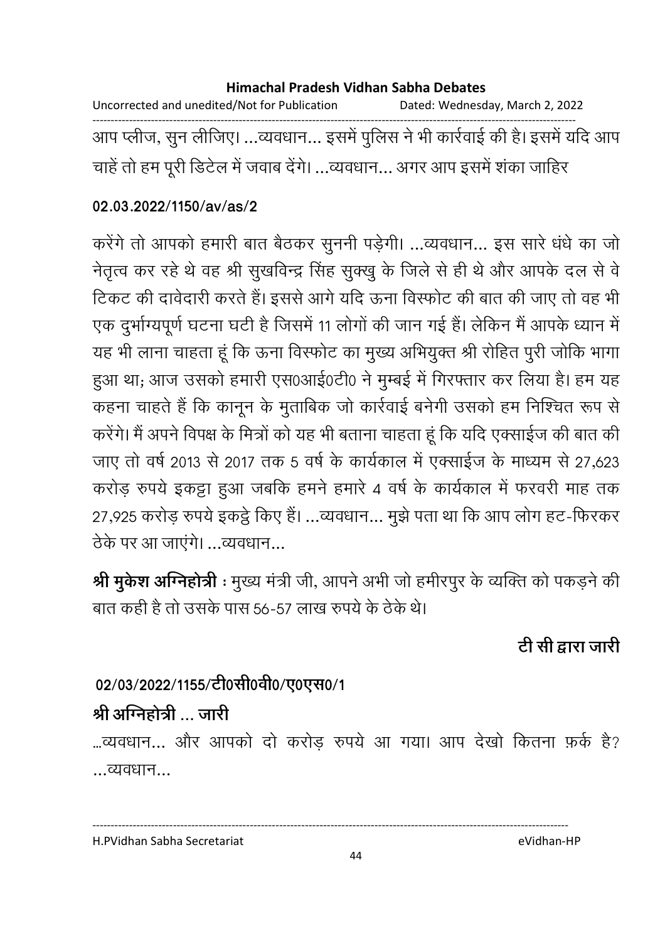Uncorrected and unedited/Not for Publication Dated: Wednesday, March 2, 2022 ------------------------------------------------------------------------------------------------------------------------------------ आप प्लीज, सुन लीजिए। …व्यवधान… इसमें पुलिस ने भी कार्रवाई की है। इसमें यदि आप चाहे तो हम पूरी डिटेल में जवाब देंगे। …व्यवधान… अगर आप इसमें शका जाहिर

### **02.03.2022/1150/av/as/2**

करेंगे तो आपको हमारी बात बैठकर सुननी पड़ेगी। …व्यवधान… इस सारे धर्ध का जो नेतृत्व कर रहे थे वह श्री सुखर्विन्द्र सिंह सुक्खु के जिले से ही थे और आपके दल से वे टिकट की दावेदारी करते हैं। इससे आगे यदि ऊंना विस्फोट की बात की जाए तो वह भी एक दुर्भाग्यपूर्ण घटना घटी है जिसमें 11 लोगों की जान गई है। लेकिन मैं आपके ध्यान में यह भी लाना चाहता हूँ कि ऊना विस्फोट का मुख्य अभियुक्त श्री रोहित पुरी जोकि भागा हुआ था; आज उसको हमारी एस0आई0टी0 ने मुम्बई में गिरफ्तार कर लिया है। हम यह कहना चाहते हैं कि कानून के मुताबिक जो कार्रवाई बनेगी उसको हम निश्चित रूप से करेंगे। मैं अपने विपक्ष के मित्रों को यह भी बताना चाहता हूं कि यदि एक्साईज की बात की जाए तो वर्ष 2013 से 2017 तक 5 वर्ष के कार्यकाल में एक्साईज के माध्यम से 27,623 करोड़ रुपये इकट्टा हुआ जबकि हमने हमारे 4 वर्ष के कार्यकाल में फरवरी माह तक 27,925 करोड़ रुपये इकट्ठे किए हैं। ...व्यवधान... मुझे पता था कि आप लोग हट-फिरकर ठेके पर आ जाएंगे। ...व्यवधान...

**श्री मुकेश अग्निहोत्री** : मुख्य मंत्री जी, आपने अभी जो हमीरपुर के व्यक्ति को पकड़ने की बात कही है तो उसके पास 56-57 लाख रुपये के ठेके थे।

टी सी द्वारा जारी

## 02/03/2022/1155/टी0सी0वी0/ए0एस0/1

## श्री अग्निहोत्री ... जारी

...व्यवधान... और आपको दो करोड रुपये आ गया। आप देखो कितना फ़र्क है? ...
...

H.PVidhan Sabha Secretariat eVidhan-HP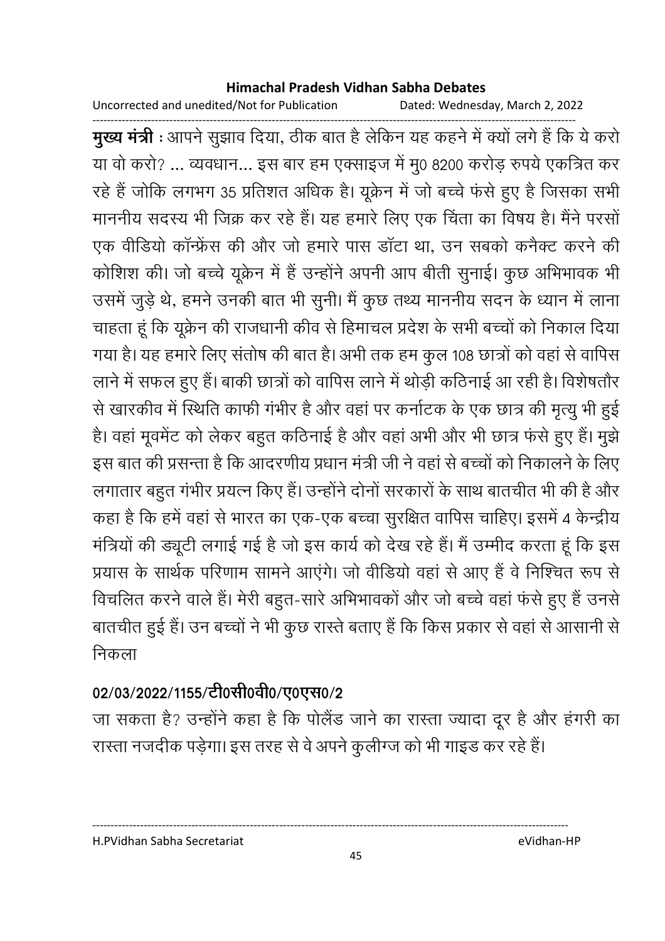Uncorrected and unedited/Not for Publication Dated: Wednesday, March 2, 2022

------------------------------------------------------------------------------------------------------------------------------------ **मुख्य मंत्री** : आपने सुझाव दिया, ठीक बात है लेकिन यह कहने में क्यों लगे हैं कि ये करो या वो करो? ... व्यवधान... इस बार हम एक्साइज में मु0 8200 करोड़ रुपये एकत्रित कर रहे हैं जोकि लगभग 35 प्रतिशत अधिक है। यूक्रेन में जो बच्चे फर्स हुए हैं जिसका सभी माननीय सदस्य भी जिक्र कर रहे हैं। यह हमारे लिए एक चिंता का विषय है। मैंने परसो एक वीर्डियों कान्फ्रेस की और जो हमारे पास डाटा था, उन सबकों कर्नैक्ट करने की कोशिश की। जो बच्चे यूक्रेन में हैं उन्होंने अपनी आप बीती सुनाई। कुछ अभिभावक भी उसमें जुड़े थे, हमने उनकी बात भी सुनी। मैं कुछ तथ्य माननीय सदन के ध्यान में लाना चाहता हूँ कि यूक्रेन की राजधानी कीव से हिमाचल प्रदेश के सभी बच्चों को निकाल दिया गया है। यह हमारे लिए सतोष की बात है। अभी तक हम कुल 108 छात्रों को वहां से वापिस लाने में सफल हुए हैं। बाकी छात्रों को वापिस लाने में थोड़ी कठिनाई आ रही हैं। विशेषतौर से खारकीव में स्थिति काफी गंभीर है और वहां पर कर्नाटक के एक छात्र की मृत्यु भी हुई | है। वहां मूवमेंट को लेकर बहुत कठिनाई है और वहां अभी और भी छात्र फर्स हुए हैं। मुझे इस बात की प्रसन्ता है कि आदरणीय प्रधान मंत्री जी ने वहां से बच्चों को निकालने के लिए लगातार बहुत गर्भीर प्रयत्न किए हैं। उन्होंने दोनों सरकारों के साथ बातचीत भी की है और कहा है कि हमें वहां से भारत का एक-एक बच्चा सुरक्षित वापिस चाहिए। इसमें 4 केन्द्रीय मंत्रियों की ड्यूटी लगाई गई है जो इस कार्य को देख रहे हैं। मैं उम्मीद करता हूं कि इस प्रयास के सार्थक परिणाम सामने आएंगे। जो वीडियो वहां से आए हैं वे निश्चित रूप से विचलित करने वाले हैं। मेरी बहुत-सारे अभिभावको और जो बच्चे वहां फर्स हुए हैं उनसे बातचीत हुई है। उन बच्चों ने भी कुछ रास्ते बताए है कि किस प्रकार से वहां से आसानी से निकला

## 02/03/2022/1155/टी0सी0वी0/ए0एस0/2

जा सकता है? उन्होंने कहा है कि पतिंड जाने का रास्ता ज्यादा दूर है और हंगरी का रास्ता नजदीक पड़ेगा। इस तरह से वे अपने कुलींग्ज को भी गाइंड कर रहे हैं।

H.PVidhan Sabha Secretariat eVidhan-HP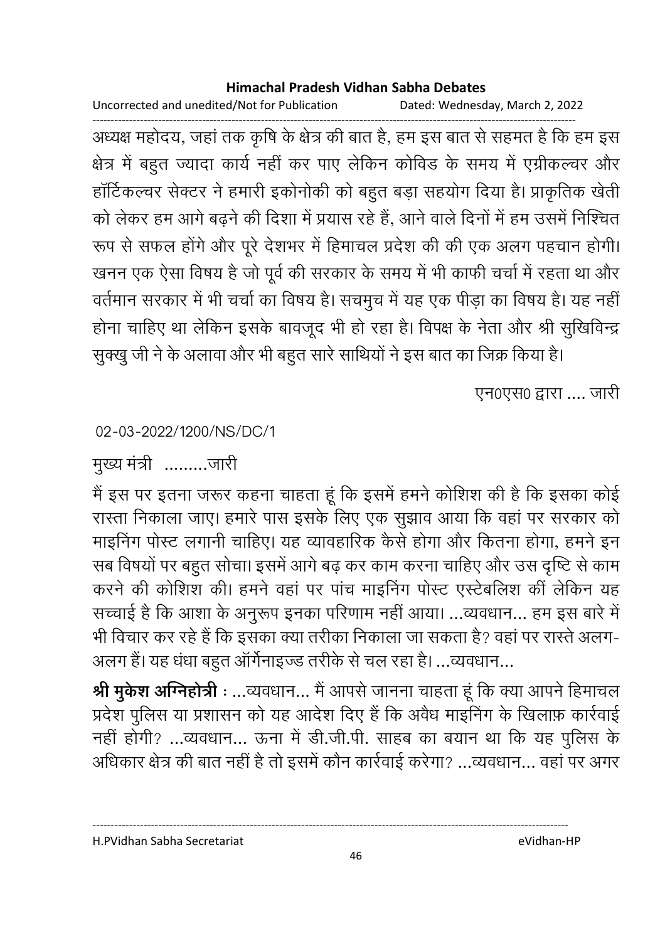Uncorrected and unedited/Not for Publication Dated: Wednesday, March 2, 2022

------------------------------------------------------------------------------------------------------------------------------------ अध्यक्ष महोदय, जहां तक कृषि के क्षेत्र की बात है, हम इस बात से सहमत है कि हम इस क्षेत्र में बहुत ज्यादा कार्य नहीं कर पाएं लेकिन कोविंड के समय में एंग्रीकल्चर और हार्टिकल्चर सेक्टर ने हमारी इकोनोकी को बहुत बड़ा सहयोग दिया है। प्राकृतिक खेती को लेकर हम आगे बढ़ने की दिशा में प्रयास रहे हैं, आने वाले दिनों में हम उसमें निश्चित रूप से सफल होंगे और पूरे देशभर में हिमाचल प्रदेश की की एक अलग पहचान होगी। खनन एक ऐसा विषय है जो पूर्व की सरकार के समय में भी काफी चर्चा में रहता था और वर्तमान सरकार में भी चर्चा का विषय है। सचमुच में यह एक पीड़ा का विषय है। यह नहीं होना चाहिए था लेकिन इसके बावजूद भी हो रहा है। विपक्ष के नेता और श्री सुखिविन्द्र

सुक्खु जी ने के अलावा और भी बहुत सारे साथियों ने इस बात का जिक्र किया है।

एन0एस0 द्वारा .... जारी

02-03-2022/1200/NS/DC/1

मुख्य मंत्री .........जारी

मैं इस पर इतना जरूर कहना चाहता हूं कि इसमें हमने कोशिश की है कि इसका कोई रास्ता निकाला जाए। हमारे पास इसके लिए एक सूझाव आया कि वहां पर सरकार को माइनिंग पोस्ट लगानी चाहिए। यह व्यावहारिक कैसे होगा और कितना होगा, हमने इन सब विषयों पर बहुत सोचा। इसमें आगे बढ़ कर काम करना चाहिए और उस दृष्टि से काम करने की कोशिश की। हमने वहां पर पांच माइनिंग पोस्ट एस्टेबलिश की लेकिन यह सच्चाई है कि आशा के अनुरूप इनका परिणाम नहीं आया। ...व्यवधान... हम इस बारे में भी विचार कर रहे हैं कि इसका क्या तरीका निकाला जा सकता है? वहां पर रास्ते अलग-अलग है। यह धंधा बहुत आर्गनाइज्ड तरीके से चल रहा है। …व्यवधान…

**श्री मुकेश अग्निहोत्री** : ...व्यवधान... मै आपसे जानना चाहता हू कि क्या आपने हिमाचल प्रदेश पुलिस या प्रशासन को यह आदेश दिए हैं कि अवैध माइनिंग के खिलाफ़ कार्रवाई नहीं होगी? …व्यवधान… ऊना में डी.जी.पी. साहब का बयान था कि यह पुलिस के आंधेकार क्षेत्र की बात नहीं है तो इसमें कौन कार्रवाई करेगा? …व्यवधान… वहां पर अगर

H.PVidhan Sabha Secretariat eVidhan-HP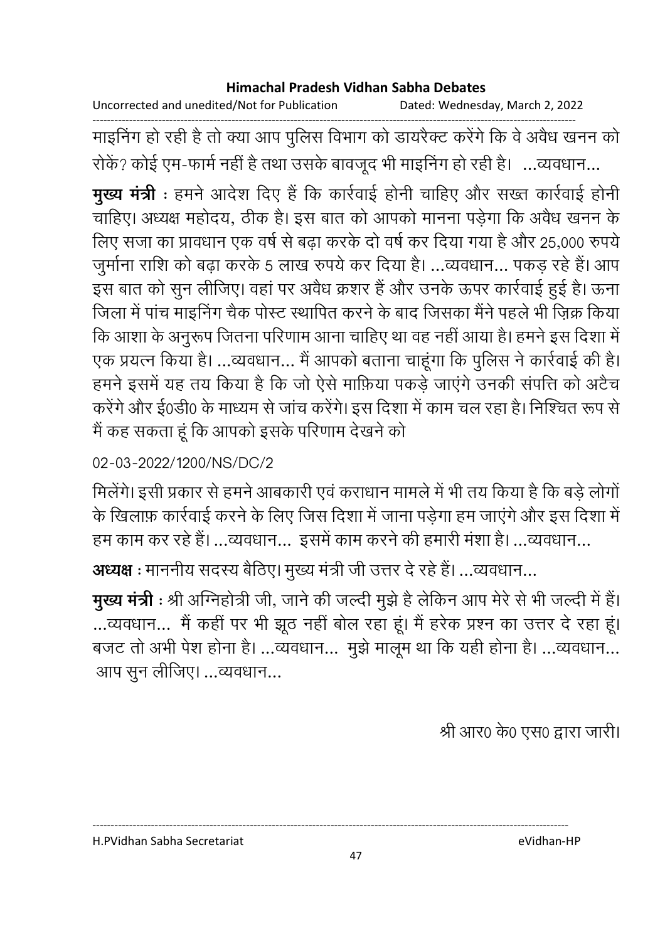Uncorrected and unedited/Not for Publication Dated: Wednesday, March 2, 2022

------------------------------------------------------------------------------------------------------------------------------------ माइनिंग हो रही है तो क्या आप पुलिस विभाग को डायरैक्ट करेंगे कि वे अवैध खनन को रोके? कोई एम-फार्म नहीं है तथा उसके बावजूद भी माइनिंग हो रही है। …व्यवधान…

**मुख्य मंत्री** : हमने आदेश दिए है कि कार्रवाई होनी चाहिए और सख्त कार्रवाई होनी | चाहिए। अध्यक्ष महोदय, ठीक है। इस बात को आपको मानना पड़ेगा कि अवैध खनन के लिए सजा का प्रावधान एक वर्ष से बढा करके दो वर्ष कर दिया गया है और 25,000 रुपये जुर्माना राशि को बढ़ा करके 5 लाख रुपये कर दिया है। ...व्यवधान... पकड़ रहे हैं। आप इस बात को सुन लीजिए। वहां पर अवैध क्रशर है और उनके ऊपर कार्रवाई हुई है। ऊना जिला में पांच माइनिंग चैंक पोस्ट स्थापित करने के बाद जिसका मैंने पहले भी ज़िक्र किया कि आशा के अनुरूप जितना परिणाम आना चाहिए था वह नहीं आया है। हमने इस दिशा में एक प्रयत्न किया है। …व्यवधान… मैं आपको बताना चाहूंगा कि पुलिस ने कार्रवाई की है। हमने इसमें यह तय किया है कि जो ऐसे माफ़िया पकड़े जाएंगे उनकी संपत्ति को अटैच करेंगे और ई0डी0 के माध्यम से जांच करेंगे। इस दिशा में काम चल रहा है। निश्चित रूप से मैं कह सकता हूं कि आपको इसके परिणाम देखने को

02-03-2022/1200/NS/DC/2

मिलेगे। इसी प्रकार से हमने आबकारी एवं कराधान मामले में भी तय किया है कि बड़े लोगो के खिलाफ़ कार्रवाई करने के लिए जिस दिशा में जाना पड़ेगा हम जाएंगे और इस दिशा में हम काम कर रहे हैं। …व्यवधान… इसमें काम करने की हमारी मशा है। …व्यवधान…

**अध्यक्ष** : माननीय सदस्य बैठिए। मुख्य मंत्री जी उत्तर दे रहे हैं। …व्यवधान…

**मुख्य मंत्री** : श्री अग्निहोत्री जी, जाने की जल्दी मुझे हैं लेकिन आप मेरे से भी जल्दी में हैं। …व्यवधान… मैं कहीं पर भी झूठ नहीं बोल रहा हूं। मैं हरेक प्रश्न का उत्तर दे रहा हूं। बजट तो अभी पेश होना है। …व्यवधान… मुझे मालूम था कि यही होना है। …व्यवधान… आप सुन लीजिए। …व्यवधान…

श्री आर0 के0 एस0 द्वारा जारी।

H.PVidhan Sabha Secretariat eVidhan-HP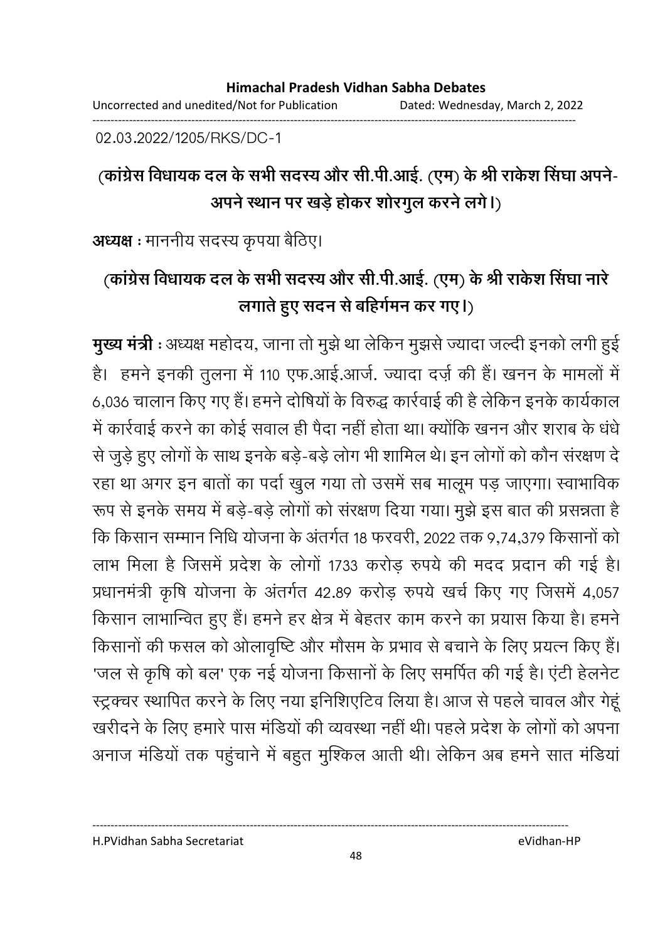------------------------------------------------------------------------------------------------------------------------------------

02.03.2022/1205/RKS/DC-1

# <u>(कांग्रेस विधायक दल के सभी सदस्य और सी.पी.आई. (एम) के श्री राकेश सिंघा अपने-</u> अपने स्थान पर खड़े होकर शोरगुल करने लगे।)

**अध्यक्ष** : माननीय सदस्य कृपया बैठिए।

# (कांग्रेस विधायक दल के सभी सदस्य और सी.पी.आई. (एम) के श्री रार्कश सिंघा नारे लगाते हुए सदन से बहिंगेमन कर गए।)

**मुख्य मंत्री** : अध्यक्ष महोदय, जाना तो मुझे था लेकिन मुझसे ज्यादा जल्दी इनको लगी हुई हैं। हमने इनकी तुलना में 110 एफ.आई.आजे. ज्यादा दर्ज़ की हैं। खनन के मामलों में 6,036 चालान किए गए हैं। हमने दोषियों के विरुद्ध कार्रवाई की है लेकिन इनके कार्यकाल में कार्रवाई करने का कोई सवाल ही पैदा नहीं होता था। क्योंकि खनन और शराब के धर्ध से जुड़े हुए लोगों के साथ इनके बड़े-बड़े लोग भी शामिल थे। इन लोगों को कौन सरक्षण दे रहा था अगर इन बातों का पर्दा खुल गया तो उसमें सब मालूम पड़ जाएगा। स्वाभाविक रूप से इनके समय में बड़ें-बड़े लोगों को सरक्षण दिया गया। मुझे इस बात की प्रसन्नता है कि किसान सम्मान निधि योजना के अंतर्गत 18 फरवरी, 2022 तक 9,74,379 किसानों को लाभ मिला है जिसमें प्रदेश के लोगों 1733 करोड़ रुपये की मदद प्रदान की गई हैं। प्रधानमंत्री कृषि योजना के अंतर्गत 42.89 करोड़ रुपये खर्च किए गए जिसमें 4,057 किसान लाभान्वित हुए हैं। हमने हर क्षेत्र में बेहतर काम करने का प्रयास किया है। हमने किसानों की फसल को ओलावृष्टि और मौसम के प्रभाव से बचाने के लिए प्रयत्न किए हैं। 'जल से कृषि को बल' एक नई योजना किसानों के लिए समर्पित की गई है। एंटी हेलनेंट स्ट्रक्चर स्थापित करने के लिए नया इनिशिएटिव लिया है। आज से पहले चावल और गेहूं खरीदने के लिए हमारे पास मंडियों की व्यवस्था नहीं थी। पहले प्रदेश के लोगों को अपना अनाज मोर्डयो तक पहुचाने में बहुत मुश्किल आती थी। लेकिन अब हमने सात मोर्डया

H.PVidhan Sabha Secretariat eVidhan-HP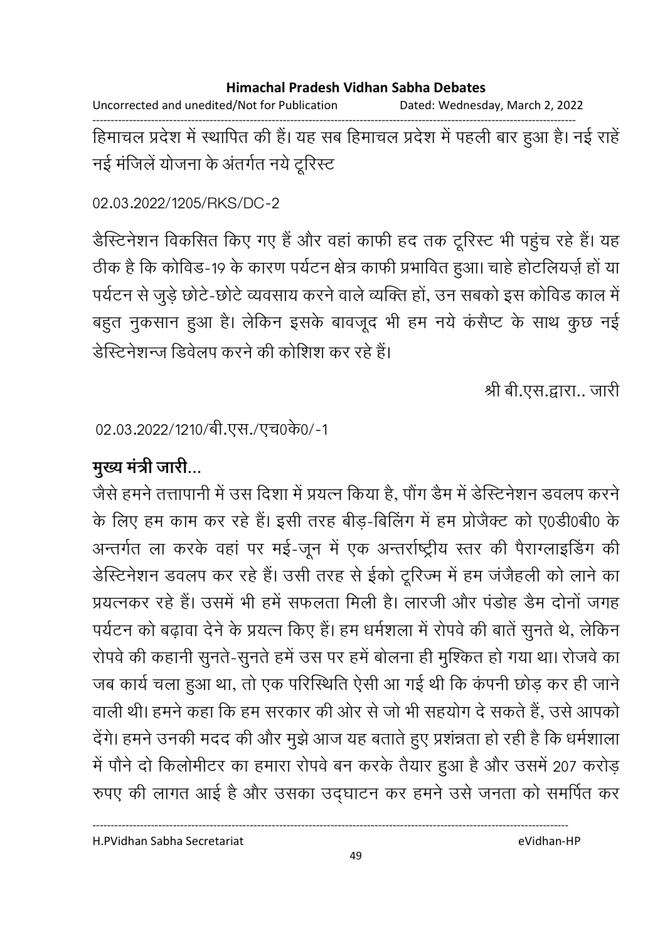Uncorrected and unedited/Not for Publication Dated: Wednesday, March 2, 2022

------------------------------------------------------------------------------------------------------------------------------------ हिमाचल प्रदेश में स्थापित की है। यह सब हिमाचल प्रदेश में पहली बार हुआ है। नई राहें नई मंजिलें योजना के अंतर्गत नये टूरिस्ट

02.03.2022/1205/RKS/DC-2

डैस्टिनेशन विकसित किए गए हैं और वहां काफी हद तक टूरिस्ट भी पहुंच रहे हैं। यह ठीक है कि कोविड-19 के कारण पर्यटन क्षेत्र काफी प्रभावित हुआ। चाहे होटलियज़े हो या पर्यटन से जुड़े छोटे-छोटे व्यवसाय करने वाले व्यक्ति हों, उन सबको इस कोविड काल में बहुत नुकसान हुआ है। लेकिन इसके बावजूद भी हम नये कसैप्ट के साथ कुछ नई डीस्टेनेशन्ज डिवेलप करने की कोशिश कर रहे हैं।

श्री बी.एस.द्वारा.. जारी

02.03.2022/1210/बी.एस./एच0के0/-1

# **मुख्य मंत्री जारी...**

जैसे हमने तत्तापानी में उस दिशा में प्रयत्न किया है, पौग डैम में डेस्टिनेशन डवलप करने के लिए हम काम कर रहे हैं। इसी तरह बीड़-बिलिंग में हम प्रजिक्ट को ए0डी0बी0 के अन्तर्गत ला करके वहां पर मई-जून में एक अन्तर्राष्ट्रीय स्तर की पैराग्लाइंडिंग की डेस्टिनेशन डवलप कर रहे हैं। उसी तरह से ईको टूरिज्म में हम जजैहली को लाने का प्रयत्नकर रहे हैं। उसमें भी हमें सफलता मिली हैं। लारजी और पड़ोह डैम दोनों जगह पर्यटन को बढ़ावा देने के प्रयत्न किए हैं। हम धर्मशला में रोपर्व की बाते सुनते थे, लेकिन रोपर्व की कहानी सुनते-सुनते हमें उस पर हमें बोलना ही मुश्कित हो गया था। रोजवे का जब कार्य चला हुआ था, तो एक परिस्थिति ऐसी आ गई थी कि कंपनी छोड़ कर ही जाने। वाली थी। हमने कहा कि हम सरकार की ओर से जो भी सहयोग दें सकते हैं, उसे आपको देगे। हमने उनकी मदद की और मुझे आज यह बताते हुए प्रशन्नता हो रही है कि धर्मशाला. में पौंने दो किलोमीटर का हमारा रोपर्व बन करके तैयार हुआ है और उसमें 207 करोड़ रुपए की लागत आई है और उसका उद्घाटन कर हमने उसे जनता को समर्पित कर

H.PVidhan Sabha Secretariat eVidhan-HP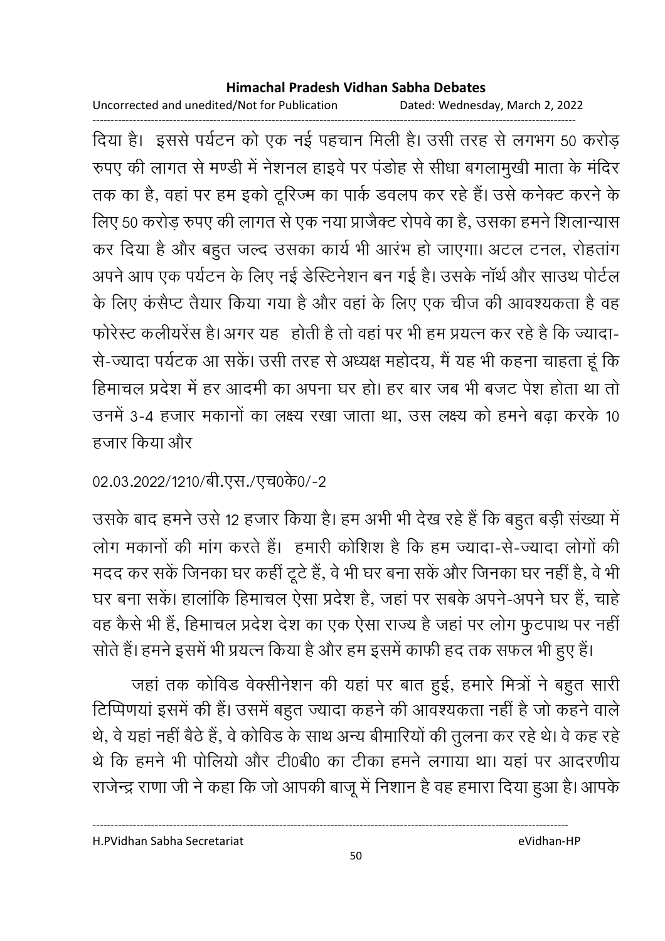Uncorrected and unedited/Not for Publication Dated: Wednesday, March 2, 2022

------------------------------------------------------------------------------------------------------------------------------------ दिया है। इससे पर्यटन को एक नई पहचान मिली है। उसी तरह से लगभग 50 करोड़ रुपए की लागत से मण्डी में नेशनल हाइवें पर पंडोह से सीधा बंगलामुखी माता के मंदिर तक का है, वहां पर हम इको टूरिज्म का पार्क डवलप कर रहे हैं। उसे कनेक्ट करने के लिए 50 करोड़ रुपए की लागत से एक नया प्राजैक्ट रोपर्व का है, उसका हमने शिलान्यास कर दिया है और बहुत जल्द उसका कार्य भी आरभ हो जाएगा। अटल टनल, रोहतांग अपने आप एक पर्यटन के लिए नई डेस्टिनेशन बन गई है। उसके नॉर्थ और साउथ पोर्टल के लिए कसैप्ट तैयार किया गया है और वहां के लिए एक चीज की आवश्यकता है वह फरिस्ट कलीयरेस है। अगर यह "होती है तो वहां पर भी हम प्रयत्न कर रहे हैं कि ज्यादा-से-ज्यादा पर्यटक आ सके। उसी तरह से अध्यक्ष महोदय, मैं यह भी कहना चाहता हूं कि हिमाचल प्रदेश में हर आदमी का अपना घर हो। हर बार जब भी बजट पेश होता था तो उनमें 3-4 हजार मकानों का लक्ष्य रखा जाता था, उस लक्ष्य को हमने बढ़ा करके 10 हजार किया और

02.03.2022/1210/बी.एस./एच0के0/-2

उसके बाद हमने उसे 12 हजार किया है। हम अभी भी देख रहे हैं कि बहुत बड़ी सख्या में लोग मकानों की मांग करते हैं। हमारी कोशिश है कि हम ज्यादा-से-ज्यादा लोगों की मदद कर सके जिनका घर कहीं टूटे हैं, वे भी घर बना सके और जिनका घर नहीं हैं, वे भी घर बना सकें। हालांकि हिमाचल ऐसा प्रदेश है, जहां पर सबके अपने-अपने घर हैं, चाहे वह कैसे भी है, हिमाचल प्रदेश देश का एक ऐसा राज्य है जहां पर लोग फुटपाथ पर नहीं। सोते हैं। हमने इसमें भी प्रयत्न किया है और हम इसमें काफी हद तक सफल भी हुए हैं।

जहां तक कोविंड वेक्सेनिशन की यहां पर बात हुई, हमारे मित्रों ने बहुत सारी टिप्पिणया इसमें की है। उसमें बहुत ज्यादा कहने की आवश्यकता नहीं है जो कहने वाले थे, वे यहां नहीं बैठे हैं, वे कोविंड के साथ अन्य बीमारियों की तुलना कर रहे थे। वे कह रहें थे कि हमने भी पोलियों और टें0िबी0 का टीका हमने लगाया था। यहां पर आदरणीय राजेन्द्र राणा जी ने कहा कि जो आपकी बाजू में निशान है वह हमारा दिया हुआ है। आपके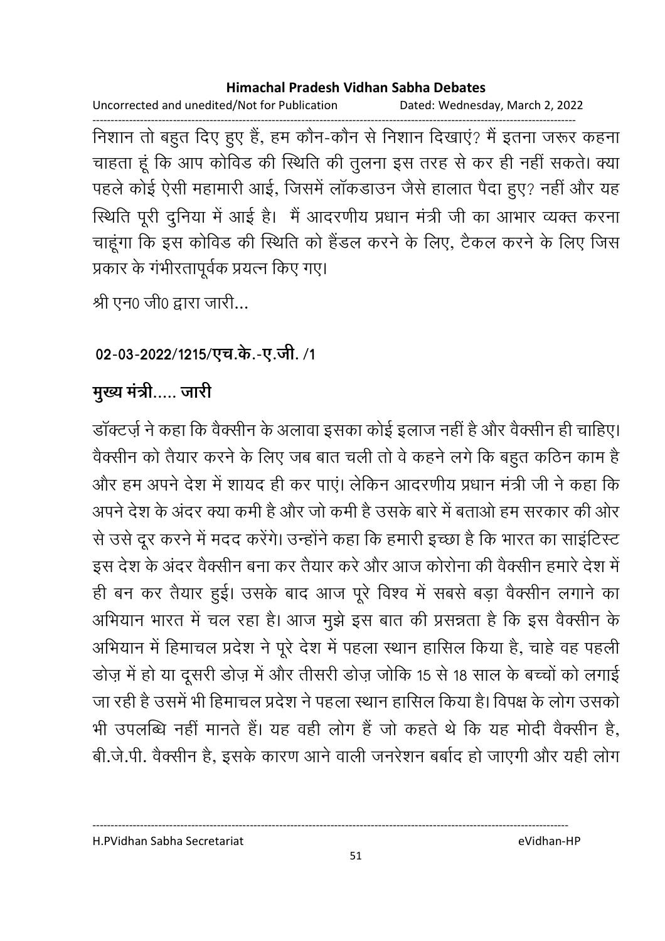Uncorrected and unedited/Not for Publication Dated: Wednesday, March 2, 2022

------------------------------------------------------------------------------------------------------------------------------------ निशान तो बहुत दिए हुए है, हम कौन-कौन से निशान दिखाए? मैं इतना जरूर कहना चाहता हूँ कि आप कौविड की स्थिति की तुलना इस तरह से कर ही नहीं सकते। क्या पहले कोई ऐसी महामारी आई, जिसमें लाकडाउन जैसे हालात पैदा हुए? नहीं और यह स्थिति पूरी दुर्निया में आई हैं। मैं आदरणीय प्रधान मंत्री जी का आभार व्यक्त करना चाहूंगा कि इस कोविंड की स्थिति को हैंडल करने के लिए, टैंकल करने के लिए जिस प्रकार के गभीरतापूर्वक प्रयत्न किए गए।

श्री एन0 जी0 द्वारा जारी...

## 02-03-2022/1215/एच.के.-ए.जी. /1

## मुख्य मंत्री..... जारी

डाक्टज़े ने कहा कि वैक्सीन के अलावा इसका कोई इलाज नहीं है और वैक्सीन ही चाहिए। वैक्सीन को तैयार करने के लिए जब बात चली तो वे कहने लगे कि बहुत कठिन काम हैं। और हम अपने देश में शायद ही कर पाए। लेकिन आदरणीय प्रधान मंत्री जी ने कहा कि अपने देश के अंदर क्या कमी है और जो कमी है उसके बारे में बताओं हम सरकार की ओर से उसे दूर करने में मदद करेंगे। उन्होंने कहा कि हमारी इच्छा है कि भारत का साइटिस्ट इस देश के अंदर वैक्सीन बना कर तैयार करें और आज कोरोना की वैक्सीन हमारे देश में ही बन कर तैयार हुई। उसके बाद आज पूरे विश्व में सबसे बड़ा वैक्सीन लगाने का आभयान भारत में चल रहा है। आज मुझे इस बात की प्रसन्नता है कि इस वैक्सीन के आभयान में हिमाचल प्रदेश ने पूरे देश में पहला स्थान हासिल किया है, चाहे वह पहली डोज़ में हो या दूसरी डोज़ में और तीसरी डोज़ जोकि 15 से 18 साल के बच्चों को लगाई जा रही है उसमें भी हिमाचल प्रदेश ने पहला स्थान हासिल किया है। विपक्ष के लोग उसको भी उपलब्धि नहीं मानते हैं। यह वहीं लोग है जो कहते थे कि यह मोदी वैक्सीन है, बी.जे.पी. वैक्सीन है, इसके कारण आने वाली जनरेशन बबोद हो जाएगी और यही लोग

H.PVidhan Sabha Secretariat eVidhan-HP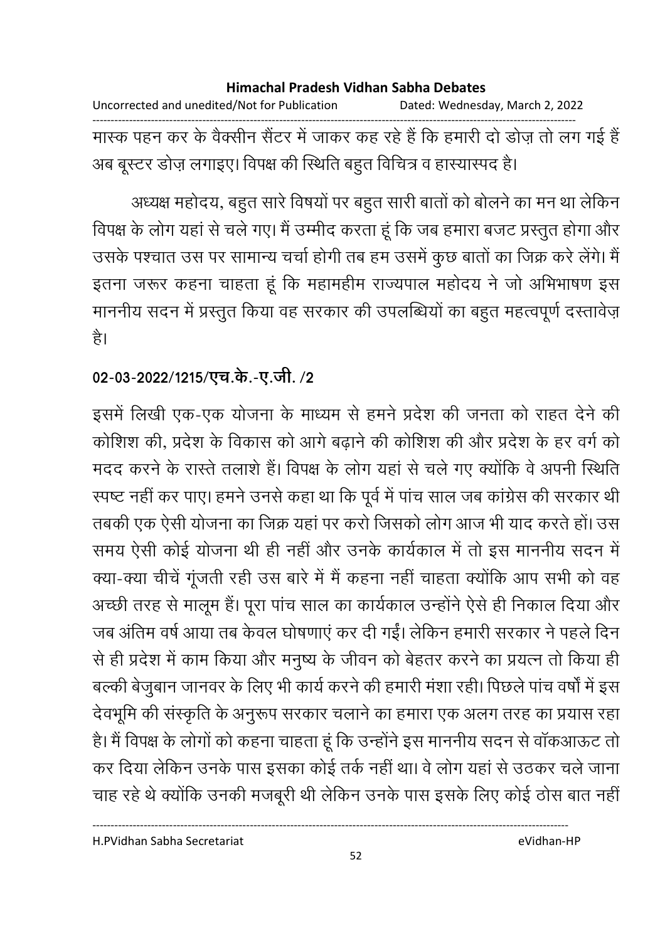Uncorrected and unedited/Not for Publication Dated: Wednesday, March 2, 2022 ------------------------------------------------------------------------------------------------------------------------------------ मास्क पहन कर के वैक्सीन सैंटर में जाकर कह रहे हैं कि हमारी दो डोज़ तो लग गई हैं | अब बूस्टर डोज़ लगाइए। विपक्ष की स्थिति बहुत विचित्र व हास्यास्पद है।

अध्यक्ष महोदय, बहुत सारे विषयों पर बहुत सारी बातों को बोलने का मन था लेकिन विपक्ष के लोग यहां से चले गए। मैं उम्मीद करता हूं कि जब हमारा बजट प्रस्तुत होगा और उसके पश्चात उस पर सामान्य चर्चा होगी तब हम उसमें कुछ बातों का जिक्र करें लेंगे। मैं इतना जरूर कहना चाहता हूं कि महामहीम राज्यपाल महोदय ने जो अभिभाषण इस माननीय सदन में प्रस्तुत किया वह सरकार की उपलब्धियों का बहुत महत्वपूर्ण दस्तावेज़ है।

## 02-03-2022/1215/एच.के.-ए.जी. /2

इसमें लिखी एक-एक योजना के माध्यम से हमने प्रदेश की जनता को राहत देने की कोशिश की, प्रदेश के विकास को आगे बढ़ाने की कोशिश की और प्रदेश के हर वर्ग को मदद करने के रास्ते तलाशे हैं। विपक्ष के लोग यहां से चले गए क्योंकि वे अपनी स्थिति स्पष्ट नहीं कर पाए। हमने उनसे कहा था कि पूर्व में पांच साल जब कांग्रेस की सरकार थीं . तबकी एक ऐसी योजना का जिक्र यहां पर करों जिसको लोग आज भी याद करते हो। उस समय ऐसी कोई योजना थी ही नहीं और उनके कार्यकाल में तो इस माननीय सदन में क्या-क्या चीचे गूजती रही उस बारे में मैं कहना नहीं चाहता क्योंकि आप सभी को वह अच्छी तरह से मालूम है। पूरा पांच साल का कार्यकाल उन्होंने ऐसे ही निकाल दिया और जब अतिम वर्ष आया तब केवल घोषणाएं कर दी गई। लेकिन हमारी सरकार ने पहले दिन से ही प्रदेश में काम किया और मनुष्य के जीवन को बेहतर करने का प्रयत्न तो किया ही | बल्की बेजुबान जानवर के लिए भी कार्य करने की हमारी मशा रही। पिछले पांच वर्षा में इस देवभूमि की संस्कृति के अनुरूप सरकार चलाने का हमारा एक अलग तरह का प्रयास रहा हैं। मैं विपक्ष के लोगों को कहना चाहता हूं कि उन्होंने इस माननीय सदन से वाकआऊट तो कर दिया लेकिन उनके पास इसका कोई तर्क नहीं था। वे लोग यहां से उठकर चले जाना चाह रहे थे क्योंकि उनकी मजबूरी थी लेकिन उनके पास इसके लिए कोई ठोस बात नहीं।

H.PVidhan Sabha Secretariat eVidhan-HP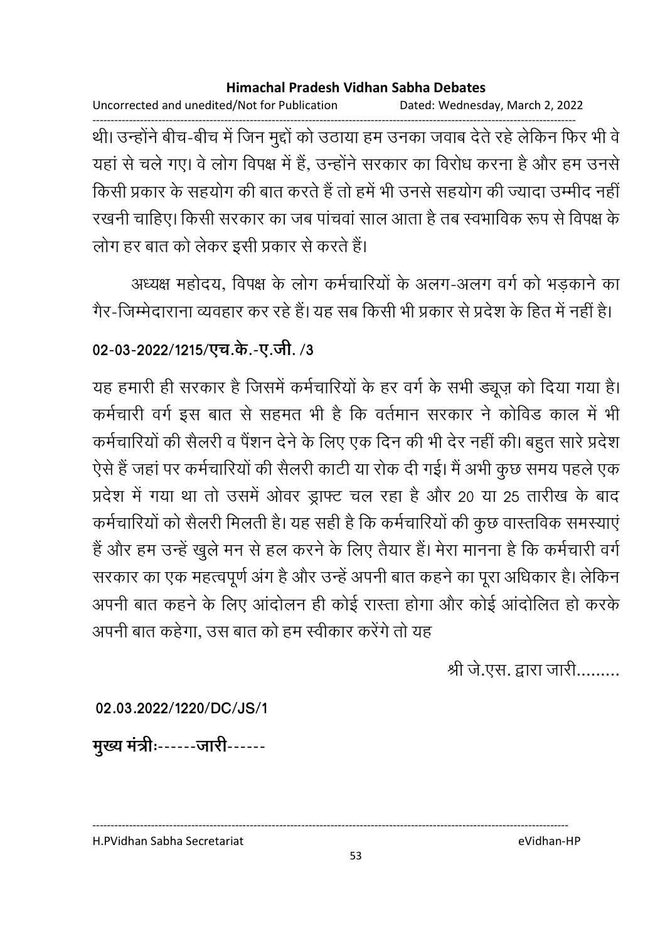Uncorrected and unedited/Not for Publication Dated: Wednesday, March 2, 2022 ------------------------------------------------------------------------------------------------------------------------------------ थी। उन्होंने बीच-बीच में जिन मुद्दों को उठाया हम उनका जवाब देते रहे लेकिन फिर भी वे यहां से चले गए। वे लोग विपक्ष में हैं, उन्होंने सरकार का विरोध करना है और हम उनसे किसी प्रकार के सहयोग की बात करते हैं तो हमें भी उनसे सहयोग की ज्यादा उम्मीद नहीं। रखनी चाहिए। किसी सरकार का जब पाचवा साल आता है तब स्वभाविक रूप से विपक्ष के लोग हर बात को लेकर इसी प्रकार से करते हैं।

अध्यक्ष महोदय, विपक्ष के लोग कर्मचारियों के अलग-अलग वर्ग को भड़काने का गैर-जिम्मेदाराना व्यवहार कर रहे हैं। यह सब किसी भी प्रकार से प्रदेश के हित में नहीं हैं।

## 02-03-2022/1215/एच.के.-ए.जी. /3

यह हमारी ही सरकार है जिसमें कर्मचारियों के हर वर्ग के सभी ड्यूज़ को दिया गया है। कर्मचारी वर्ग इस बात से सहमत भी है कि वर्तमान सरकार ने कोविंड काल में भी कर्मचारियों की सैलरी व पैशन देने के लिए एक दिन की भी देर नहीं की। बहुत सारे प्रदेश ऐसे हैं जहां पर कर्मचारियों की सैलरी कार्टी या रोक दी गई। मैं अभी कुछ समय पहले एक प्रदेश में गया था तो उसमें ओवर ड्राफ्ट चल रहा है और 20 या 25 तारीख के बाद कर्मचारियों को सैलरी मिलती है। यह सही है कि कर्मचारियों की कुछ वास्तविक समस्याएं है और हम उन्हें खुले मन से हल करने के लिए तैयार है। मेरा मानना है कि कर्मचारी वर्ग सरकार का एक महत्वपूर्ण अंग है और उन्हें अपनी बात कहने का पूरा अधिकार है। लेकिन अपनी बात कहने के लिए आदोलन ही कोई रास्ता होगा और कोई आदोलित हो करके अपनी बात कहेगा, उस बात को हम स्वीकार करेंगे तो यह

श्री जे.एस. द्वारा जारी.........

**02.03.2022/1220/DC/JS/1**

मुख्य मंत्रीः------जारी------

H.PVidhan Sabha Secretariat eVidhan-HP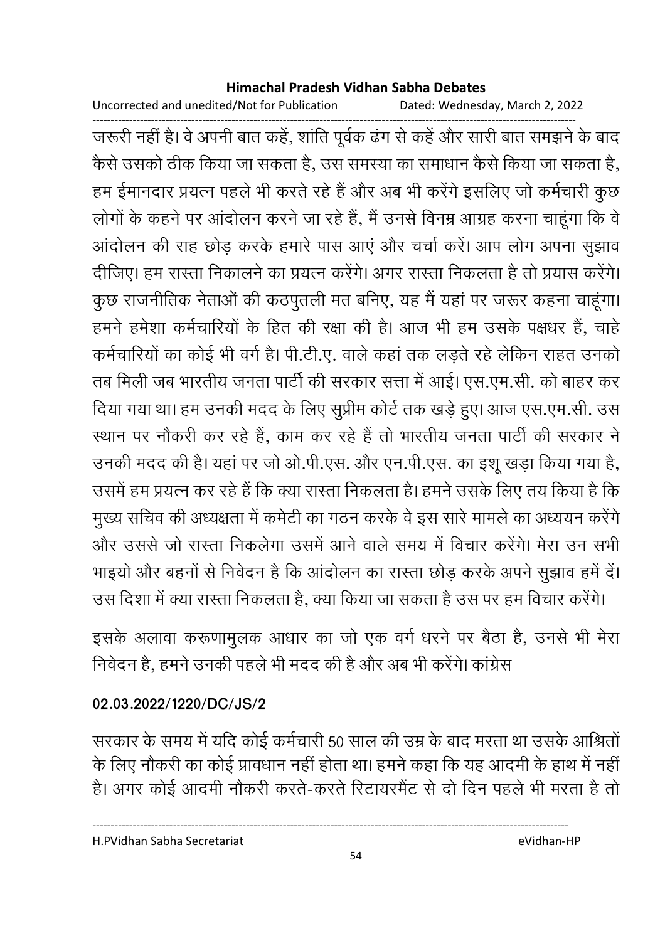Uncorrected and unedited/Not for Publication Dated: Wednesday, March 2, 2022

------------------------------------------------------------------------------------------------------------------------------------ जरूरी नहीं हैं। वे अपनी बात कहें, शांति पूर्वक ढंग से कहें और सारी बात समझने के बाद कैसे उसको ठीक किया जा सकता है, उस समस्या का समाधान कैसे किया जा सकता है, हम ईमानदार प्रयत्न पहले भी करते रहे हैं और अब भी करेंगे इसलिए जो कर्मचारी कुछ लोगों के कहने पर आंदोलन करने जा रहे हैं, मैं उनसे विनम्र आग्रह करना चाहूंगा कि वे आदोलन की राह छोड़ करके हमारे पास आए और चर्चा करें। आप लोग अपना सुझाव दीजिए। हम रास्ता निकालने का प्रयत्न करेंगे। अगर रास्ता निकलता है तो प्रयास करेंगे। कुछ राजनीतिक नेताओं की कठपुतली मत बनिए, यह मैं यहां पर जरूर कहना चाहूंगा। हमने हमेशा कर्मचारियों के हित की रक्षा की है। आज भी हम उसके पक्षधर हैं, चाहें कर्मचारियों का कोई भी वर्ग है। पी.टी.ए. वाले कहा तक लड़ते रहे लेकिन राहत उनको तब मिली जब भारतीय जनता पार्टी की सरकार सत्ता में आई। एस.एम.सी. को बाहर कर दिया गया था। हम उनकी मदद के लिए सुप्रीम कोर्ट तक खड़े हुए। आज एस.एम.सी. उस स्थान पर नौकरी कर रहे हैं, काम कर रहे हैं तो भारतीय जनता पार्टी की सरकार ने उनकी मदद की है। यहां पर जो ओ.पी.एस. और एन.पी.एस. का इशू खड़ा किया गया है, उसमें हम प्रयत्न कर रहे हैं कि क्या रास्ता निकलता है। हमने उसके लिए तय किया है कि मुख्य सचिव की अध्यक्षता में कमेटी का गठन करके वे इस सारे मामले का अध्ययन करेंगे और उससे जो रास्ता निकलेगा उसमें आने वाले समय में विचार करेंगे। मेरा उन सभी भाइयो और बहनों से निवेदन है कि आंदोलन का रास्ता छोड़ करके अपने सुझाव हमें दें। उस दिशा में क्या रास्ता निकलता है, क्या किया जा सकता है उस पर हम विचार करेंगे।

इसके अलावा करूणामुलक आधार का जो एक वर्ग धरने पर बैठा है, उनसे भी मेरा निवेदन हैं, हमने उनकी पहले भी मदद की हैं और अब भी करेंगे। कांग्रेस

### **02.03.2022/1220/DC/JS/2**

सरकार के समय में यदि कोई कर्मचारी 50 साल की उम्र के बाद मरता था उसके आश्रितों के लिए नौकरी का कोई प्रावधान नहीं होता था। हमने कहा कि यह आदमी के हाथ में नहीं | हैं। अगर कोई आदमी नौकरी करते-करते रिटायरमैंट से दो दिन पहले भी मरता है तो

H.PVidhan Sabha Secretariat eVidhan-HP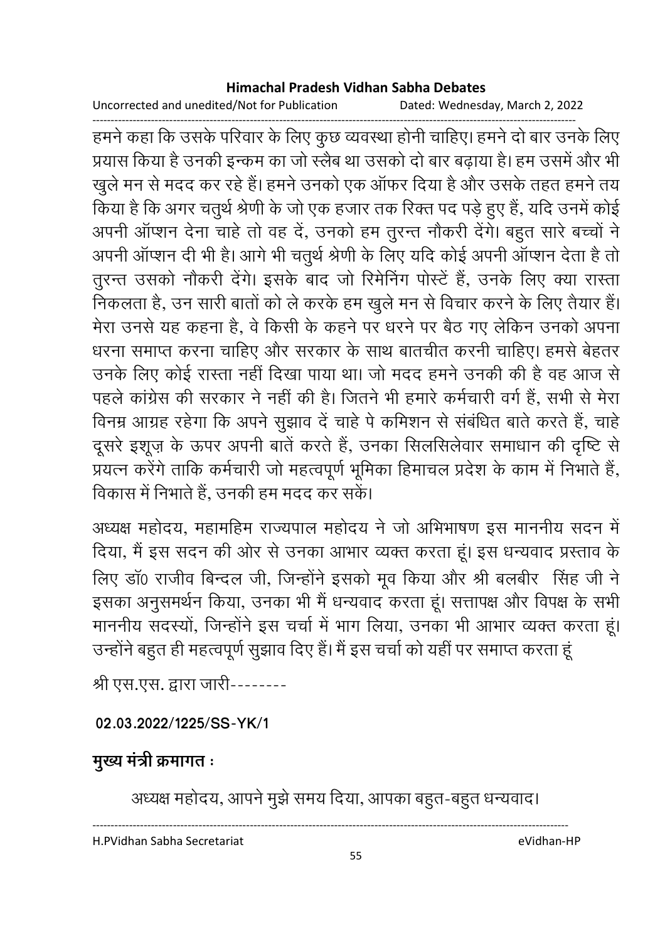Uncorrected and unedited/Not for Publication Dated: Wednesday, March 2, 2022

------------------------------------------------------------------------------------------------------------------------------------ हमने कहा कि उसके परिवार के लिए कुछ व्यवस्था होनी चाहिए। हमने दो बार उनके लिए प्रयास किया है उनकी इन्कम का जो स्लैब था उसको दो बार बढ़ाया है। हम उसमें और भी खुले मन से मदद कर रहे हैं। हमने उनको एक ऑफर दिया है और उसके तहत हमने तय किया है कि अगर चतुर्थ श्रेणी के जो एक हजार तक रिक्त पद पड़े हुए हैं, यदि उनमें कोई अपनी आप्शन देना चाहे तो वह दे, उनको हम तुरन्त नौकरी देंगे। बहुत सारे बच्चों ने अपनी आप्शन दी भी है। आगे भी चतुर्थ श्रेणी के लिए यदि कोई अपनी आप्शन देता है तो तुरन्त उसको नौकरी देंगे। इसके बाद जो रिमेनिंग पस्टि है, उनके लिए क्या रास्ता निकलता है, उन सारी बातों को ले करके हम खुले मन से विचार करने के लिए तैयार हैं। मेरा उनसे यह कहना है, वे किसी के कहने पर धरने पर बैठ गए लेकिन उनको अपना धरना समाप्त करना चाहिए और सरकार के साथ बातचीत करनी चाहिए। हमसे बेहतर उनके लिए कोई रास्ता नहीं दिखा पाया था। जो मदद हमने उनकी की है वह आज से पहले कांग्रेस की सरकार ने नहीं की है। जितने भी हमारे कर्मचारी वर्ग है, सभी से मेरा विनम्र आग्रह रहेगा कि अपने सुझाव दें चाहे पे कमिशन से संबंधित बाते करते हैं, चाहे दूसरे इशूज़ के ऊपर अपनी बातें करते हैं, उनका सिलसिलेवार समाधान की दृष्टि से प्रयत्न करेंगे ताकि कर्मचारी जो महत्वपूर्ण भूमिका हिमाचल प्रदेश के काम में निभाते हैं, विकास में निभाते हैं, उनकी हम मदद कर सके।

अध्यक्ष महोदय, महामहिम राज्यपाल महोदय ने जो अभिभाषण इस माननीय सदन में दिया, मैं इस सदन की ओर से उनका आभार व्यक्त करता हूं। इस धन्यवाद प्रस्ताव के लिए डा0 राजीव बिन्दल जी, जिन्होंने इसको मूव किया और श्री बलबीर सिंह जी ने इसका अनुसमर्थन किया, उनका भी मैं धन्यवाद करता हूं। सत्तापक्ष और विपक्ष के सभी माननीय सदस्यों, जिन्होंने इस चर्चा में भाग लिया, उनका भी आभार व्यक्त करता हूं। उन्होंने बहुत ही महत्वपूर्ण सुझाव दिए हैं। मैं इस चर्चा को यही पर समाप्त करता हू

श्री एस.एस. द्वारा जारी--------

### **02.03.2022/1225/SS-YK/1**

## **मुख्य मंत्री क्रमागत**ः

अध्यक्ष महोदय, आपने मुझे समय दिया, आपका बहुत-बहुत धन्यवाद।

----------------------------------------------------------------------------------------------------------------------------------

H.PVidhan Sabha Secretariat eVidhan-HP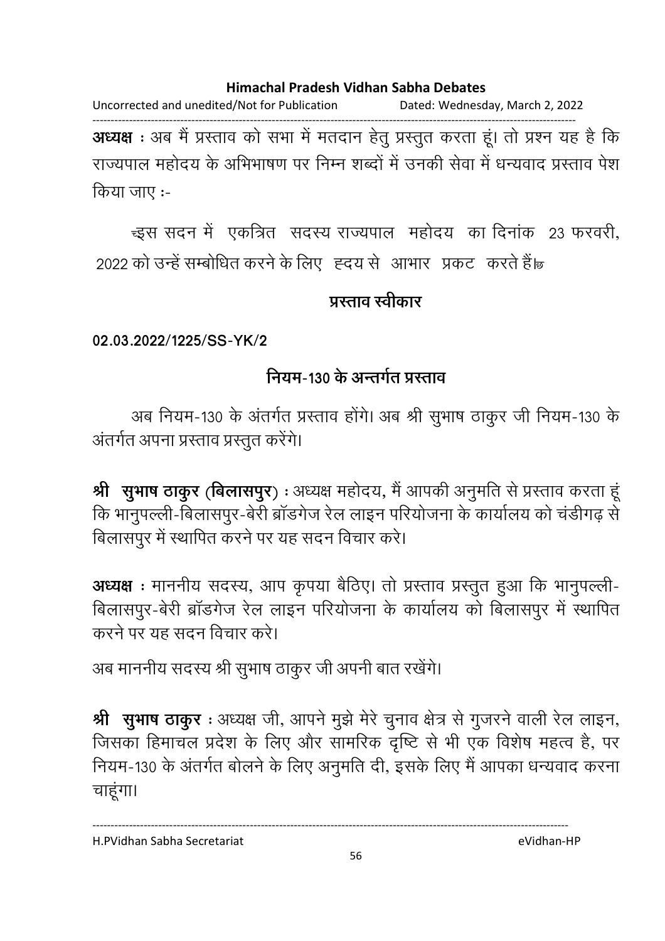Uncorrected and unedited/Not for Publication Dated: Wednesday, March 2, 2022

------------------------------------------------------------------------------------------------------------------------------------ **अध्यक्ष** : अब मैं प्रस्ताव को सभा में मतदान हेतु प्रस्तुत करता हूं। तो प्रश्न यह है कि राज्यपाल महोदय के अभिभाषण पर निम्न शब्दों में उनकी सेवा में धन्यवाद प्रस्ताव पेश किया जाए :-

न्इस सदन में एकत्रित सदस्य राज्यपाल महोदय का दिनांक 23 फरवरी, 2022 को उन्हें सम्बोधित करने के लिए) हृदय से आभार प्रकट करते हैं।

### प्रस्ताव स्<del>वी</del>कार

**02.03.2022/1225/SS-YK/2**

## नियम-130 के अन्तर्गत प्रस्ताव

अब नियम-130 के अंतर्गत प्रस्ताव होंगे। अब श्री सुभाष ठाकुर जी नियम-130 के अंतर्गत अपना प्रस्ताव प्रस्तुत करेंगे।

**श्री सुभाष ठाकुर (बिलासपुर) :** अध्यक्ष महोदय, मै आपकी अनुमति से प्रस्ताव करता हू कि भानुपल्ली-बिलासपुर-बेरी ब्रांडगेज रेल लाइन परियोजना के कार्यालय को चडीगढ़ से बिलासपुर में स्थापित करने पर यह सदन विचार करे।

**अध्यक्ष** : माननीय सदस्य, आप कृपया बैठिए। तो प्रस्ताव प्रस्तुत हुआ कि भानुपल्ली-बिलासपुर-बेरी ब्रांडगेज रेल लाइन परियोजना के कार्यालय को बिलासपुर में स्थापित करने पर यह सदन विचार करे।

अब माननीय सदस्य श्री सुभाष ठाकुर जी अपनी बात रखेंगे।

**श्री सुभाष ठाकुर** : अध्यक्ष जी, आपने मुझे मेरे चुनाव क्षेत्र से गुजरने वाली रेल लाइन, जिसका हिमाचल प्रदेश के लिए और सामरिक दृष्टि से भी एक विशेष महत्व है, पर नियम-130 के अंतर्गत बोलने के लिए अनुमति दी, इसके लिए मैं आपका धन्यवाद करना चाहूंगा।

H.PVidhan Sabha Secretariat eVidhan-HP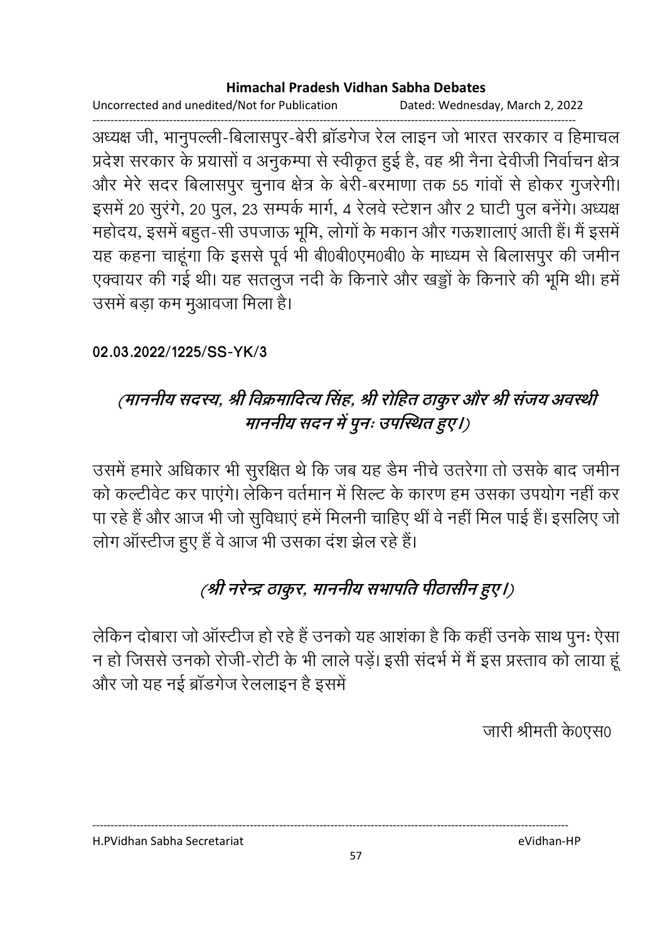Uncorrected and unedited/Not for Publication Dated: Wednesday, March 2, 2022

------------------------------------------------------------------------------------------------------------------------------------ अध्यक्ष जी, भानुपल्ली-बिलासपुर-बेरी ब्रांडगेज रेल लाइन जो भारत सरकार व हिमाचल प्रदेश सरकार के प्रयासों व अनुकम्पा से स्वीकृत हुई हैं, वह श्री नैना देवीजी निर्वाचन क्षेत्र | और मेरे सदर बिलासपुर चुनाव क्षेत्र के बेरी-बरमाणा तक 55 गावों से होकर गुजरेगी। इसमें 20 सुरंगे, 20 पुल, 23 सम्पर्क मार्ग, 4 रेलवे स्टेशन और 2 घाटी पुल बनेंगे। अध्यक्ष महोदय, इसमें बहुत-सी उपजाऊ भूमि, लोगों के मकान और गऊशालाएं आती है। मैं इसमें यह कहना चाहूँगा कि इससे पूर्व भी बेoिबेoिएम0बेoि के माध्यम से बिलासपुर की जमीन एक्वायर की गई थी। यह सतलुज नदी के किनारे और खड्डो के किनारे की भूमि थी। हमें उसमें बड़ा कम मुआवजा मिला है।

### **02.03.2022/1225/SS-YK/3**

# (माननीय सदस्य, श्री विक्रमादित्य सिंह, श्री रोहित ठाकुर और श्री संजय अवस्थी माननीय सदन में पूनः उपस्थित हुए।)

उसमें हमारे अधिकार भी सुरक्षित थे कि जब यह डैम नीचे उतरेगा तो उसके बाद जमीन को कल्टीवेट कर पाएंगे। लेकिन वर्तमान में सिल्ट के कारण हम उसका उपयोग नहीं कर पा रहे हैं और आज भी जो सुविधाएं हमें मिलनी चाहिए थी वे नहीं मिल पाई है। इसलिए जो लोग आस्टीज हुए हैं वे आज भी उसका दश झेल रहे हैं।

# (श्री नरेन्द्र ठाकुर, माननीय सभापति पीठासीन हुए।)

लेकिन दोबारा जो आस्टीज हो रहे हैं उनको यह आशका है कि कही उनके साथ पुनः ऐसा न हो जिससे उनको रोजी-रोटी के भी लाले पड़े। इसी सदर्भ में मैं इस प्रस्ताव को लाया हू और जो यह नई ब्रॉडगेज रेललाइन है इसमें

जारी श्रीमती के0एस0

H.PVidhan Sabha Secretariat eVidhan-HP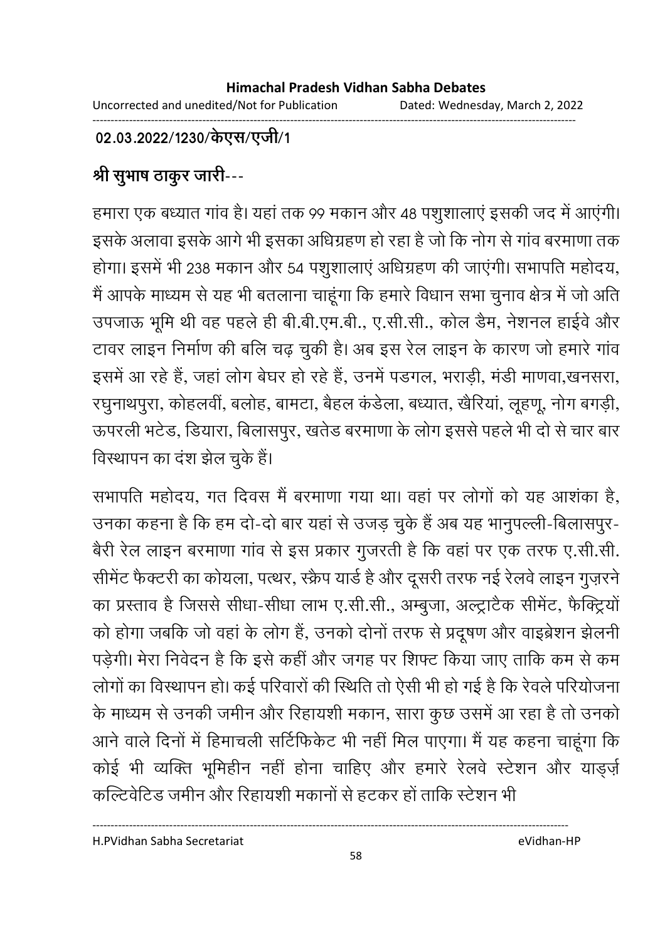#### ------------------------------------------------------------------------------------------------------------------------------------ 02.03.2022/1230/केएस/एजी/1

# श्री सुभाष ठाकुर जारी---

हमारा एक बध्यात गांव है। यहां तक 99 मकान और 48 पशुशालाएं इसकी जद में आएगी। इसके अलावा इसके आगे भी इसका अधिग्रहण हो रहा है जो कि नोग से गांव बरमाणा तक होगा। इसमें भी 238 मकान और 54 पशुशालाएं अधिग्रहण की जाएगी। सभापति महोदय, में आपके माध्यम से यह भी बतलाना चाहूंगा कि हमारे विधान सभा चुनाव क्षेत्र में जो अति उपजाऊ भूमि थी वह पहले ही बी.बी.एम.बी., ए.सी.सी., कोल डैम, नेशनल हाईवे और टावर लाइन निर्माण की बलि चढ़ चुकी है। अब इस रेल लाइन के कारण जो हमारे गाव इसमें आ रहे हैं, जहां लोग बेघर हो रहे हैं, उनमें पंडगल, भराड़ी, मंडी माणवा,खनसरा, रघुनाथपुरा, कोहलवी, बलोह, बामटा, बैहल कडेला, बध्यात, खेरिया, लूहणू, नोग बगड़ी, ऊपरली भटेड, डियारा, बिलासपुर, खतेड बरमाणा के लोग इससे पहले भी दो से चार बार विस्थापन का दंश झेल चुके हैं।

सभापति महोदय, गत दिवस मैं बरमाणा गया था। वहां पर लोगों को यह आशंका है, उनका कहना है कि हम दो-दो बार यहां से उजड़ चुके हैं अब यह भानुपल्ली-बिलासपुर-बैरी रेल लाइन बरमाणा गांव से इस प्रकार गुजरती है कि वहां पर एक तरफ ए.सी.सी. सीमेंट फैक्टरी का कोयला, पत्थर, स्क्रैप यार्ड है और दूसरी तरफ नई रेलवे लाइन गुज़रने का प्रस्ताव है जिससे सीधा-सीधा लाभ ए.सी.सी., अम्बुजा, अल्ट्रांटैक सीमेंट, फैक्ट्रियो को होगा जबकि जो वहाँ के लोग हैं, उनको दोनों तरफ से प्रदूषण और वाइब्रेशन झैलनी. पड़ेगी। मेरा निवेदन है कि इसे कहीं और जगह पर शिफ्ट किया जाए ताकि कम से कम लोगों का विस्थापन हो। कई परिवारों की स्थिति तो ऐसी भी हो गई है कि रेवले परियोजना के माध्यम से उनकी जमीन और रिहायशी मकान, सारा कुछ उसमें आ रहा है तो उनको आने वाले दिनों में हिमाचली सोटेफिकेट भी नहीं मिल पाएगा। मैं यह कहना चाहूंगा कि कोई भी व्यक्ति भूमिहीन नहीं होना चाहिए और हमारे रेलवे स्टेशन और यांड्ज़ें कल्टिवेटिड जमीन और रिहायशी मकानों से हटकर हो ताकि स्टेशन भी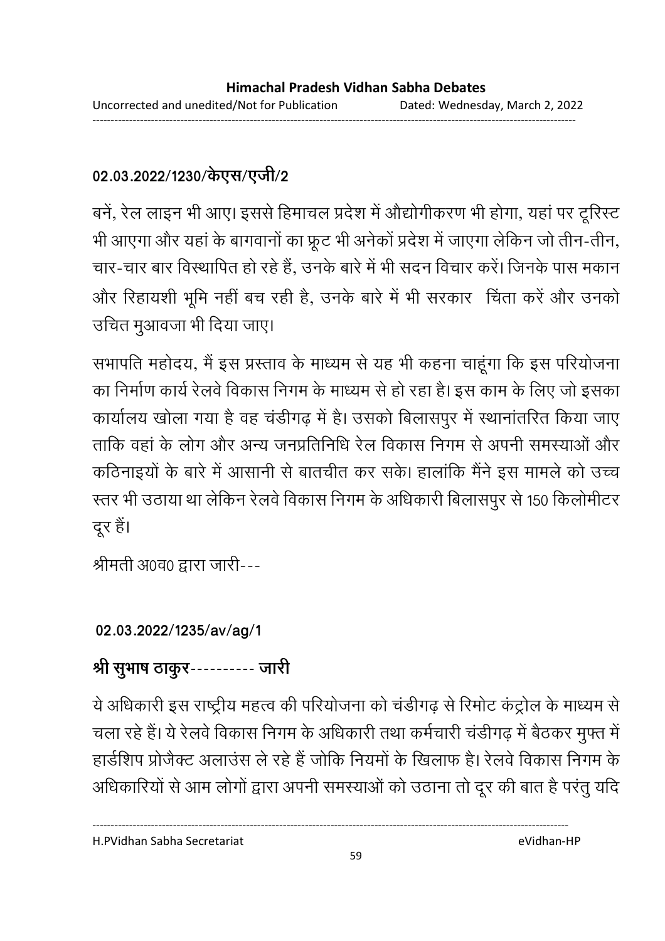## 02.03.2022/1230/केएस/एजी/2

बर्न, रेल लाइन भी आए। इससे हिमाचल प्रदेश में औद्योगीकरण भी होगा, यहां पर ट्रेरिस्ट भी आएगा और यहां के बागवानों का फ्रूंट भी अनेको प्रदेश में जाएगा लेकिन जो तीन-तीन, चार-चार बार विस्थापित हो रहे हैं, उनके बारे में भी सदन विचार करें। जिनके पास मकान और रिहायशी भूमि नहीं बच रही है, उनके बारे में भी सरकार चिंता करें और उनको उचित मुआवजा भी दिया जाए।

सभापति महोदय, मैं इस प्रस्ताव के माध्यम से यह भी कहना चाहूंगा कि इस परियोजना का निर्माण कार्य रेलवे विकास निगम के माध्यम से हो रहा है। इस काम के लिए जो इसका कार्यालय खोला गया है वह चडीगढ़ में हैं। उसको बिलासपुर में स्थानातरित किया जाए ताकि वहां के लोग और अन्य जनप्रतिनिधि रेल विकास निगम से अपनी समस्याओं और कठिनाइयों के बारे में आसानी से बातचीत कर सके। हालांकि मैंने इस मामले को उच्च रत्तर भी उठाया था लेकिन रेलवे विकास निगम के अधिकारी बिलासपुर से 150 किलोमीटर-दूर हैं।

श्रीमती अ0व0 द्वारा जारी---

## **02.03.2022/1235/av/ag/1**

# श्री सूभाष ठाकूर---------- जारी

ये अधिकारी इस राष्ट्रीय महत्व की परियोजना को चंडीगढ़ से रिमोट कंट्रोल के माध्यम से चला रहे हैं। ये रेलवे विकास निगम के अधिकारी तथा कर्मचारी चडीगढ़ में बैठकर मुफ्त में हार्डशिप प्रोजैक्ट अलाउंस ले रहे हैं जोकि नियमों के खिलाफ है। रेलवे विकास निगम के आंधकारियों से आम लोगों द्वारा अपनी समस्याओं को उठाना तो दूर की बात है परंतु यदि

----------------------------------------------------------------------------------------------------------------------------------

H.PVidhan Sabha Secretariat eVidhan-HP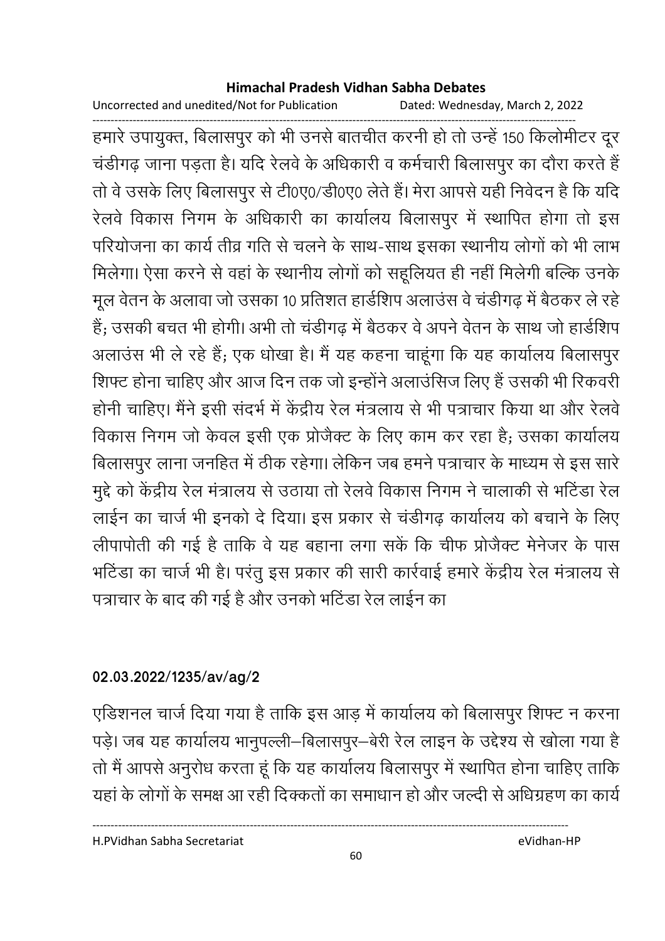Uncorrected and unedited/Not for Publication Dated: Wednesday, March 2, 2022

------------------------------------------------------------------------------------------------------------------------------------ हमारे उपायुक्त, बिलासपुर को भी उनसे बातचीत करनी हो तो उन्हें 150 किलोमीटर दूर चडींगढ़ जाना पड़ता है। यदि रेलवे के अधिकारी व कर्मचारी बिलासपुर का दौरा करते हैं | तों वे उसके लिए बिलासपुर से टी0ए0/डी0ए0 लेते हैं। मेरा आपसे यही निवेदन है कि यदि रेलवे विकास निगम के अधिकारी का कार्यालय बिलासपुर में स्थापित होगा तो इस परियोजना का कार्य तीव्र गति से चलने के साथ-साथ इसका स्थानीय लोगों को भी लाभ मिलेगा। ऐसा करने से वहां के स्थानीय लोगों को सहूलियत ही नहीं मिलेगी बल्कि उनके मूल वेतन के अलावा जो उसका 10 प्रतिशत हार्डशिप अलाउस वे चर्डीगढ़ में बैठकर ले रहें हैं; उसकी बचत भी होगी। अभी तो चडीगढ़ में बैठकर वे अपने वेतन के साथ जो हार्डशिप अलाउस भी ले रहे हैं; एक धोखा है। मैं यह कहना चाहूंगा कि यह कार्यालय बिलासपुर शिफ्ट होना चाहिए और आज दिन तक जो इन्होंने अलाउसिज लिए हैं उसकी भी रिकवरी होनी चाहिए। मैंने इसी सदर्भ में केंद्रीय रेल मत्रलाय से भी पत्राचार किया था और रेलवें विकास निगम जो केवल इसी एक प्रोजैक्ट के लिए काम कर रहा है; उसका कार्यालय बिलासपुर लाना जनहित में ठीक रहेगा। लेकिन जब हमने पत्राचार के माध्यम से इस सारे | मुद्दे को केंद्रीय रेल मंत्रालय से उठाया तो रेलवे विकास निगम ने चालाकी से भटिंडा रेल लाईन का चार्ज भी इनको दें दिया। इस प्रकार से चंडीगढ़ कार्यालय को बचाने के लिए लीपापोती की गई है ताकि वे यह बहाना लगा सके कि चीफ प्रोजैक्ट मेंनेजर के पास भोंटेंडा का चार्ज भी है। परंतु इस प्रकार की सारी कार्रवाई हमारे केंद्रीय रेल मंत्रालय से पत्राचार के बाद की गई है और उनको भटिंडा रेल लाईन का

## **02.03.2022/1235/av/ag/2**

एडिशनल चार्ज दिया गया है ताकि इस आड़ में कार्यालय को बिलासपूर शिफ्ट न करना पड़े। जब यह कार्यालय भानुपल्ली–बिलासपुर–बेरी रेल लाइन के उद्देश्य से खोला गया है तो मैं आपसे अनुरोध करता हूं कि यह कार्यालय बिलासपुर में स्थापित होना चाहिए ताकि यहाँ के लोगों के समक्ष आ रही दिक्कतों का समाधान हो और जल्दी से अधिग्रहण का कार्य

H.PVidhan Sabha Secretariat eVidhan-HP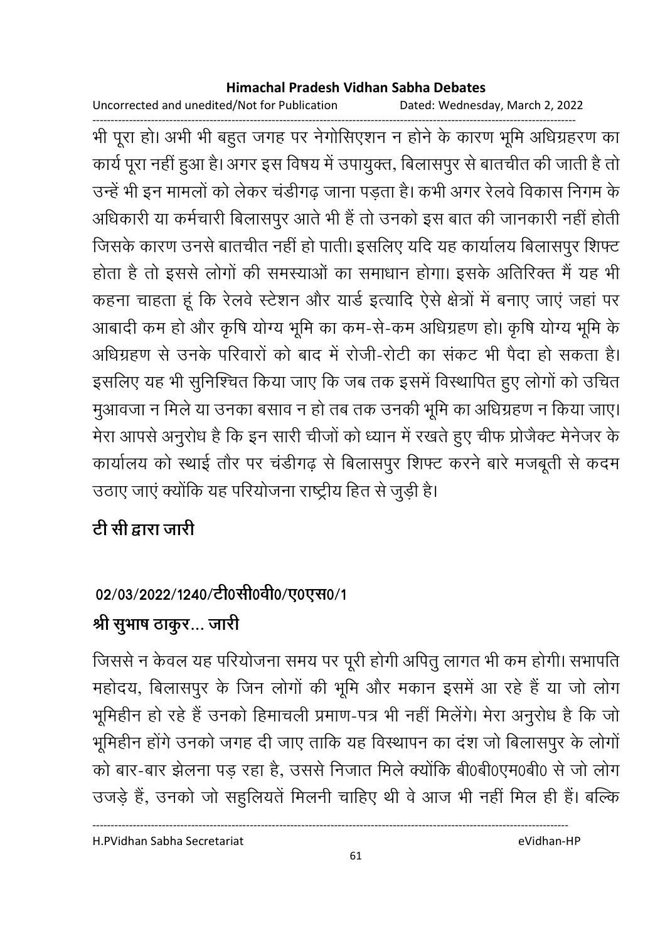Uncorrected and unedited/Not for Publication Dated: Wednesday, March 2, 2022

------------------------------------------------------------------------------------------------------------------------------------ भी पूरा हो। अभी भी बहुत जगह पर नेगोसिएशन न होने के कारण भूमि अधिग्रहरण का कार्य पूरा नहीं हुआ है। अगर इस विषय में उपायुक्त, बिलासपुर से बातचीत की जाती है तो उन्हें भी इन मामलों को लेकर चंडीगढ़ जाना पड़ता है। कभी अगर रेलवें विकास निगम के आंधकारी या कर्मचारी बिलासपुर आते भी है तो उनको इस बात की जानकारी नहीं होती. जिसके कारण उनसे बातचीत नहीं हो पाती। इसलिए यदि यह कार्यालय बिलासपुर शिफ्ट होता है तो इससे लोगों की समस्याओं का समाधान होगा। इसके अतिरिक्त में यह भी कहना चाहता हूं कि रेलवे स्टेशन और यार्ड इत्यादि ऐसे क्षेत्रों में बनाए जाएं जहां पर आबादी कम हो और कृषि योग्य भूमि का कम-से-कम अधिग्रहण हो। कृषि योग्य भूमि के आंधेग्रहण से उनके परिवारों को बाद में रोजी-रोटी का सकट भी पैदा हो सकता है। इसलिए यह भी सुनिश्चित किया जाए कि जब तक इसमें विस्थापित हुए लोगों को उचित मुआवजा न मिले या उनका बसाव न हो तब तक उनकी भूमि का अधिग्रहण न किया जाए। मेरा आपर्स अनुरोध है कि इन सारी चीजों को ध्यान में रखते हुए चीफ प्रोजैक्ट मेंनेजर के कार्यालय को स्थाई तौर पर चडीगढ़ से बिलासपुर शिफ्ट करने बारे मजबूती से कदम उठाए जाए क्योंकि यह परियोजना राष्ट्रीय हित से जुड़ी है।

# <u>टी सी द्वारा जारी</u>

# 02/03/2022/1240/टी0सी0वी0/ए0एस0/1

# श्री सुभाष ठाकुर... जारी

जिससे न केवल यह परियोजना समय पर पूरी होगी अपितु लागत भी कम होगी। सभापति | महोदय, बिलासपुर के जिन लोगों की भूमि और मकान इसमें आ रहे हैं या जो लोग भूमिहीन हो रहे हैं उनको हिमाचली प्रमाण-पत्र भी नहीं मिलेंगे। मेरा अनुरोध है कि जो भूमिहीन होंगे उनको जगह दी जाए ताकि यह विस्थापन का दश जो बिलासपुर के लोगों को बार-बार झेलना पड़ रहा है, उससे निजात मिले क्योंकि बी0बी0एम0बी0 से जो लोग उजड़े हैं, उनको जो सहुलियते मिलनी चाहिए थी वे आज भी नहीं मिल ही है। बल्कि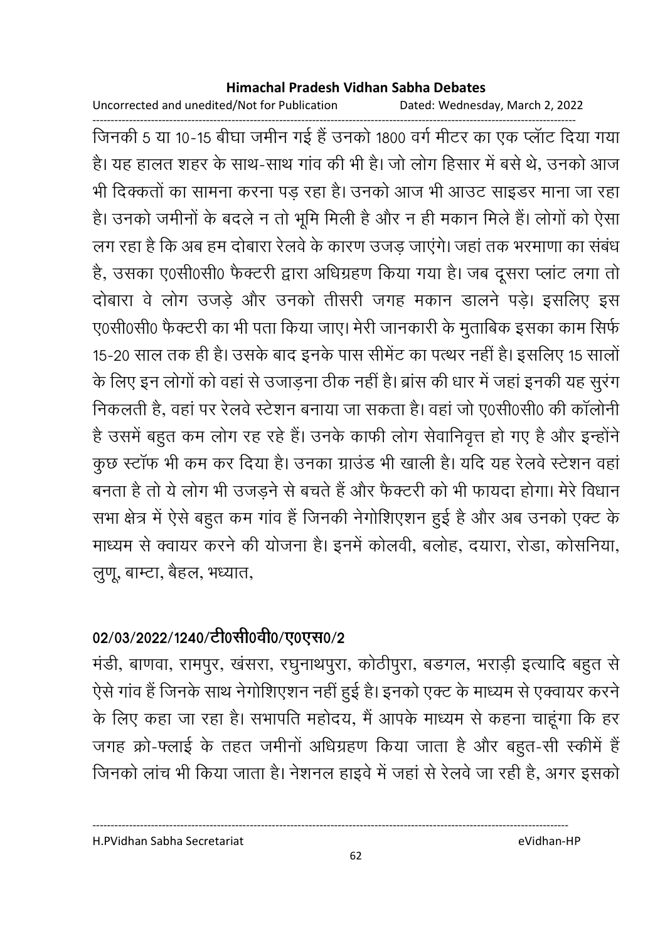Uncorrected and unedited/Not for Publication Dated: Wednesday, March 2, 2022

------------------------------------------------------------------------------------------------------------------------------------ जिनकी 5 या 10-15 बीघा जमीन गई है उनको 1800 वर्ग मीटर का एक प्लाट दिया गया हैं। यह हालत शहर के साथ-साथ गांव की भी है। जो लोग हिसार में बसे थे, उनको आज भी दिक्कतों का सामना करना पड़ रहा है। उनको आज भी आउट साइंडर माना जा रहा हैं। उनको जमीनों के बंदले न तो भूमि मिली है और न ही मकान मिले हैं। लोगों को ऐसा लग रहा है कि अब हम दोबारा रेलवे के कारण उजड़ जाएंगे। जहां तक भरमाणा का संबंध है, उसका ए0सी0सी0 फैक्टरी द्वारा अधिग्रहण किया गया है। जब दूसरा प्लाट लगा तो दोबारा वे लोग उजड़े और उनको तीसरी जगह मकान डालने पड़े। इसलिए इस ए0सी0सी0 फैक्टरी का भी पता किया जाए। मेरी जानकारी के मुताबिक इसका काम सिर्फ 15-20 साल तक ही है। उसके बाद इनके पास समिट का पत्थर नहीं है। इसलिए 15 सालों के लिए इन लोगों को वहां से उजाड़ना ठीक नहीं है। ब्रास की धार में जहां इनकी यह सुरंग निकलती हैं, वहां पर रेलवे स्टेशन बनाया जा सकता है। वहां जो ए0सी0सी0 की कालोनी है उसमें बहुत कम लोग रह रहे हैं। उनके काफी लोग सेवानिवृत्त हो गए हैं और इन्होंने कुछ स्टाफ भी कम कर दिया है। उनका ग्राउंड भी खाली है। यदि यह रेलवे स्टेशन वहाँ बनता है तो ये लोग भी उजड़ने से बचते हैं और फैक्टरी को भी फायदा होगा। मेरे विधान सभा क्षेत्र में ऐसे बहुत कम गांव है जिनकी नेगोशिएशन हुई है और अब उनको एक्ट के माध्यम से क्वायर करने की योजना है। इनमें कोलवी, बलोह, दयारा, रोडा, कोसनिया, लुणू, बाम्टा, बैहल, भध्यात,

## 02/03/2022/1240/टी0सी0वी0/ए0एस0/2

मर्डी, बाणवा, रामपुर, खसरा, रघुनाथपुरा, कोठीपुरा, बंडगल, भराड़ी इत्यादि बहुत से ऐसे गांव हैं जिनके साथ नेगोशिएशन नहीं हुई है। इनको एक्ट के माध्यम से एक्वायर करने के लिए कहा जा रहा है। सभापति महोदय, मैं आपके माध्यम से कहना चाहूंगा कि हर जगह क्रो-फ्लाई के तहत जमीनो अधिग्रहण किया जाता है और बहुत-सी स्कीमें हैं | जिनको लाच भी किया जाता है। नेशनल हाइवे में जहां से रेलवे जा रही हैं, अगर इसको

H.PVidhan Sabha Secretariat eVidhan-HP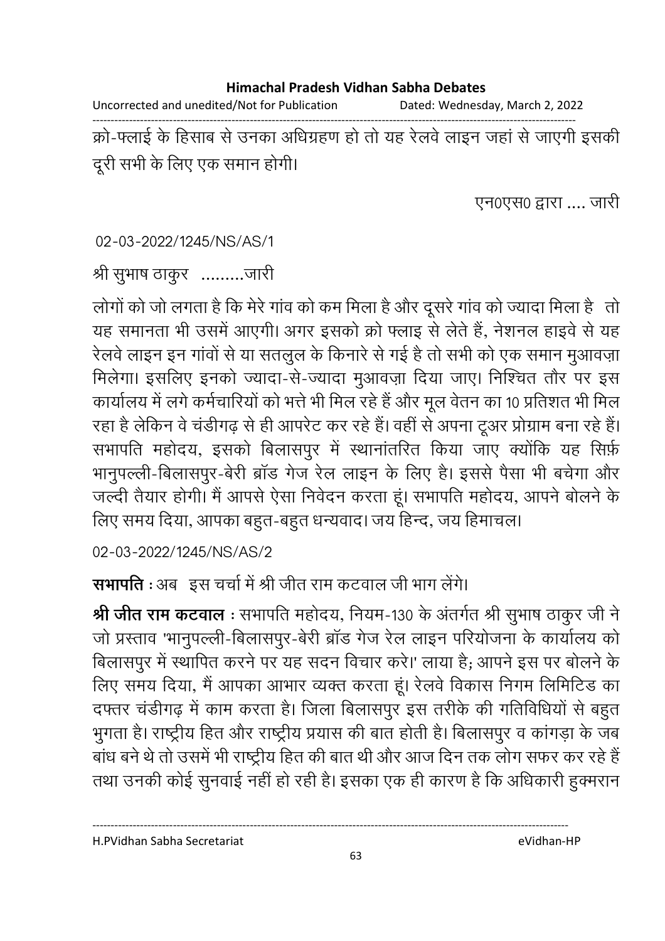Uncorrected and unedited/Not for Publication Dated: Wednesday, March 2, 2022

------------------------------------------------------------------------------------------------------------------------------------ क्रो-फ्लाई के हिसाब से उनका अधिग्रहण हो तो यह रेलवे लाइन जहां से जाएंगी इसकी दूरी सभी के लिए एक समान होगी।

एन0एस0 द्वारा .... जारी

02-03-2022/1245/NS/AS/1

श्री सुभाष ठाकुर -........जारी

लोगों को जो लगता है कि मेरे गांव को कम मिला है और दूसरे गांव को ज्यादा मिला है) तो यह समानता भी उसमें आएगी। अगर इसको क्रो फ्लाइ से लेते हैं, नेशनल हाइवें से यह रेलवे लाइन इन गावों से या सतलुल के किनारे से गई है तो सभी को एक समान मुआवज़ा मिलेगा। इसलिए इनको ज्यादा-से-ज्यादा मुआवज़ा दिया जाए। निश्चित तौर पर इस कार्यालय में लगे कर्मचारियों को भत्ते भी मिल रहे हैं और मूल वेतन का 10 प्रतिशत भी मिल रहा है लेकिन वे चर्डीगढ़ से ही आपरेंट कर रहे हैं। वहीं से अपना टूअर प्रोग्राम बना रहे हैं। सभापति महोदय, इसको बिलासपुर में स्थानांतरित किया जाए क्योंकि यह सिर्फ़ भानुपल्ली-बिलासपुर-बेरी ब्रांड गेज रेल लाइन के लिए हैं। इससे पैसा भी बचेंगा और जल्दी तैयार होगी। मैं आपसे ऐसा निवेदन करता हूं। सभापति महोदय, आपने बोलने के लिए समय दिया, आपका बहूत-बहूत धन्यवाद। जय हिन्द, जय हिमाचल।

02-03-2022/1245/NS/AS/2

**सभापति** : अब इस चर्चा में श्री जीत राम कटवाल जी भाग लेंगे।

**श्री जीत राम कटवाल** : सभापति महोदय, नियम-130 के अंतर्गत श्री सुभाष ठाकुर जी ने जो प्रस्ताव 'भानुपल्ली-बिलासपुर-बेरी ब्रांड गेज रेल लाइन परियोजना के कार्यालय को बिलासपुर में स्थापित करने पर यह सदन विचार करे।' लाया है; आपने इस पर बोलने के लिए समय दिया, मैं आपका आभार व्यक्त करता हूं। रेलवे विकास निगम लिमिटिड का दफ्तर चडीगढ़ में काम करता है। जिला बिलासपुर इस तरीके की गतिविधियों से बहुत भुगता है। राष्ट्रीय हित और राष्ट्रीय प्रयास की बात होती है। बिलासपुर व कांगड़ा के जब बांध बने थे तो उसमें भी राष्ट्रीय हित की बात थी और आज दिन तक लोग सफर कर रहे हैं । तथा उनकी कोई सुनवाई नहीं हो रही है। इसका एक ही कारण है कि अधिकारी हुक्मरान

H.PVidhan Sabha Secretariat eVidhan-HP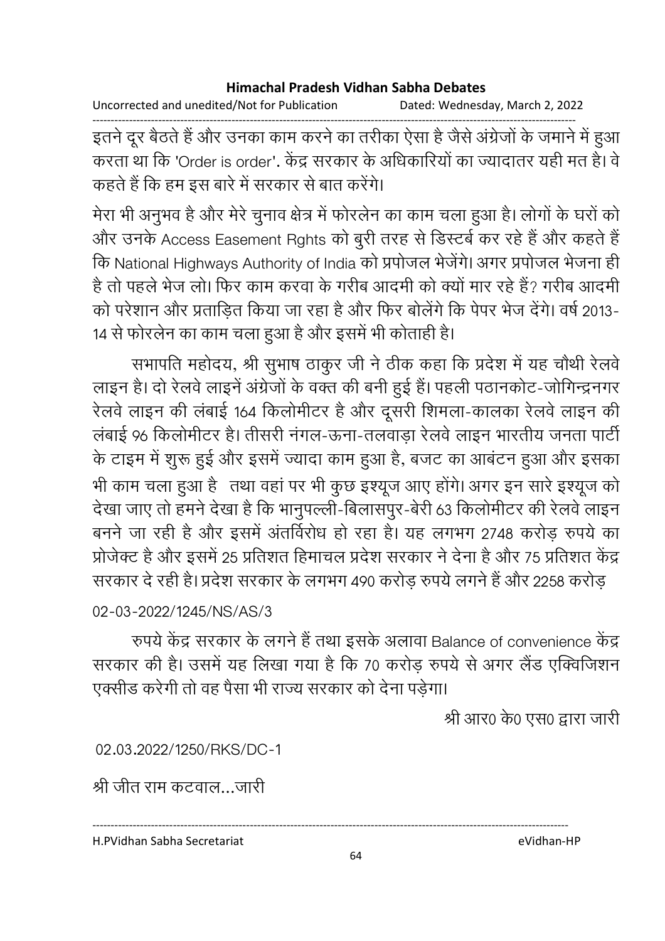Uncorrected and unedited/Not for Publication Dated: Wednesday, March 2, 2022

------------------------------------------------------------------------------------------------------------------------------------ इतने दूर बैठते हैं और उनका काम करने का तरीका ऐसा है जैसे अंग्रेजों के जमाने में हुआ करता था कि 'Order is order'. केंद्र सरकार के अधिकारियों का ज्यादातर यही मत है। वे कहते हैं कि हम इस बारे में सरकार से बात करेंगे।

मेरा भी अनुभव है और मेरे चुनाव क्षेत्र में फोरलेन का काम चला हुआ है। लोगों के घरों को और उनके Access Easement Rghts को बुरी तरह से डिस्टबे कर रहे हैं और कहते हैं -कि National Highways Authority of India को प्रपोजल भेजेगे। अगर प्रपोजल भेजना ही है तो पहले भेज लो। फिर काम करवा के गरीब आदमी को क्यों मार रहे हैं? गरीब आदमी को परेशान और प्रताडित किया जा रहा है और फिर बोलेंगे कि पेपर भेज देंगे। वर्ष 2013-14 से फोरलेन का काम चला हुआ है और इसमें भी कोताही है।

सभापति महोदय, श्री सुभाष ठाकुर जी ने ठीक कहा कि प्रदेश में यह चौथी रेलवें लाइन है। दो रेलवे लाइने अंग्रेजों के वक्त की बनी हुई है। पहली पठानकोट-जोगिन्द्रनगर रेलवे लाइन की लंबाई 164 किलोमीटर है और दूसरी शिमला-कालका रेलवे लाइन की लंबाई 96 किलोमीटर है। तीसरी नगल-ऊंना-तलवाड़ा रेलवे लाइन भारतीय जनता पार्टी के टाइम में शुरू हुई और इसमें ज्यादा काम हुआ है, बजट का आबंटन हुआ और इसका भी काम चला हुआ है ) तथा वहां पर भी कुछ इश्यूज आए होंगे। अगर इन सारे इश्यूज को देखा जाए तो हमने देखा है कि भानुपल्ली-बिलासपुर-बेरी 63 किलोमीटर की रेलवे लाइन-बनने जा रही है और इसमें अंतविरोध हो रहा है। यह लगभग 2748 करोड़ रुपये का प्रोजेक्ट है और इसमें 25 प्रतिशत हिमाचल प्रदेश सरकार ने देना है और 75 प्रतिशत केंद्र सरकार दे रही है। प्रदेश सरकार के लगभग 490 करोड़ रुपये लगने हैं और 2258 करोड़

02-03-2022/1245/NS/AS/3

रुपये केंद्र सरकार के लगने हैं तथा इसके अलावा Balance of convenience केंद्र सरकार की है। उसमें यह लिखा गया है कि 70 करोड़ रुपये से अगर लैंड एक्विजिशन एक्सीड करेगी तो वह पैसा भी राज्य सरकार को देना पड़ेगा।

श्री आर0 के0 एस0 द्वारा जारी

02.03.2022/1250/RKS/DC-1

श्री जीत राम कटवाल…जारी

H.PVidhan Sabha Secretariat eVidhan-HP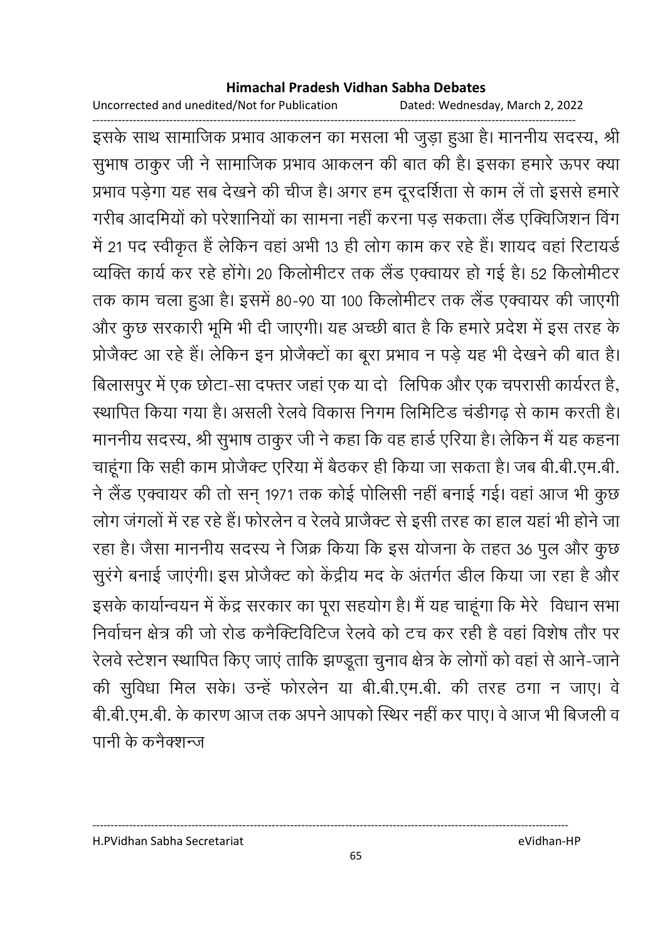Uncorrected and unedited/Not for Publication Dated: Wednesday, March 2, 2022

------------------------------------------------------------------------------------------------------------------------------------ इसके साथ सामाजिक प्रभाव आकलन का मसला भी जुड़ा हुआ है। माननीय सदस्य, श्री सुभाष ठाकुर जी ने सामाजिक प्रभाव आकलन की बात की है। इसका हमारे ऊपर क्या प्रभाव पड़ेगा यह सब देखने की चीज है। अगर हम दूरदर्शिता से काम ले तो इससे हमारे गरीब आदमियों को परेशानियों का सामना नहीं करना पड़ सकता। लैंड एक्विजिशन विग में 21 पद स्वीकृत है लेकिन वहां अभी 13 ही लोग काम कर रहे हैं। शायद वहां रिटायर्ड व्यक्ति कार्य कर रहे होंगे। 20 किलोमीटर तक लैंड एक्वायर हो गई हैं। 52 किलोमीटर तक काम चला हुआ है। इसमें 80-90 या 100 किलोमीटर तक लैंड एक्वायर की जाएंगी और कुछ सरकारी भूमि भी दी जाएगी। यह अच्छी बात है कि हमारे प्रदेश में इस तरह के प्रोजैक्ट आ रहे हैं। लेकिन इन प्रोजैक्टों का बूरा प्रभाव न पड़े यह भी देखने की बात है। बिलासपुर में एक छोटा-सा दफ्तर जहां एक या दो ।लिपिक और एक चपरासी कार्यरत है, रथापित किया गया है। असली रेलवे विकास निगम लिमिटिड चडींगढ़ से काम करती है। माननीय सदस्य, श्री सुभाष ठाकुर जी ने कहा कि वह हार्ड एरिया है। लेकिन मैं यह कहना चाहूँगा कि सही काम प्रजिक्ट एरिया में बैठकर ही किया जा सकता है। जब बी.बी.एम.बी. ने लैंड एक्वायर की तो सन् 1971 तक कोई पोलिसी नहीं बनाई गई। वहां आज भी कुछ लोग जगलों में रह रहे हैं। फोरलेन व रेलवे प्राजैक्ट से इसी तरह का हाल यहां भी होने जा रहा है। जैसा माननीय सदस्य ने जिक्र किया कि इस योजना के तहत 36 पुल और कुछ सुरंगे बनाई जाएगी। इस प्रोजैक्ट को केंद्रीय मद के अंतर्गत डील किया जा रहा है और इसके कार्यान्वयन में केंद्र सरकार का पूरा सहयोग है। मैं यह चाहूंगा कि मेरे विधान सभा निर्वाचन क्षेत्र की जो रोड कनैक्टिविटिज रेलवे को टच कर रही है वहां विशेष तौर पर रेलवे स्टेशन स्थापित किए जाएं ताकि झण्डूता चुनाव क्षेत्र के लोगों को वहां से आने-जाने की सुविधा मिल सके। उन्हें फोरलेन या बी.बी.एम.बी. की तरह ठंगा न जाए। वे बी.बी.एम.बी. के कारण आज तक अपने आपको स्थिर नहीं कर पाए। वे आज भी बिजली व पानी के कर्नेक्शन्ज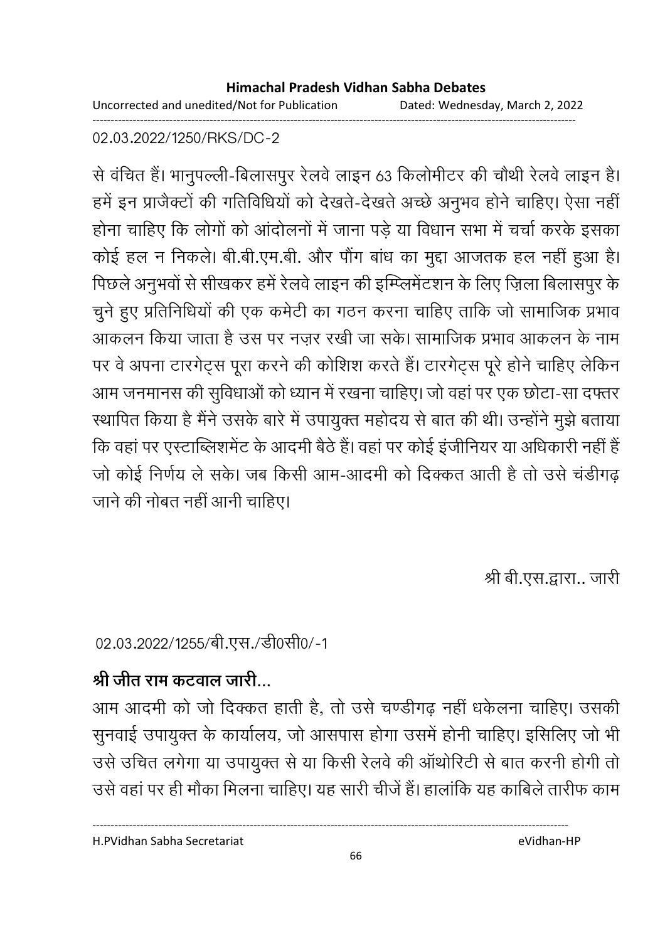Uncorrected and unedited/Not for Publication Dated: Wednesday, March 2, 2022 ------------------------------------------------------------------------------------------------------------------------------------

02.03.2022/1250/RKS/DC-2

से वर्चित है। भानुपल्ली-बिलासपुर रेलवे लाइन 63 किलोमीटर की चौथी रेलवे लाइन है। हमें इन प्राजैक्टों की गतिविधियों को देखते-देखते अच्छे अनुभव होने चाहिए। ऐसा नहीं होना चाहिए कि लोगों को आंदोलनों में जाना पड़े या विधान सभा में चर्चा करके इसका कोई हल न निकले। बी.बी.एम.बी. और पौग बांध का मुद्दा आजतक हल नहीं हुआ है। पिछले अनुभवों से सीखकर हमें रेलवे लाइन की इम्प्लिमेंटशन के लिए ज़िला बिलासपुर के चुने हुए प्रतिनिधियों की एक कमेटी का गठन करना चाहिए ताकि जो सामाजिक प्रभाव आकलन किया जाता है उस पर नज़र रखी जा सके। सामाजिक प्रभाव आकलन के नाम पर वे अपना टारगेट्स पूरा करने की कोशिश करते हैं। टारगेट्स पूरे होने चाहिए लेकिन आम जनमानस की सुविधाओं को ध्यान में रखना चाहिए। जो वहां पर एक छोटा-सा दफ्तर स्थापित किया है मैंने उसके बारे में उपायुक्त महोदय से बात की थी। उन्होंने मुझे बताया कि वहां पर एस्टाब्लिशमेंट के आदमी बैठे हैं। वहां पर कोई इजीनियर या अधिकारी नहीं हैं | जों कोई निर्णय ले सके। जब किसी आम-आदमी को दिक्कत आती है तो उसे चडीगढ़ जाने की नोबत नहीं आनी चाहिए।

श्री बी.एस.द्वारा.. जारी

02.03.2022/1255/बी.एस./डी0सी0/-1

# श्री जीत राम कटवाल जारी

आम आदमी को जो दिक्कत हाती है, तो उसे चण्डीगढ़ नहीं धर्कलना चाहिए। उसकी सुनवाई उपायुक्त के कार्यालय, जो आसपास होगा उसमें होनी चाहिए। इसिलिए जो भी उसे उचित लगेगा या उपायुक्त से या किसी रेलवे की आथोरिटी से बात करनी होगी तो उसे वहां पर ही मौका मिलना चाहिए। यह सारी चीजे हैं। हालांकि यह कार्बिले तारीफ काम

H.PVidhan Sabha Secretariat eVidhan-HP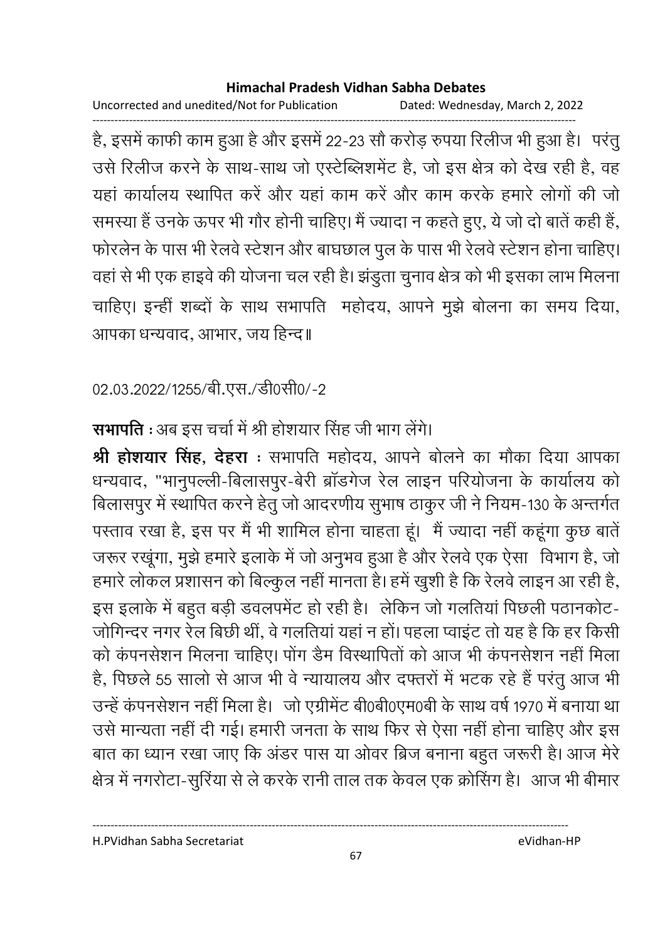Uncorrected and unedited/Not for Publication Dated: Wednesday, March 2, 2022

------------------------------------------------------------------------------------------------------------------------------------ है, इसमें काफी काम हुआ है और इसमें 22-23 सो करोड़ रुपया रिलीज भी हुआ है। परंतु उसे रिलीज करने के साथ-साथ जो एस्टेब्लिशमेंट है, जो इस क्षेत्र को देख रही है, वह यहाँ कार्यालय स्थापित करें और यहाँ काम करें और काम करके हमारे लोगों की जो समस्या है उनके ऊपर भी गौर होनी चाहिए। मैं ज्यादा न कहते हुए, ये जो दो बातें कहीं हैं, फोरलेन के पास भी रेलवे स्टेशन और बाघछाल पुल के पास भी रेलवे स्टेशन होना चाहिए। वहाँ से भी एक हाइवें की योजना चल रही है। झंडुता चुनाव क्षेत्र को भी इसका लाभ मिलना। चाहिए। इन्हीं शब्दों के साथ सभापति महोदय, आपने मुझे बोलना का समय दिया, आपका धन्यवाद, आभार, जय हिन्द॥

02.03.2022/1255/बी.एस./डी0सी0/-2

**सभापति :** अब इस चर्चा में श्री होशयार सिंह जी भाग लेंगे।

**श्री होशयार सिंह, देहरा** : सभापति महोदय, आपने बोलने का मौका दिया आपका धन्यवाद, "भानुपल्ली-बिलासपुर-बेरी ब्रांडगेज रेल लाइन परियोजना के कार्यालय को बिलासपुर में स्थापित करने हेतु जो आदरणीय सुभाष ठाकुर जी ने नियम-130 के अन्तर्गत परताव रखा है, इस पर मैं भी शामिल होना चाहता हूं। मैं ज्यादा नहीं कहूंगा कुछ बातें जरूर रखूंगा, मुझे हमारे इलाके में जो अनुभव हुआ है और रेलवे एक ऐसा विभाग है, जो हमारे लोकल प्रशासन को बिल्कुल नहीं मानता है। हमें खुशी है कि रेलवे लाइन आ रही है, इस इलाके में बहुत बड़ी डवलपमेंट हो रही हैं। लेकिन जो गलतिया पिछली पठानकोट-जोगिन्दर नगर रेल बिछी थी, वे गलतिया यहां न हो। पहला प्वाइट तो यह है कि हर किसी को कंपनसेशन मिलना चाहिए। पोग डैम विस्थापितों को आज भी कंपनसेशन नहीं मिला हैं, पिछले 55 सालों से आज भी वे न्यायालय और दफ्तरों में भटक रहे हैं परंतु आज भी उन्हें कंपनसेशन नहीं मिला है। जो एंग्रेमिट बी0बी0एम0बी के साथ वर्ष 1970 में बनाया था उसे मान्यता नहीं दी गई। हमारी जनता के साथ फिर से ऐसा नहीं होना चाहिए और इस बात का ध्यान रखा जाएं कि अंडर पास या ओवर ब्रिज बनाना बहुत जरूरी है। आज मेरे क्षेत्र में नगरोटा-सुरिया से ले करके रानी ताल तक केवल एक क्रोसिंग है। आज भी बीमार

H.PVidhan Sabha Secretariat eVidhan-HP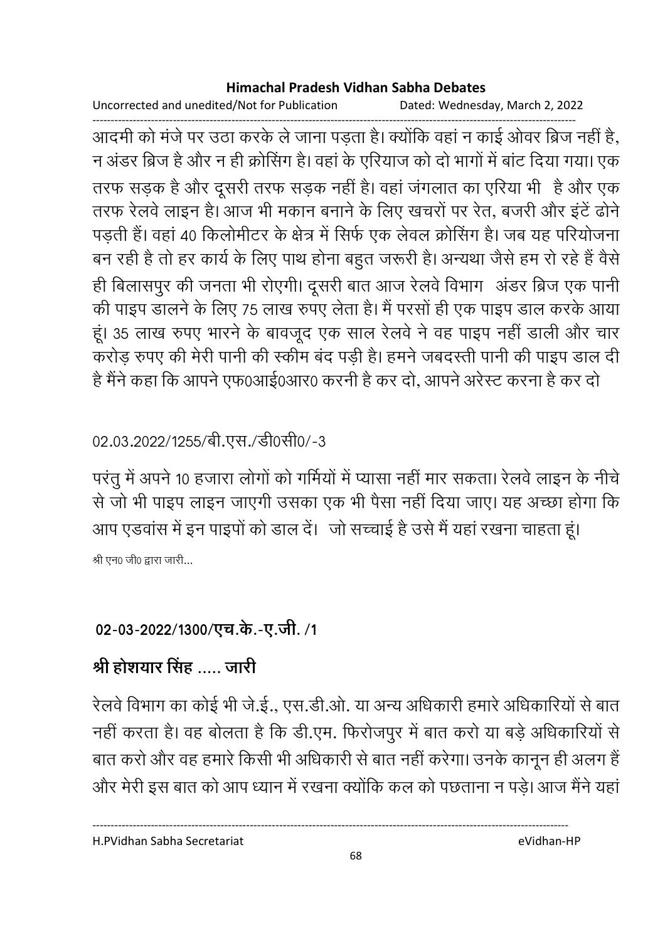Uncorrected and unedited/Not for Publication Dated: Wednesday, March 2, 2022

------------------------------------------------------------------------------------------------------------------------------------ आदमी को मर्ज पर उठा करके ले जाना पड़ता है। क्योंकि वहां न काई ओवर ब्रिज नहीं है, न अंडर ब्रिज है और न ही क्रोसिंग है। वहां के एरियाज को दो भागों में बाट दिया गया। एक तरफ सड़क है और दूसरी तरफ सड़क नहीं है। वहां जगलात का एरिया भी है और एक तरफ रेलवे लाइन है। आज भी मकान बनाने के लिए खचरों पर रेत, बजरी और इंटे ढोने पड़ती है। वहां 40 किलोमीटर के क्षेत्र में सिर्फ एक लेवल क्रोसिंग है। जब यह परियोजना बन रही है तो हर कार्य के लिए पाथ होना बहुत जरूरी है। अन्यथा जैसे हम रो रहे हैं वैसे ही बिलासपुर की जनता भी रोएगी। दूसरी बात आज रेलवे विभाग- अंडर ब्रिज एक पानी. की पाइप डालने के लिए 75 लाख रुपए लेता है। मैं परसों ही एक पाइप डाल करके आया हूं। 35 लाख रुपए भारने के बावजूद एक साल रेलवे ने वह पाइप नहीं डाली और चार करोड़ रुपए की मेरी पानी की स्कीम बंद पड़ी है। हमने जबंदस्ती पानी की पाइप डाल दी है मैंने कहा कि आपने एफ0आई0आर0 करनी है कर दो, आपने अरेस्ट करना है कर दो

## 02.03.2022/1255/बी.एस./डी0सी0/-3

परंतु में अपने 10 हजारा लोगों को गर्मियों में प्यासा नहीं मार सकता। रेलवे लाइन के नीचे से जो भी पाइप लाइन जाएंगी उसका एक भी पैसा नहीं दिया जाए। यह अच्छा होगा कि आप एडवांस में इन पाइपों को डाल दें। जो सच्चाई है उसे मैं यहां रखना चाहता हूं। श्री एन0 जी0 द्वारा जारी...

# 02-03-2022/1300/एच.के.-ए.जी. /1

# श्री होशयार सिंह ..... जारी

रेलवे विभाग का कोई भी जे.ई., एस.डी.ओ. या अन्य अधिकारी हमारे अधिकारियों से बात नहीं करता है। वह बोलता है कि डी.एम. फिरोजपुर में बात करों या बड़े अधिकारियों से बात करों और वह हमारे किसी भी अधिकारी से बात नहीं करेगा। उनके कानून ही अलग हैं-और मेरी इस बात को आप ध्यान में रखना क्योंकि कल को पछताना न पड़े। आज मैंने यहाँ

H.PVidhan Sabha Secretariat eVidhan-HP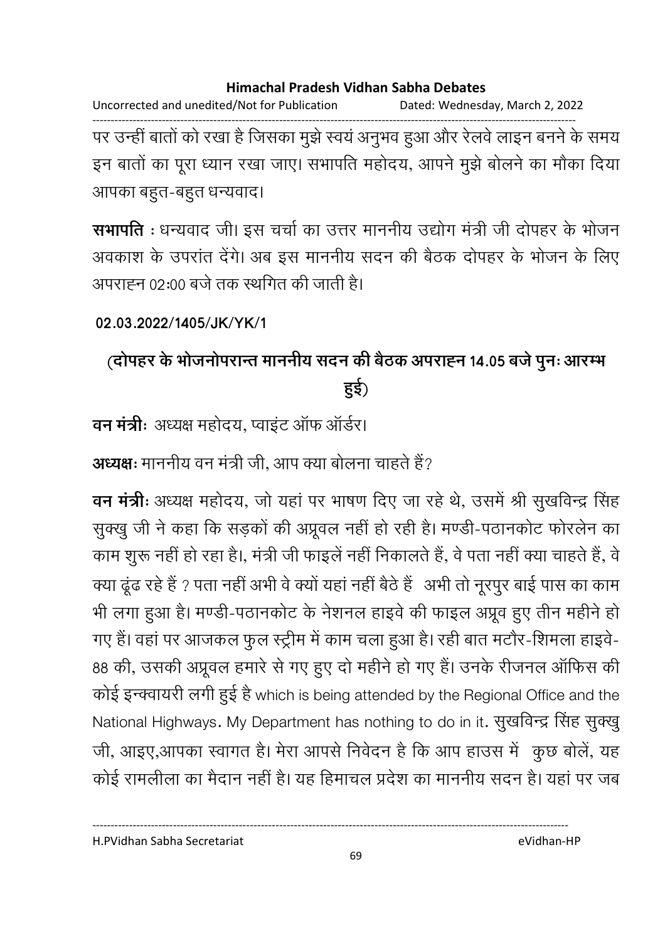Uncorrected and unedited/Not for Publication Dated: Wednesday, March 2, 2022

------------------------------------------------------------------------------------------------------------------------------------ पर उन्ही बार्ता को रखा है जिसका मुझे स्वयं अनुभव हुआ और रेलवे लाइन बनने के समय इन बातों का पूरा ध्यान रखा जाए। सभापति महोदय, आपने मुझे बोलने का मौका दिया आपका बहुत-बहुत धन्यवाद।

**सभापति** : धन्यवाद जी। इस चर्चा का उत्तर माननीय उद्योग मंत्री जी दोपहर के भोजन अवकाश के उपरांत देंगे। अब इस माननीय सदन की बैठक दोपहर के भोजन के लिए अपराह्न 02:00 बर्ज तक स्थगित की जाती है।

**02.03.2022/1405/JK/YK/1**

# (दोपहर के भोजनोपरान्त माननीय सदन की बैठक अपराह्न 14.05 बजे पुनः आरम्भ **ह3)**

**वन मंत्री**: अध्यक्ष महोदय, प्वाइंट ऑफ ऑर्डर।

**अध्यक्षः** माननीय वन मंत्री जी, आप क्या बोलना चाहते हैं?

**वन मंत्रीः** अध्यक्ष महोदय, जो यहां पर भाषण दिए जा रहे थे, उसमें श्री सुखर्विन्द्र सिंह सुक्खु जी ने कहा कि सड़कों की अप्रूवल नहीं हो रही है। मण्डी-पठानकोट फोरलेन का काम शुरू नहीं हो रहा है।, मंत्री जी फाइले नहीं निकालते हैं, वे पता नहीं क्या चाहते हैं, वे क्या ढूढ रहे हैं ? पता नहीं अभी वे क्यों यहां नहीं बैठे हैं अभी तो नूरपुर बाई पास का काम भी लगा हुआ है। मण्डी-पठानकोट के नेशनल हाइवें की फाइल अप्रूव हुए तीन महीने हो। गए हैं। वहां पर आजकल फुल स्ट्रीम में काम चला हुआ है। रही बात मंटोर-शिमला हाइवें-88 की, उसकी अप्रूवल हमारे से गए हुए दो महीने हो गए हैं। उनके रीजनल आफिस की कोई इन्क्वायरी लगी हुई है which is being attended by the Regional Office and the National Highways. My Department has nothing to do in it. सुखविन्द्र सिंह सुक्खु जी, आइए,आपका स्वागत है। मेरा आपसे निर्वेदन है कि आप हाउस में "कुछ बोले, यह कोई रामलीला का मैदान नहीं है। यह हिमाचल प्रदेश का माननीय सदन है। यहां पर जब

H.PVidhan Sabha Secretariat eVidhan-HP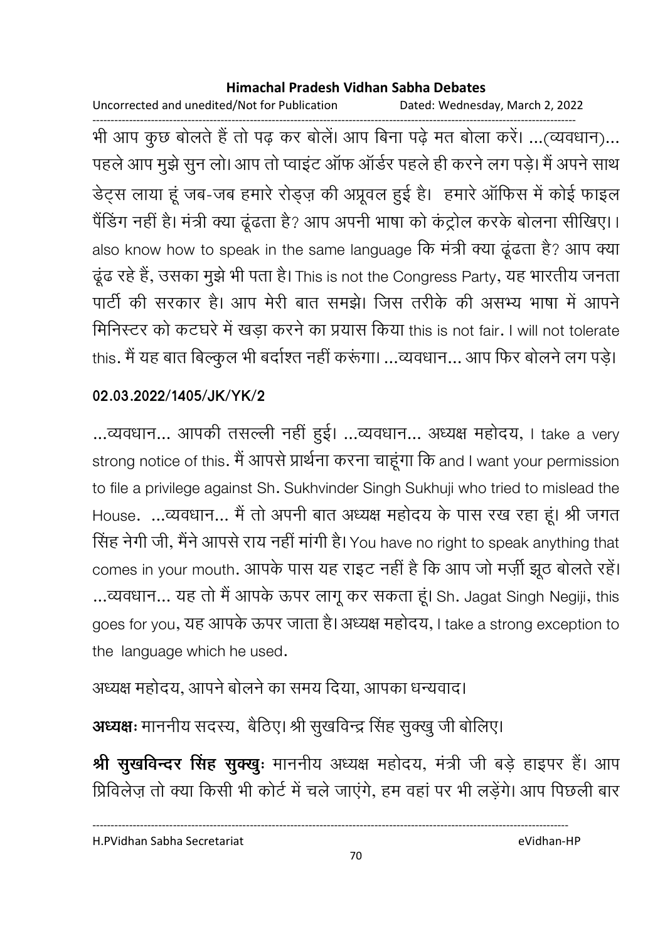Uncorrected and unedited/Not for Publication Dated: Wednesday, March 2, 2022 ------------------------------------------------------------------------------------------------------------------------------------ भी आप कुछ बोलते हैं तो पढ़ कर बोले। आप बिना पढ़ें मत बोला करें। …(व्यवधान)… पहले आप मुझे सुन लो। आप तो प्वाइट आफ आर्डर पहले ही करने लग पड़े। मैं अपने साथ डेंट्स लाया हू जब-जब हमारे रोड्ज़ की अप्रूवल हुई है। हमारे आफिस में कोई फाइल पैंडिंग नहीं है। मंत्री क्या ढूढता है? आप अपनी भाषा को कंट्रोल करके बोलना सीखिए।। also know how to speak in the same language कि मत्री क्या ढूढता है? आप क्या दूढ रहे हैं, उसका मुझे भी पता है। This is not the Congress Party, यह भारतीय जनता पार्टी की सरकार है। आप मेरी बात समझे। जिस तरीके की असभ्य भाषा में आपने मिनिस्टर को कटघरे में खड़ा करने का प्रयास किया this is not fair. I will not tolerate this. मैं यह बात बिल्कुल भी बंदोश्त नहीं करूंगा। …व्यवधान… आप फिर बोलने लग पड़े।

### **02.03.2022/1405/JK/YK/2**

...व्यवधान... आपकी तसल्ली नही हुई। ...व्यवधान... अध्यक्ष महोदय, I take a very strong notice of this. मैं आपसे प्रार्थना करना चाहूंगा कि and I want your permission to file a privilege against Sh. Sukhvinder Singh Sukhuji who tried to mislead the House. …व्यवधान... मैं तो अपनी बात अध्यक्ष महोदय के पास रख रहा हूं। श्री जगत सिंह नेगी जी, मैने आपसे राय नहीं मार्गी हैं। You have no right to speak anything that comes in your mouth. आपके पास यह राइट नहीं है कि आप जो मर्ज़ी झूठ बोलते रहें। ...व्यवधान... यह तो मैं आपके ऊपर लागू कर सकता हूं। Sh. Jagat Singh Negiji, this goes for you, यह आपके ऊपर जाता है। अध्यक्ष महोदय, I take a strong exception to the language which he used.

## अध्यक्ष महोदय, आपने बोलने का समय दिया, आपका धन्यवाद।

**अध्यक्षः** माननीय सदस्य, बैठिए। श्री सुखविन्द्र सिंह सुक्खु जी बोलिए।

**श्री सुखर्विन्दर सिंह सुक्खुः** माननीय अध्यक्ष महोदय, मंत्री जी बड़े हाइपर हैं। आप प्रिविलेज़ तो क्या किसी भी कोर्ट में चले जाएंगे, हम वहां पर भी लड़ेंगे। आप पिछली बार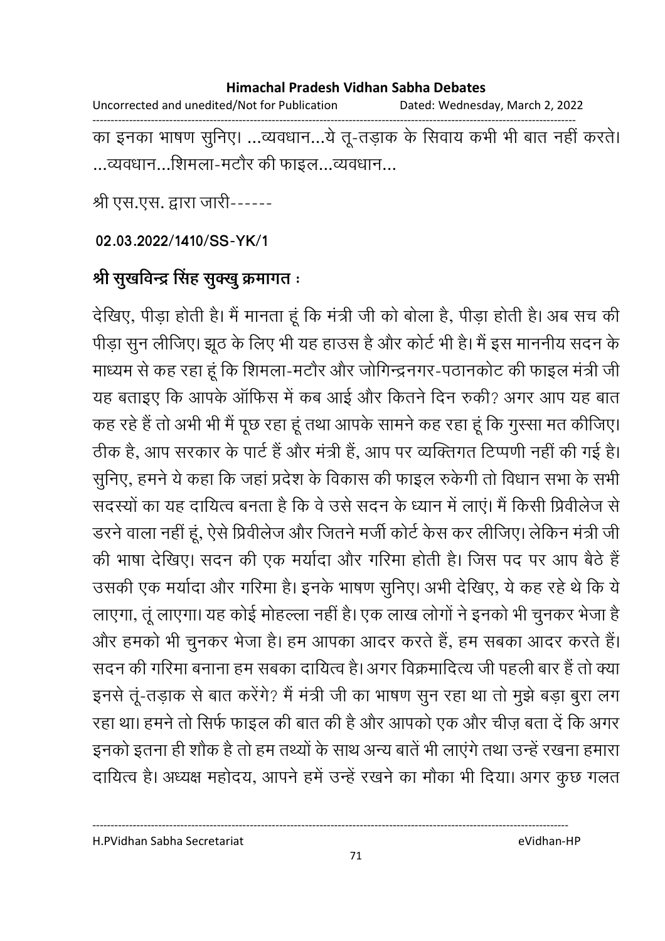Uncorrected and unedited/Not for Publication Dated: Wednesday, March 2, 2022 ------------------------------------------------------------------------------------------------------------------------------------ का इनका भाषण सुनिए। …व्यवधान…ये तू-तड़ाक के सिवाय कभी भी बात नहीं करते। ...व्यवधान...शिमला-मटौर की फाइल...व्यवधान...

श्री एस.एस. द्वारा जारी------

**02.03.2022/1410/SS-YK/1**

# श्री सुखर्विन्द्र सिंह सुक्खु क्रमागत <del>:</del>

देखिए, पीड़ा होती है। मैं मानता हूँ कि मंत्री जी को बोला है, पीड़ा होती है। अब सच की पीड़ा सुन लीजिए। झूठ के लिए भी यह हाउस है और कोर्ट भी है। मैं इस माननीय सदन के माध्यम से कह रहा हूँ कि शिमला-मंटौर और जोगिन्द्रनगर-पठानकोट की फाइल मंत्री जी यह बताइए कि आपके आफिस में कब आई और कितने दिन रुकी? अगर आप यह बात कह रहे हैं तो अभी भी मैं पूछ रहा हूँ तथा आपके सामने कह रहा हूँ कि गुस्सा मत कीजिए। ठीक है, आप सरकार के पार्ट है और मंत्री है, आप पर व्यक्तिगत टिप्पणी नहीं की गई है। सुनिए, हमने ये कहा कि जहां प्रदेश के विकास की फाइल रुकेगी तो विधान सभा के सभी सदस्यों का यह दायित्व बनता है कि वे उसे सदन के ध्यान में लाए। मैं किसी प्रिवेलिज से डरने वाला नहीं हूं, ऐसे प्रिवेलिज और जितने मजी कोर्ट केंस कर लीजिए। लेकिन मंत्री जी की भाषा देखिए। सदन की एक मर्यादा और गरिमा होती है। जिस पद पर आप बैठे हैं | उसकी एक मर्यादा और गरिमा है। इनके भाषण सुनिए। अभी देखिए, ये कह रहे थे कि ये लाएगा, तू लाएगा। यह कोई मोहल्ला नहीं हैं। एक लाख लोगों ने इनकों भी चुनकर भेजा है और हमको भी चुनकर भेजा है। हम आपका आदर करते है, हम सबका आदर करते हैं। सदन की गरिमा बनाना हम सबका दायित्व है। अगर विक्रमादित्य जी पहली बार है तो क्या इनसे तू-तड़ाक से बात करेंगे? मैं मंत्री जी का भाषण सुन रहा था तो मुझे बड़ा बुरा लग रहा था। हमने तो सिर्फ फाइल की बात की है और आपको एक और चीज़ बता दें कि अगर इनको इतना ही शोक है तो हम तथ्यों के साथ अन्य बातें भी लाएंगे तथा उन्हें रखना हमारा दायित्व है। अध्यक्ष महोदय, आपने हमें उन्हें रखने का मौका भी दिया। अगर कुछ गलत

H.PVidhan Sabha Secretariat eVidhan-HP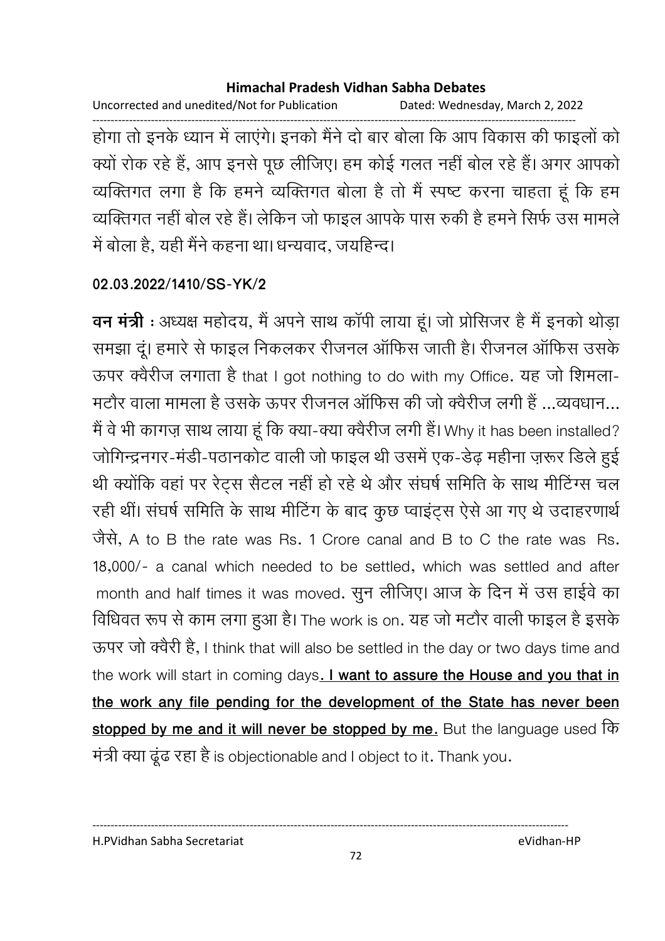Uncorrected and unedited/Not for Publication Dated: Wednesday, March 2, 2022 ------------------------------------------------------------------------------------------------------------------------------------ होगा तो इनके ध्यान में लाएंगे। इनको मैंने दो बार बोला कि आप विकास की फाइलों को क्यों रोक रहे हैं, आप इनसे पूछ लीजिए। हम कोई गलत नहीं बोल रहे हैं। अगर आपको व्यक्तिगत लगा है कि हमने व्यक्तिगत बोला है तो मैं स्पष्ट करना चाहता हूं कि हम व्यक्तिगत नहीं बोल रहे हैं। लेकिन जो फाइल आपके पास रुकी है हमने सिर्फ उस मामले में बोला है, यहीं मैंने कहना था। धन्यवाद, जयहिन्द।

### **02.03.2022/1410/SS-YK/2**

**वन मंत्री** : अध्यक्ष महोदय, मैं अपने साथ कापी लाया हूं। जो प्रोसिजर हैं मैं इनको थोड़ा समझा दू। हमारे से फाइल निकलकर रीजनल आफिस जाती है। रीजनल आफिस उसके ऊपर क्वैरीज लगाता है that I got nothing to do with my Office. यह जो शिमला-मंटौर वाला मामला है उसके ऊपर रीजनल आफिस की जो क्वैरीज लगी है …व्यवधान… मैं वे भी कागज़ साथ लाया हूँ कि क्या-क्या क्वैरीज लगी है। Why it has been installed? जोगिन्द्रनगर-मर्डी-पठानकोट वाली जो फाइल थी उसमें एक-डेढ़ महीना ज़रूर डिले हुई थी क्योंकि वहां पर रेट्स सैटल नहीं हो रहे थे और संघर्ष समिति के साथ मीटिंग्स चल रही थी। संघर्ष समिति के साथ मीटिंग के बाद कुछ प्वाइट्स ऐसे आ गए थे उदाहरणार्थ 8B), A to B the rate was Rs. 1 Crore canal and B to C the rate was Rs. 18,000/- a canal which needed to be settled, which was settled and after month and half times it was moved. सुन लीजिए। आज के दिन में उस हाईवे का विधिवत रूप से काम लगा हुआ है। The work is on. यह जो मटौर वाली फाइल है इसके ऊपर जो क्वैरी है, I think that will also be settled in the day or two days time and the work will start in coming days. **I want to assure the House and you that in the work any file pending for the development of the State has never been stopped by me and it will never be stopped by me.** But the language used मत्री क्या ढूढ रहा है is objectionable and I object to it. Thank you.

#### H.PVidhan Sabha Secretariat eVidhan-HP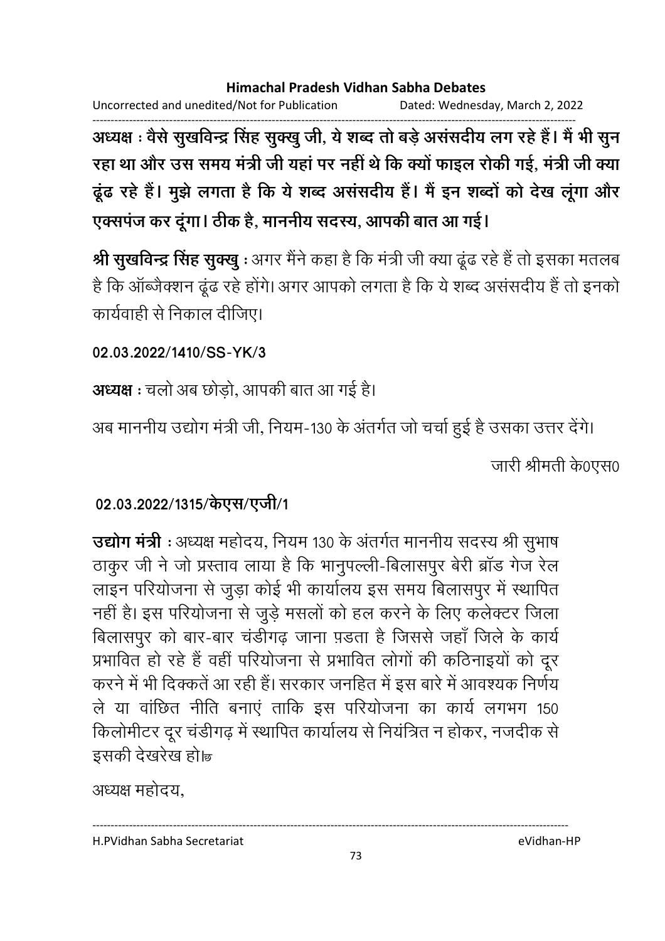Uncorrected and unedited/Not for Publication Dated: Wednesday, March 2, 2022

------------------------------------------------------------------------------------------------------------------------------------ अध्यक्ष : वैसे सुखर्विन्द्र सिंह सुक्खु जी, ये शब्द तो बड़े अससदीय लग रहे हैं। मैं भी सुन रहा था और उस समय मंत्री जी यहां पर नहीं थे कि क्यों फाइल रोकी गई, मंत्री जी क्या दूढ रहे हैं। मुझे लगता है कि ये शब्द अससदीय है। मैं इन शब्दों को देख लूगा और एक्सपंज कर दूंगा। ठीक है, माननीय सदस्य, आपकी बात आ गई।

**श्री सुखविन्द्र सिंह सुक्खु** : अगर मैंने कहा है कि मंत्री जी क्या ढूढ रहे हैं तो इसका मतलब है कि आब्जैक्शन ढूढ रहे होंगे। अगर आपको लगता है कि ये शब्द असंसदीय है तो इनको कार्यवाही से निकाल दीजिए।

**02.03.2022/1410/SS-YK/3**

**अध्यक्ष :** चलो अब छोड़ो, आपकी बात आ गई है।

अब माननीय उद्योग मंत्री जी, नियम-130 के अंतर्गत जो चर्चा हुई है उसका उत्तर देंगे। जारी श्रीमती के0एस0

# 02.03.2022/1315/केएस/एजी/1

**उद्योग मंत्री** : अध्यक्ष महोदय, नियम 130 के अंतर्गत माननीय सदस्य श्री सुभाष ठाकुर जी ने जो प्रस्ताव लाया है कि भानुपल्ली-बिलासपुर बेरी ब्रांड गेंज रेल लाइन परियोजना से जुड़ा कोई भी कार्यालय इस समय बिलासपुर में स्थापित नहीं है। इस परियोजना से जुड़े मसलों को हल करने के लिए कलेक्टर जिला बिलासपुर को बार-बार चर्डीगढ़ जाना पड़ता है जिससे जहां जिले के कार्य प्रभावित हो रहे हैं वहीं परियोजना से प्रभावित लोगों की कठिनाइयों को दूर करने में भी दिक्कते आ रही है। सरकार जनहित में इस बारे में आवश्यक निर्णय ले या वाछित नीति बनाए ताकि इस परियोजना का कार्य लगभग 150 किलोमीटर दूर चडीगढ़ में स्थापित कार्यालय से नियंत्रित न होकर, नजदीक से इसकी देखरेख हो।ब

अध्यक्ष महोदय.

H.PVidhan Sabha Secretariat eVidhan-HP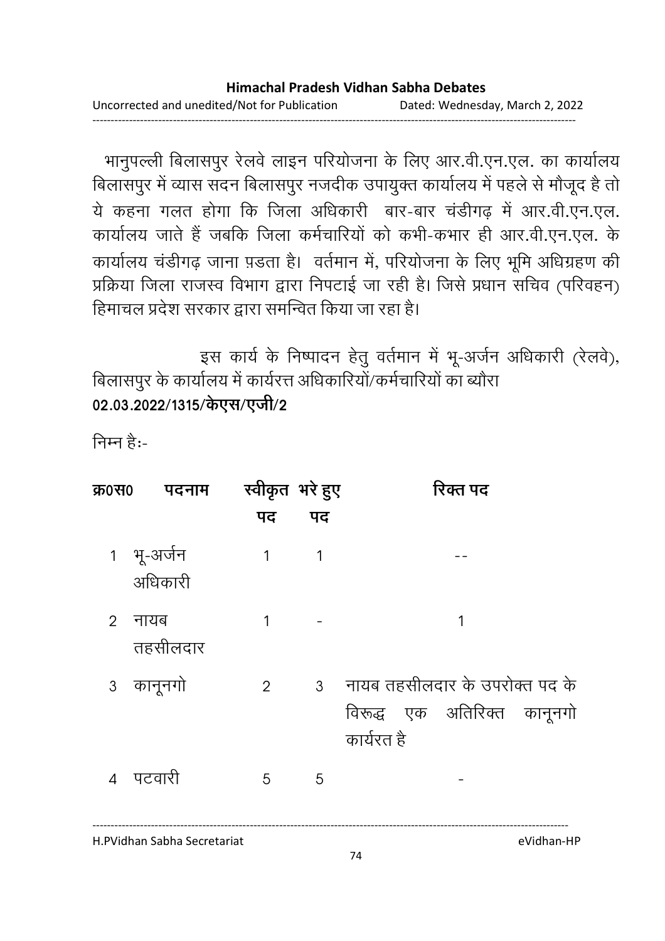- भानुपल्ली बिलासपुर रेलवे लाइन परियोजना के लिए आर.वी.एन.एल. का कार्यालय बिलासपुर में व्यास सदन बिलासपुर नजदीक उपायुक्त कार्यालय में पहले से मौजूद है तो ये कहना गलत होगा कि जिला अधिकारी बार-बार चंडीगढ़ में आर.वी.एन.एल. कार्यालय जाते हैं जबकि जिला कर्मचारियों को कभी-कभार ही आर.वी.एन.एल. के कार्यालय चडीगढ़ जाना प़डता है। वर्तमान में, परियोजना के लिए भूमि अधिग्रहण की प्रक्रिया जिला राजस्व विभाग द्वारा निपटाई जा रही है। जिसे प्रधान सचिव (परिवहन) हिमाचल प्रदेश सरकार द्वारा समन्वित किया जा रहा है।

इस कार्य के निष्पादन हेतु वर्तमान में भू-अर्जन अधिकारी (रेलवे), .<br>बिलासपुर के कार्यालय में कार्यरत्त अधिकारियों/कर्मचारियों का ब्यौरा 02.03.2022/1315/केएस/एजी/2

निम्न है:-

| क्र0स0         | पदनाम                 | स्वीकृत भरे हुए |    | रिक्त पद                                                                      |
|----------------|-----------------------|-----------------|----|-------------------------------------------------------------------------------|
|                |                       | पद              | पद |                                                                               |
|                | 1 भू-अर्जन<br>अधिकारी | 1               | 1  |                                                                               |
| $\overline{2}$ | नायब<br>तहसीलदार      | 1               |    | 1                                                                             |
|                | 3 कानूनगो             | $\overline{2}$  |    | 3 नायब तहसीलदार के उपरोक्त पद के<br>विरूद्ध एक अतिरिक्त कानूनगो<br>कार्यरत है |
| 4              | पटवारी                | 5               | 5  |                                                                               |

H.PVidhan Sabha Secretariat eVidhan-HP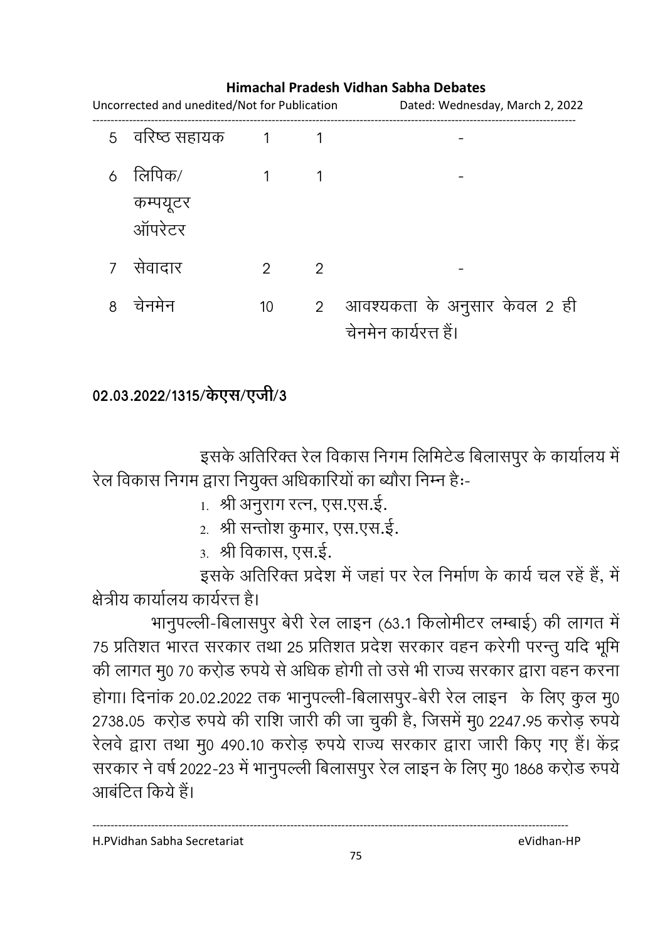# Uncorrected and unedited/Not for Publication Dated: Wednesday, March 2, 2022 ------------------------------------------------------------------------------------------------------------------------------------ 5 वरिष्ठ सहायक 1 1 6 लिपिक/ कम्पयूटर ऑपरेटर  $1$  -

8 #)) 10 2 !1
 ) \* ) . 2 ह

.<br>चेनमेन कार्यरत्त हैं।

## **Himachal Pradesh Vidhan Sabha Debates**

7 ) 2 2 -

## 02.03.2022/1315/केएस/एजी/3

इसके अतिरिक्त रेल विकास निगम लिमिटेड बिलासपुर के कार्यालय में रेल विकास निगम द्वारा नियुक्त अधिकारियों का ब्यौरा निम्न हैः-

- 1. श्री अनुराग रत्न, एस.एस.इ.
- 2. श्री सन्तोश कुमार, एस.एस.ई.
- ३. श्री विकास, एस.इं.

इसके अतिरिक्त प्रदेश में जहां पर रेल निर्माण के कार्य चल रहें हैं, में क्षेत्रीय कार्यालय कार्यरत्त है।

भानुपल्ली-बिलासपुर बेरी रेल लाइन (63.1 किलोमीटर लम्बाई) की लागत में 75 प्रतिशत भारत सरकार तथा 25 प्रतिशत प्रदेश सरकार वहन करेगी परन्तु यदि भूमि की लागत मु0 70 करोड रुपये से अधिक होगी तो उसे भी राज्य सरकार द्वारा वहन करना होगा। दिनाक 20.02.2022 तक भानुपल्ली-बिलासपुर-बेरी रेल लाइन के लिए कुल मु0 2738.05 करो़ड रुपये की राशि जारी की जा चुकी है, जिसमें मु0 2247.95 करोड़ रुपये रेलवे द्वारा तथा मु0 490.10 करोड़ रुपये राज्य सरकार द्वारा जारी किए गए हैं। केंद्र सरकार ने वर्ष 2022-23 में भानुपल्ली बिलासपुर रेल लाइन के लिए मु0 1868 करो़ड रुपये। आबंटित किये हैं।

H.PVidhan Sabha Secretariat eVidhan-HP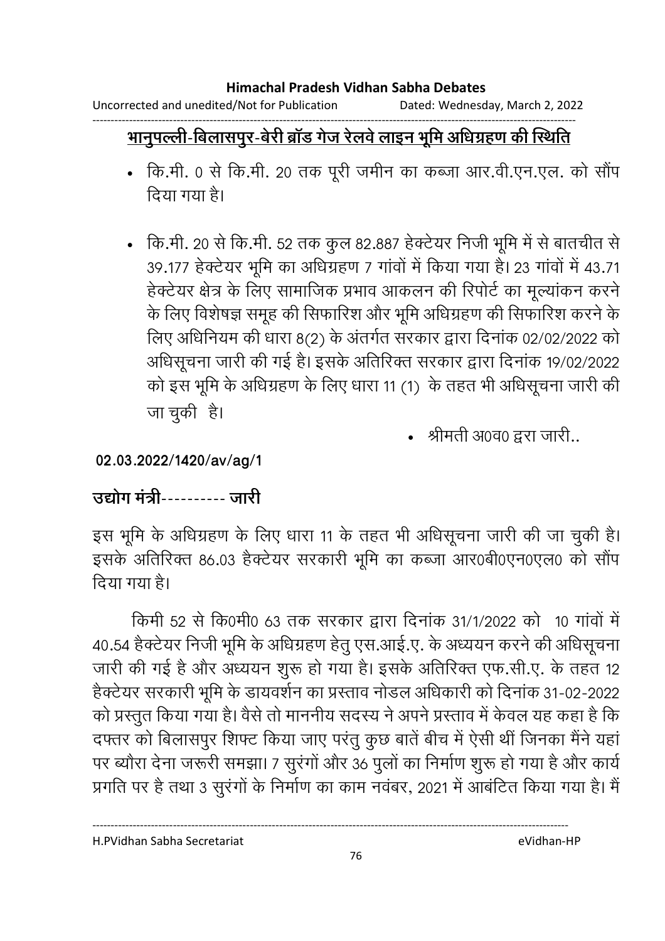Uncorrected and unedited/Not for Publication Dated: Wednesday, March 2, 2022

#### ------------------------------------------------------------------------------------------------------------------------------------ <u>भानुपल्ली-बिलासपुर-बेरी ब्रॉंड गेज रेलवे लाइन भूमि अधिग्रहण की स्थिति</u>

- कि.मी. ० से कि.मी. २० तक पूरी जमीन का कब्जा आर.वी.एन.एल. को सौप दिया गया है।
- कि.मी. 20 से कि.मी. 52 तक कुल 82.887 हेक्टेयर निजी भूमि में से बातचीत से 39.177 हेक्टेयर भूमि का अधिग्रहण 7 गांवों में किया गया है। 23 गांवों में 43.71 हेक्टेयर क्षेत्र के लिए सामाजिक प्रभाव आकलन की रिपोर्ट का मूल्यांकन करने के लिए विशेषज्ञ समूह की सिफारिश और भूमि अधिग्रहण की सिफारिश करने के लिए अधिनियम की धारा 8(2) के अंतर्गत सरकार द्वारा दिनाक 02/02/2022 को आंधेसूचना जारी की गई है। इसके अतिरिक्त सरकार द्वारा दिनाक 19/02/2022 को इस भूमि के अधिग्रहण के लिए धारा 11 (1) के तहत भी अधिसूचना जारी की जा चुकी हैं।
	- श्रीमती अ0व0 द्वरा जारी..

**02.03.2022/1420/av/ag/1**

# <u> उद्योग मंत्री---------- जारी</u>

इस भूमि के अधिग्रहण के लिए धारा 11 के तहत भी अधिसूचना जारी की जा चुकी है। इसके अतिरिक्त 86.03 हैक्टेयर सरकारी भूमि का कब्जा आर0बी0एन0एल0 को सौंप दिया गया है।

किमी 52 से कि0मी0 63 तक सरकार द्वारा दिनाक 31/1/2022 को 10 गावों में 40.54 हैक्टेयर निजी भूमि के अधिग्रहण हेतु एस.आई.ए. के अध्ययन करने की अधिसूचना जारी की गई है और अध्ययन शुरू हो गया है। इसके अतिरिक्त एफ.सी.ए. के तहत 12 हैक्टेयर सरकारी भूमि के डायवर्शन का प्रस्ताव नोडल अधिकारी को दिनाक 31-02-2022 | को प्रस्तुत किया गया है। वैसे तो माननीय सदस्य ने अपने प्रस्ताव में केवल यह कहा है कि दफ्तर को बिलासपुर शिफ्ट किया जाए परंतु कुछ बाते बीच में ऐसी थी जिनका मैंने यहाँ पर ब्यौरा देना जरूरी समझा। 7 सुरंगों और 36 पुर्ला का निर्माण शुरू हो गया है और कार्य प्रगति पर है तथा 3 सुरंगों के निर्माण का काम नवंबर, 2021 में आंबंटित किया गया है। मैं

H.PVidhan Sabha Secretariat eVidhan-HP

76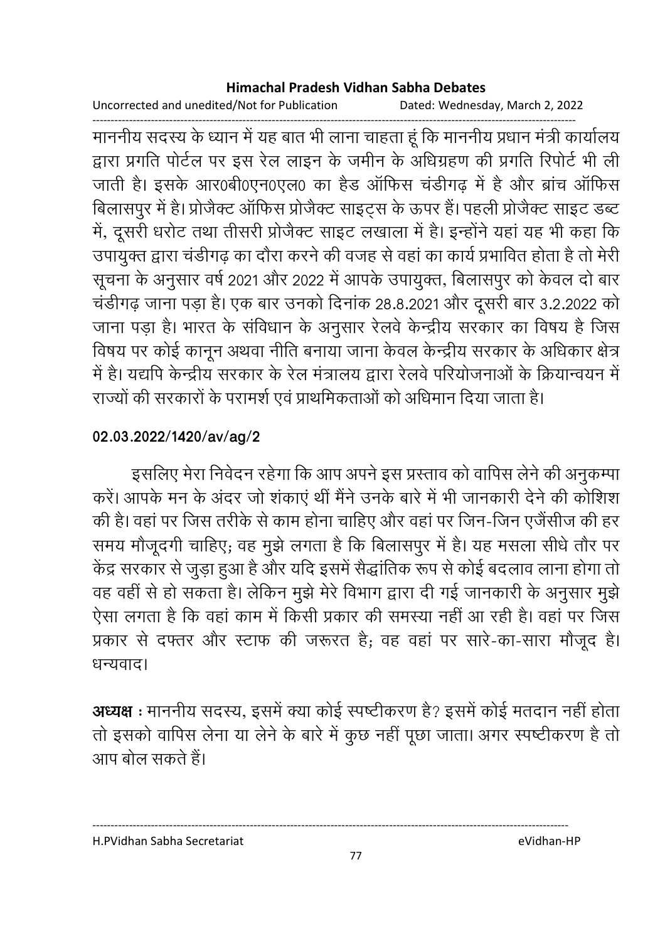Uncorrected and unedited/Not for Publication Dated: Wednesday, March 2, 2022

------------------------------------------------------------------------------------------------------------------------------------ माननीय सदस्य के ध्यान में यह बात भी लाना चाहता हूं कि माननीय प्रधान मंत्री कार्यालय । द्वारा प्रगति पोर्टल पर इस रेल लाइन के जमीन के अधिग्रहण की प्रगति रिपोर्ट भी ली जाती है। इसके आर0बेठिएन0एल0 का हैंड आफिस चंडीगढ़ में हैं और ब्रांच आफिस बिलासपुर में हैं। प्रजिक्ट आफिस प्रजिक्ट साइट्स के ऊपर है। पहली प्रजिक्ट साइट डब्ट में, दूसरी धरोट तथा तीसरी प्रजिक्ट साइट लखाला में हैं। इन्होंने यहां यह भी कहा कि उपायुक्त द्वारा चडीगढ़ का दौरा करने की वजह से वहां का कार्य प्रभावित होता है तो मेरी सूचना के अनुसार वर्ष 2021 और 2022 में आपके उपायुक्त, बिलासपुर को केवल दो बार चर्डीगढ़ जाना पड़ा है। एक बार उनको दिनाक 28.8.2021 और दूसरी बार 3.2.2022 को जाना पड़ा है। भारत के संविधान के अनुसार रेलवे केन्द्रीय सरकार का विषय है जिस विषय पर कोई कानून अथवा नीति बनाया जाना केवल केन्द्रीय सरकार के अधिकार क्षेत्र | में हैं। यद्यपि केन्द्रीय सरकार के रेल मंत्रालय द्वारा रेलवे परियोजनाओं के क्रियान्वयन में राज्यों की सरकारों के परामर्श एवं प्राथमिकताओं को अधिमान दिया जाता है।

# **02.03.2022/1420/av/ag/2**

इसलिए मेरा निवेदन रहेगा कि आप अपने इस प्रस्ताव को वार्पिस लेने की अनुकम्पा करें। आपके मन के अंदर जो शकाएं थी मैंने उनके बारे में भी जानकारी देने की कोशिश की है। वहां पर जिस तरीके से काम होना चाहिए और वहां पर जिन-जिन एजैसीज की हर समय मौजूदगी चाहिए; वह मुझे लगता है कि बिलासपुर में हैं। यह मसला सीधे तौर पर केंद्र सरकार से जुड़ा हुआ है और यदि इसमें सैद्धांतिक रूप से कोई बदलाव लाना होगा तो वह वहीं से हो सकता है। लेकिन मुझे मेरे विभाग द्वारा दी गई जानकारी के अनुसार मुझे ऐसा लगता है कि वहां काम में किसी प्रकार की समस्या नहीं आ रही है। वहां पर जिस प्रकार से दफ्तर और स्टाफ की जरूरत है; वह वहां पर सारे-का-सारा मौजूद है। धन्यवाद।

**अध्यक्ष** : माननीय सदस्य, इसमें क्या कोई स्पष्टीकरण है? इसमें कोई मतदान नहीं होता तो इसको वार्पिस लेना या लेने के बारे में कुछ नहीं पूछा जाता। अगर स्पष्टीकरण है तो आप बोल सकते हैं।

H.PVidhan Sabha Secretariat eVidhan-HP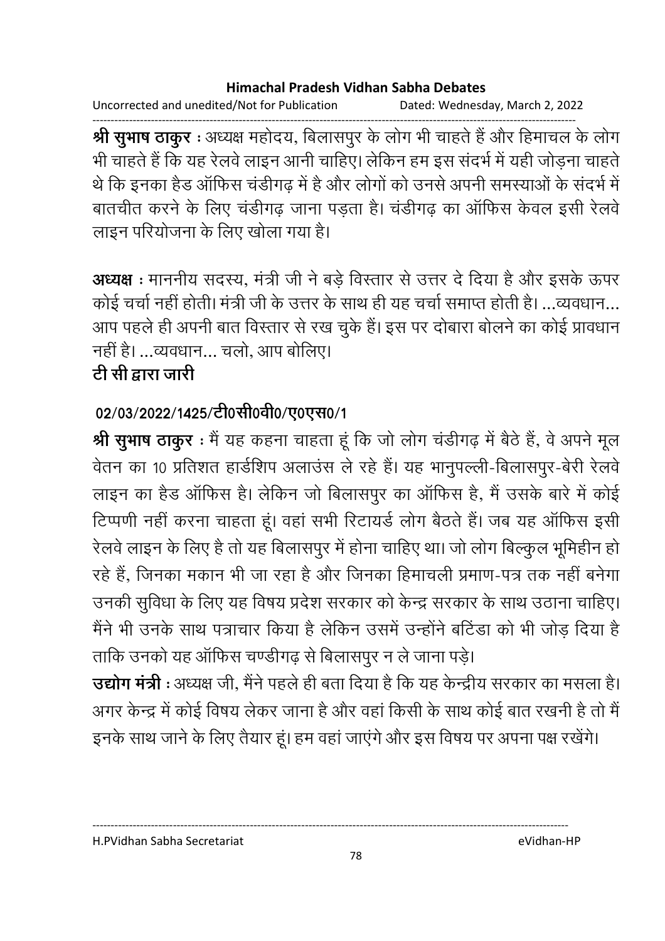Uncorrected and unedited/Not for Publication Dated: Wednesday, March 2, 2022

------------------------------------------------------------------------------------------------------------------------------------ **श्री सुभाष ठाकुर** : अध्यक्ष महोदय, बिलासपुर के लोग भी चाहते हैं और हिमाचल के लोग भी चाहते हैं कि यह रेलवे लाइन आनी चाहिए। लेकिन हम इस सदर्भ में यही जोड़ना चाहते. थे कि इनका हैंड आफिस चंडीगढ़ में हैं और लोगों को उनसे अपनी समस्याओं के सदर्भ में बातचीत करने के लिए चर्डीगढ़ जाना पड़ता है। चर्डीगढ़ का आफिस केवल इसी रेलवे लाइन परियोजना के लिए खोला गया है।

**अध्यक्ष** : माननीय सदस्य, मंत्री जी ने बड़े विस्तार से उत्तर दे दिया है और इसके ऊपर कोई चर्चा नहीं होती। मंत्री जी के उत्तर के साथ ही यह चर्चा समाप्त होती है। …व्यवधान… आप पहले ही अपनी बात विस्तार से रख चुके हैं। इस पर दोबारा बोलने का कोई प्रावधान नहीं है। ...व्यवधान... चलो, आप बोलिए।

# <u>टी सी द्वारा जारी</u>

# 02/03/2022/1425/टी0सी0वी0/ए0एस0/1

**श्री सुभाष ठाकुर** : मैं यह कहना चाहता हूं कि जो लोग चंडीगढ़ में बैठे हैं, वे अपने मूल र्वतन का 10 प्रतिशत हार्डशिप अलाउस ले रहे हैं। यह भानुपल्ली-बिलासपुर-बेरी रेलवे लाइन का हैड ऑफिस है। लेकिन जो बिलासपुर का ऑफिस है, मैं उसके बारे में कोई टिप्पणी नहीं करना चाहता हूं। वहां सभी रिटायर्ड लोग बैठते हैं। जब यह आफिस इसी रेलवे लाइन के लिए हैं तो यह बिलासपुर में होना चाहिए था। जो लोग बिल्कुल भूमिहीन हो रहे हैं, जिनका मकान भी जा रहा है और जिनका हिमाचली प्रमाण-पत्र तक नहीं बनेगा उनकी सुर्विधा के लिए यह विषय प्रदेश सरकार को केन्द्र सरकार के साथ उठाना चाहिए। मैंने भी उनके साथ पत्राचार किया है लेकिन उसमें उन्होंने बर्टिडा को भी जोड़ दिया है ताकि उनको यह आफिस चण्डीगढ़ से बिलासपुर न ले जाना पड़े।

**उद्योग मंत्री** : अध्यक्ष जी, मैंने पहले ही बता दिया है कि यह केन्द्रीय सरकार का मसला है। अगर केन्द्र में कोई विषय लेकर जाना है और वहां किसी के साथ कोई बात रखनी हैं तो मैं

इनके साथ जाने के लिए तैयार हूं। हम वहां जाएंगे और इस विषय पर अपना पक्ष रखेंगे।

----------------------------------------------------------------------------------------------------------------------------------

H.PVidhan Sabha Secretariat eVidhan-HP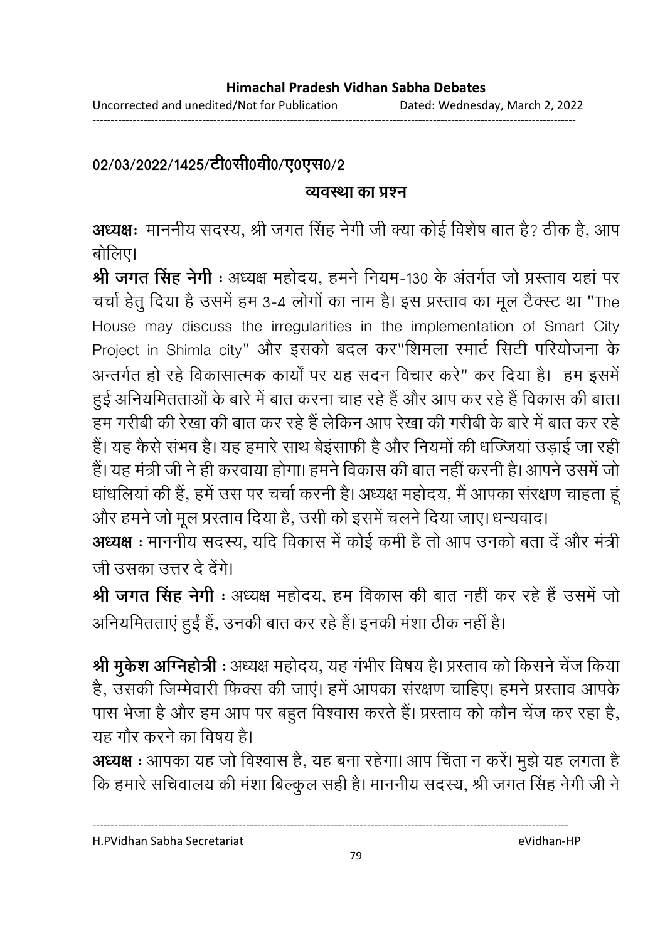------------------------------------------------------------------------------------------------------------------------------------

# 02/03/2022/1425/टी0सी0वी0/ए0एस0/2

## <u>व्यवस्था का प्रश्न</u>

**अध्यक्षः** माननीय सदस्य, श्री जगत सिंह नेगी जी क्या कोई विशेष बात है? ठीक है, आप बोलिए।

**श्री जगत सिंह नेगी** : अध्यक्ष महोदय, हमने नियम-130 के अंतर्गत जो प्रस्ताव यहां पर चर्चा हेतु दिया है उसमें हम 3-4 लोगों का नाम है। इस प्रस्ताव का मूल टैक्स्ट था "The House may discuss the irregularities in the implementation of Smart City Project in Shimla city" और इसको बदल कर"शिमला स्मार्ट सिटी परियोजना के अन्तर्गत हो रहे विकासात्मक कार्यों पर यह सदन विचार करे" कर दिया है। हम इसमें हुई अनियमितताओं के बारे में बात करना चाह रहे हैं और आप कर रहे हैं विकास की बात। हम गरीबी की रेखा की बात कर रहे हैं लेकिन आप रेखा की गरीबी के बारे में बात कर रहे हैं। यह कैसे संभव है। यह हमारे साथ बेइसाफी है और नियमों की धज्जिया उड़ाई जा रही हैं। यह मंत्री जी ने ही करवाया होगा। हमने विकास की बात नहीं करनी हैं। आपने उसमें जो धार्धालेया की है, हमें उस पर चर्चा करनी है। अध्यक्ष महोदय, मैं आपका सरक्षण चाहता हू और हमने जो मूल प्रस्ताव दिया है, उसी को इसमें चलने दिया जाए। धन्यवाद।

**अध्यक्ष :** माननीय सदस्य, यदि विकास में कोई कमी है तो आप उनको बता दें और मंत्री | जी उसका उत्तर दे देंगे।

**श्री जगत सिंह नेगी** : अध्यक्ष महोदय, हम विकास की बात नहीं कर रहे हैं उसमें जो आनेयमितताएं हुई हैं, उनकी बात कर रहे हैं। इनकी मशा ठीक नहीं हैं।

**श्री मुकेश ओग्नेहोत्री** : अध्यक्ष महोदय, यह गभीर विषय है। प्रस्ताव को किसने चेज किया हैं, उसकी जिम्मेवारी फिक्स की जाए। हमें आपका सरक्षण चाहिए। हमने प्रस्ताव आपके पास भेजा है और हम आप पर बहुत विश्वास करते हैं। प्रस्ताव को कौन चेंज कर रहा है, यह गौर करने का विषय है।

**अध्यक्ष** : आपका यह जो विश्वास है, यह बना रहेगा। आप चिंता न करें। मुझे यह लगता है कि हमारे सचिवालय की मशा बिल्कुल सही है। माननीय सदस्य, श्री जगत सिंह नेगी जी ने

H.PVidhan Sabha Secretariat eVidhan-HP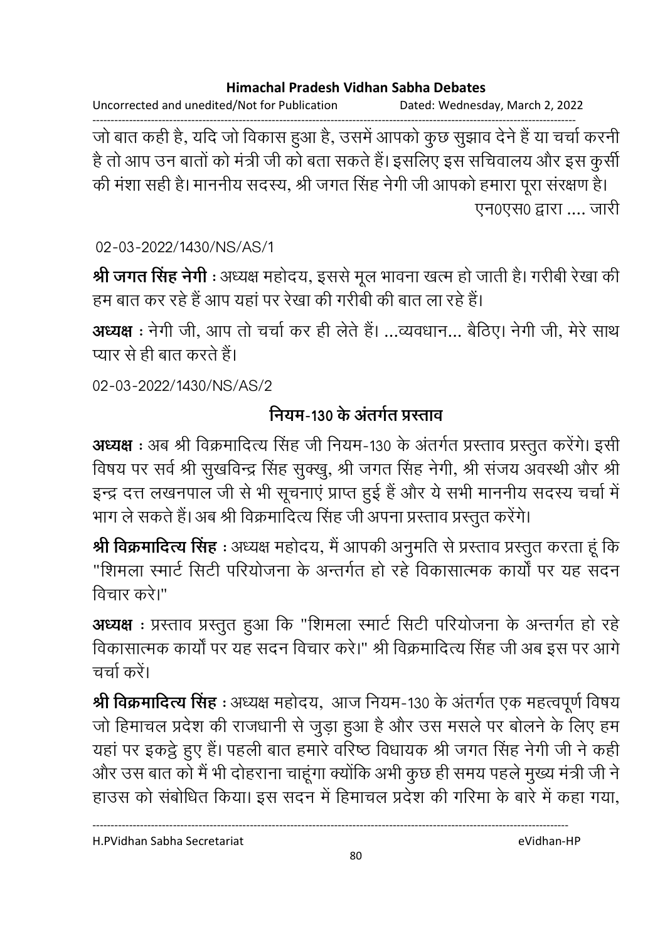Uncorrected and unedited/Not for Publication Dated: Wednesday, March 2, 2022

------------------------------------------------------------------------------------------------------------------------------------ जो बात कही है, यदि जो विकास हुआ है, उसमें आपको कुछ सुझाव देने हैं या चर्चा करनी है तो आप उन बातों को मंत्री जी को बता सकते हैं। इसलिए इस सचिवालय और इस कुसी की मशा सही है। माननीय सदस्य, श्री जगत सिंह नेगी जी आपको हमारा पूरा सरक्षण है। एन0एस0 द्वारा .... जारी

02-03-2022/1430/NS/AS/1

**श्री जगत सिंह नेगी** : अध्यक्ष महोदय, इससे मूल भावना खत्म हो जाती है। गरीबी रेखा की हम बात कर रहे हैं आप यहां पर रेखा की गरीबी की बात ला रहे हैं।

**अध्यक्ष** : नेगी जी, आप तो चर्चा कर ही लेते हैं। ...व्यवधान... बैठिए। नेगी जी, मेरे साथ प्यार से ही बात करते हैं।

02-03-2022/1430/NS/AS/2

# नियम-130 के अंतर्गत प्रस्ताव

**अध्यक्ष** : अब श्री विक्रमादित्य सिंह जी नियम-130 के अंतर्गत प्रस्ताव प्रस्तुत करेंगे। इसी विषय पर सर्व श्री सुखर्विन्द्र सिंह सुक्खु, श्री जगत सिंह नेगी, श्री सजय अवस्थी और श्री इन्द्र दत्त लखनपाल जी से भी सूचनाएं प्राप्त हुई है और ये सभी माननीय सदस्य चर्चा में भाग ले सकते हैं। अब श्री विक्रमादित्य सिंह जी अपना प्रस्ताव प्रस्तुत करेंगे।

**श्री विक्रमादित्य सिंह** : अध्यक्ष महोदय, मैं आपकी अनुमति से प्रस्ताव प्रस्तुत करता हूं कि "शिमला स्मार्ट सिटी परियोजना के अन्तर्गत हो रहे विकासात्मक कार्यों पर यह सदन विचार करे।"

**अध्यक्ष** : प्रस्ताव प्रस्तुत हुआ कि "शिमला स्मार्ट सिटी परियोजना के अन्तर्गत हो रहे विकासात्मक कार्यों पर यह सदन विचार करें।" श्री विक्रमादित्य सिंह जी अब इस पर आगे  $\pi$ र्चा करें।

**श्री विक्रमादित्य सिंह** : अध्यक्ष महोदय, आज नियम-130 के अंतर्गत एक महत्वपूर्ण विषय जो हिमाचल प्रदेश की राजधानी से जुड़ा हुआ है और उस मसले पर बोलने के लिए हम यहाँ पर इकट्ठे हुए हैं। पहली बात हमारे वरिष्ठ विधायक श्री जगत सिंह नेगी जी ने कहीं। और उस बात को मैं भी दोहराना चाहूँगा क्योंकि अभी कुछ ही समय पहले मुख्य मंत्री जी ने हाउस को संबोधित किया। इस सदन में हिमाचल प्रदेश की गरिमा के बारे में कहा गया,

H.PVidhan Sabha Secretariat eVidhan-HP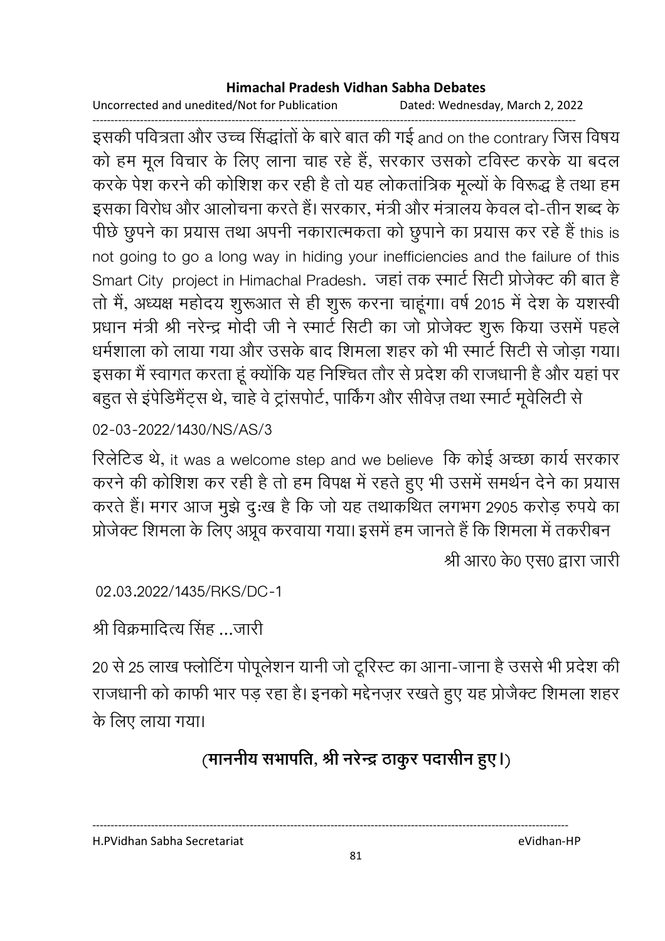Uncorrected and unedited/Not for Publication Dated: Wednesday, March 2, 2022

------------------------------------------------------------------------------------------------------------------------------------ इसकी पवित्रता और उच्च सिद्धार्ता के बारे बात की गई and on the contrary जिस विषय को हम मूल विचार के लिए लाना चाह रहे हैं, सरकार उसको टविस्ट करके या बदल करके पेश करने की कोशिश कर रही है तो यह लोकतांत्रिक मूल्यों के विरूद्ध है तथा हम इसका विरोध और आलोचना करते हैं। सरकार, मंत्री और मंत्रालय केवल दो-तीन शब्द के पीछे छुपने का प्रयास तथा अपनी नकारात्मकता को छुपाने का प्रयास कर रहे हैं this is not going to go a long way in hiding your inefficiencies and the failure of this Smart City project in Himachal Pradesh. जहां तक स्मार्ट सिटी प्रोजेक्ट की बात है तों में, अध्यक्ष महोदय शुरूआत से ही शुरू करना चाहूंगा। वर्ष 2015 में देश के यशस्वी प्रधान मंत्री श्री नरेन्द्र मोदी जी ने स्मार्ट सिटी का जो प्रोजेक्ट शुरू किया उसमें पहले धर्मशाला को लाया गया और उसके बाद शिमला शहर को भी स्मार्ट सिटी से जोड़ा गया। इसका मैं स्वागत करता हूं क्योंकि यह निश्चित तौर से प्रदेश की राजधानी है और यहां पर बहुत से इपेडिमैट्स थे, चाहे वे ट्रासपोर्ट, पाकिंग और सेविज़ तथा स्मार्ट मूर्वलिटी से

02-03-2022/1430/NS/AS/3

रिलेटिड थे, it was a welcome step and we believe कि कोई अच्छा कार्य सरकार करने की कोशिश कर रही है तो हम विपक्ष में रहते हुए भी उसमें समर्थन देने का प्रयास करते हैं। मगर आज मुझे दुःख है कि जो यह तथाकथित लगभग 2905 करोड़ रुपये का प्रोजेक्ट शिमला के लिए अप्रूव करवाया गया। इसमें हम जानते हैं कि शिमला में तकरीबन

श्री आर0 के0 एस0 द्वारा जारी

02.03.2022/1435/RKS/DC-1

श्री विक्रमादित्य सिंह …जारी

20 से 25 लाख फ्लोटिंग पोपूलेशन यांनी जो टूरिस्ट का आना-जाना है उससे भी प्रदेश की राजधानी को काफी भार पड़ रहा है। इनको मद्देनज़र रखते हुए यह प्रोजैक्ट शिमला शहर के लिए लाया गया।

# (माननीय सभापति, श्री नरेन्द्र ठाकुर पदासीन हुए।)

H.PVidhan Sabha Secretariat eVidhan-HP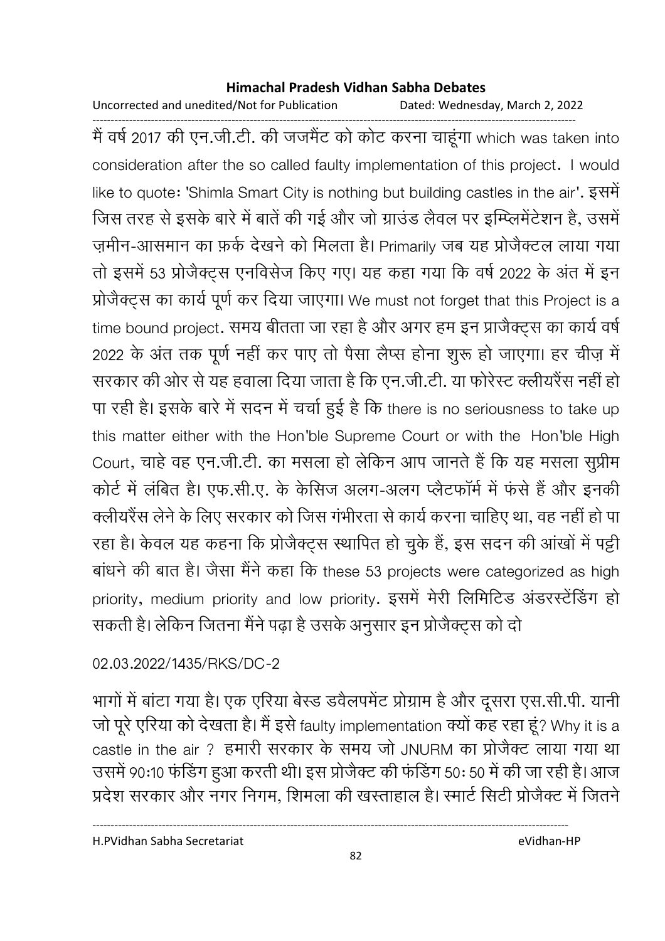Uncorrected and unedited/Not for Publication Dated: Wednesday, March 2, 2022

------------------------------------------------------------------------------------------------------------------------------------ मैं वर्ष 2017 की एन.जी.टी. की जजमैट को कोट करना चाहूगा which was taken into consideration after the so called faulty implementation of this project. I would like to quote: 'Shimla Smart City is nothing but building castles in the air'. इसमें जिस तरह से इसके बारे में बाते की गई और जो ग्राउंड लैवल पर इम्प्लिमेंटेशन हैं, उसमें ज़मीन-आसमान का फ़र्क देखने को मिलता है। Primarily जब यह प्रजिक्टल लाया गया तो इसमें 53 प्रोजैक्ट्स एनविसेज किए गए। यह कहा गया कि वर्ष 2022 के अंत में इन प्रोजेक्ट्स का कार्य पूर्ण कर दिया जाएगा। We must not forget that this Project is a time bound project. समय बीतता जा रहा है और अगर हम इन प्राजैक्ट्स का कार्य वर्षे 2022 के अंत तक पूर्ण नहीं कर पाए तो पैसा लैप्स होना शुरू हो जाएगा। हर चीज़ में सरकार की ओर से यह हवाला दिया जाता है कि एन.जी.टी. या फरिस्ट क्लीयरैस नहीं हो। पा रही है। इसके बारे में सदन में चर्चा हुई है कि there is no seriousness to take up this matter either with the Hon'ble Supreme Court or with the Hon'ble High Court, चाहे वह एन.जी.टी. का मसला हो लेकिन आप जानते हैं कि यह मसला सुप्रीम कोर्ट में लंबित हैं। एफ.सी.ए. के कैंसिज अलग-अलग प्लैटफार्म में फर्स है और इनकी क्लीयरैस लेने के लिए सरकार को जिस गंभीरता से कार्य करना चाहिए था, वह नहीं हो पा रहा है। केवल यह कहना कि प्रजिक्ट्स स्थापित हो चुके हैं, इस सदन की आखों में पट्टी बाधने की बात है। जैसा मैने कहा कि these 53 projects were categorized as high priority, medium priority and low priority. इसमें मेरी लिमिटिड अडरस्टेडिंग हो सकती है। लेकिन जितना मैंने पढ़ा है उसके अनुसार इन प्रजिक्ट्स को दो

## 02.03.2022/1435/RKS/DC-2

भागों में बाटा गया है। एक एरिया बेस्ड डवैलपमेंट प्रोग्राम है और दूसरा एस.सी.पी. यांनी जो पूरे एरिया को देखता है। मैं इसे faulty implementation क्यों कह रहा हूं? Why it is a castle in the air ? हमारी सरकार के समय जो JNURM का प्रजिक्ट लाया गया था उसमें 90:10 फोर्डेंग हुआ करती थी। इस प्रजिक्ट की फर्डिंग 50: 50 में की जा रही हैं। आज प्रदेश सरकार और नगर निगम, शिमला की खस्ताहाल है। स्मार्ट सिटी प्रजिक्ट में जितने

H.PVidhan Sabha Secretariat eVidhan-HP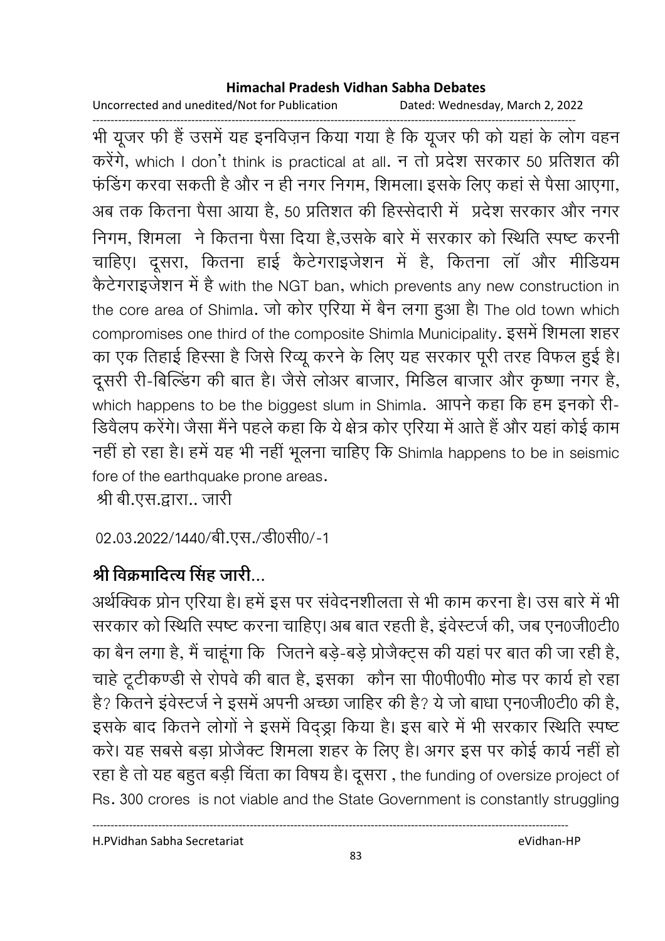Uncorrected and unedited/Not for Publication Dated: Wednesday, March 2, 2022

------------------------------------------------------------------------------------------------------------------------------------ भी यूजर फी है उसमें यह इनविज़न किया गया है कि यूजर फी को यहां के लोग वहन करेंगे, which I don't think is practical at all. न तो प्रदेश सरकार 50 प्रतिशत की फंडिंग करवा सकती है और न ही नगर निगम, शिमला। इसके लिए कहा से पैसा आएगा, \*  B !
 हB, 50 ह) 7 ) V < निगम, शिमला ने कितना पैसा दिया है,उसके बारे में सरकार को स्थिति स्पष्ट करनी | चाहिए। दूसरा, कितना हाई कैटेंगराइजेशन में हैं, कितना ला और मीडियम केटेगराइजेशन में है with the NGT ban, which prevents any new construction in the core area of Shimla. जो कोर एरिया में बैन लगा हुआ है। The old town which compromises one third of the composite Shimla Municipality. इसमें शिमला शहर का एक तिहाई हिस्सा है जिसे रिव्यू करने के लिए यह सरकार पूरी तरह विफल हुई है। दूसरी री-बिल्डिंग की बात है। जैसे लोअर बाजार, मिडिल बाजार और कृष्णा नगर है, which happens to be the biggest slum in Shimla. आपने कहा कि हम इनको री-डिवैलप करेंगे। जैसा मैंने पहले कहा कि ये क्षेत्र कोर एरिया में आते हैं और यहां कोई काम नही हो रहा है। हमें यह भी नहीं भूलना चाहिए कि Shimla happens to be in seismic fore of the earthquake prone areas.

श्री बी.एस.द्वारा.. जारी

02.03.2022/1440/बी.एस./डी0सी0/-1

# श्री विक्रमादित्य सिंह जारी...

अर्थव्विक प्रोन एरिया है। हमें इस पर सर्वेदनशीलता से भी काम करना है। उस बारे में भी सरकार को स्थिति स्पष्ट करना चाहिए। अब बात रहती है, इवेस्टर्ज की, जब एन0जी0टी0 का बैन लगा है, मैं चाहूँगा कि जितने बड़ें-बड़े प्रजिक्ट्स की यहां पर बात की जा रही है, #ह) 4"4 ÉN ) ) हB, : Y 0 0 0 N 
 ह ह है? कितने इवेस्टर्ज ने इसमें अपनी अच्छा जाहिर की है? ये जो बाधा एन0जी0टी0 की है, इसके बाद कितने लोगों ने इसमें विद्ड्रा किया है। इस बारे में भी सरकार स्थिति स्पष्ट करे। यह सबसे बड़ा प्रोजैक्ट शिमला शहर के लिए है। अगर इस पर कोई कार्य नहीं हो रहा है तो यह बहुत बड़ी चिंता का विषय है। दूसरा , the funding of oversize project of Rs. 300 crores is not viable and the State Government is constantly struggling

H.PVidhan Sabha Secretariat eVidhan-HP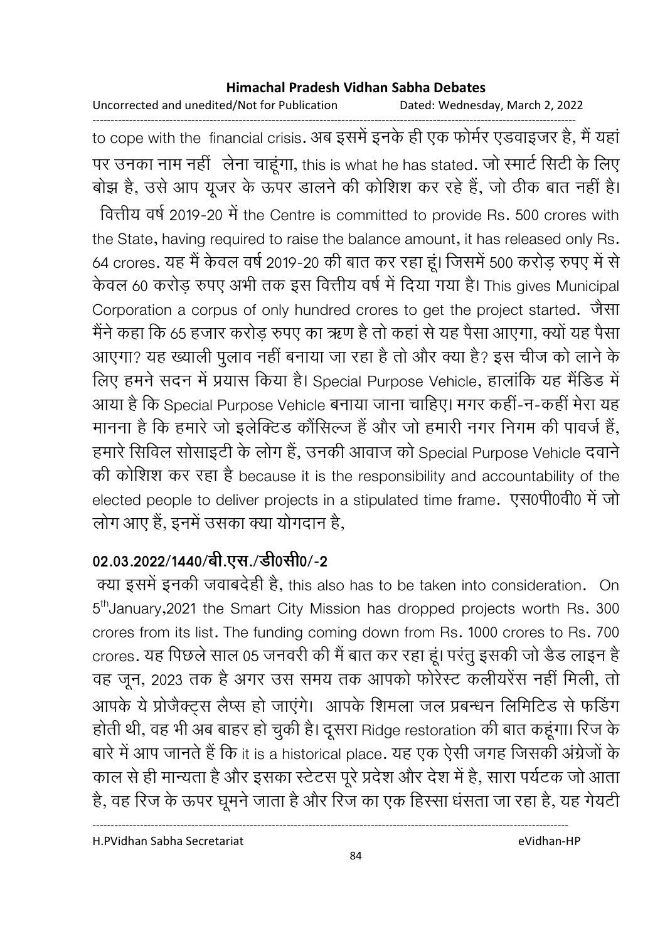Uncorrected and unedited/Not for Publication Dated: Wednesday, March 2, 2022

----------------------------------------------------------------------------------------------------------------------------------- to cope with the financial crisis. अब इसमें इनके ही एक फोमेर एडवाइजर हैं, मैं यहाँ पर उनका नाम नहीं लेना चाहूगा, this is what he has stated. जो स्मार्ट सिटी के लिए बोझ है, उसे आप यूजर के ऊपर डालने की कोशिश कर रहे है, जो ठीक बात नहीं है। वित्तीय वर्ष 2019-20 में the Centre is committed to provide Rs. 500 crores with the State, having required to raise the balance amount, it has released only Rs. 64 crores. यह मैं केवल वर्ष 2019-20 की बात कर रहा हूं। जिसमें 500 करोड़ रुपए में से केवल 60 करोड़ रुपए अभी तक इस वित्तीय वर्ष में दिया गया है। This gives Municipal Corporation a corpus of only hundred crores to get the project started. जैसा मैंने कहा कि 65 हजार करोड़ रुपए का ऋण है तो कहां से यह पैसा आएगा, क्यों यह पैसा आएगा? यह ख्याली पुलाव नहीं बनाया जा रहा है तो और क्या है? इस चीज को लाने के लिए हमने सदन में प्रयास किया है। Special Purpose Vehicle, हालांकि यह मैंडिड में आया है कि Special Purpose Vehicle बनाया जाना चाहिए। मगर कहीं-न-कहीं मेरा यह मानना है कि हमारे जो इलेक्टिड कौसिल्ज है और जो हमारी नगर निगम की पावर्ज है, हमारे सिविल सोसाइटी के लोग है, उनकी आवाज को Special Purpose Vehicle दवाने की कोशिश कर रहा है because it is the responsibility and accountability of the elected people to deliver projects in a stipulated time frame. एस0पी0वी0 में जो लोग आए हैं, इनमें उसका क्या योगदान है,

# 02.03.2022/1440/बी.एस./डी0सी0/-2

क्या इसमें इनकी जवाबदेही हैं, this also has to be taken into consideration. On 5<sup>th</sup>January,2021 the Smart City Mission has dropped projects worth Rs. 300 crores from its list. The funding coming down from Rs. 1000 crores to Rs. 700 crores. यह पिछले साल 05 जनवरी की मैं बात कर रहा हूं। परंतु इसकी जो डैंड लाइन है वह जून, 2023 तक है अगर उस समय तक आपको फरिस्ट कलीयरेस नहीं मिली, तो आपके ये प्रोजैक्ट्स लैप्स हो जाएंगे। आपके शिमला जल प्रबन्धन लिमिटिड से फडिंग होती थी, वह भी अब बाहर हो चुकी है। दूसरा Ridge restoration की बात कहूगा। रिज के बारे में आप जानते हैं कि it is a historical place. यह एक ऐसी जगह जिसकी अंग्रेजों के काल से ही मान्यता है और इसका स्टेटस पूरे प्रदेश और देश में हैं, सारा पर्यटक जो आता है, वह रिज के ऊपर घूमने जाता है और रिज का एक हिस्सा धसता जा रहा है, यह गेयटी

H.PVidhan Sabha Secretariat eVidhan-HP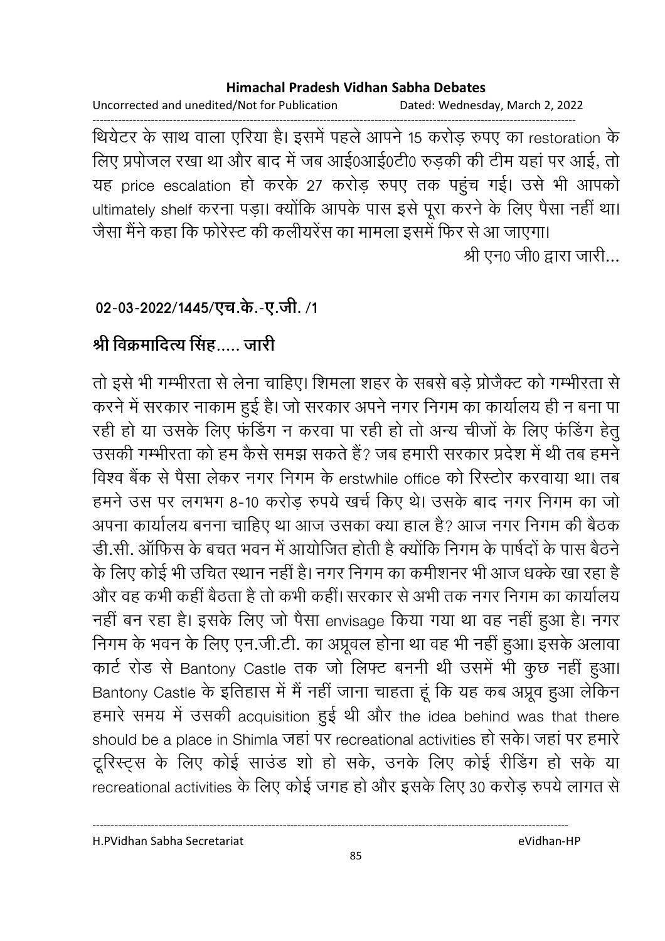Uncorrected and unedited/Not for Publication Dated: Wednesday, March 2, 2022

------------------------------------------------------------------------------------------------------------------------------------ थियेटर के साथ वाला एरिया है। इसमें पहले आपने 15 करोड़ रुपए का restoration के लिए प्रपोजल रखा था और बाद में जब आई0आई0टी0 रुड़की की टीम यहां पर आई, तो यह price escalation हो करके 27 करोड़ रुपए तक पहुंच गई। उसे भी आपको ultimately shelf करना पड़ा। क्योंकि आपके पास इसे पूरा करने के लिए पैसा नहीं था। जैसा मैंने कहा कि फरिस्ट की कलीयरेस का मामला इसमें फिर से आ जाएगा।

श्री एन0 जी0 द्वारा जारी...

# 02-03-2022/1445/एच.के.-ए.जी. /1

# श्री विक्रमादित्य सिंह….. जारी

तो इसे भी गम्भीरता से लेना चाहिए। शिमला शहर के सबसे बड़े प्रजिक्ट को गम्भीरता से करने में सरकार नाकाम हुई है। जो सरकार अपने नगर निगम का कार्यालय ही न बना पा रही हो या उसके लिए फर्डिंग न करवा पा रही हो तो अन्य चीजों के लिए फर्डिंग हेतु उसकी गम्भीरता को हम कैसे समझ सकते है? जब हमारी सरकार प्रदेश में थी तब हमने विश्व बैंक से पैसा लेकर नगर निगम के erstwhile office को रिस्टोर करवाया था। तब हमने उस पर लगभग 8-10 करोड़ रुपये खर्च किए थे। उसके बाद नगर निगम का जो अपना कार्यालय बनना चाहिए था आज उसका क्या हाल है? आज नगर निगम की बैठक डी.सी. आफिस के बचत भवन में आयोजित होती है क्योंकि निगम के पार्षेदों के पास बैठनें | के लिए कोई भी उचित स्थान नहीं है। नगर निगम का कर्माशनर भी आज धक्के खा रहा है। और वह कभी कहीं बैठता है तो कभी कहीं। सरकार से अभी तक नगर निगम का कार्यालय नहीं बन रहा है। इसके लिए जो पैसा envisage किया गया था वह नहीं हुआ है। नगर निगम के भवन के लिए एन.जी.टी. का अप्रूवल होना था वह भी नहीं हुआ। इसके अलावा कार्ट रोड से Bantony Castle तक जो लिफ्ट बननी थी उसमें भी कुछ नहीं हुआ। Bantony Castle के इतिहास में मैं नहीं जाना चाहता हूं कि यह कब अप्रूव हुआ लेकिन हमारे समय में उसकी acquisition हुई थी और the idea behind was that there should be a place in Shimla जहां पर recreational activities हो सके। जहां पर हमारे टूरिस्ट्स के लिए कोई साउंड शो हो सके, उनके लिए कोई रीडिंग हो सके या recreational activities के लिए कोई जगह हो और इसके लिए 30 करोड़ रुपये लागत से

H.PVidhan Sabha Secretariat eVidhan-HP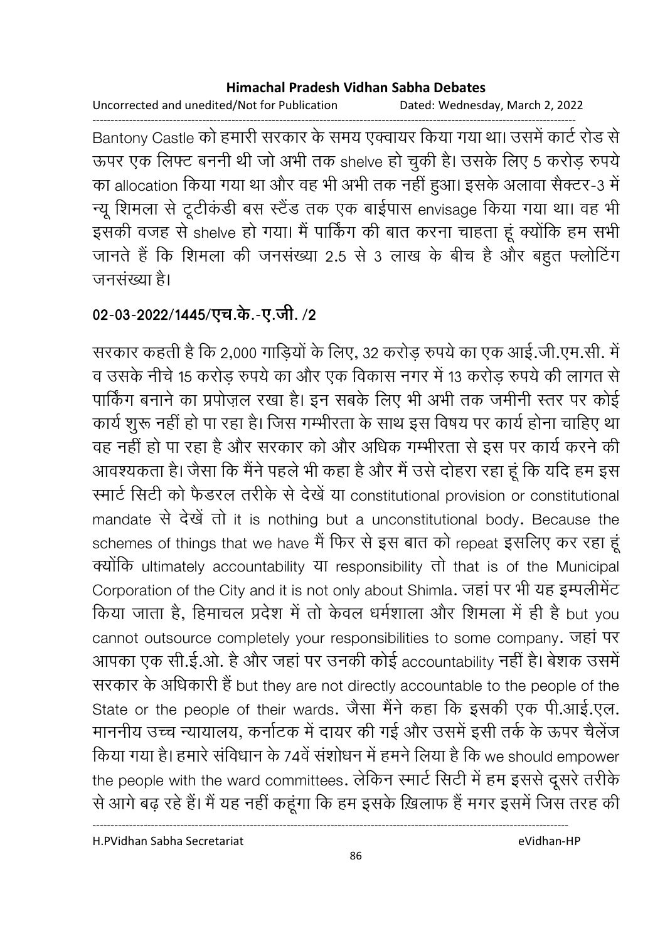Uncorrected and unedited/Not for Publication Dated: Wednesday, March 2, 2022

------------------------------------------------------------------------------------------------------------------------------------ Bantony Castle को हमारी सरकार के समय एक्वायर किया गया था। उसमें कार्ट रोड से ऊपर एक लिफ्ट बननी थी जो अभी तक shelve हो चुकी है। उसके लिए 5 करोड़ रुपये का allocation किया गया था और वह भी अभी तक नहीं हुआ। इसके अलावा सैक्टर-3 में न्यू शिमला से टूटीकडी बस स्टैंड तक एक बाईपास envisage किया गया था। वह भी इसकी वजह से shelve हो गया। मैं पाकिंग की बात करना चाहता हूं क्योंकि हम सभी जानते हैं कि शिमला की जनसंख्या 2.5 से 3 लाख के बीच है और बहुत फ्लोटिंग जनसंख्या है।

# 02-03-2022/1445/एच.के.-ए.जी. **/**2

सरकार कहती है कि 2,000 गाड़ियों के लिए, 32 करोड़ रुपये का एक आई.जी.एम.सी. में व उसके नीचे 15 करोड़ रुपये का और एक विकास नगर में 13 करोड़ रुपये की लागत से पाकिंग बनाने का प्रपोज़ल रखा है। इन सबके लिए भी अभी तक जमीनी स्तर पर कोई कार्य शुरू नहीं हो पा रहा है। जिस गम्भीरता के साथ इस विषय पर कार्य होना चाहिए था वह नहीं हो पा रहा है और सरकार को और अधिक गम्भीरता से इस पर कार्य करने की आवश्यकता है। जैसा कि मैंने पहले भी कहा है और मैं उसे दोहरा रहा हूं कि यदि हम इस रमार्ट सिटी को फैडरल तरीके से देखे या constitutional provision or constitutional mandate से देखें तो it is nothing but a unconstitutional body. Because the schemes of things that we have मैं फिर से इस बात को repeat इसलिए कर रहा हूं क्योंकि ultimately accountability या responsibility तो that is of the Municipal Corporation of the City and it is not only about Shimla. जहां पर भी यह इम्पलीमेंट किया जाता है, हिमाचल प्रदेश में तो केवल धर्मशाला और शिमला में ही है but you cannot outsource completely your responsibilities to some company. जहां पर आपका एक सी.ई.ओ. है और जहां पर उनकी कोई accountability नहीं हैं। बेशक उसमें सरकार के अधिकारी है but they are not directly accountable to the people of the State or the people of their wards. जैसा मैने कहा कि इसकी एक पी.आई.एल. माननीय उच्च न्यायालय, कर्नाटक में दायर की गई और उसमें इसी तर्क के ऊपर चैलेज किया गया है। हमारे संविधान के 74वें संशोधन में हमने लिया है कि we should empower the people with the ward committees. लेकिन स्मार्ट सिटी में हम इससे दूसरे तरीके से आगे बढ़ रहे हैं। मैं यह नहीं कहूँगा कि हम इसके ख़िलाफ है मगर इसमें जिस तरह की

H.PVidhan Sabha Secretariat eVidhan-HP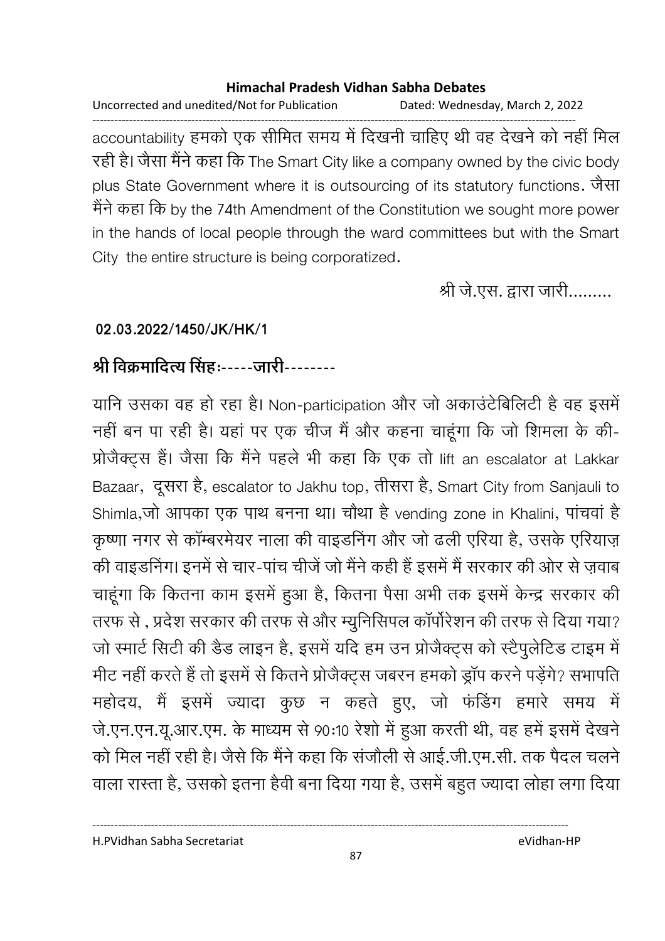Uncorrected and unedited/Not for Publication Dated: Wednesday, March 2, 2022

----------------------------------------------------------------------------------------------------------------------------------- accountability हमको एक सीमित समय में दिखनी चाहिए थी वह देखने को नहीं मिल रही है। जैसा मैने कहा कि The Smart City like a company owned by the civic body plus State Government where it is outsourcing of its statutory functions. जैसा मैंने कहा कि by the 74th Amendment of the Constitution we sought more power in the hands of local people through the ward committees but with the Smart City the entire structure is being corporatized.

श्री जे.एस. द्वारा जारी.........

## **02.03.2022/1450/JK/HK/1**

# श्री विक्रमादित्य सिंहः-----जारी--------

यानि उसका वह हो रहा है। Non-participation और जो अकाउंटीबेलिटी है वह इसमें नहीं बन पा रही है। यहां पर एक चीज में और कहना चाहूंगा कि जो शिमला के की-प्रोजैक्ट्स है। जैसा कि मैंने पहले भी कहा कि एक तो lift an escalator at Lakkar Bazaar, दूसरा है, escalator to Jakhu top, तीसरा है, Smart City from Sanjauli to Shimla,जो आपका एक पाथ बनना था। चौथा है vending zone in Khalini, पांचवां है कृष्णा नगर से काम्बरमेयर नाला की वाइंडनिंग और जो ढली एरिया है, उसके एरियाज़ की वाइंडनिंग। इनमें से चार-पांच चीजे जो मैंने कहीं है इसमें मैं सरकार की ओर से ज़वाब चाहूंगा कि कितना काम इसमें हुआ है, कितना पैसा अभी तक इसमें केन्द्र सरकार की तरफ से , प्रदेश सरकार की तरफ से और म्युनिसिपल कार्पोरेशन की तरफ से दिया गया? जो स्मार्ट सिटी की डैंड लाइन हैं, इसमें यदि हम उन प्रजिक्ट्स को स्टैपुलेटिड टाइम में मीट नहीं करते हैं तो इसमें से कितने प्रजिक्ट्स जबरन हमको ड्राप करने पड़ेंगे? संभापति महोदय, मैं इसमें ज्यादा कुछ न कहते हुए, जो फंडिंग हमारे समय में जे.एन.एन.यू.आर.एम. के माध्यम से 90:10 रेशों में हुआ करती थी, वह हमें इसमें देखने को मिल नहीं रही है। जैसे कि मैंने कहा कि संजाली से आई.जी.एम.सी. तक पैदल चलने वाला रास्ता है, उसको इतना हैवी बना दिया गया है, उसमें बहुत ज्यादा लोहा लगा दिया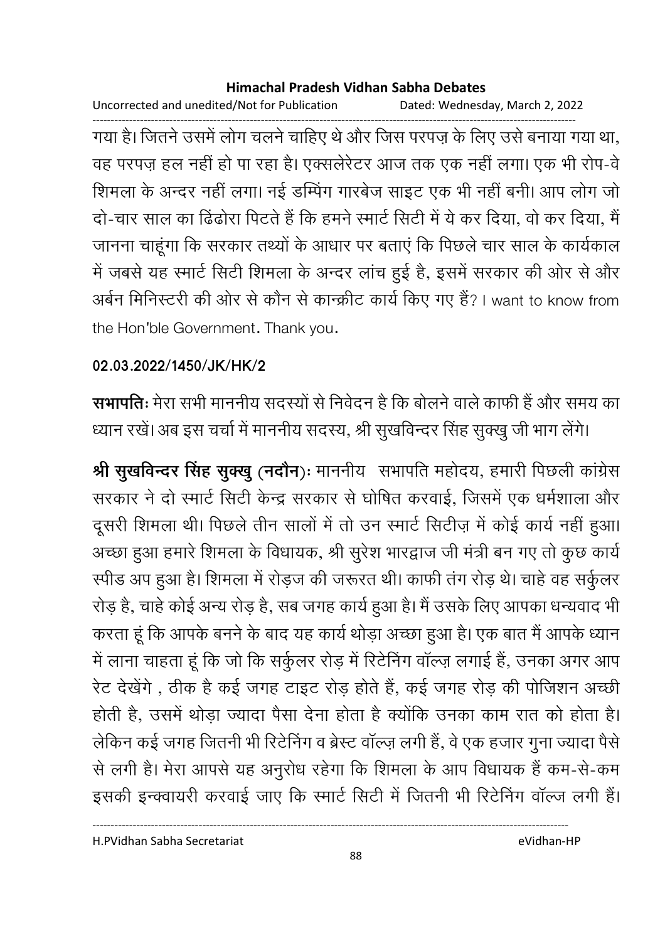Uncorrected and unedited/Not for Publication Dated: Wednesday, March 2, 2022

------------------------------------------------------------------------------------------------------------------------------------ गया है। जितने उसमें लोग चलने चाहिए थे और जिस परपज़ के लिए उसे बनाया गया था, वह परपज़ हल नहीं हो पा रहा है। एक्सलेरेंटर आज तक एक नहीं लगा। एक भी रोप-वे शिमला के अन्दर नहीं लगा। नई डम्पिंग गारबेज साइट एक भी नहीं बनी। आप लोग जो दो-चार साल का ढिंढोरा पिटते हैं कि हमने स्मार्ट सिटी में ये कर दिया, वो कर दिया, मैं जानना चाहूंगा कि सरकार तथ्यों के आधार पर बताएं कि पिछले चार साल के कार्यकाल में जबसे यह स्मार्ट सिटी शिमला के अन्दर लाच हुई है, इसमें सरकार की ओर से और अबेन मिनिस्टरी की ओर से कौन से कान्क्रीट कार्य किए गए है? I want to know from ' the Hon'ble Government. Thank you.

# **02.03.2022/1450/JK/HK/2**

**सभापतिः** मेरा सभी माननीय सदस्यों से निवेदन है कि बोलने वाले काफी हैं और समय का ध्यान रखे। अब इस चर्चा में माननीय सदस्य, श्री सुखर्विन्दर सिंह सुक्खु जी भाग लेगे।

**श्री सुखर्विन्दर सिंह सुक्खु (नदौन)ः** माननीय सभापति महोदय, हमारी पिछली कांग्रेस सरकार ने दो स्मार्ट सिटी केन्द्र सरकार से घोषित करवाई, जिसमें एक धर्मशाला और दूसरी शिमला थी। पिछले तीन सालों में तो उन स्मार्ट सिटीज़ में कोई कार्य नहीं हुआ। अच्छा हुआ हमारे शिमला के विधायक, श्री सुरेश भारद्वाज जी मंत्री बन गए तो कुछ कार्य रपीड अप हुआ है। शिमला में रोड़ज की जरूरत थी। काफी तग रोड़ थे। चाहे वह सकुलर रोड़ है, चाहे कोई अन्य रोड़ है, सब जगह कार्य हुआ है। मैं उसके लिए आपका धन्यवाद भी करता हूं कि आपके बनने के बाद यह कार्य थोड़ा अच्छा हुआ है। एक बात मैं आपके ध्यान में लाना चाहता हूं कि जो कि सर्कुलर रोड़ में रिटेनिंग वॉल्ज़ लगाई हैं, उनका अगर आप रेट देखेंगे , ठीक है कई जगह टाइट रोड़ होते हैं, कई जगह रोड़ की पोजिशन अच्छी होती है, उसमें थोड़ा ज्यादा पैसा देना होता है क्योंकि उनका काम रात को होता है। लेकिन कई जगह जितनी भी रिटेनिंग व ब्रेस्ट वाल्ज़ लगी है, वे एक हजार गुना ज्यादा पैसे से लगी है। मेरा आपसे यह अनुरोध रहेगा कि शिमला के आप विधायक है कम-से-कम इसकी इन्क्वायरी करवाई जाए कि स्मार्ट सिटी में जितनी भी रिटेनिंग वाल्ज लगी हैं।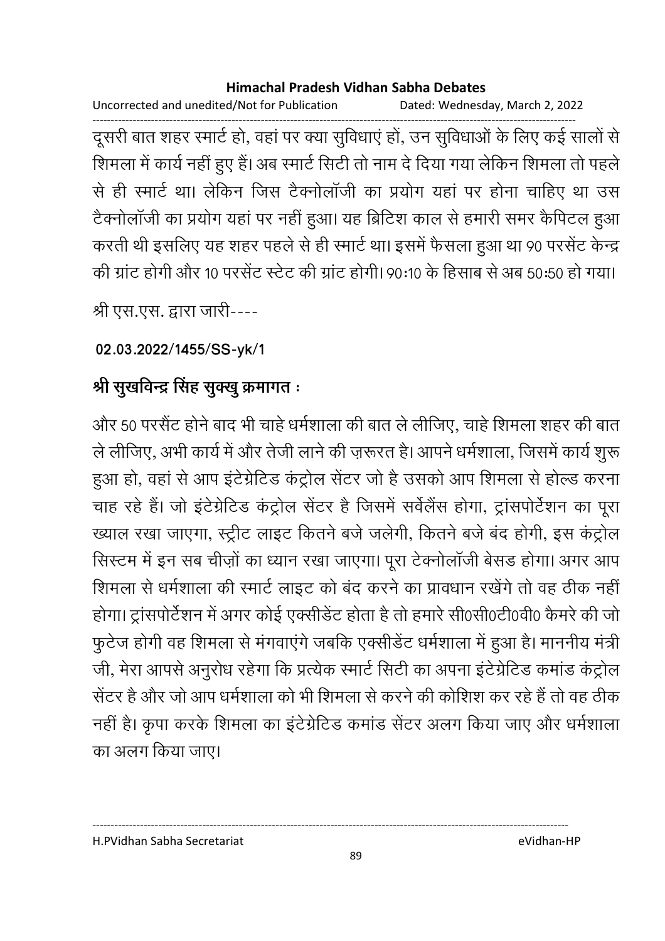Uncorrected and unedited/Not for Publication Dated: Wednesday, March 2, 2022

------------------------------------------------------------------------------------------------------------------------------------ दूसरी बात शहर स्मार्ट हो, वहां पर क्या सुविधाएं हो, उन सुविधाओं के लिए कई सालों से शिमला में कार्य नहीं हुए हैं। अब स्मार्ट सिटी तो नाम दें दिया गया लेकिन शिमला तो पहले. से ही स्मार्ट था। लेकिन जिस टैक्नोलाजी का प्रयोग यहां पर होना चाहिए था उस टैक्नोलाजी का प्रयोग यहाँ पर नहीं हुआ। यह ब्रिटिश काल से हमारी समर कैंपिटल हुआ। करती थी इसलिए यह शहर पहले से ही स्मार्ट था। इसमें फैसला हुआ था 90 परसेंट केन्द्र की ग्रांट होगी और 10 परसेंट स्टेट की ग्रांट होगी। 90:10 के हिसाब से अब 50:50 हो गया।

श्री एस.एस. द्वारा जारी----

# **02.03.2022/1455/SS-yk/1**

# श्री सुखर्विन्द्र सिंह सुक्खु क्रमागत <del>:</del>

और 50 परसैट होने बाद भी चाहे धर्मशाला की बात ले लीजिए, चाहे शिमला शहर की बात ले लीजिए, अभी कार्य में और तेजी लाने की ज़रूरत है। आपने धर्मशाला, जिसमें कार्य शुरू हुआ हो, वहां से आप इंटेग्रेटिड कंट्रोल सेंटर जो है उसको आप शिमला से होल्ड करना चाह रहे हैं। जो इंटेग्रेटिड कंट्रोल सेंटर है जिसमें सर्वेलैंस होगा, ट्रांसपोर्टेशन का पूरा ख्याल रखा जाएगा, स्ट्रीट लाइट कितने बर्ज जलेगी, कितने बर्ज बंद होंगी, इस कंट्रोल सिस्टम में इन सब चीज़ों का ध्यान रखा जाएगा। पूरा टेक्नोलाजी बेसड होगा। अगर आप शिमला से धर्मशाला की स्मार्ट लाइट को बंद करने का प्रावधान रखेंगे तो वह ठीक नहीं होगा। ट्रांसपोर्टेशन में अगर कोई एक्सेंडिट होता है तो हमारे सी0सी0टी0वी0 कैमरे की जो फुटेज होगी वह शिमला से मगवाएंगे जबकि एक्सीडेट धर्मशाला में हुआ है। माननीय मंत्री-जी, मेरा आपर्स अनुरोध रहेगा कि प्रत्येक स्मार्ट सिटी का अपना इंटेग्रेटिंड कमांड कंट्रोल सेंटर हैं और जो आप धर्मशाला को भी शिमला से करने की कोशिश कर रहे हैं तो वह ठीक नहीं है। कृपा करके शिमला का इंटेग्रेटिड कमांड सेंटर अलग किया जाए और धर्मशाला का अलग किया जाए।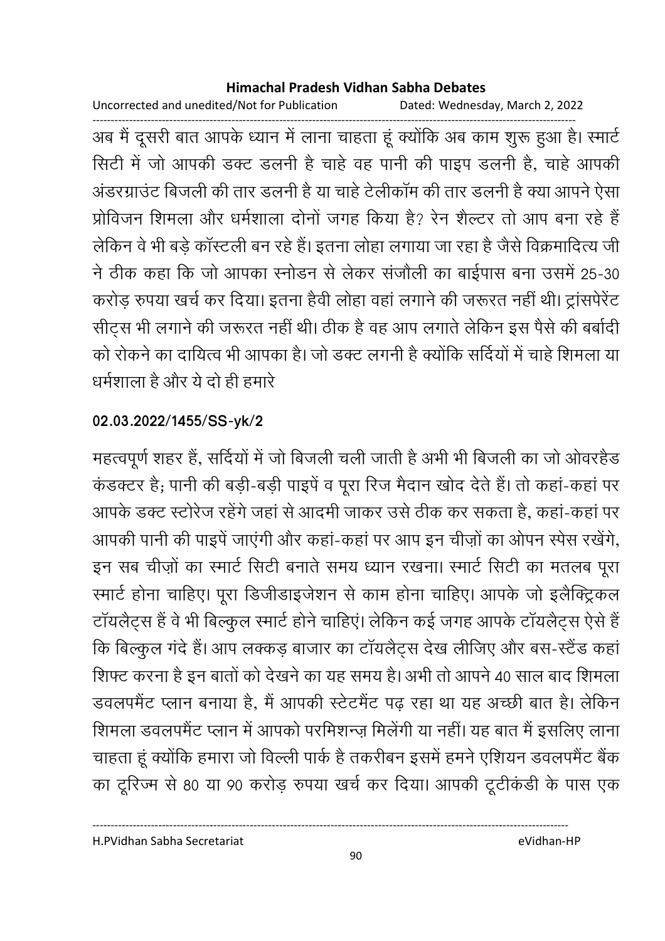Uncorrected and unedited/Not for Publication Dated: Wednesday, March 2, 2022

------------------------------------------------------------------------------------------------------------------------------------ अब मैं दूसरी बात आपके ध्यान में लाना चाहता हूं क्योंकि अब काम शुरू हुआ है। स्मार्ट सिटी में जो आपकी डक्ट डलनी है चाहें वह पानी की पाइप डलनी हैं, चाहें आपकी अंडरग्राउट बिजली की तार डलनी है या चाहे टेलीकाम की तार डलनी है क्या आपने ऐसा प्रोविजन शिमला और धर्मशाला दोनों जगह किया है? रेन शैल्टर तो आप बना रहे हैं लेकिन वे भी बड़े कास्टली बन रहे हैं। इतना लोहा लगाया जा रहा है जैसे विक्रमादित्य जी ने ठीक कहा कि जो आपका स्नोडन से लेकर संजीली का बाईपास बना उसमें 25-30. करोड़ रुपया खर्च कर दिया। इतना हैवी लोहा वहां लगाने की जरूरत नहीं थी। ट्रासपेरेंट सीट्स भी लगाने की जरूरत नहीं थी। ठीक है वह आप लगाते लेकिन इस पैसे की बर्बादी को रोकने का दायित्व भी आपका है। जो डक्ट लगनी है क्योंकि सदियों में चाहे शिमला या धर्मशाला है और ये दो ही हमारें

# **02.03.2022/1455/SS-yk/2**

महत्वपूर्ण शहर है, सर्दियों में जो बिजली चली जाती है अभी भी बिजली का जो ओवरहैंड कडक्टर हैं; पानी की बड़ी-बड़ी पाइपे व पूरा रिज मैदान खोद देते हैं। तो कहा-कहा पर आपके डक्ट स्टरिज रहेंगे जहां से आदमी जाकर उसे ठीक कर सकता है, कहा-कहा पर आपकी पानी की पाइपे जाएगी और कहा-कहा पर आप इन चीज़ों का ओपन स्पेस रखेंगे, इन सब चीज़ों का स्मार्ट सिटी बनाते समय ध्यान रखना। स्मार्ट सिटी का मतलब पूरा रमार्ट होना चाहिए। पूरा डिजीडाइजेशन से काम होना चाहिए। आपके जो इलैक्ट्रिकल टायलैट्स है वे भी बिल्कुल स्मार्ट होने चाहिए। लेकिन कई जगह आपके टायलैट्स ऐसे हैं | कि बिल्कुल गर्द है। आप लक्कड़ बाजार का टायलैट्स देख लीजिए और बस-स्टैंड कहा शिफ्ट करना है इन बातों को देखने का यह समय है। अभी तो आपने 40 साल बाद शिमला डवलपमैंट प्लान बनाया है, मैं आपकी स्टेटमैंट पढ़ रहा था यह अच्छी बात है। लेकिन शिमला डवलपमेंट प्लान में आपको परमिशन्ज़ मिलेगी या नहीं। यह बात मैं इसलिए लाना चाहता हूँ क्योंकि हमारा जो विल्ली पार्क है तकरीबन इसमें हमने एशियन डवलपमैंट बैंक का टूरिज्म से 80 या 90 करोड़ रुपया खर्च कर दिया। आपकी टूटीकडी के पास एक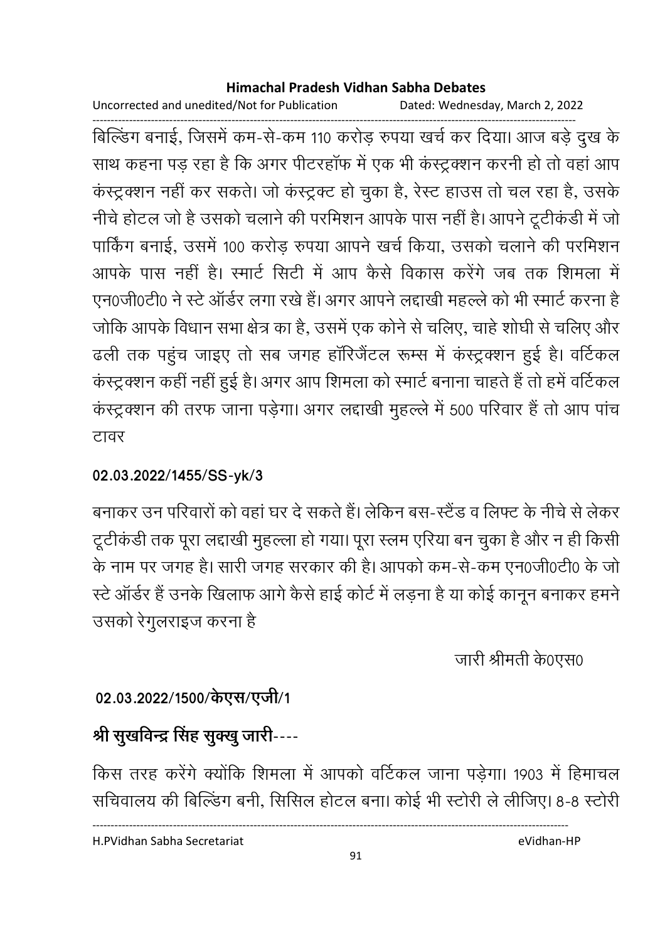Uncorrected and unedited/Not for Publication Dated: Wednesday, March 2, 2022

------------------------------------------------------------------------------------------------------------------------------------ बिल्डिंग बनाई, जिसमें कम-से-कम 110 करोड़ रुपया खर्च कर दिया। आज बड़े दुख के साथ कहना पड़ रहा है कि अगर पीटरहाफ में एक भी कस्ट्रक्शन करनी हो तो वहां आप कंस्ट्रक्शन नहीं कर सकते। जो कंस्ट्रक्ट हो चुका है, रेस्ट हाउस तो चल रहा है, उसके नीचे होटल जो है उसको चलाने की परमिशन आपके पास नहीं है। आपने टूटीकडी में जो पार्किंग बनाई, उसमें 100 करोड़ रुपया आपने खर्च किया, उसको चलाने की परमिशन आपके पास नहीं है। रमार्ट सिटी में आप कैसे विकास करेंगे जब तक शिमला में एन0जी0टी0 ने स्टे आर्डर लगा रखे हैं। अगर आपने लद्दाखी महल्ले को भी स्मार्ट करना है जोंकि आपके विधान सभा क्षेत्र का है, उसमें एक कनि से चलिए, चाहें शोघी से चलिए और ढली तक पहुंच जाइए तो सब जगह हारिजेटल रूम्स में कस्ट्रक्शन हुई है। वर्टिकल कंस्ट्रक्शन कहीं नहीं हुई है। अगर आप शिमला को स्मार्ट बनाना चाहते हैं तो हमें वर्टिकल कस्ट्रक्शन की तरफ जाना पड़ेगा। अगर लद्दाखी मुहल्ले में 500 परिवार है तो आप पांच टावर

**02.03.2022/1455/SS-yk/3**

बनाकर उन परिवारों को वहां घर दे सकते हैं। लेकिन बस-स्टैंड व लिफ्ट के नीचें से लेकर टूटीकडी तक पूरा लद्दाखी मुहल्ला हो गया। पूरा स्लम एरिया बन चुका है और न ही किसी के नाम पर जगह है। सारी जगह सरकार की है। आपको कम-से-कम एन0जी0टी0 के जो स्टे ऑर्डर हैं उनके खिलाफ आगे कैसे हाई कोर्ट में लड़ना है या कोई कानून बनाकर हमने उसको रेगुलराइज करना है

जारी श्रीमती के0एस0

# 02.03.2022/1500/केएस/एजी/1

# श्री सुखविन्द्र सिंह सुक्खु जारी----

किस तरह करेंगे क्योंकि शिमला में आपको वर्टिकल जाना पड़ेगा। 1903 में हिमाचल सर्चिवालय की बिल्डिंग बनी, सिसिल होटल बना। कोई भी स्टोरी ले लीजिए। 8-8 स्टोरी

H.PVidhan Sabha Secretariat eVidhan-HP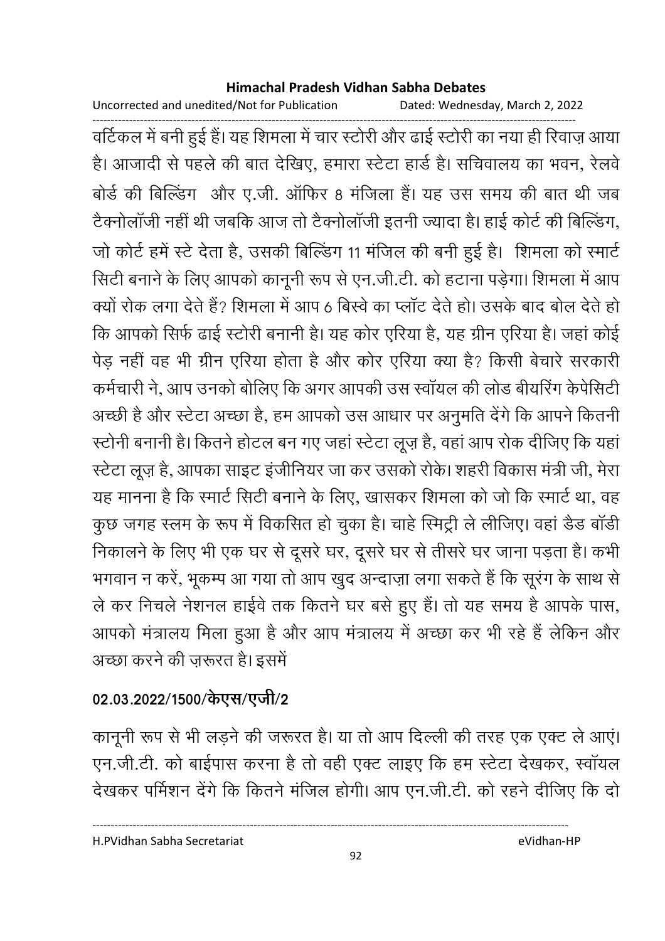Uncorrected and unedited/Not for Publication Dated: Wednesday, March 2, 2022

------------------------------------------------------------------------------------------------------------------------------------ वर्टिकल में बनी हुई है। यह शिमला में चार स्टोरी और ढाई स्टोरी का नया ही रिवाज़ आया हैं। आजादी से पहले की बात देखिए, हमारा स्टेटा हार्ड है। सचिवालय का भवन, रेलवे बोर्ड की बिल्डिंग और ए.जी. आफिर 8 मर्जिला है। यह उस समय की बात थी जब टैक्नोलाजी नहीं थी जबकि आज तो टैक्नोलाजी इतनी ज्यादा है। हाई कोर्ट की बिल्डिंग, जो कोर्ट हमें स्टे देता है, उसकी बिल्डिंग 11 मंजिल की बनी हुई हैं। शिमला को स्मार्ट सिटी बनाने के लिए आपको कानूनी रूप से एन.जी.टी. को हटाना पड़ेगा। शिमला में आप क्यों रोक लगा देते हैं? शिमला में आप 6 बिस्वे का प्लॉट देते हो। उसके बाद बोल देते हो कि आपको सिर्फ ढाई स्टोरी बनानी है। यह कोर एरिया है, यह ग्रीन एरिया है। जहां कोई पेड़ नहीं वह भी ग्रीन एरिया होता है और कोर एरिया क्या है? किसी बेचारे सरकारी कर्मचारी ने, आप उनको बोलिए कि अगर आपकी उस स्वायल की लोड बीयरिंग केपेसिटी | अच्छी है और स्टेटा अच्छा है, हम आपको उस आधार पर अनुमति देंगे कि आपने कितनी स्टोनी बनानी है। कितने होटल बन गए जहां स्टेटा लूज़ है, वहां आप रोक दीजिए कि यहां ' स्टेटा लूज़ है, आपका साइट इंजीनियर जा कर उसको रोके। शहरी विकास मंत्री जी, मेरा यह मानना है कि स्मार्ट सिटी बनाने के लिए, खासकर शिमला को जो कि स्मार्ट था, वह कुछ जगह स्लम के रूप में विकसित हो चुका है। चाहे स्मिट्री ले लीजिए। वहां डैड बाडी निकालने के लिए भी एक घर से दूसरे घर, दूसरे घर से तीसरे घर जाना पड़ता है। कभी भगवान न करें, भूकम्प आ गया तो आप खुद अन्दाज़ा लगा सकते हैं कि सूरंग के साथ से ले कर निचले नेशनल हाईवे तक कितने घर बसे हुए हैं। तो यह समय है आपके पास, आपको मत्रालय मिला हुआ है और आप मत्रालय में अच्छा कर भी रहे हैं लेकिन और अच्छा करने की ज़रूरत है। इसमें

# 02.03.2022/1500/केएस/एजी/2

कानूनी रूप से भी लड़ने की जरूरत है। या तो आप दिल्ली की तरह एक एक्ट ले आए। एन.जी.टी. को बाईपास करना है तो वहीं एक्ट लाइए कि हम स्टेटा देखकर, स्वायल देखकर पर्मिशन देंगे कि कितने मंजिल होगी। आप एन.जी.टी. को रहने दीजिए कि दो

H.PVidhan Sabha Secretariat eVidhan-HP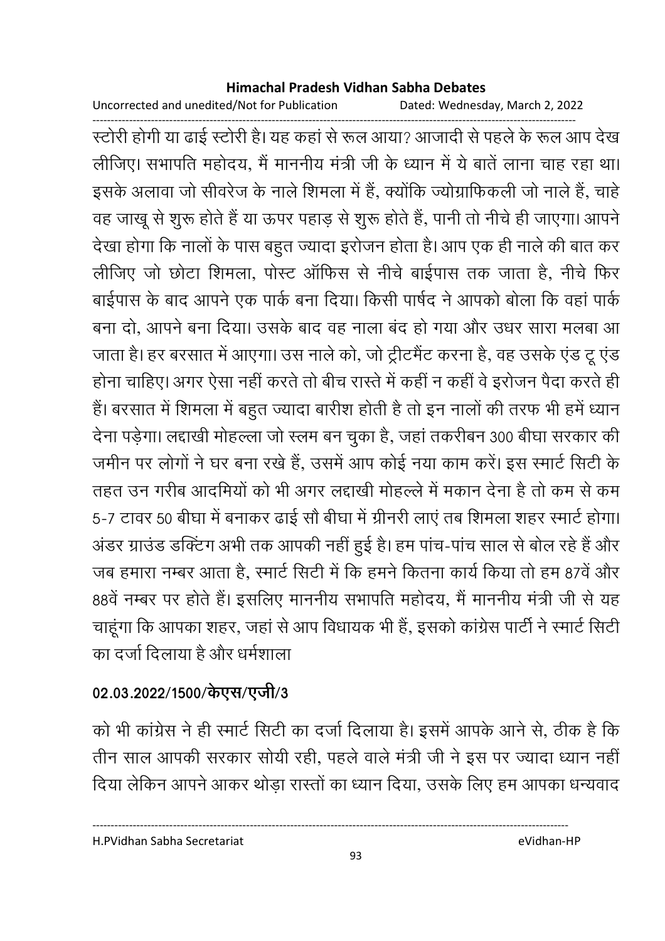Uncorrected and unedited/Not for Publication Dated: Wednesday, March 2, 2022

------------------------------------------------------------------------------------------------------------------------------------ स्टोरी होगी या ढाई स्टोरी है। यह कहा से रूल आया? आजादी से पहले के रूल आप देख लीजिए। सभापति महोदय, मैं माननीय मंत्री जी के ध्यान में ये बातें लाना चाह रहा था। इसके अलावा जो सीवरेज के नाले शिमला में हैं, क्योंकि ज्योग्राफिकली जो नाले हैं, चाहें वह जाखू से शुरू होते हैं या ऊपर पहाड़ से शुरू होते हैं, पानी तो नीचे ही जाएगा। आपने देखा होगा कि नालों के पास बहुत ज्यादा इरोजन होता है। आप एक ही नाले की बात कर लीजिए जो छोटा शिमला, पोस्ट आफिस से नीचे बाईपास तक जाता है, नीचे फिर बाईपास के बाद आपने एक पार्क बना दिया। किसी पार्षद ने आपको बोला कि वहां पार्क बना दो, आपने बना दिया। उसके बाद वह नाला बंद हो गया और उधर सारा मलबा आ जाता है। हर बरसात में आएगा। उस नाले को, जो ट्रेटिमैंट करना है, वह उसके एंड टू एंड होना चाहिए। अगर ऐसा नहीं करते तो बीच रास्ते में कहीं न कहीं वे इरोजन पैदा करते ही है। बरसात में शिमला में बहुत ज्यादा बारीश होती है तो इन नालों की तरफ भी हमें ध्यान देना पड़ेगा। लद्दाखी मोहल्ला जो स्लम बन चुका है, जहां तकरीबन 300 बीघा सरकार की जर्मीन पर लोगों ने घर बना रखे हैं, उसमें आप कोई नया काम करें। इस स्मार्ट सिटी के तहत उन गरीब आदमियों को भी अगर लद्दाखी मोहल्ले में मकान देना है तो कम से कम 5-7 टावर 50 बीघा में बनाकर ढाई सौ बीघा में ग्रीनरी लाए तब शिमला शहर स्मार्ट होगा। अंडर ग्राउंड डव्हिंग अभी तक आपकी नहीं हुई है। हम पांच-पांच साल से बोल रहे हैं और जब हमारा नम्बर आता है, रमार्ट सिटी में कि हमने कितना कार्य किया तो हम 87वें और 88वें नम्बर पर होते हैं। इसलिए माननीय सभापति महोदय, मैं माननीय मंत्री जी से यह चाहूँगा कि आपका शहर, जहाँ से आप विधायक भी है, इसको कांग्रेस पार्टी ने स्मार्ट सिटी का दर्जा दिलाया है और धर्मशाला

# 02.03.2022/1500/केएस/एजी/3

को भी कांग्रेस ने ही स्मार्ट सिटी का दर्जा दिलाया है। इसमें आपके आने से, ठीक है कि तीन साल आपकी सरकार सोयी रही, पहले वाले मंत्री जी ने इस पर ज्यादा ध्यान नहीं दिया लेकिन आपने आकर थोड़ा रास्तों का ध्यान दिया, उसके लिए हम आपका धन्यवाद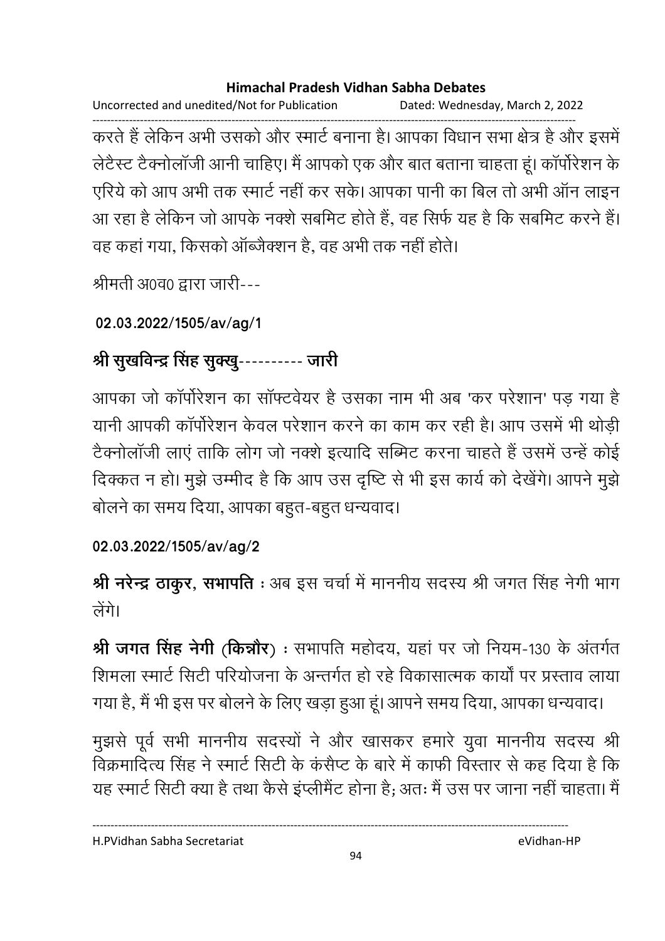Uncorrected and unedited/Not for Publication Dated: Wednesday, March 2, 2022

------------------------------------------------------------------------------------------------------------------------------------ करते हैं लेकिन अभी उसको और स्मार्ट बनाना है। आपका विधान सभा क्षेत्र है और इसमें लेटैस्ट टैक्नोलाजी आनी चाहिए। मैं आपको एक और बात बताना चाहता हूं। कार्पारेशन के एरिये को आप अभी तक स्मार्ट नहीं कर सके। आपका पानी का बिल तो अभी आन लाइन-आ रहा है लेकिन जो आपके नक्शे सबमिट होते हैं, वह सिर्फ यह है कि सबमिट करने हैं। वह कहा गया, किसको आब्जैक्शन है, वह अभी तक नहीं होते।

श्रीमती अ0व0 द्वारा जारी---

**02.03.2022/1505/av/ag/1**

# श्री सुखविन्द्र सिंह सुक्खु---------- जारी

आपका जो कापरिशन का साफ्टवेयर है उसका नाम भी अब 'कर परेशान' पड़ गया है यानी आपकी कार्पोरेशन केवल परेशान करने का काम कर रही है। आप उसमें भी थोड़ी टैक्नोलाजी लाए ताकि लोग जो नक्शे इत्यादि सम्भिट करना चाहते हैं उसमें उन्हें कोई दिक्कत न हो। मुझे उम्मीद है कि आप उस दृष्टि से भी इस कार्य को देखेंगे। आपने मुझे बोलने का समय दिया, आपका बहुत-बहुत धन्यवाद।

**02.03.2022/1505/av/ag/2**

**श्री नरेन्द्र ठाकुर, सभापति** : अब इस चर्चा में माननीय सदस्य श्री जगत सिंह नेगी भाग त्रींगे।

**श्री जगत सिंह नेगी (किन्नौर) :** सभापति महोदय, यहां पर जो नियम-130 के अंतर्गत शिमला स्मार्ट सिटी परियोजना के अन्तर्गत हो रहे विकासात्मक कार्या पर प्रस्ताव लाया गया है, मैं भी इस पर बोलने के लिए खड़ा हुआ हूं। आपने समय दिया, आपका धन्यवाद।

मुझर्स पूर्व सभी माननीय सदस्यों ने और खासकर हमारे युवा माननीय सदस्य श्री विक्रमादित्य सिंह ने स्मार्ट सिटी के कसैप्ट के बारे में काफी विस्तार से कह दिया है कि यह स्मार्ट सिटी क्या है तथा कैसे इप्लेमिट होना है; अतः मैं उस पर जाना नहीं चाहता। मैं

H.PVidhan Sabha Secretariat eVidhan-HP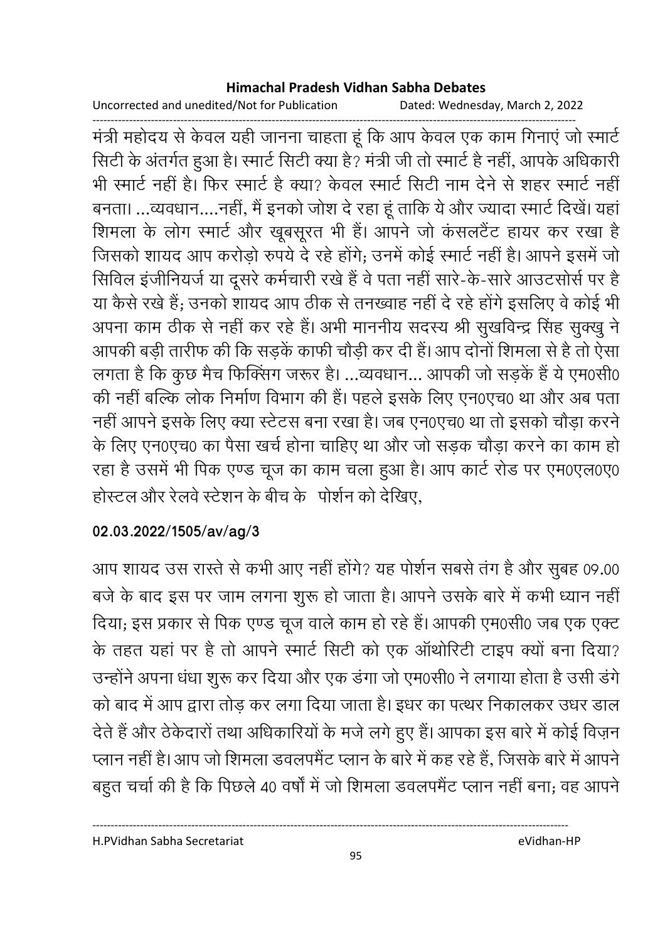Uncorrected and unedited/Not for Publication Dated: Wednesday, March 2, 2022

------------------------------------------------------------------------------------------------------------------------------------ मंत्री महोदय से केवल यही जानना चाहता हूं कि आप केवल एक काम गिनाए जो स्मार्ट सिटी के अंतर्गत हुआ है। स्मार्ट सिटी क्या है? मंत्री जी तो स्मार्ट है नहीं, आपके अधिकारी भी स्मार्ट नहीं है। फिर स्मार्ट है क्या? केवल स्मार्ट सिटी नाम देने से शहर स्मार्ट नहीं बनता। ...व्यवधान....नहीं, मैं इनको जोश दे रहा हूं ताकि ये और ज्यादा स्मार्ट दिखें। यहां शिमला के लोग स्मार्ट और खूबसूरत भी है। आपने जो कसलटैट हायर कर रखा है जिसको शायद आप करोड़ो रुपये दे रहे होंगे; उनमें कोई स्मार्ट नहीं है। आपने इसमें जो सिविल इंजीनियर्ज या दूसरे कर्मचारी रखे हैं वे पता नहीं सारे-के-सारे आउटसोर्स पर है या कैसे रखे हैं; उनको शायद आप ठीक से तनख्वाह नहीं दें रहे होंगे इसलिए वे कोई भी अपना काम ठीक से नहीं कर रहे हैं। अभी माननीय सदस्य श्री सुखर्विन्द्र सिंह सुक्खु ने आपकी बड़ी तारीफ की कि सड़के काफी चौड़ी कर दी है। आप दोनों शिमला से हैं तो ऐसा लगता है कि कुछ मैच फिक्सिंग जरूर हैं। …व्यवधान… आपकी जो सड़के हैं ये एम0सी0 की नहीं बल्कि लोक निर्माण विभाग की है। पहले इसके लिए एन0एच0 था और अब पता नहीं आपने इसके लिए क्या स्टेटस बना रखा है। जब एन0एच0 था तो इसको चौड़ा करने के लिए एन0एच0 का पैसा खर्च होना चाहिए था और जो सड़क चौड़ा करने का काम हो रहा है उसमें भी पिक एण्ड चूज का काम चला हुआ है। आप कार्ट रोड पर एम0एल0ए0 हरिन्टल और रेलवे स्टेशन के बीच के "पोशेन को देखिए,

# **02.03.2022/1505/av/ag/3**

आप शायद उस रास्ते से कभी आए नहीं होंगे? यह पशिन सबसे तंग हैं और सुबह 09.00 | बर्ज के बाद इस पर जाम लगना शुरू हो जाता है। आपने उसके बारे में कभी ध्यान नहीं | दिया; इस प्रकार से पिक एण्ड चूज वाले काम हो रहे हैं। आपकी एम0सी0 जब एक एक्ट के तहत यहां पर है तो आपने स्मार्ट सिटी को एक आथोरिटी टाइप क्यों बना दिया? उन्होंने अपना धंधा शुरू कर दिया और एक डगा जो एम0सी0 ने लगाया होता है उसी डगे। को बाद में आप द्वारा तोड़ कर लगा दिया जाता है। इधर का पत्थर निकालकर उधर डाल देते हैं और ठेकेदारों तथा अधिकारियों के मजे लगे हुए हैं। आपका इस बारे में कोई विज़न प्लान नहीं है। आप जो शिमला डवलपमैंट प्लान के बारे में कह रहे हैं, जिसके बारे में आपने बहुत चर्चा की है कि पिछले 40 वर्षों में जो शिमला डवलपमैंट प्लान नहीं बना; वह आपने

H.PVidhan Sabha Secretariat eVidhan-HP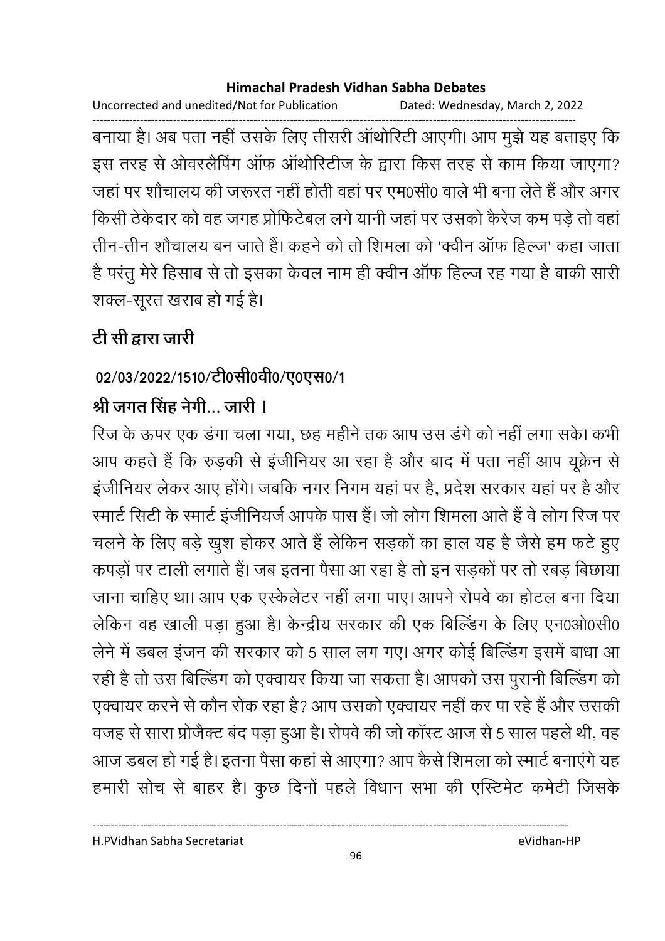Uncorrected and unedited/Not for Publication Dated: Wednesday, March 2, 2022

------------------------------------------------------------------------------------------------------------------------------------ बनाया है। अब पता नहीं उसके लिए तीसरी आर्थारिटी आएगी। आप मुझे यह बताइए कि इस तरह से ओवरलैंपिंग आफ आर्थारिटीज के द्वारा किस तरह से काम किया जाएंगा? जहाँ पर शौचालय की जरूरत नहीं होती वहाँ पर एम0सी0 वाले भी बना लेते हैं और अगर किसी ठेकेदार को वह जगह प्रोफिटेबल लगे यानी जहां पर उसको कैरेज कम पड़े तो वहां। तीन-तीन शौचालय बन जाते हैं। कहने को तो शिमला को 'क्वीन आफ हिल्ज' कहा जाता है परंतु मेरे हिसाब से तो इसका केवल नाम ही क्वीन आफ हिल्ज रह गया है बाकी सारी शक्ल-सूरत खराब हो गई है।

# <u>टी सी द्वारा जारी</u>

# 02/03/2022/1510/टी0सी0वी0/ए0एस0/1

# श्री जगत सिंह नेगी… जारी **।**

रिज के ऊपर एक डगा चला गया, छह महीने तक आप उस डगे को नहीं लगा सके। कभी आप कहते हैं कि रुड़की से इंजीनियर आ रहा है और बाद में पता नहीं आप यूक्रेन से इजीनियर लेकर आए होंगे। जबकि नगर निगम यहां पर है, प्रदेश सरकार यहां पर है और रमार्ट सिटी के स्मार्ट इंजीनियर्ज आपके पास है। जो लोग शिमला आते हैं वे लोग रिज पर चलने के लिए बड़े खुश होकर आते हैं लेकिन सड़कों का हाल यह है जैसे हम फटे हुए कपड़ों पर टाली लगाते हैं। जब इतना पैसा आ रहा है तो इन सड़कों पर तो रबड़ बिछाया जाना चाहिए था। आप एक एस्केलेटर नहीं लगा पाए। आपने रोपवे का होटल बना दिया लेकिन वह खाली पड़ा हुआ है। केन्द्रीय सरकार की एक बिल्डिंग के लिए एन0ओ0सी0 लेने में डबल इजन की सरकार को 5 साल लग गए। अगर कोई बिल्डिंग इसमें बांधा आ रही है तो उस बिल्डिंग को एक्वायर किया जा सकता है। आपको उस पुरानी बिल्डिंग को एक्वायर करने से कौन रोक रहा है? आप उसको एक्वायर नहीं कर पा रहे हैं और उसकी वजह से सारा प्रजिक्ट बंद पड़ा हुआ है। रोपवे की जो कास्ट आज से 5 साल पहले थी, वह आज डबल हो गई है। इतना पैसा कहां से आएगा? आप कैसे शिमला को स्मार्ट बनाएंगे यह हमारी सोच से बाहर है। कुछ दिनों पहले विधान सभा की एस्टिमेंट कर्मेंटी जिसकें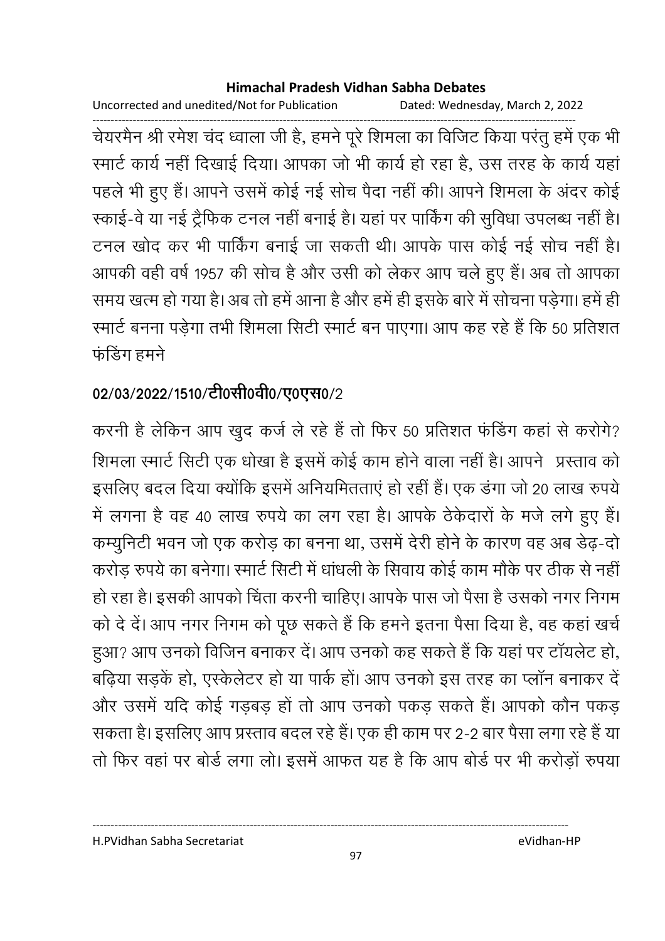Uncorrected and unedited/Not for Publication Dated: Wednesday, March 2, 2022

------------------------------------------------------------------------------------------------------------------------------------ चेयरमैन श्री रमेश चंद ध्वाला जी है, हमने पूरे शिमला का विजिट किया परंतु हमें एक भी रमार्ट कार्य नहीं दिखाई दिया। आपका जो भी कार्य हो रहा है, उस तरह के कार्य यहां पहले भी हुए हैं। आपने उसमें कोई नई सोच पैदा नहीं की। आपने शिमला के अंदर कोई स्काई-वे या नई ट्रैफिक टनल नहीं बनाई है। यहां पर पाकिंग की सुविधा उपलब्ध नहीं हैं। टनल खोद कर भी पाकिंग बनाई जा सकती थी। आपके पास कोई नई सोच नहीं हैं। आपकी वहीं वर्ष 1957 की सोच है और उसी को लेकर आप चले हुए हैं। अब तो आपका समय खत्म हो गया है। अब तो हमें आना है और हमें ही इसके बारे में सोचना पड़ेगा। हमें ही रमार्ट बनना पड़ेगा तभी शिमला सिटी रमार्ट बन पाएगा। आप कह रहे हैं कि 50 प्रतिशत फंडिंग हमने

# 02/03/2022/1510/टी0सी0वी0/ए0एस0/2

करनी है लेकिन आप खुद कर्ज ले रहे हैं तो फिर 50 प्रतिशत फंडिंग कहा से करोगे? शिमला स्मार्ट सिटी एक धोखा है इसमें कोई काम होने वाला नहीं है। आपने प्रस्ताव को इसलिए बदल दिया क्योंकि इसमें अनियमितताएं हो रहीं हैं। एक डंगा जो 20 लाख रुपये में लगना है वह 40 लाख रुपये का लग रहा है। आपके ठेकेदारों के मजे लगे हुए हैं। कम्युनिटी भवन जो एक करोड़ का बनना था, उसमें देरी होने के कारण वह अब डेढ़-दो करोड़ रुपये का बनेगा। स्मार्ट सिटी में धांधली के सिवाय कोई काम मौके पर ठीक से नहीं। हो रहा है। इसकी आपको चिंता करनी चाहिए। आपके पास जो पैसा है उसको नगर निगम को दे दें। आप नगर निगम को पूछ सकते हैं कि हमने इतना पैसा दिया है, वह कहां खर्च हुआ? आप उनको विजिन बनाकर दें। आप उनको कह सकते हैं कि यहां पर टॉयलेट हो, बढ़िया सड़कें हो, एस्केलेटर हो या पार्क हों। आप उनको इस तरह का प्लॉन बनाकर दें और उसमें यदि कोई गडबड़ हों तो आप उनको पकड़ सकते हैं। आपको कौन पकड़ सकता है। इसलिए आप प्रस्ताव बदल रहे हैं। एक ही काम पर 2-2 बार पैसा लगा रहे हैं या तो फिर वहां पर बोर्ड लगा लो। इसमें आफत यह है कि आप बोर्ड पर भी करोड़ों रुपया

H.PVidhan Sabha Secretariat eVidhan-HP

----------------------------------------------------------------------------------------------------------------------------------

97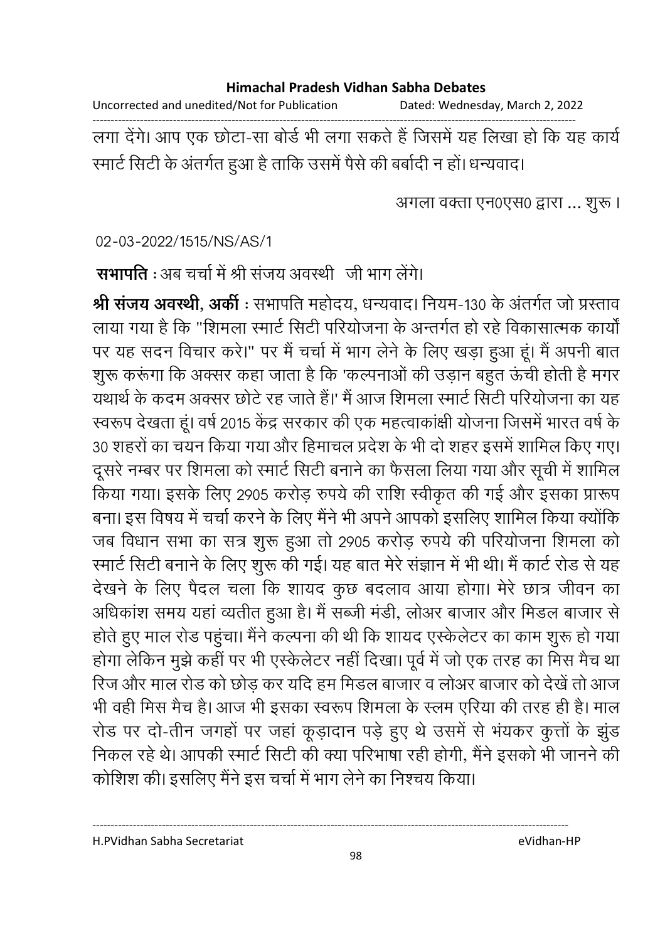Uncorrected and unedited/Not for Publication Dated: Wednesday, March 2, 2022

------------------------------------------------------------------------------------------------------------------------------------ लगा देंगे। आप एक छोटा-सा बोर्ड भी लगा सकते हैं जिसमें यह लिखा हो कि यह कार्य रमार्ट सिटी के अंतर्गत हुआ है ताकि उसमें पैसे की बर्बादी न हो। धन्यवाद।

अगला वक्ता एन0एस0 द्वारा ... शुरू ।

02-03-2022/1515/NS/AS/1

**सभापति** : अब चर्चा में श्री सजय अवस्थी जी भाग लेंगे।

**श्री संजय अवस्थी, अर्की** : सभापति महोदय, धन्यवाद। नियम-130 के अंतर्गत जो प्रस्ताव लाया गया है कि "शिमला स्मार्ट सिटी परियोजना के अन्तर्गत हो रहे विकासात्मक कार्यो पर यह सदन विचार करें।" पर मैं चर्चा में भाग लेने के लिए खड़ा हुआ हूं। मैं अपनी बात शुरू करूगा कि अक्सर कहा जाता है कि 'कल्पनाओं की उड़ान बहुत ऊंची होती है मंगर यथार्थ के कदम अक्सर छोटे रह जाते हैं।' मैं आज शिमला स्मार्ट सिटी परियोजना का यह स्वरूप देखता हूं। वर्ष 2015 केंद्र सरकार की एक महत्वाकाक्षी योजना जिसमें भारत वर्ष के 30 शहरों का चयन किया गया और हिमाचल प्रदेश के भी दो शहर इसमें शामिल किए गए। दूसरे नम्बर पर शिमला को स्मार्ट सिटी बनाने का फैसला लिया गया और सूची में शामिल किया गया। इसके लिए 2905 करोड़ रुपये की राशि स्वीकृत की गई और इसका प्रारूप बना। इस विषय में चर्चा करने के लिए मैंने भी अपने आपको इसलिए शामिल किया क्योंकि | जब विधान सभा का सत्र शुरू हुआ तो 2905 करोड़ रुपये की परियोजना शिमला को रमार्ट सिटी बनाने के लिए शुरू की गई। यह बात मेरे सज्ञान में भी थी। मैं कार्ट रोड से यह देखने के लिए पैदल चला कि शायद कुछ बदलाव आया होगा। मेरे छात्र जीवन का आंधेकाश समय यहाँ व्यतीत हुआ है। मैं सब्जी मंडी, लोअर बाजार और मिंडल बाजार से होते हुए माल रोड पहुंचा। मैंने कल्पना की थी कि शायद एस्केलेंटर का काम शुरू हो गया होगा लेकिन मुझे कहीं पर भी एस्केलेंटर नहीं दिखा। पूर्व में जो एक तरह का मिस मैच था रिज और माल रोड को छोड कर यदि हम मिडल बाजार व लोअर बाजार को देखें तो आज भी वहीं मिस मैच है। आज भी इसका स्वरूप शिमला के स्लम एरिया की तरह ही है। माल रोड पर दो-तीन जगहों पर जहां कूड़ादान पड़े हुए थे उसमें से भयकर कुत्तों के झुंड निकल रहे थे। आपकी स्मार्ट सिटी की क्या परिभाषा रही होगी, मैंने इसको भी जानने की कोशिश की। इसलिए मैंने इस चर्चा में भाग लेने का निश्चय किया।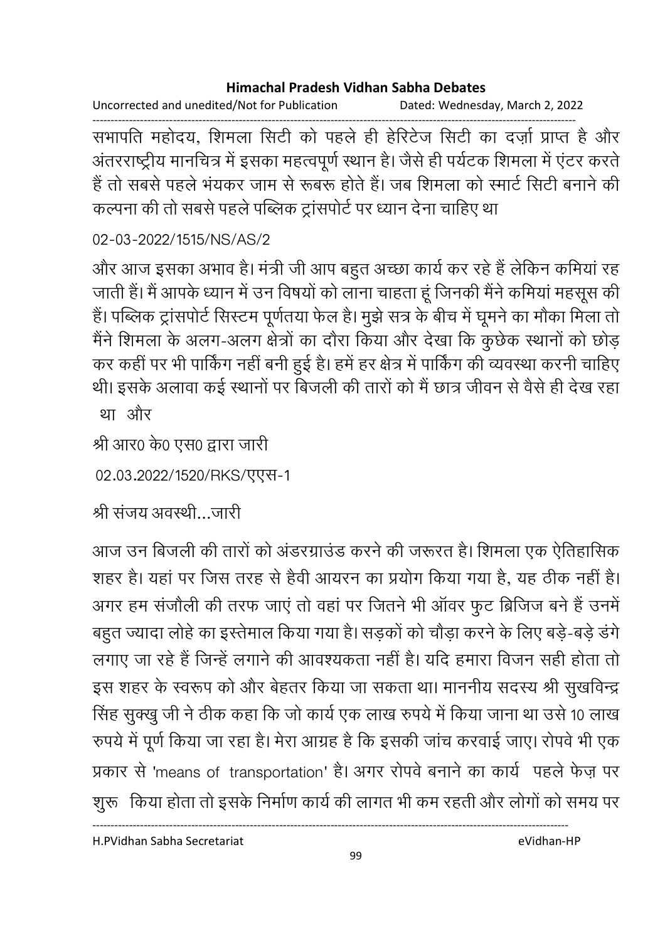Uncorrected and unedited/Not for Publication Dated: Wednesday, March 2, 2022

------------------------------------------------------------------------------------------------------------------------------------ सभापति महोदय, शिमला सिटी को पहले ही हेरिटेज सिटी का दज़ो प्राप्त है और अंतरराष्ट्रीय मानचित्र में इसका महत्वपूर्ण स्थान है। जैसे ही पर्यटक शिमला में एटर करते | है तो सबसे पहले भयकर जाम से रूबरू होते हैं। जब शिमला को स्मार्ट सिटी बनाने की कल्पना की तो सबसे पहले पब्लिक ट्रांसपोर्ट पर ध्यान देना चाहिए था।

02-03-2022/1515/NS/AS/2

और आज इसका अभाव है। मंत्री जी आप बहुत अच्छा कार्य कर रहे हैं लेकिन कमिया रह जाती है। मैं आपके ध्यान में उन विषयों को लाना चाहता हूं जिनकी मैंने कमिया महसूस की हैं। पब्लिक ट्रांसपोर्ट सिस्टम पूर्णतया फेल हैं। मुझे सत्र के बीच में घूमने का मौका मिला तो मैंने शिमला के अलग-अलग क्षेत्रों का दौरा किया और देखा कि कुछेक स्थानों को छोड़ कर कहीं पर भी पाकिंग नहीं बनी हुई हैं। हमें हर क्षेत्र में पाकिंग की व्यवस्था करनी चाहिए थी। इसके अलावा कई स्थानों पर बिजली की तारों को मैं छात्र जीवन से वैसे ही देख रहा था और

```
श्री आर0 के0 एस0 द्वारा जारी
```
02.03.2022/1520/RKS/एएस-1

श्री सजय अवस्थी…जारी

आज उन बिजली की तारों को अंडरग्राउंड करने की जरूरत है। शिमला एक ऐतिहासिक शहर है। यहां पर जिस तरह से हैवी आयरन का प्रयोग किया गया है, यह ठीक नहीं है। अगर हम संजीली की तरफ जाए तो वहां पर जितने भी आवर फुट ब्रिजिज बने हैं उनमें बहुत ज्यादा लोहे का इस्तेमाल किया गया है। सड़कों को चौड़ा करने के लिए बड़े-बड़े डंगे लगाए जा रहे हैं जिन्हें लगाने की आवश्यकता नहीं है। यदि हमारा विजन सही होता तो इस शहर के स्वरूप को और बेहतर किया जा सकता था। माननीय सदस्य श्री सुखर्विन्द्र सिंह सुक्खु जी ने ठीक कहा कि जो कार्य एक लाख रुपर्य में किया जाना था उसे 10 लाख रुपर्य में पूर्ण किया जा रहा है। मेरा आग्रह है कि इसकी जांच करवाई जाए। रोपर्व भी एक प्रकार से 'means of transportation' है। अगर रोपवे बनाने का कार्य पहले फेज़ पर शुरू |किया होता तो इसके निर्माण कार्य की लागत भी कम रहती और लोगों को समय पर |

H.PVidhan Sabha Secretariat eVidhan-HP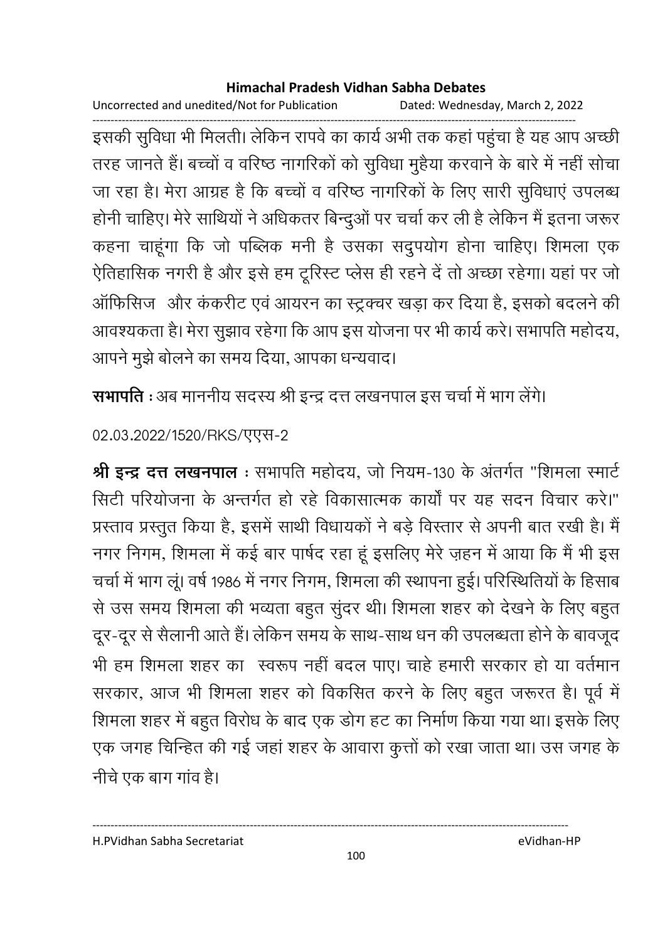Uncorrected and unedited/Not for Publication Dated: Wednesday, March 2, 2022

------------------------------------------------------------------------------------------------------------------------------------ इसकी सुविधा भी मिलती। लेकिन रापर्व का कार्य अभी तक कहा पहुंचा है यह आप अच्छी | तरह जानते हैं। बच्चों व वरिष्ठ नागरिकों को सुविधा मुहैया करवाने के बारे में नहीं सोचा जा रहा है। मेरा आग्रह है कि बच्चों व वरिष्ठ नागरिकों के लिए सारी सुर्विधाएं उपलब्ध होंनी चाहिए। मेरे साथियों ने अधिकतर बिन्दुओं पर चर्चा कर ली है लेकिन में इतना जरूर कहना चाहूँगा कि जो पब्लिक मनी है उसका संदुपयोग होना चाहिए। शिमला एक ऐतिहासिक नगरी है और इसे हम ट्रूरिस्ट प्लेस ही रहने दें तो अच्छा रहेगा। यहां पर जो आफिसिज और ककरीट एवं आयरन का स्ट्रक्चर खड़ा कर दिया है, इसको बदलने की आवश्यकता है। मेरा सुझाव रहेगा कि आप इस योजना पर भी कार्य करें। सभापति महोदय, आपने मुझे बोलने का समय दिया, आपका धन्यवाद।

**सभापति** : अब माननीय सदस्य श्री इन्द्र दत्त लखनपाल इस चर्चा में भाग लेगे।

02.03.2022/1520/RKS/TTT-2

श्री इन्द्र दत्त लखनपाल : सभापति महोदय, जो नियम-130 के अंतर्गत "शिमला स्मार्ट सिटी परियोजना के अन्तर्गत हो रहे विकासात्मक कार्यों पर यह सदन विचार करें।" प्रस्ताव प्रस्तुत किया है, इसमें साथी विधायकों ने बड़े विस्तार से अपनी बात रखी है। मैं नगर निगम, शिमला में कई बार पार्षद रहा हूं इसलिए मेरे ज़हन में आया कि मैं भी इस चर्चा में भाग लू। वर्ष 1986 में नगर निगम, शिमला की स्थापना हुई। परिस्थितियों के हिसाब से उस समय शिमला की भव्यता बहुत सुदर थी। शिमला शहर को देखने के लिए बहुत दूर-दूर से सैलानी आते हैं। लेकिन समय के साथ-साथ धन की उपलब्धता होने के बावजूद भी हम शिमला शहर का स्वरूप नहीं बदल पाए। चाहे हमारी सरकार हो या वर्तमान सरकार, आज भी शिमला शहर को विकसित करने के लिए बहुत जरूरत हैं। पूर्व में शिमला शहर में बहुत विरोध के बाद एक डोग हट का निर्माण किया गया था। इसके लिए एक जगह चिन्हित की गई जहां शहर के आवारा कुत्तों को रखा जाता था। उस जगह के नीचे एक बाग गाव है।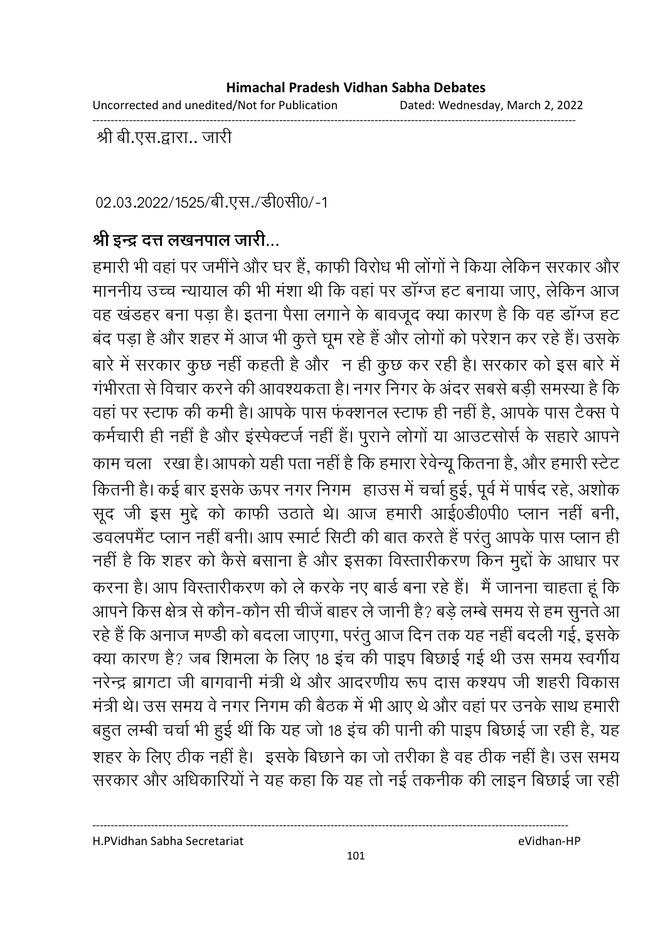Uncorrected and unedited/Not for Publication Dated: Wednesday, March 2, 2022

------------------------------------------------------------------------------------------------------------------------------------

. श्री बी.एस.द्वारा.. जारी

02.03.2022/1525/बी.एस./डी0सी0/-1

# श्री इन्द्र दत्त लखनपाल जारी...

हमारी भी वहां पर जमीने और घर हैं, काफी विरोध भी लोगों ने किया लेकिन सरकार और माननीय उच्च न्यायाल की भी मशा थी कि वहां पर डांग्ज हट बनाया जाए, लेकिन आज वह खंडहर बना पड़ा है। इतना पैसा लगाने के बावजूद क्या कारण है कि वह डॉग्ज हट बंद पड़ा है और शहर में आज भी कुत्ते घूम रहे हैं और लोगों को परेशन कर रहे हैं। उसके बारे में सरकार कुछ नहीं कहती है और "न ही कुछ कर रही है। सरकार को इस बारे में गर्भीरता से विचार करने की आवश्यकता है। नगर निगर के अंदर सबसे बड़ी समस्या है कि वहां पर स्टाफ की कमी है। आपके पास फक्शनल स्टाफ ही नहीं है, आपके पास टैक्स पे कर्मचारी ही नहीं है और इस्पेक्टर्ज नहीं हैं। पुराने लोगों या आउटसोर्स के सहारे आपने काम चला ) रखा है। आपको यही पता नहीं है कि हमारा रेवेन्यू कितना है, और हमारी स्टेट कितनी है। कई बार इसके ऊपर नगर निगम- हाउस में चर्चा हुई, पूर्व में पार्षद रहे, अशोक सूद जी इस मुद्दे को काफी उठाते थे। आज हमारी आई0डी0पी0 प्लान नहीं बनी, डवलपमैंट प्लान नहीं बनी। आप स्मार्ट सिटी की बात करते हैं परंतु आपके पास प्लान हीं। नहीं है कि शहर को कैसे बसाना है और इसका विस्तारीकरण किन मुद्दों के आधार पर करना है। आप विस्तारीकरण को ले करके नए बार्ड बना रहे हैं। मैं जानना चाहता हूं कि आपने किस क्षेत्र से कौन-कौन सी चीजे बाहर ले जानी है? बड़े लम्बे समय से हम सुनते आ रहे हैं कि अनाज मण्डी को बदला जाएगा, परंतु आज दिन तक यह नहीं बदली गई, इसके क्या कारण है? जब शिमला के लिए 18 इच की पाइप बिछाई गई थी उस समय स्वर्गीय नरेन्द्र ब्रागटा जी बागवानी मंत्री थे और आंदरणीय रूप दास कश्यप जी शहरी विकास मंत्री थे। उस समय वे नगर निगम की बैठक में भी आए थे और वहां पर उनके साथ हमारी | बहुत लम्बी चर्चा भी हुई थी कि यह जो 18 इच की पानी की पाइप बिछाई जा रही है, यह शहर के लिए ठीक नहीं है। इसके बिछाने का जो तरीका है वह ठीक नहीं है। उस समय सरकार और अधिकारियों ने यह कहा कि यह तो नई तकनीक की लाइन बिछाई जा रहीं।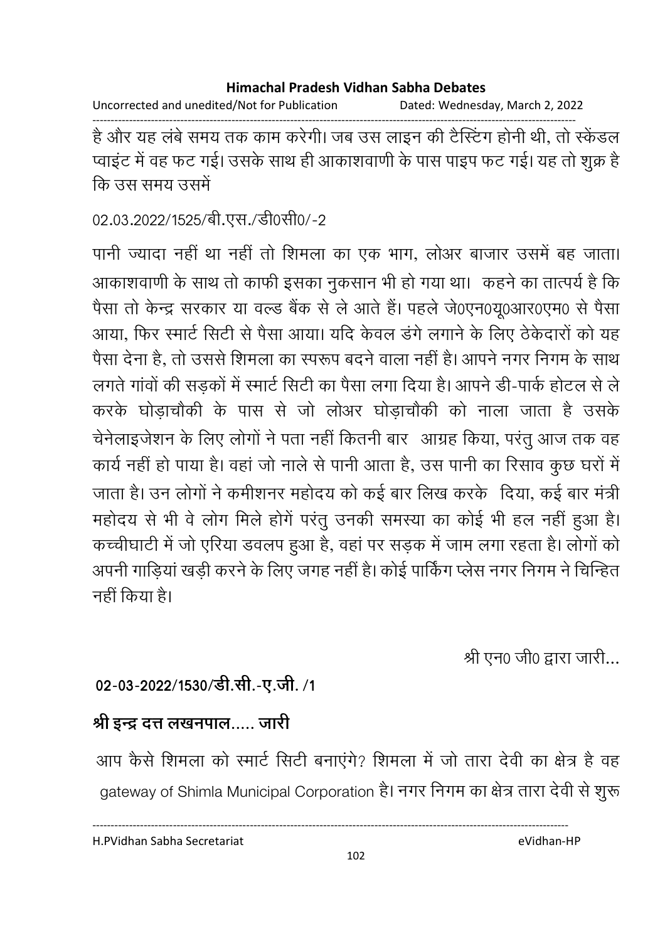Uncorrected and unedited/Not for Publication Dated: Wednesday, March 2, 2022

------------------------------------------------------------------------------------------------------------------------------------ है और यह लबे समय तक काम करेगी। जब उस लाइन की टैस्टिंग होनी थी, तो स्केंडल प्वाइट में वह फट गई। उसके साथ ही आकाशवाणी के पास पाइप फट गई। यह तो शुक्र हैं कि उस समग्र उसमें

02.03.2022/1525/बी.एस./डी0सी0/-2

पानी ज्यादा नहीं था नहीं तो शिमला का एक भाग, लोअर बाजार उसमें बह जाता। आकाशवाणी के साथ तो काफी इसका नुकसान भी हो गया था। कहने का तात्पर्य है कि पैसा तो केन्द्र सरकार या वल्ड बैंक से ले आते हैं। पहले जे0एन0यू0आर0एम0 से पैसा आया, फिर स्मार्ट सिटी से पैसा आया। यदि केवल डर्ग लगाने के लिए ठेकेदारों को यह पैसा देना है. तो उससे शिमला का स्परूप बदने वाला नहीं है। आपने नगर निगम के साथ लगते गांवों की सड़कों में स्मार्ट सिटी का पैसा लगा दिया है। आपने डी-पार्क होटल से ले करके घोड़ाचौंकी के पास से जो लोअर घोड़ाचौंकी को नाला जाता है उसके चेनेलाइजेशन के लिए लोगों ने पता नहीं कितनी बार आंग्रह किया, परंतु आज तक वह कार्य नहीं हो पाया है। वहां जो नाले से पानी आता है, उस पानी का रिसाव कुछ घरों में 8 हB 2 .< )  ह
 .5 ) 
, \$ महोदय से भी वे लोग मिले होंगे परंतु उनकी समस्या का कोई भी हल नहीं हुआ है। कच्चीघाटी में जो एरिया डवलप हुआ है, वहां पर सड़क में जाम लगा रहता है। लोगों को अपनी गाड़िया खड़ी करने के लिए जगह नहीं है। कोई पाकिंग प्लेस नगर निगम ने चिन्हित नहीं किया है।

श्री एन0 जी0 द्वारा जारी...

# 02-03-2022/1530/डी.सी.-ए.जी. /1

# श्री इन्द्र दत्त लखनपाल..... जारी

आप कैसे शिमला को स्मार्ट सिटी बनाएंगे? शिमला में जो तारा देवी का क्षेत्र है वह gateway of Shimla Municipal Corporation है। नगर निगम का क्षेत्र तारा देवी से शुरू

H.PVidhan Sabha Secretariat eVidhan-HP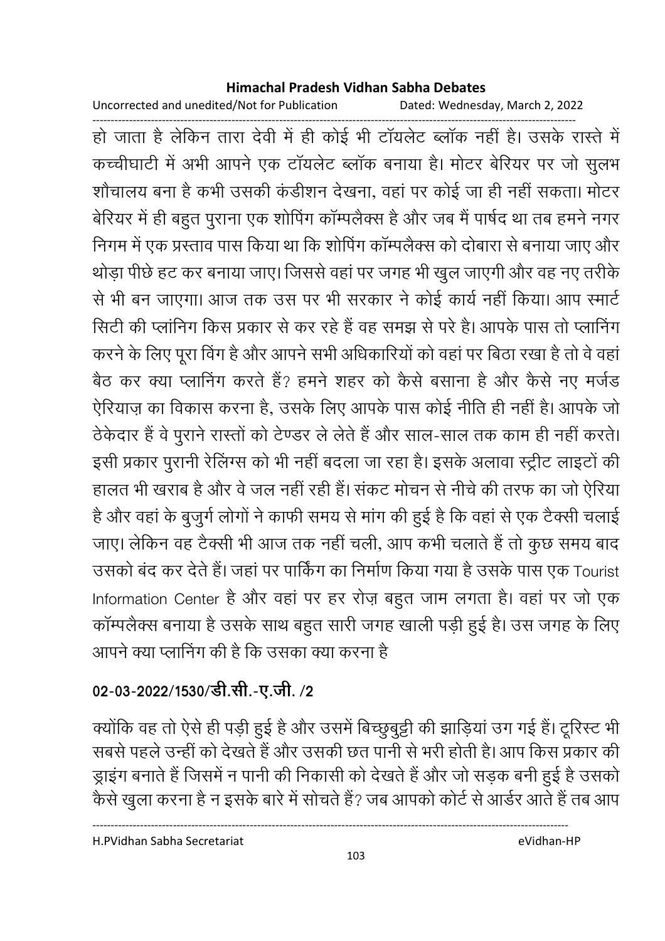Uncorrected and unedited/Not for Publication Dated: Wednesday, March 2, 2022

------------------------------------------------------------------------------------------------------------------------------------ हो जाता है लेकिन तारा देवी में ही कोई भी टायलेंट ब्लाक नहीं है। उसके रास्ते में कच्चीघाटी में अभी आपने एक टायलेट ब्लाक बनाया है। मोटर बेरियर पर जो सुलभ शोचालय बना है कभी उसकी कडीशन देखना, वहां पर कोई जा ही नहीं सकता। मोटर बेरियर में ही बहुत पुराना एक शोपिंग काम्पलैक्स हैं और जब मैं पार्षद था तब हमने नगर निगम में एक प्रस्ताव पास किया था कि शोपिंग कॉम्पलैक्स को दोबारा से बनाया जाए और थोड़ा पीछे हट कर बनाया जाए। जिससे वहां पर जगह भी खुल जाएंगी और वह नए तरीके से भी बन जाएगा। आज तक उस पर भी सरकार ने कोई कार्य नहीं किया। आप स्मार्ट सिटी की प्लानिंग किस प्रकार से कर रहे हैं वह समझ से परे हैं। आपके पास तो प्लानिंग करने के लिए पूरा विग है और आपने सभी अधिकारियों को वहां पर बिठा रखा है तो वे वहां ! बैठ कर क्या प्लानिंग करते हैं? हमने शहर को कैसे बसाना है और कैसे नए मर्जड ऐरियाज़ का विकास करना है, उसके लिए आपके पास कोई नीति ही नहीं हैं। आपके जो ठेकेदार है वे पुराने रास्तों को टेण्डर ले लेते हैं और साल-साल तक काम ही नहीं करते। इसी प्रकार पुरानी रेलिंग्स को भी नहीं बदला जा रहा है। इसके अलावा स्ट्रीट लाइटों की हालत भी खराब है और वे जल नहीं रही है। सकट मौचन से नीचे की तरफ का जो ऐरिया है और वहां के बुजुर्ग लोगों ने काफी समय से मांग की हुई है कि वहां से एक टैक्सी चलाई जाए। लेकिन वह टैक्सी भी आज तक नहीं चली, आप कभी चलाते हैं तो कुछ समय बाद उसको बंद कर देते हैं। जहां पर पार्किंग का निर्माण किया गया है उसके पास एक Tourist Information Center है और वहां पर हर रोज़ बहुत जाम लगता है। वहां पर जो एक काम्पलैक्स बनाया है उसके साथ बहुत सारी जगह खाली पड़ी हुई है। उस जगह के लिए आपने क्या प्लानिंग की है कि उसका क्या करना है।

# 02-03-2022/1530/डी.सी.-ए.जी. /2

क्योंकि वह तो ऐसे ही पड़ी हुई है और उसमें बिच्छुबुट्टी की झाड़िया उंग गई है। टूरिस्ट भी सबसे पहले उन्हीं को देखते हैं और उसकी छत पानी से भरी होती हैं। आप किस प्रकार की ड्राइंग बनाते हैं जिसमें न पानी की निकासी को देखते हैं और जो सड़क बनी हुई है उसको केसे खुला करना है न इसके बारे में सोचते हैं? जब आपको कोर्ट से आर्डर आते हैं तब आप

H.PVidhan Sabha Secretariat eVidhan-HP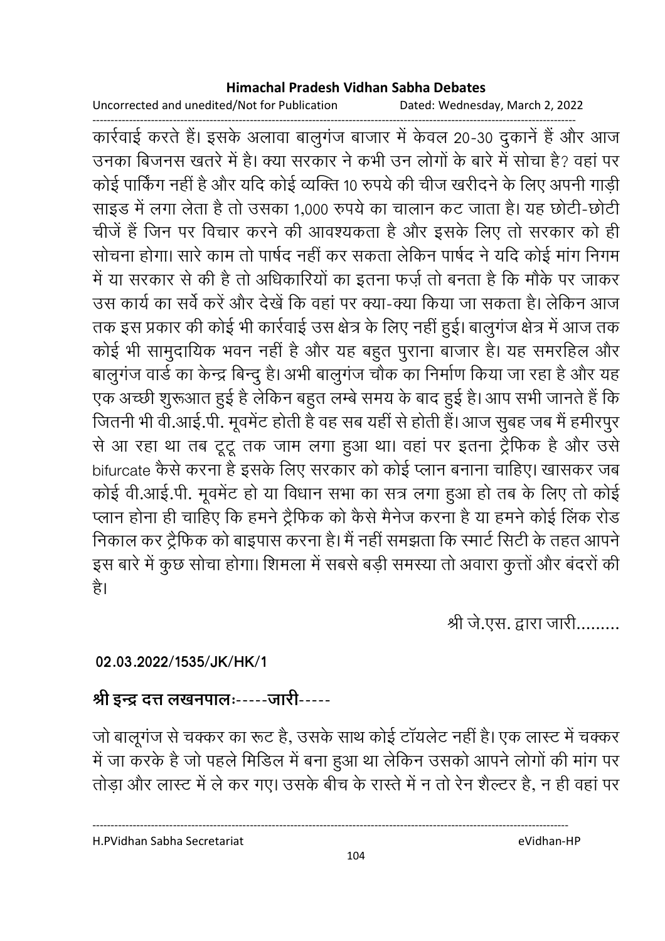Uncorrected and unedited/Not for Publication Dated: Wednesday, March 2, 2022

------------------------------------------------------------------------------------------------------------------------------------ कार्रवाई करते हैं। इसके अलावा बालुगंज बाजार में केवल 20-30 दुकाने हैं और आज उनका बिजनस खतरे में हैं। क्या सरकार ने कभी उन लोगों के बारे में सोचा है? वहां पर कोई पाकिंग नहीं हैं और यदि कोई व्यक्ति 10 रुपये की चीज खरीदने के लिए अपनी गाड़ी। साइंड में लगा लेता है तो उसका 1,000 रुपये का चालान कट जाता है। यह छोटी-छोटी चीजे हैं जिन पर विचार करने की आवश्यकता है और इसके लिए तो सरकार को ही सोचना होगा। सारे काम तो पार्षद नहीं कर सकता लेकिन पार्षद ने यदि कोई मांग निगम में या सरकार से की है तो अधिकारियों का इतना फर्ज़ तो बनता है कि मौके पर जांकर उस कार्य का सर्वे करें और देखें कि वहां पर क्या-क्या किया जा सकता है। लेकिन आज तक इस प्रकार की कोई भी कार्रवाई उस क्षेत्र के लिए नहीं हुई। बालुगज क्षेत्र में आज तक कोई भी सामुदायिक भवन नहीं है और यह बहुत पुराना बाजार है। यह समरहिल और बालुगंज वार्ड का केन्द्र बिन्दु है। अभी बालुगंज चौक का निर्माण किया जा रहा है और यह एक अच्छी शुरूआत हुई है लेकिन बहुत लम्बे समय के बाद हुई है। आप सभी जानते है कि जितनी भी वी.आई.पी. मूवमेंट होती है वह सब यही से होती है। आज सुबह जब मैं हमीरपुर से आ रहा था तब टूटू तक जाम लगा हुआ था। वहां पर इतना ट्रैफिक है और उसे bifurcate कैसे करना है इसके लिए सरकार को कोई प्लान बनाना चाहिए। खासकर जब कोई वी.आई.पी. मूवमेंट हो या विधान सभा का सत्र लगा हुआ हो तब के लिए तो कोई प्लान होना ही चाहिए कि हमने ट्रैफिक को कैसे मैनेज करना है या हमने कोई लिंक रोड निकाल कर ट्रैफिक को बाइपास करना है। मैं नहीं समझता कि स्मार्ट सिटी के तहत आपने | इस बारे में कुछ सोचा होगा। शिमला में सबसे बड़ी समस्या तो अवारा कुत्तों और बदरों की है।

श्री जे.एस. द्वारा जारी.........

## **02.03.2022/1535/JK/HK/1**

# श्री इन्द्र दत्त लखनपालः-----जारी-----

जो बालूगंज से चक्कर का रूट है, उसके साथ कोई टॉयलेट नहीं है। एक लास्ट में चक्कर में जा करके हैं जो पहले मिडिल में बना हुआ था लेकिन उसको आपने लोगों की मांग पर तोड़ा और लास्ट में ले कर गए। उसके बीच के रास्ते में न तो रेन शैल्टर हैं, न ही वहां पर

H.PVidhan Sabha Secretariat eVidhan-HP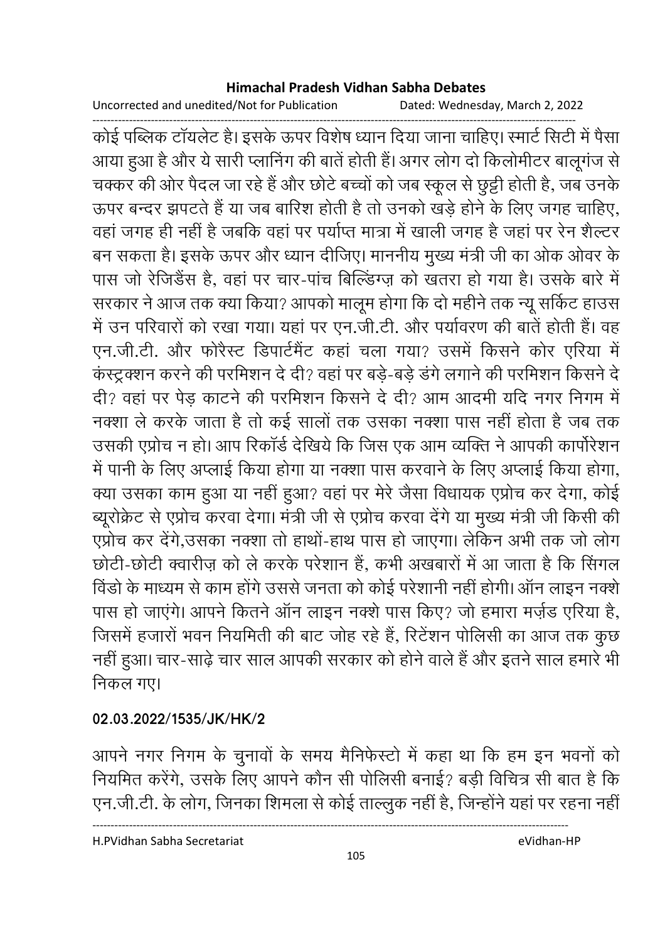Uncorrected and unedited/Not for Publication Dated: Wednesday, March 2, 2022

------------------------------------------------------------------------------------------------------------------------------------ कोई पब्लिक टायलेट है। इसके ऊपर विशेष ध्यान दिया जाना चाहिए। स्मार्ट सिटी में पैसा आया हुआ है और ये सारी प्लानिंग की बाते होती है। अगर लोग दो किलोमीटर बालूगज से चक्कर की ओर पैदल जा रहे हैं और छोटे बच्चों को जब स्कूल से छुट्टी होती हैं, जब उनके ऊपर बन्दर झपटते हैं या जब बारिश होती है तो उनको खड़े होने के लिए जगह चाहिए, वहाँ जगह ही नहीं है जबकि वहाँ पर पर्याप्त मात्रा में खाली जगह है जहाँ पर रेन शैल्टर बन सकता है। इसके ऊपर और ध्यान दीजिए। माननीय मुख्य मंत्री जी का ओक ओवर के पास जो रेजिडैंस है, वहां पर चार-पांच बिल्डिंग्ज़ को खतरा हो गया है। उसके बारे में सरकार ने आज तक क्या किया? आपको मालूम होगा कि दो महीने तक न्यू सर्किट हाउस में उन परिवारों को रखा गया। यहां पर एन.जी.टी. और पर्यावरण की बातें होती हैं। वह एन.जी.टी. और फरिस्ट डिपार्टमेंट कहा चला गया? उसमें किसने कोर एरिया में कस्ट्रक्शन करने की परमिशन दें दी? वहां पर बड़ें-बड़े डंगे लगाने की परमिशन किसने दें दी? वहां पर पेड़ कांटने की परमिशन किसने दें दी? आम आदमी यदि नगर निगम में नक्शा ले करके जाता है तो कई सालों तक उसका नक्शा पास नहीं होता है जब तक उसकी एप्रोच न हो। आप रिकार्ड देखिये कि जिस एक आम व्यक्ति ने आपकी कार्पोरेशन में पानी के लिए अप्लाई किया होगा या नक्शा पास करवाने के लिए अप्लाई किया होगा, क्या उसका काम हुआ या नहीं हुआ? वहां पर मेरे जैसा विधायक एप्रोच कर देगा, कोई ब्यूरक्रिट से एप्रोच करवा देगा। मंत्री जी से एप्रोच करवा देंगे या मुख्य मंत्री जी किसी की एप्रोच कर देंगे,उसका नक्शा तो हाथों-हाथ पास हो जाएगा। लेकिन अभी तक जो लोग छोटी-छोटी क्वारीज़ को ले करके परेशान है, कभी अखबारों में आ जाता है कि सिगल विंडों के माध्यम से काम होंगे उससे जनता को कोई परेशानी नहीं होंगी। आन लाइन नक्शें पास हो जाएंगे। आपने कितने ऑन लाइन नक्शे पास किए? जो हमारा मर्ज़ड एरिया है, जिसमें हजारों भवन नियमिती की बाट जोह रहे हैं, रिटेशन पोलिसी का आज तक कुछ नहीं हुआ। चार-साढ़ें चार साल आपकी सरकार को होने वाले हैं और इतने साल हमारे भी निकल गए।

## **02.03.2022/1535/JK/HK/2**

आपने नगर निगम के चुनावों के समय मैनिफेस्टो में कहा था कि हम इन भवनों को नियमित करेंगे, उसके लिए आपने कौन सी पोलिसी बनाई? बड़ी विचित्र सी बात है कि एन.जी.टी. के लोग, जिनका शिमला से कोई ताल्लुक नहीं है, जिन्होंने यहां पर रहना नहीं |

H.PVidhan Sabha Secretariat eVidhan-HP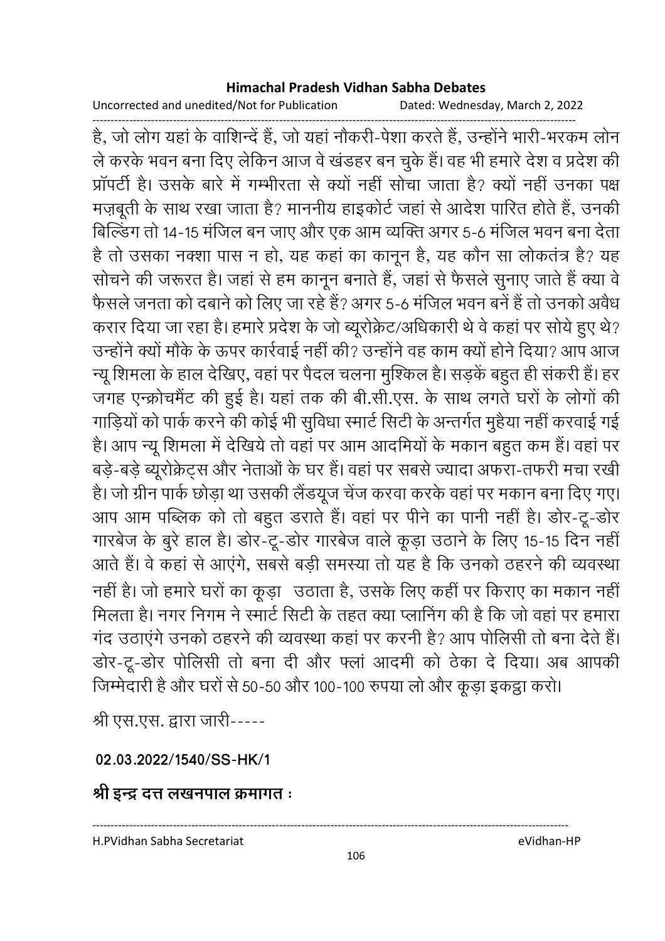Uncorrected and unedited/Not for Publication Dated: Wednesday, March 2, 2022

------------------------------------------------------------------------------------------------------------------------------------ हैं, जो लोग यहां के वाशिन्दे हैं, जो यहां नौकरी-पेशा करते हैं, उन्होंने भारी-भरकम लोन ले करके भवन बना दिए लेकिन आज वे खंडहर बन चुके हैं। वह भी हमारे देश व प्रदेश की प्रापर्टी है। उसके बारे में गम्भीरता से क्यों नहीं सोचा जाता है? क्यों नहीं उनका पक्ष मज़बूती के साथ रखा जाता है? माननीय हाइकोर्ट जहां से आदेश पारित होते हैं, उनकी बिल्डिंग तो 14-15 मंजिल बन जाए और एक आम व्यक्ति अगर 5-6 मंजिल भवन बना देता है तो उसका नक्शा पास न हो, यह कहां का कानून है, यह कौन सा लोकतंत्र है? यह सोचने की जरूरत है। जहां से हम कानून बनाते हैं, जहां से फैसले सुनाएं जाते हैं क्या वे फैसले जनता को दबाने को लिए जा रहे हैं? अगर 5-6 मंजिल भवन बनें हैं तो उनको अवैध करार दिया जा रहा है। हमारे प्रदेश के जो ब्यूरक्रिट/अधिकारी थे वे कहा पर सोये हुए थे? उन्होंने क्यों मौके के ऊपर कार्रवाई नहीं की? उन्होंने वह काम क्यों होने दिया? आप आज न्यू शिमला के हाल देखिए, वहां पर पैदल चलना मुश्किल है। सड़के बहुत ही सकरी है। हर जगह एन्क्रोचमैंट की हुई है। यहां तक की बी.सी.एस. के साथ लगते घरों के लोगों की गाड़ियों को पार्क करने की कोई भी सुविधा स्मार्ट सिटी के अन्तर्गत मुहैया नहीं करवाई गई है। आप न्यू शिमला में देखिये तो वहां पर आम आदमियों के मकान बहुत कम हैं। वहां पर बड़े-बड़े ब्यूरक्रिट्स और नेताओं के घर है। वहां पर सबसे ज्यादा अफरा-तफरी मचा रखी हैं। जो ग्रीन पार्क छोड़ा था उसकी लैंडयूज चेज करवा करके वहां पर मकान बना दिए गए। आप आम पब्लिक को तो बहुत डराते हैं। वहां पर पनि का पानी नहीं हैं। डोर-टू-डोर गारबेज के बुरे हाल है। डोर-टू-डोर गारबेज वाले कूड़ा उठाने के लिए 15-15 दिन नहीं आते हैं। वे कहा से आएंगे, सबसे बड़ी समस्या तो यह है कि उनको ठहरने की व्यवस्था नहीं है। जो हमारे घरों का कूड़ा उठाता है, उसके लिए कहीं पर किराए का मकान नहीं मिलता है। नगर निगम ने स्मार्ट सिटी के तहत क्या प्लानिंग की है कि जो वहां पर हमारा गंद उठाएंगे उनको ठहरने की व्यवस्था कहा पर करनी है? आप पोलिसी तो बना देते हैं। डोर-टू-डोर पोलिसी तो बना दी और फ्ला आदमी को ठेका दे दिया। अब आपकी जिम्मेदारी है और घरों से 50-50 और 100-100 रुपया लो और कूड़ा इकट्ठा करो।

श्री एस.एस. द्वारा जारी-----

**02.03.2022/1540/SS-HK/1**

श्री इन्द्र दत्त लखनपाल क्रमागत <u>ः</u>

H.PVidhan Sabha Secretariat eVidhan-HP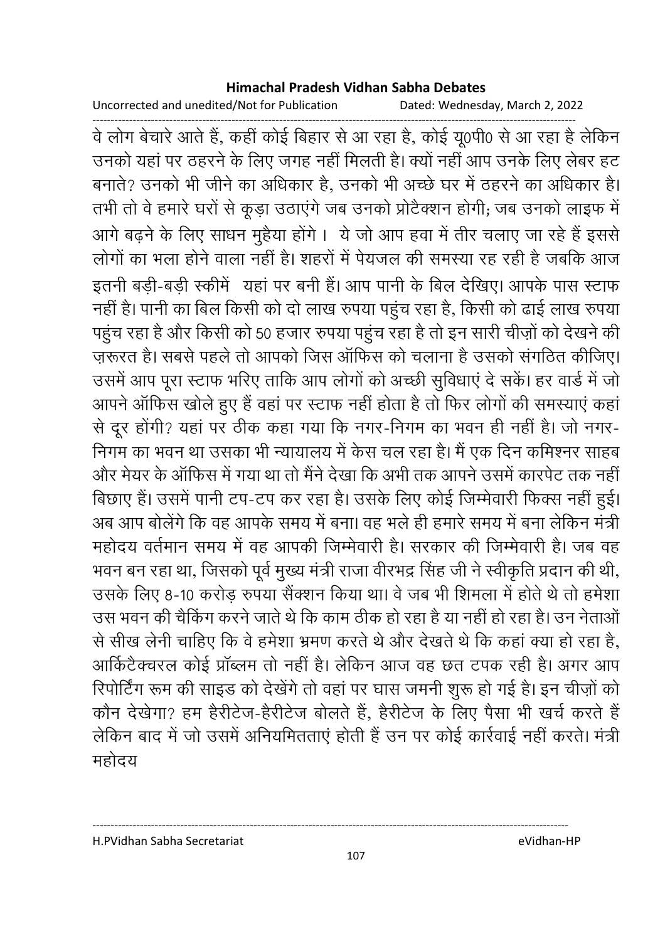Uncorrected and unedited/Not for Publication Dated: Wednesday, March 2, 2022

------------------------------------------------------------------------------------------------------------------------------------ वे लोग बेचारे आते हैं, कहीं कोई बिहार से आ रहा है, कोई यू0पी0 से आ रहा है लेकिन उनको यहाँ पर ठहरने के लिए जगह नहीं मिलती है। क्यों नहीं आप उनके लिए लेंबर हट बनाते? उनको भी जीने का अधिकार है, उनको भी अच्छे घर में ठहरने का अधिकार है। तभी तो वे हमारे घरों से कूड़ा उठाएंगे जब उनको प्रटिक्शन होंगी; जब उनको लाइफ में आगे बढ़ने के लिए साधन मुहैया होंगे । ये जो आप हवा में तीर चलाए जा रहे हैं इससे लोगों का भला होने वाला नहीं है। शहरों में पेयजल की समस्या रह रही है जबकि आज इतनी बड़ी-बड़ी स्कीमें यहां पर बनी है। आप पानी के बिल देखिए। आपके पास स्टाफ नहीं हैं। पानी का बिल किसी को दो लाख रुपया पहुंच रहा है, किसी को ढाई लाख रुपया पहुच रहा है और किसी को 50 हजार रुपया पहुच रहा है तो इन सारी चीज़ों को देखने की ज़रूरत है। सबसे पहले तो आपको जिस आफिस को चलाना है उसको संगठित कीजिए। उसमें आप पूरा स्टाफ भरिए ताकि आप लोगों को अच्छी सुविधाएं दे सके। हर वार्ड में जो आपने आफिस खोले हुए हैं वहां पर स्टाफ नहीं होता है तो फिर लोगों की समस्याएं कहा से दूर होगी? यहां पर ठीक कहा गया कि नगर-निगम का भवन ही नहीं हैं। जो नगर-निगम का भवन था उसका भी न्यायालय में केस चल रहा है। मैं एक दिन कमिश्नर साहब और मेयर के आफिस में गया था तो मैंने देखा कि अभी तक आपने उसमें कारपेंट तक नहीं। बिछाए हैं। उसमें पानी टप-टप कर रहा है। उसके लिए कोई जिम्मेवारी फिक्स नहीं हुई। अब आप बोलेंगे कि वह आपके समय में बना। वह भले ही हमारे समय में बना लेकिन मंत्री | महोदय वर्तमान समय में वह आपकी जिम्मेवारी हैं। सरकार की जिम्मेवारी हैं। जब वह भवन बन रहा था, जिसको पूर्व मुख्य मंत्री राजा वीरभद्र सिंह जी ने स्वीकृति प्रदान की थी, उसके लिए 8-10 करोड़ रुपया सैक्शन किया था। वे जब भी शिमला में होते थे तो हमेशा उस भवन की चैकिंग करने जाते थे कि काम ठीक हो रहा है या नहीं हो रहा है। उन नेताओं | से सीख लेनी चाहिए कि वे हमेशा भ्रमण करते थे और देखते थे कि कहा क्या हो रहा है, आर्किटैक्चरल कोई प्राब्लम तो नहीं है। लेकिन आज वह छत टंपक रही है। अगर आप रिपोर्टिंग रूम की साइंड को देखेंगे तो वहां पर घास जमनी शुरू हो गई है। इन चीज़ों को कौन देखेगा? हम हैरेटिज-हैरेटिज बॉलते हैं, हैरेटिज के लिए पैसा भी खर्च करते हैं | लेकिन बाद में जो उसमें अनियमितताएं होती है उन पर कोई कार्रवाई नहीं करते। मंत्री महोदय

H.PVidhan Sabha Secretariat eVidhan-HP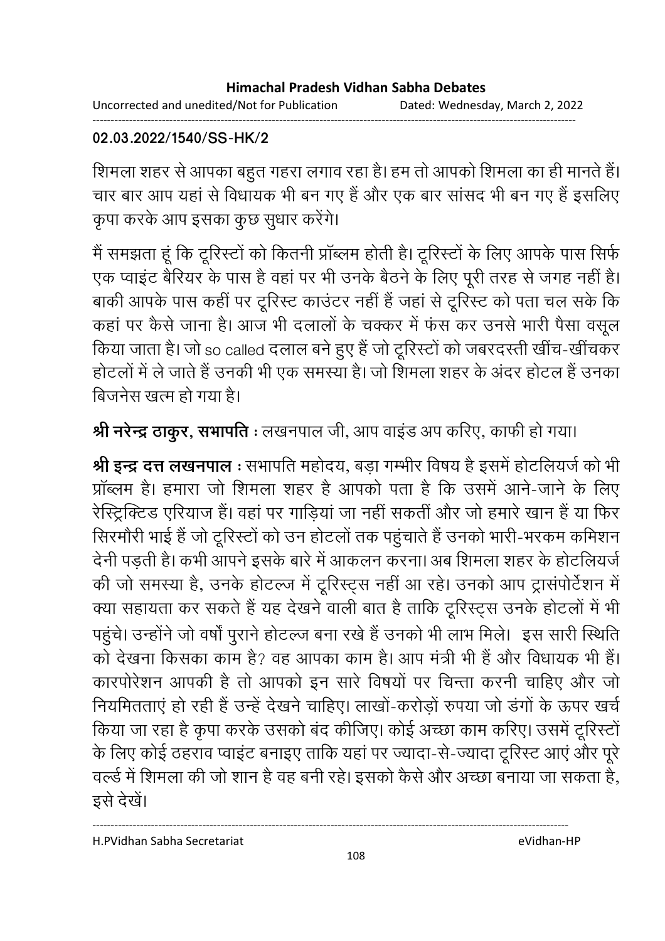Uncorrected and unedited/Not for Publication Dated: Wednesday, March 2, 2022 ------------------------------------------------------------------------------------------------------------------------------------

## **02.03.2022/1540/SS-HK/2**

शिमला शहर से आपका बहुत गहरा लगाव रहा है। हम तो आपको शिमला का ही मानते हैं। चार बार आप यहां से विधायक भी बन गए हैं और एक बार सांसद भी बन गए हैं इसलिए कृपा करके आप इसका कुछ सुधार करेंगे।

में समझता हूँ कि टूरिस्टों को कितनी प्राब्लम होती है। टूरिस्टों के लिए आपके पास सिर्फ एक प्वाइट बैरियर के पास है वहां पर भी उनके बैठने के लिए पूरी तरह से जगह नहीं हैं। बाकी आपके पास कहीं पर टूरिस्ट काउंटर नहीं है जहां से टूरिस्ट को पता चल सके कि कहा पर कैसे जाना है। आज भी दलालों के चक्कर में फंस कर उनसे भारी पैसा वसूल किया जाता है। जो so called दलाल बने हुए है जो टूरिस्टों को जबरदस्ती खीच-खीचकर होटलों में ले जाते हैं उनकी भी एक समस्या है। जो शिमला शहर के अंदर होटल हैं उनका बिजनेस खत्म हो गया है।

**श्री नरेन्द्र ठाकुर, सभापति** : लखनपाल जी, आप वाइंड अप करिए, काफी हो गया।

**श्री इन्द्र दत्त लखनपाल** : सभापति महोदय, बड़ा गम्भीर विषय है इसमें होटलियजे को भी प्रॉब्लम है। हमारा जो शिमला शहर है आपको पता है कि उसमें आने-जाने के लिए रेस्ट्रिक्टिड एरियाज हैं। वहां पर गाड़ियां जा नहीं सकतीं और जो हमारे खान हैं या फिर सिरमोरी भाई है जो टूरिस्टों को उन होटलों तक पहुचाते हैं उनको भारी-भरकम कमिशन देनी पड़ती है। कभी आपने इसके बारे में आकलन करना। अब शिमला शहर के होटलियजें | की जो समस्या है, उनके होटल्ज में टूरिस्ट्स नहीं आ रहे। उनको आप ट्रासपोर्टशन में क्या सहायता कर सकते हैं यह देखने वाली बात है ताकि टूरिस्ट्स उनके होटलों में भी पहुंचे। उन्होंने जो वर्षा पुराने होटल्ज बना रखे हैं उनको भी लाभ मिले। इस सारी स्थिति । को देखना किसका काम है? वह आपका काम है। आप मंत्री भी है और विधायक भी है। कारपरिशन आपकी है तो आपको इन सारे विषयों पर चिन्ता करनी चाहिए और जो नियमितताएं हो रही है उन्हें देखने चाहिए। लाखों-करोड़ों रुपया जो डगों के ऊपर खर्च किया जा रहा है कृपा करके उसको बंद कीजिए। कोई अच्छा काम करिए। उसमें टूरिस्टों के लिए कोई ठहराव प्वाइंट बनाइए ताकि यहां पर ज्यादा-से-ज्यादा टूरिस्ट आएं और पूरे वर्ल्ड में शिमला की जो शान है वह बनी रहे। इसको कैसे और अच्छा बनाया जा सकता है, इसे देखें।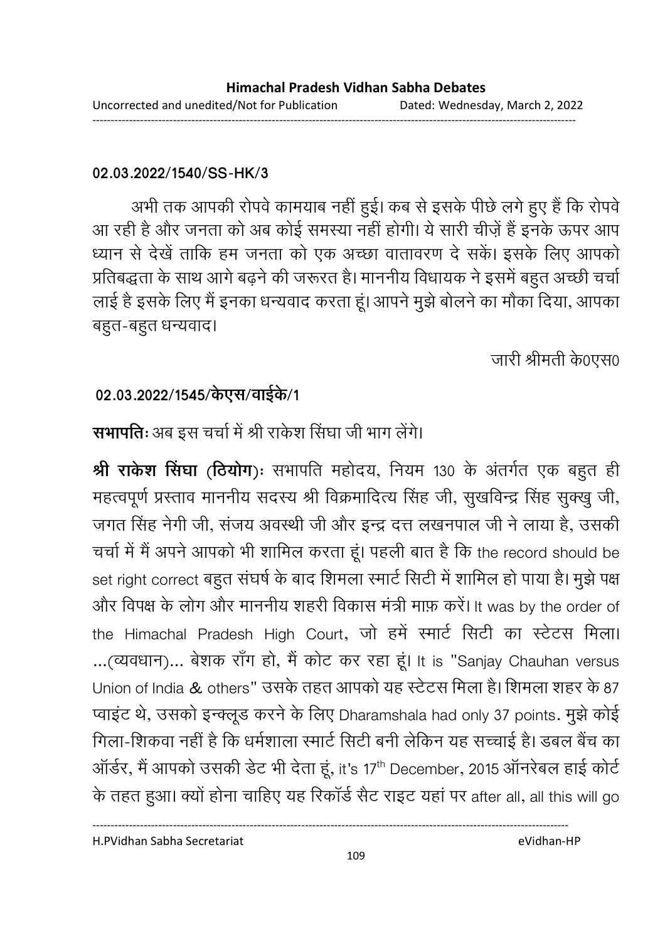### **02.03.2022/1540/SS-HK/3**

अभी तक आपकी रोपर्व कामयाब नहीं हुई। कब से इसके पीछे लगे हुए हैं कि रोपर्व आ रही है और जनता को अब कोई समस्या नहीं होगी। ये सारी चीज़ें हैं इनके ऊपर आप ध्यान से देखें ताकि हम जनता को एक अच्छा वातावरण दे सकें। इसके लिए आपको प्रतिबद्धता के साथ आगे बढ़ने की जरूरत है। माननीय विधायक ने इसमें बहुत अच्छी चर्चा लाई है इसके लिए मैं इनका धन्यवाद करता हूं। आपने मुझे बोलने का मौका दिया, आपका बहुत-बहुत धन्यवाद।

जारी श्रीमती के0एस0

### 02.03.2022/1545/केएस/वाईके/1

## **सभापतिः** अब इस चर्चा में श्री राकेश सिंघा जी भाग लेंगे।

**श्री राकेश सिंघा (ठियोग)ः** सभापति महोदय, नियम 130 के अंतर्गत एक बहुत ही महत्वपूर्ण प्रस्ताव माननीय सदस्य श्री विक्रमादित्य सिंह जी, सुखर्विन्द्र सिंह सुक्खु जी, जगत सिंह नेगी जी, सजय अवस्थी जी और इन्द्र दत्त लखनपाल जी ने लाया है, उसकी चर्चा में मैं अपने आपको भी शामिल करता हूं। पहली बात है कि the record should be set right correct बहुत संघर्ष के बाद शिमला स्मार्ट सिटी में शामिल हो पाया है। मुझे पक्ष और विपक्ष के लोग और माननीय शहरी विकास मंत्री माफ़ करें। It was by the order of the Himachal Pradesh High Court, जो हमें स्मार्ट सिटी का स्टेटस मिला। ...(व्यवधान)... बेशक राँग हो, मैं कोट कर रहा हूं। It is "Sanjay Chauhan versus Union of India & others" उसके तहत आपको यह स्टेटस मिला है। शिमला शहर के 87 प्वाइंट थे, उसको इन्क्लूड करने के लिए Dharamshala had only 37 points. मुझे कोई गिला-शिकवा नहीं है कि धर्मशाला स्मार्ट सिटी बनी लेकिन यह सच्चाई है। डबल बैच का ऑर्डर, मैं आपको उसकी डेट भी देता हूं, it's 17<sup>th</sup> December, 2015 ऑनरेबल हाई कोर्ट के तहत हुआ। क्यों होना चाहिए यह रिकॉर्ड सैट राइट यहां पर after all, all this will go

H.PVidhan Sabha Secretariat eVidhan-HP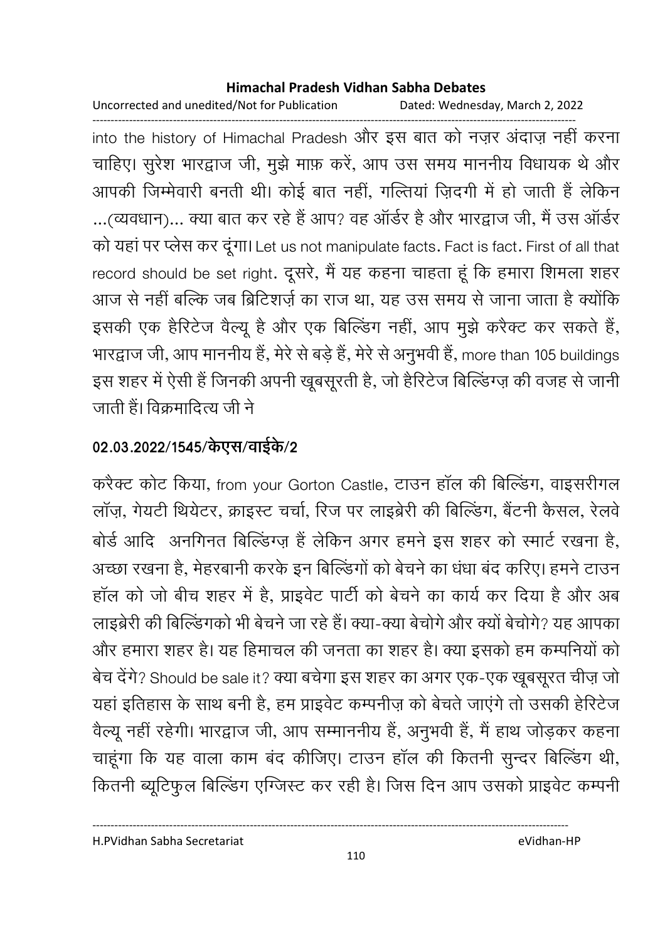Uncorrected and unedited/Not for Publication Dated: Wednesday, March 2, 2022

----------------------------------------------------------------------------------------------------------------------------------- into the history of Himachal Pradesh और इस बात को नज़र अदाज़ नहीं करना चाहिए। सुरेश भारद्वाज जी, मुझे माफ़ करे, आप उस समय माननीय विधायक थे और आपकी जिम्मेवारी बनती थी। कोई बात नहीं, गल्तिया ज़िंदगी में हो जाती है लेकिन ...(व्यवधान)... क्या बात कर रहे हैं आप? वह आर्डर है और भारद्वाज जी, मैं उस आर्डर को यहां पर प्लेस कर दूंगा। Let us not manipulate facts. Fact is fact. First of all that record should be set right. दूसरे, मैं यह कहना चाहता हूं कि हमारा शिमला शहर आज से नहीं बल्कि जब ब्रिटिशर्ज़ का राज था, यह उस समय से जाना जाता है क्योंकि इसकी एक हैरिटेज वैल्यू हैं और एक बिल्डिंग नहीं, आप मुझे करैक्ट कर सकते हैं,

भारद्वाज जी, आप माननीय है, मेरे से बड़े हैं, मेरे से अनुभवी है, more than 105 buildings इस शहर में ऐसी है जिनकी अपनी खूबसूरती हैं, जो हैरिटेज बिल्डिंग्ज़ की वजह से जानी जाती है। विक्रमादित्य जी ने

## 02.03.2022/1545/केएस/वाईके/2

करैक्ट कोट किया, from your Gorton Castle, टाउन हाल की बिल्डिंग, वाइसरींगल लाज़, गेयटी थियेटर, क्राइस्ट चर्चा, रिज पर लाइब्रेरी की बिल्डिंग, बैटनी कैसल, रेलवे बोर्ड आदि अनगिनत बिल्डिंग्ज़ हैं लेकिन अगर हमने इस शहर को स्मार्ट रखना है, अच्छा रखना है, मेहरबानी करके इन बिल्डिंगों को बेचने का धंधा बंद करिए। हमने टाउन हाल को जो बीच शहर में हैं, प्राइवेंट पार्टी को बेचने का कार्य कर दिया है और अब लाइब्रेरी की बिल्डिंगकों भी बेचने जा रहे हैं। क्या-क्या बेचोंगे और क्यों बेचोंगे? यह आपका और हमारा शहर है। यह हिमाचल की जनता का शहर है। क्या इसको हम कम्पनियों को बेच देंगे? Should be sale it? क्या बचेंगा इस शहर का अगर एक-एक खूबसूरत चीज़ जो यहाँ इतिहास के साथ बनी है, हम प्राइवेट कम्पनीज़ को बेचते जाएंगे तो उसकी हेरिटेज वैल्यू नहीं रहेगी। भारद्वाज जी, आप सम्माननीय है, अनुभवी है, मैं हाथ जोड़कर कहना चाहूँगा कि यह वाला काम बंद कीजिए। टाउन हाल की कितनी सुन्दर बिल्डिंग थी, कितनी ब्यूटिफुल बिल्डिंग एंग्जिस्ट कर रही है। जिस दिन आप उसको प्राइवेट कम्पनी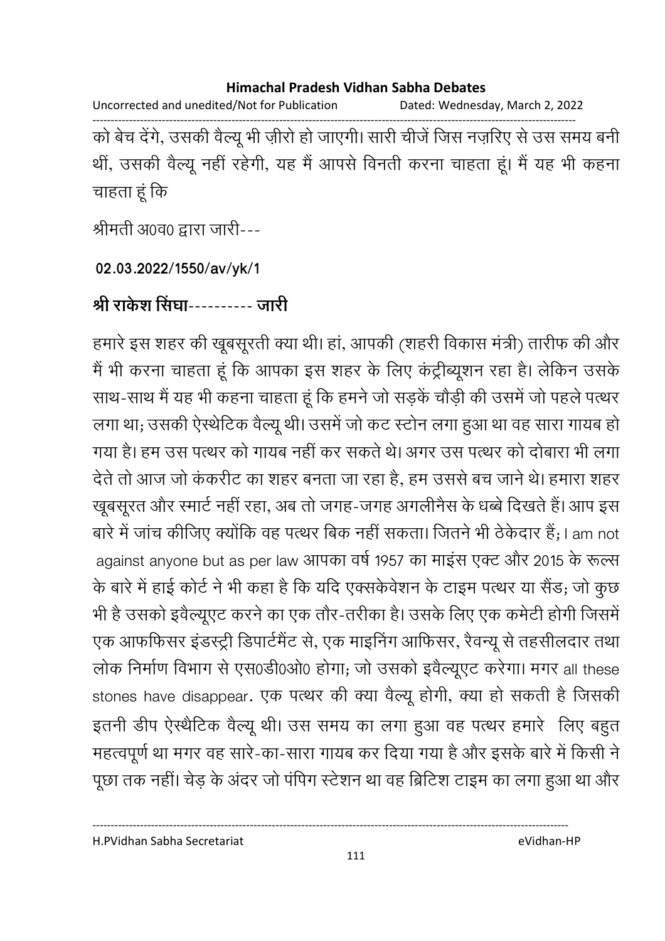Uncorrected and unedited/Not for Publication Dated: Wednesday, March 2, 2022

------------------------------------------------------------------------------------------------------------------------------------ को बेच देंगे, उसकी वैल्यू भी ज़ीरों हो जाएगी। सारी चीजे जिस नज़रिए से उस समय बनी थी, उसकी वैल्यू नहीं रहेगी, यह मैं आपसे विनती करना चाहता हूं। मैं यह भी कहना चाहता हूं कि

श्रीमती अ0व0 द्वारा जारी---

**02.03.2022/1550/av/yk/1**

श्री राकेश सिंघा---------- जारी

हमारे इस शहर की खूबसूरती क्या थी। हा, आपकी (शहरी विकास मंत्री) तारीफ की और में भी करना चाहता हूं कि आपका इस शहर के लिए कंट्रेब्यूशन रहा है। लेकिन उसके साथ-साथ मैं यह भी कहना चाहता हूं कि हमने जो सड़के चौड़ी की उसमें जो पहले पत्थर लगा था; उसकी ऐस्थेटिक वैल्यू थी। उसमें जो कट स्टोन लगा हुआ था वह सारा गायब हो। गया है। हम उस पत्थर को गायब नहीं कर सकते थे। अगर उस पत्थर को दोबारा भी लगा देते तो आज जो ककरीट का शहर बनता जा रहा है, हम उससे बच जाने थे। हमारा शहर खूबसूरत और स्मार्ट नहीं रहा, अब तो जगह-जगह अगलेनिस के धब्बे दिखते हैं। आप इस बारे में जांच कीजिए क्योंकि वह पत्थर बिक नहीं सकता। जितने भी ठेकेदार हैं; I am not against anyone but as per law आपका वर्ष 1957 का माइंस एक्ट और 2015 के रूल्स के बारे में हाई कोर्ट ने भी कहा है कि यदि एक्सकेवेशन के टाइम पत्थर या सैंड; जो कुछ भी है उसको इवैल्यूएट करने का एक तौर-तरीका है। उसके लिए एक कमेटी होगी जिसमें एक आफफिसर इंडस्ट्री डिपार्टमेंट से, एक माइनिंग आफिसर, रैवन्यू से तहसीलदार तथा। लोक निर्माण विभाग से एस0डी0ओ0 होगा; जो उसको इवैल्यूएट करेगा। मगर all these stones have disappear. एक पत्थर की क्या वैल्यू होगी, क्या हो सकती है जिसकी इतनी डीप ऐस्थैटिक वैल्यू थी। उस समय का लगा हुआ वह पत्थर हमारे लिए बहुत महत्वपूर्ण था मगर वह सारे-का-सारा गायब कर दिया गया है और इसके बारे में किसी ने पूछा तक नहीं। चेड़ के अंदर जो पंपिग स्टेशन था वह ब्रिटिश टाइम का लगा हुआ था और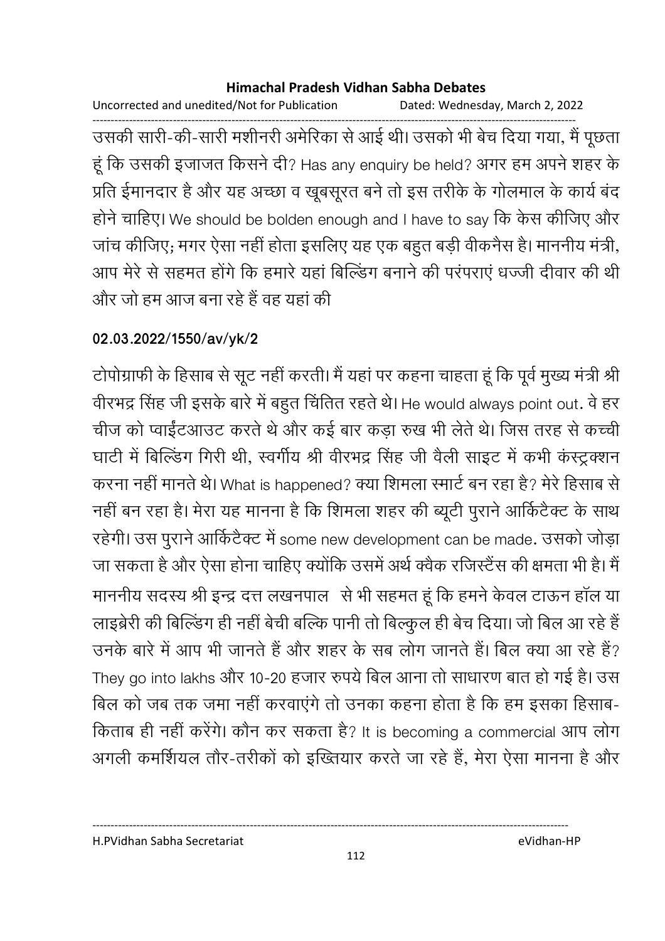Uncorrected and unedited/Not for Publication Dated: Wednesday, March 2, 2022

------------------------------------------------------------------------------------------------------------------------------------ उसकी सारी-की-सारी मशीनरी अमेरिका से आई थी। उसको भी बेच दिया गया, मैं पूछता हू कि उसकी इजाजत किसने दी? Has any enquiry be held? अगर हम अपने शहर के प्रति ईमानदार है और यह अच्छा व खूबसूरत बने तो इस तरीके के गोलमाल के कार्य बद होने चाहिए। We should be bolden enough and I have to say कि केस कीजिए और जांच कीजिए; मगर ऐसा नहीं होता इसलिए यह एक बहुत बड़ी वेकिनैस है। माननीय मंत्री, आप मेरे से सहमत होंगे कि हमारे यहां बिल्डिंग बनाने की परंपराएं धज्जी दीवार की थी और जो हम आज बना रहे हैं वह यहां की

### **02.03.2022/1550/av/yk/2**

टोपोग्राफी के हिसाब से सूट नहीं करती। मैं यहां पर कहना चाहता हूं कि पूर्व मुख्य मंत्री श्री वीरभद्र सिंह जी इसके बारे में बहुत चिर्तित रहते थे। He would always point out. वे हर चीज को प्वाईटआउट करते थे और कई बार कड़ा रुख भी लेते थे। जिस तरह से कच्ची घाटी में बिल्डिंग गिरी थी, स्वर्गीय श्री वीरभद्र सिंह जी वैली साइट में कभी कस्ट्रक्शन करना नहीं मानते थे। What is happened? क्या शिमला स्मार्ट बन रहा है? मेरे हिसाब से नहीं बन रहा है। मेरा यह मानना है कि शिमला शहर की ब्यूटी पुराने आकिटैक्ट के साथ रहेगी। उस पुराने आकिटैक्ट में some new development can be made. उसको जोड़ा जा सकता है और ऐसा होना चाहिए क्योंकि उसमें अर्थ क्वैक रजिस्टैंस की क्षमता भी है। मैं माननीय सदस्य श्री इन्द्र दत्त लखनपाल) से भी सहमत हूं कि हमने केवल टाऊन हाल या लाइब्रेरी की बिल्डिंग ही नहीं बेची बल्कि पानी तो बिल्कुल ही बेच दिया। जो बिल आ रहे हैं उनके बारे में आप भी जानते हैं और शहर के सब लोग जानते हैं। बिल क्या आ रहे हैं? They go into lakhs और 10-20 हजार रुपये बिल आना तो साधारण बात हो गई है। उस बिल को जब तक जमा नहीं करवाएंगे तो उनका कहना होता है कि हम इसका हिसाब-किताब ही नहीं करेंगे। कौन कर सकता है? It is becoming a commercial आप लोग अगली कमर्शियल तौर-तरीको को इंख्तियार करते जा रहे हैं, मेरा ऐसा मानना है और

H.PVidhan Sabha Secretariat eVidhan-HP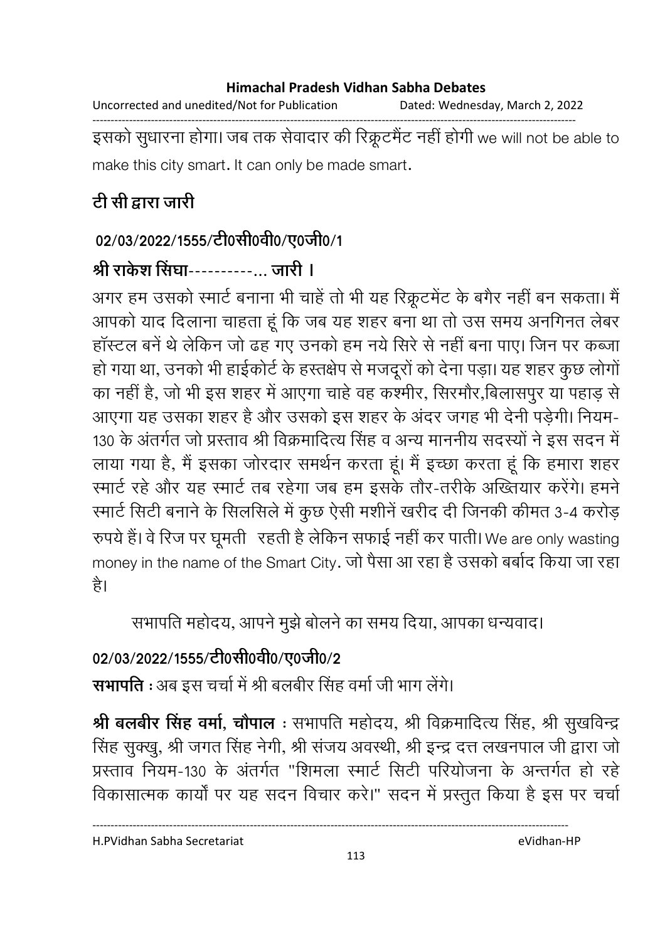Uncorrected and unedited/Not for Publication Dated: Wednesday, March 2, 2022

------------------------------------------------------------------------------------------------------------------------------------ इसको सुधारना होगा। जब तक सेवादार की रिक्रूटमैंट नहीं होगी we will not be able to make this city smart. It can only be made smart.

# <u>टी सी द्वारा जारी</u>

## 02/03/2022/1555/टी0सी0वी0/ए0जी0/1

## श्री राकेश सिंघा----------... जारी **।**

अगर हम उसको स्मार्ट बनाना भी चाहे तो भी यह रिक्रूटमेंट के बगैर नहीं बन सकता। मैं आपको याद दिलाना चाहता हूं कि जब यह शहर बना था तो उस समय अनगिनत लेबर हॉस्टल बनें थे लेकिन जो ढह गए उनको हम नये सिरे से नहीं बना पाए। जिन पर कब्जा हो गया था, उनको भी हाईकोर्ट के हस्तक्षेप से मजदूरों को देना पड़ा। यह शहर कुछ लोगों का नहीं है, जो भी इस शहर में आएगा चाहे वह कश्मीर, सिरमौर,बिलासपुर या पहाड़ से आएगा यह उसका शहर है और उसको इस शहर के अंदर जगह भी देनी पड़ेगी। नियम-130 के अंतर्गत जो प्रस्ताव श्री विक्रमादित्य सिंह व अन्य माननीय सदस्यों ने इस सदन में लाया गया है, मैं इसका जोरदार समर्थन करता हूं। मैं इच्छा करता हूं कि हमारा शहर रमार्ट रहे और यह स्मार्ट तब रहेगा जब हम इसके तौर-तरीके अख्तियार करेंगे। हमने रमार्ट सिटी बनाने के सिलसिले में कुछ ऐसी मशीने खरीद दी जिनकी कीमत 3-4 करोड़ रुपये हैं। वे रिज पर घूमती रहती है लेकिन सफाई नहीं कर पाती। We are only wasting money in the name of the Smart City. जो पैसा आ रहा है उसको बर्बाद किया जा रहा है।

सभापति महोदय, आपने मुझे बोलने का समय दिया, आपका धन्यवाद।

## 02/03/2022/1555/टी0सी0वी0/ए0जी0/2

**सभापति :** अब इस चर्चा में श्री बलबीर सिंह वर्मा जी भाग लेंगे।

**श्री बलबीर सिंह वर्मा, चौपाल**ः संभापति महोदय, श्री विक्रमादित्य सिंह, श्री सुखर्विन्द्र सिंह सुक्खु, श्री जगत सिंह नेगी, श्री सजय अवस्थी, श्री इन्द्र दत्त लखनपाल जी द्वारा जो प्रस्ताव नियम-130 के अंतर्गत "शिमला स्मार्ट सिटी परियोजना के अन्तर्गत हो रहे विकासात्मक कार्यों पर यह सदन विचार करे।" सदन में प्रस्तुत किया है इस पर चर्चा

H.PVidhan Sabha Secretariat eVidhan-HP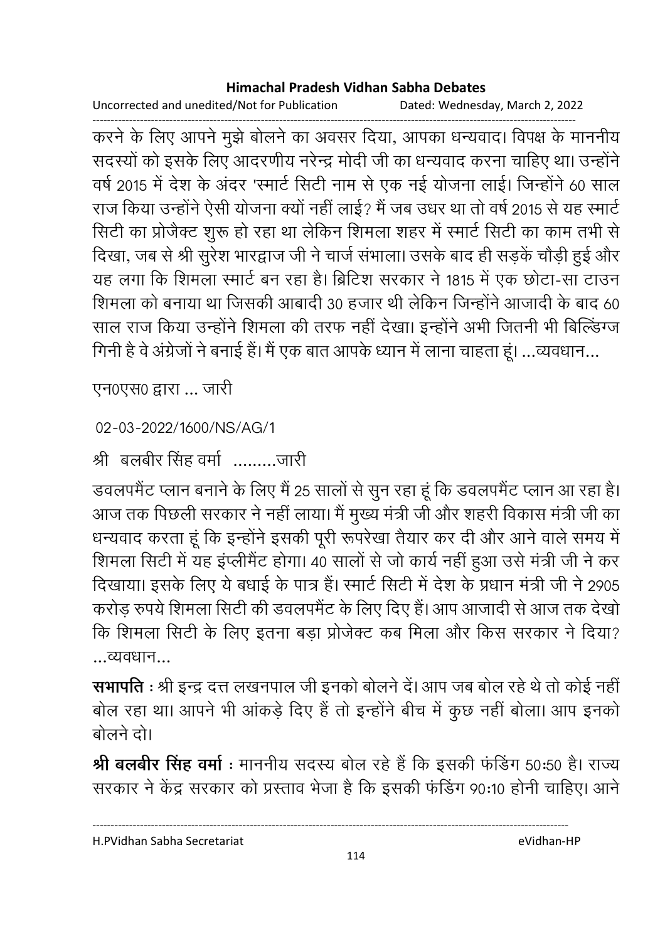Uncorrected and unedited/Not for Publication Dated: Wednesday, March 2, 2022

------------------------------------------------------------------------------------------------------------------------------------ करने के लिए आपने मुझे बोलने का अवसर दिया, आपका धन्यवाद। विपक्ष के माननीय सदस्यों को इसके लिए आदरणीय नरेन्द्र मोदी जी का धन्यवाद करना चाहिए था। उन्होंने | वर्ष 2015 में देश के अंदर 'स्मार्ट सिटी नाम से एक नई योजना लाई। जिन्होंने 60 साल राज किया उन्होंने ऐसी योजना क्यों नहीं लाई? मैं जब उधर था तो वर्ष 2015 से यह स्मार्ट सिटी का प्रजिक्ट शुरू हो रहा था लेकिन शिमला शहर में स्मार्ट सिटी का काम तभी से दिखा, जब से श्री सुरेश भारद्वाज जी ने चार्ज संभाला। उसके बाद ही सड़के चौड़ी हुई और यह लगा कि शिमला स्मार्ट बन रहा है। ब्रिटिश सरकार ने 1815 में एक छोटा-सा टाउन शिमला को बनाया था जिसकी आबादी 30 हजार थी लेकिन जिन्होंने आजादी के बाद 60 | साल राज किया उन्होंने शिमला की तरफ नहीं देखा। इन्होंने अभी जितनी भी बिल्डिंग्ज गिनी है वे अंग्रेजों ने बनाई है। मैं एक बात आपके ध्यान में लाना चाहता हूं। …व्यवधान…

एन0एस0 द्वारा ... जारी

```
02-03-2022/1600/NS/AG/1
```
श्री बलबीर सिंह वर्मा ………..जारी

डवलपमैंट प्लान बनाने के लिए मैं 25 सालों से सुन रहा हूं कि डवलपमैंट प्लान आ रहा है। आज तक पिछली सरकार ने नहीं लाया। मैं मुख्य मंत्री जी और शहरी विकास मंत्री जी का धन्यवाद करता हूं कि इन्होंने इसकी पूरी रूपरेखा तैयार कर दी और आने वाले समय में शिमला सिटी में यह इप्लेमिट होगा। 40 सालों से जो कार्य नहीं हुआ उसे मंत्री जी ने कर दिखाया। इसके लिए ये बधाई के पात्र है। स्मार्ट सिटी में देश के प्रधान मंत्री जी ने 2905 करोड़ रुपये शिमला सिटी की डवलपमैंट के लिए दिए हैं। आप आजादी से आज तक देखों कि शिमला सिटी के लिए इतना बड़ा प्रजिक्ट कब मिला और किस सरकार ने दिया? ...
...

**सभापति** : श्री इन्द्र दत्त लखनपाल जी इनको बोलने दें। आप जब बोल रहे थे तो कोई नहीं | बोल रहा था। आपने भी आकड़े दिए हैं तो इन्होंने बीच में कुछ नहीं बोला। आप इनको बोलने दो।

**श्री बलबीर सिंह वर्मा** : माननीय सदस्य बोल रहे है कि इसकी फर्डिंग 50:50 हैं। राज्य सरकार ने केंद्र सरकार को प्रस्ताव भेजा है कि इसकी फंडिंग 90:10 होनी चाहिए। आने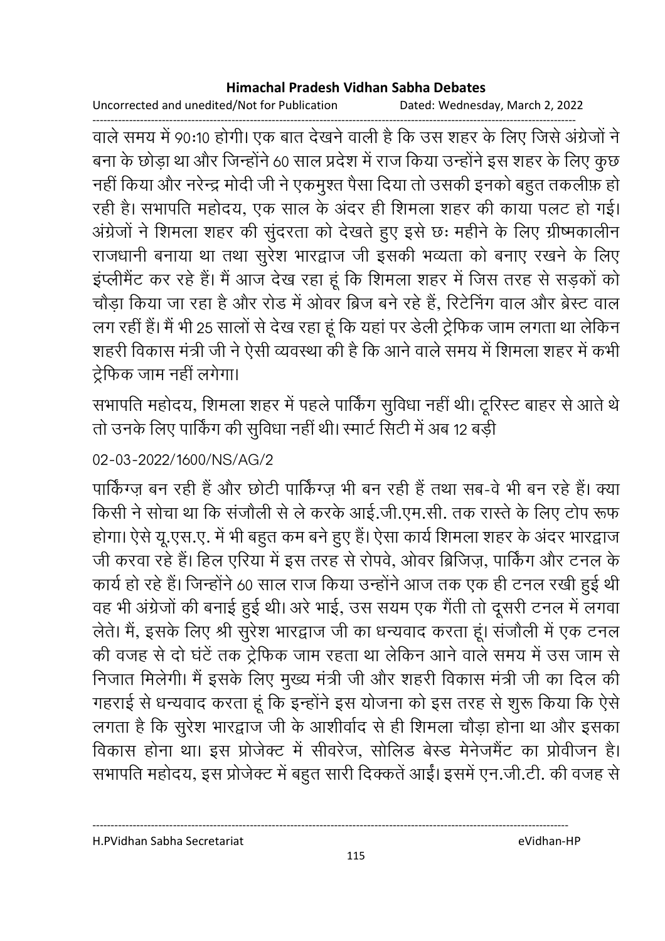Uncorrected and unedited/Not for Publication Dated: Wednesday, March 2, 2022

------------------------------------------------------------------------------------------------------------------------------------ वाले समय में 90:10 होगी। एक बात देखने वाली है कि उस शहर के लिए जिसे अंग्रेजों ने बना के छोड़ा था और जिन्होंने 60 साल प्रदेश में राज किया उन्होंने इस शहर के लिए कुछ नहीं किया और नरेन्द्र मोदी जी ने एकमुश्त पैसा दिया तो उसकी इनको बहुत तकलीफ़ हो। रही है। सभापति महोदय, एक साल के अंदर ही शिमला शहर की काया पलट हो गई। अंग्रेजों ने शिमला शहर की सुदरता को देखते हुए इसे छः महीने के लिए ग्रीष्मकालीन राजधानी बनाया था तथा सुरेश भारद्वाज जी इसकी भव्यता को बनाए रखने के लिए इप्लेमिट कर रहे हैं। मैं आज देख रहा हूं कि शिमला शहर में जिस तरह से सड़कों को चौड़ा किया जा रहा है और रोड़ में ओवर ब्रिज बने रहे हैं, रिटेनिंग वाल और ब्रेस्ट वाल लग रही है। मैं भी 25 सालों से देख रहा हूँ कि यहाँ पर डेली ट्रीफेंक जाम लगता था लेकिन शहरी विकास मंत्री जी ने ऐसी व्यवस्था की है कि आने वाले समय में शिमला शहर में कभी टेफिक जाम नहीं लगेगा।

सभापति महोदय, शिमला शहर में पहले पाकिंग सुविधा नहीं थी। टूरिस्ट बाहर से आते थे तो उनके लिए पाकिंग की सुविधा नहीं थी। स्मार्ट सिटी में अब 12 बड़ी

### 02-03-2022/1600/NS/AG/2

पाकिंग्ज़ बन रही है और छोटी पाकिंग्ज़ भी बन रही है तथा सब-वें भी बन रहे हैं। क्या किसी ने सोचा था कि संजीली से ले करके आई.जी.एम.सी. तक रास्ते के लिए टोप रूफ होगा। ऐसे यू.एस.ए. में भी बहुत कम बने हुए हैं। ऐसा कार्य शिमला शहर के अंदर भारद्वाज जी करवा रहे हैं। हिल एरिया में इस तरह से रोपर्व, ओवर ब्रिजिज़, पार्किंग और टनल के कार्य हो रहे हैं। जिन्होंने 60 साल राज किया उन्होंने आज तक एक ही टनल रखी हुई थीं। वह भी अंग्रेजों की बनाई हुई थी। अरे भाई, उस सयम एक गैती तो दूसरी टनल में लगवा लेते। मैं, इसके लिए श्री सुरेश भारद्वाज जी का धन्यवाद करता हूं। संजीली में एक टनल की वजह से दो घंटे तक ट्रेफिक जाम रहता था लेकिन आने वाले समय में उस जाम से निजात मिलेगी। मैं इसके लिए मुख्य मंत्री जी और शहरी विकास मंत्री जी का दिल की गहराई से धन्यवाद करता हूं कि इन्होंने इस योजना को इस तरह से शुरू किया कि ऐसे लगता है कि सुरेश भारद्वाज जी के आशीर्वाद से ही शिमला चौड़ा होना था और इसका विकास होना था। इस प्रजिक्ट में सीवरेज, सोलिंड बेंस्ड मेनेजमैंट का प्रविजिन हैं। सभापति महोदय, इस प्रोजेक्ट में बहुत सारी दिक्कते आई। इसमें एन.जी.टी. की वजह से

H.PVidhan Sabha Secretariat eVidhan-HP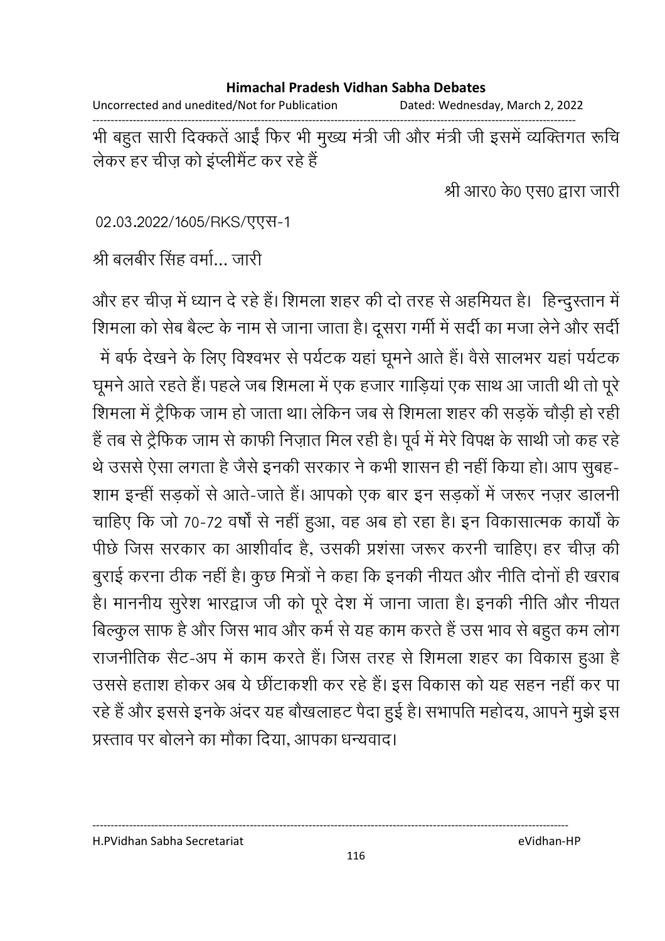Uncorrected and unedited/Not for Publication Dated: Wednesday, March 2, 2022

------------------------------------------------------------------------------------------------------------------------------------ भी बहुत सारी दिक्कते आई फिर भी मुख्य मंत्री जी और मंत्री जी इसमें व्यक्तिगत रूचि लेकर हर चीज़ को इप्लेमिट कर रहे हैं।

श्री आर0 के0 एस0 द्वारा जारी

02.03.2022/1605/RKS/एएस-1

श्री बलबीर सिंह वर्मा… जारी

और हर चीज़ में ध्यान दें रहे हैं। शिमला शहर की दो तरह से अहमियत है। हिन्दुस्तान में शिमला को सेब बैल्ट के नाम से जाना जाता है। दूसरा गर्मी में सर्दी का मजा लेने और सर्दी में बर्फ देखने के लिए विश्वभर से पर्यटक यहां घूमने आते हैं। वैसे सालभर यहां पर्यटक घूमने आते रहते हैं। पहले जब शिमला में एक हजार गाड़िया एक साथ आ जाती थी तो पूरे शिमला में ट्रैफिक जाम हो जाता था। लेकिन जब से शिमला शहर की सड़के चौड़ी हो रही है तब से ट्रैफिक जाम से काफी निज़ात मिल रही है। पूर्व में मेरे विपक्ष के साथी जो कह रहें थे उससे ऐसा लगता है जैसे इनकी सरकार ने कभी शासन ही नहीं किया हो। आप सुबह-शाम इन्ही सड़कों से आते-जाते हैं। आपको एक बार इन सड़कों में जरूर नज़र डालनी चाहिए कि जो 70-72 वर्षों से नहीं हुआ, वह अब हो रहा है। इन विकासात्मक कार्यों के पीछे जिस सरकार का आशीर्वाद है, उसकी प्रशंसा जरूर करनी चाहिए। हर चीज़ की बुराई करना ठीक नहीं है। कुछ मित्रों ने कहा कि इनकी नीयत और नीति दोनों ही खराब हैं। माननीय सुरेश भारद्वाज जी को पूरे देश में जाना जाता है। इनकी नीति और नीयत बिल्कुल साफ है और जिस भाव और कर्म से यह काम करते हैं उस भाव से बहुत कम लोग राजनीतिक सैंट-अप में काम करते हैं। जिस तरह से शिमला शहर का विकास हुआ है उससे हताश होकर अब ये छीटाकशी कर रहे हैं। इस विकास को यह सहन नहीं कर पा रहे हैं और इससे इनके अंदर यह बौखलाहट पैदा हुई है। सभापति महोदय, आपने मुझे इस प्रस्ताव पर बोलने का मौका दिया. आपका धन्यवाद।

#### H.PVidhan Sabha Secretariat eVidhan-HP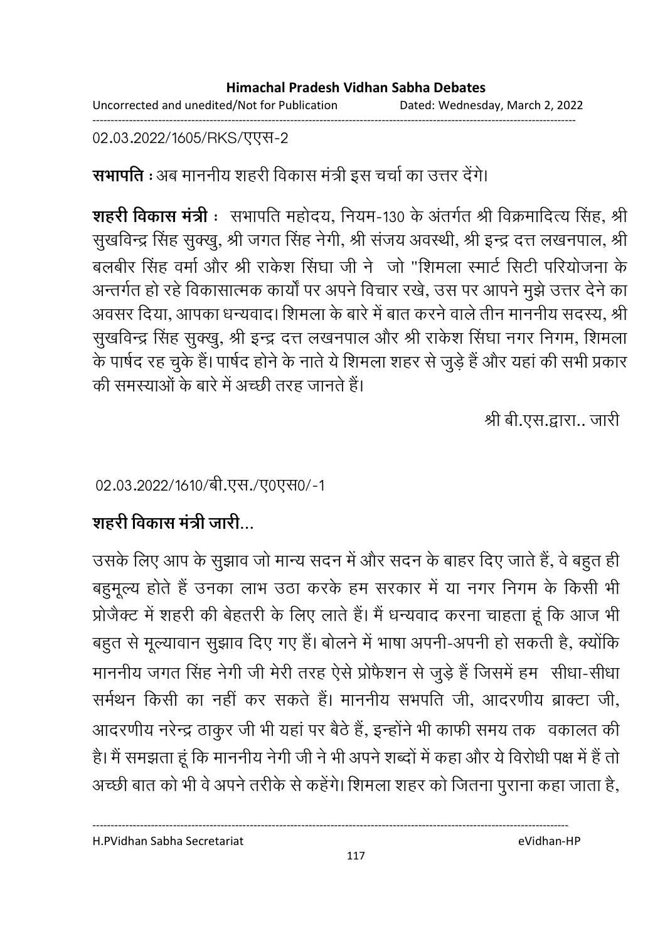02.03.2022/1605/RKS/एएस-2

**सभापति** : अब माननीय शहरी विकास मंत्री इस चर्चा का उत्तर देंगे।

**शहरी विकास मंत्री** : सभापति महोदय, नियम-130 के अंतर्गत श्री विक्रमादित्य सिंह, श्री सुखर्विन्द्र सिंह सुक्खु, श्री जगत सिंह नेगी, श्री सजय अवस्थी, श्री इन्द्र दत्त लखनपाल, श्री बलबीर सिंह वर्मा और श्री राकेश सिंघा जी ने "जो "शिमला स्मार्ट सिटी परियोजना के अन्तर्गत हो रहे विकासात्मक कार्यों पर अपने विचार रखे, उस पर आपने मुझे उत्तर देने का अवसर दिया, आपका धन्यवाद। शिमला के बारे में बात करने वाले तीन माननीय सदस्य, श्री सुखर्विन्द्र सिंह सुक्खु, श्री इन्द्र दत्त लखनपाल और श्री राकेश सिंघा नगर निगम, शिमला के पार्षद रह चुके हैं। पार्षद होने के नाते ये शिमला शहर से जुड़े हैं और यहां की सभी प्रकार की समस्याओं के बारे में अच्छी तरह जानते हैं।

श्री बी.एस.द्वारा.. जारी

02.03.2022/1610/बी.एस./ए0एस0/-1

## शहरी विकास मंत्री जारी...

उसके लिए आप के सुझाव जो मान्य सदन में और सदन के बाहर दिए जाते हैं, वे बहुत ही बहुमूल्य होते हैं उनका लाभ उठा करके हम सरकार में या नगर निगम के किसी भी प्रोजैक्ट में शहरी की बेहतरी के लिए लाते हैं। मैं धन्यवाद करना चाहता हूं कि आज भी बहुत से मूल्यावान सुझाव दिए गए हैं। बोलने में भाषा अपनी-अपनी हो सकती है, क्योंकि माननीय जगत सिंह नेगी जी मेरी तरह ऐसे प्रोफैशन से जुड़े हैं जिसमें हम सीधा-सीधा समेथन किसी का नहीं कर सकते हैं। माननीय संभपति जी, आंदरणीय ब्राक्टा जी, आदरणीय नरेन्द्र ठाकुर जी भी यहां पर बैठे हैं, इन्होंने भी काफी समय तक वकालत की हैं। मैं समझता हूँ कि माननीय नेगी जी ने भी अपने शब्दों में कहा और ये विरोधी पक्ष में हैं तो अच्छी बात को भी वे अपने तरीके से कहेंगे। शिमला शहर को जितना पुराना कहा जाता है,

H.PVidhan Sabha Secretariat eVidhan-HP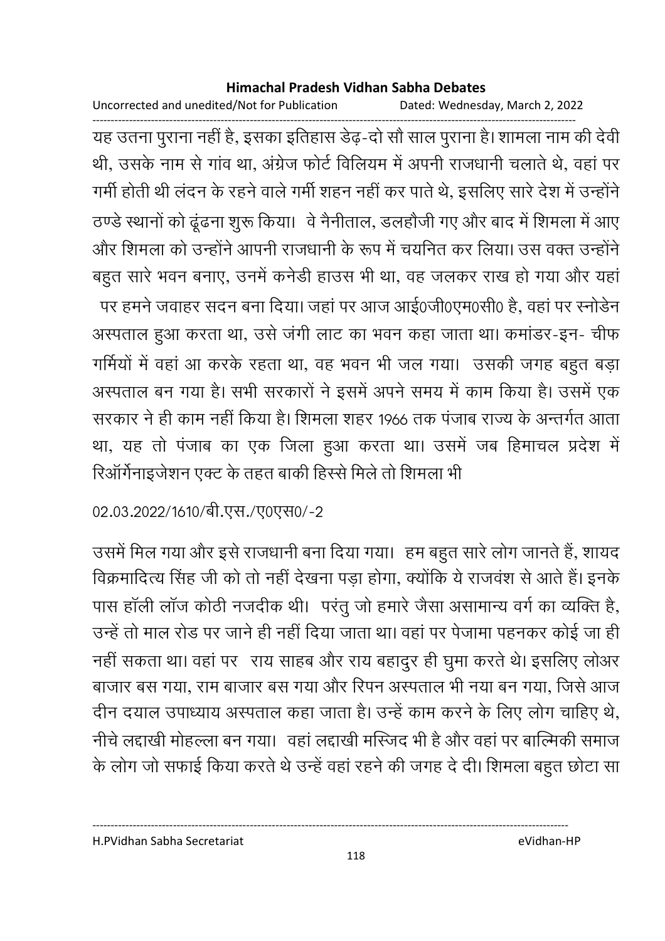Uncorrected and unedited/Not for Publication Dated: Wednesday, March 2, 2022

------------------------------------------------------------------------------------------------------------------------------------ यह उतना पुराना नहीं है, इसका इतिहास डेढ़-दो सौ साल पुराना है। शामला नाम की देवी थी, उसके नाम से गाव था, अंग्रेज फोर्ट विलियम में अपनी राजधानी चलाते थे, वहां पर गर्मी होती थी लंदन के रहने वाले गर्मी शहन नहीं कर पाते थे, इसलिए सारे देश में उन्होंने . ठण्डे स्थानों को ढूढना शुरू किया। वे नैनीताल, डलहौजी गए और बाद में शिमला में आए और शिमला को उन्होंने आपनी राजधानी के रूप में चयनित कर लिया। उस वक्त उन्होंने | बहुत सारे भवन बनाए, उनमे कर्नेडी हाउस भी था, वह जलकर राख हो गया और यहाँ पर हमने जवाहर सदन बना दिया। जहां पर आज आई0जी0एम0सी0 हैं, वहां पर स्नोडेन

अस्पताल हुआ करता था, उसे जंगी लाट का भवन कहा जाता था। कमांडर-इन- चीफ गर्मियों में वहां आ करके रहता था, वह भवन भी जल गया। उसकी जगह बहुत बड़ा अस्पताल बन गया है। सभी सरकारों ने इसमें अपने समय में काम किया है। उसमें एक सरकार ने ही काम नहीं किया है। शिमला शहर 1966 तक पंजाब राज्य के अन्तर्गत आता था, यह तो पंजाब का एक जिला हुआ करता था। उसमें जब हिमाचल प्रदेश में रिआगेनाइजेशन एक्ट के तहत बाकी हिस्से मिले तो शिमला भी

02.03.2022/1610/बी.एस./ए0एस0/-2

उसमें मिल गया और इसे राजधानी बना दिया गया। हम बहुत सारे लोग जानते हैं, शायद विक्रमादित्य सिंह जी को तो नहीं देखना पड़ा होगा, क्योंकि ये राजवंश से आते हैं। इनके पास हाली लाज कोठी नजदीक थी। परंतु जो हमारे जैसा असामान्य वर्ग का व्यक्ति है, उन्हें तो माल रोड पर जाने ही नहीं दिया जाता था। वहां पर पेजामा पहनकर कोई जा हीं ' नहीं सकता था। वहां पर- राय साहब और राय बहादुर ही घुमा करते थे। इसलिए लोअर बाजार बस गया, राम बाजार बस गया और रिपन अस्पताल भी नया बन गया, जिसे आज दीन दयाल उपाध्याय अस्पताल कहा जाता है। उन्हें काम करने के लिए लोग चाहिए थे, नीचे लद्दाखी मोहल्ला बन गया। वहां लद्दाखी मस्जिद भी है और वहां पर बाल्मिकी समाज के लोग जो सफाई किया करते थे उन्हें वहां रहने की जगह दे दी। शिमला बहुत छोटा सा

H.PVidhan Sabha Secretariat eVidhan-HP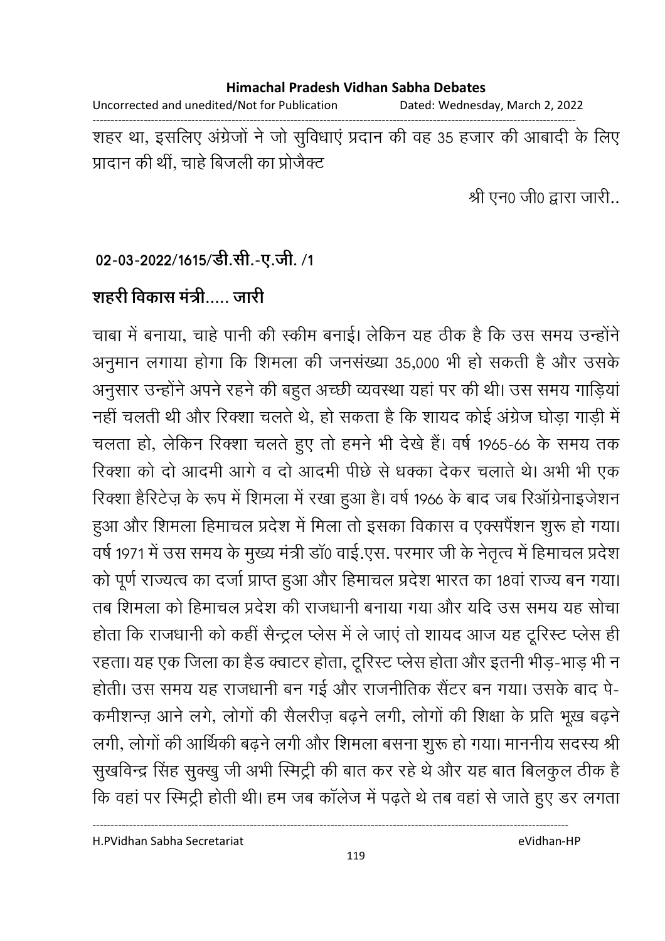#### **Himachal Pradesh Vidhan Sabha Debates**  Uncorrected and unedited/Not for Publication Dated: Wednesday, March 2, 2022 ------------------------------------------------------------------------------------------------------------------------------------ शहर था, इसलिए अंग्रेजों ने जो सुर्विधाएं प्रदान की वह 35 हजार की आबादी के लिए प्रादान की थी, चाहे बिजली का प्रजिक्ट

श्री एन0 जी0 द्वारा जारी..

### 02-03-2022/1615/डी.सी.-ए.जी. /1

## शहरी विकास मंत्री….. जारी

चाबा में बनाया, चाहें पानी की स्कीम बनाई। लेकिन यह ठीक है कि उस समय उन्होंने | अनुमान लगाया होगा कि शिमला की जनसंख्या 35,000 भी हो सकती है और उसके अनुसार उन्होंने अपने रहने की बहुत अच्छी व्यवस्था यहां पर की थी। उस समय गाड़ियां नहीं चलती थी और रिक्शा चलते थे, हो सकता है कि शायद कोई अंग्रेज घोड़ा गाड़ी में चलता हो, लेकिन रिक्शा चलते हुए तो हमने भी देखे हैं। वर्ष 1965-66 के समय तक रिक्शा को दो आदमी आगे व दो आदमी पीछे से धक्का देकर चलाते थे। अभी भी एक रिक्शा हैरिटेज़ के रूप में शिमला में रखा हुआ है। वर्ष 1966 के बाद जब रिऑग्रेनाइजेशन हुआ और शिमला हिमाचल प्रदेश में मिला तो इसका विकास व एक्सपैंशन शुरू हो गया। वर्ष 1971 में उस समय के मुख्य मंत्री डा0 वाई.एस. परमार जी के नेतृत्व में हिमाचल प्रदेश को पूर्ण राज्यत्व का दर्जा प्राप्त हुआ और हिमाचल प्रदेश भारत का 18वां राज्य बन गया। तब शिमला को हिमाचल प्रदेश की राजधानी बनाया गया और यदि उस समय यह सोचा होता कि राजधानी को कहीं सैन्ट्रल प्लेस में ले जाए तो शायद आज यह टूरिस्ट प्लेस ही रहता। यह एक जिला का हैंड क्वाटर होता, ट्रूरिस्ट प्लेस होता और इतनी भीड़-भाड़ भी न होती। उस समय यह राजधानी बन गई और राजनीतिक सैटर बन गया। उसके बाद पे-कर्माशन्ज़ आने लगे, लोगों की सैलरीज़ बढ़ने लगी, लोगों की शिक्षा के प्रति भूख बढ़ने लगी, लोगों की आर्थिकी बढ़ने लगी और शिमला बसना शुरू हो गया। माननीय सदस्य श्री सुखर्विन्द्र सिंह सुक्खु जी अभी स्मिट्री की बात कर रहे थे और यह बात बिलकुल ठीक हैं। कि वहां पर स्मिट्री होती थी। हम जब कालेज में पढ़ते थे तब वहां से जाते हुए डर लगता

H.PVidhan Sabha Secretariat eVidhan-HP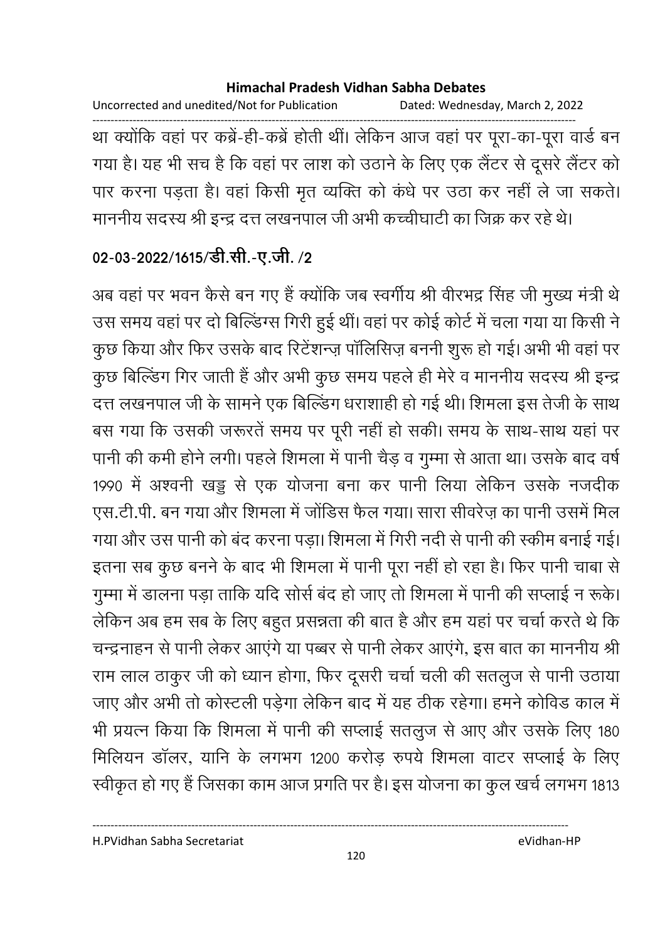Uncorrected and unedited/Not for Publication Dated: Wednesday, March 2, 2022 ------------------------------------------------------------------------------------------------------------------------------------ था क्योंकि वहां पर कंब्रे-ही-कंब्रे होती थी। लेकिन आज वहां पर पूरा-का-पूरा वार्ड बन गया है। यह भी सच है कि वहां पर लाश को उठाने के लिए एक लैटर से दूसरे लैटर को पार करना पड़ता है। वहां किसी मृत व्यक्ति को कंधे पर उठा कर नहीं ले जा सकते। माननीय सदस्य श्री इन्द्र दत्त लखनपाल जी अभी कच्चीघाटी का जिक्र कर रहे थे।

### 02-03-2022/1615/डी.सी.-ए.जी. /2

अब वहां पर भवन कैसे बन गए हैं क्योंकि जब स्वर्गीय श्री वीरभद्र सिंह जी मुख्य मंत्री थे उस समय वहां पर दो बिल्डिंग्स गिरी हुई थी। वहां पर कोई कोर्ट में चला गया या किसी ने कुछ किया और फिर उसके बाद रिटेशन्ज़ पालिसिज़ बननी शुरू हो गई। अभी भी वहां पर कुछ बिल्डिंग गिर जाती है और अभी कुछ समय पहले ही मेरे व माननीय सदस्य श्री इन्द्र दत्त लखनपाल जी के सामने एक बिल्डिंग धराशाही हो गई थी। शिमला इस तेजी के साथ बस गया कि उसकी जरूरते समय पर पूरी नहीं हो सकी। समय के साथ-साथ यहां पर पानी की कमी होने लगी। पहले शिमला में पानी चैड़ व गुम्मा से आता था। उसके बाद वर्षे 1990 में अश्वनी खड्ड से एक योजना बना कर पानी लिया लेकिन उसके नजदीक एस.टी.पी. बन गया और शिमला में जोडिस फैल गया। सारा सीवरेज़ का पानी उसमें मिल गया और उस पानी को बंद करना पड़ा। शिमला में गिरी नदी से पानी की स्कीम बनाई गई। इतना सब कुछ बनने के बाद भी शिमला में पानी पूरा नहीं हो रहा है। फिर पानी चांबा से गुम्मा में डालना पड़ा ताकि यदि सोर्स बंद हो जाए तो शिमला में पानी की सप्लाई न रूके। लेकिन अब हम सब के लिए बहुत प्रसन्नता की बात है और हम यहां पर चर्चा करते थे कि चन्द्रनाहन से पानी लेकर आएंगे या पब्बर से पानी लेकर आएंगे, इस बात का माननीय श्री राम लाल ठाकुर जी को ध्यान होगा, फिर दूसरी चर्चा चली की सतलुज से पानी उठाया जाए और अभी तो कोस्टली पड़ेगा लेकिन बाद में यह ठीक रहेगा। हमने कोविड काल में भी प्रयत्न किया कि शिमला में पानी की सप्लाई सतलुज से आए और उसके लिए 180 मिलियन डॉलर, यानि के लगभग 1200 करोड़ रुपये शिमला वाटर सप्लाई के लिए स्वीकृत हो गए हैं जिसका काम आज प्रगति पर है। इस योजना का कुल खर्च लगभग 1813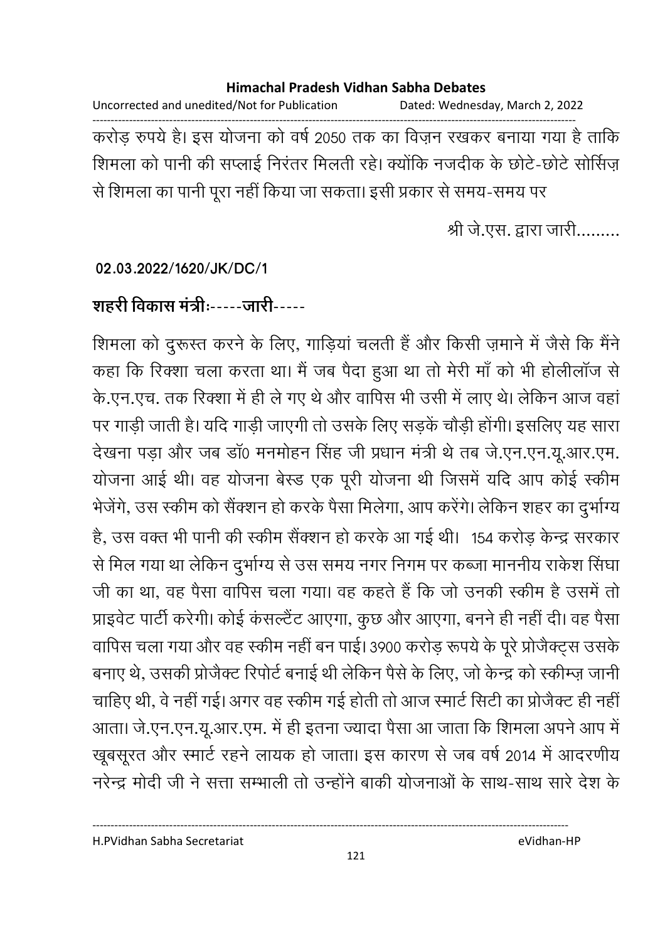Uncorrected and unedited/Not for Publication Dated: Wednesday, March 2, 2022

------------------------------------------------------------------------------------------------------------------------------------ करोड़ रुपये हैं। इस योजना को वर्ष 2050 तक का विज़न रखकर बनाया गया है ताकि शिमला को पानी की सप्लाई निरंतर मिलती रहे। क्योंकि नजदीक के छोटे-छोटे सोसिज़ से शिमला का पानी पूरा नहीं किया जा सकता। इसी प्रकार से समय-समय पर

श्री जे.एस. द्वारा जारी.........

### **02.03.2022/1620/JK/DC/1**

## शहरी विकास मंत्रीः-----जारी-----

शिमला को दुरूस्त करने के लिए, गाड़िया चलती है और किसी ज़माने में जैसे कि मैंने कहा कि रिक्शा चला करता था। मैं जब पैदा हुआ था तो मेरी मा को भी होलीलाज से के.एन.एच. तक रिक्शा में ही ले गए थे और वापिस भी उसी में लाए थे। लेकिन आज वहां पर गाड़ी जाती है। यदि गाड़ी जाएगी तो उसके लिए सड़के चौड़ी होगी। इसलिए यह सारा देखना पड़ा और जब डा0 मनमोहन सिंह जी प्रधान मंत्री थे तब जे.एन.एन.यू.आर.एम. योजना आई थी। वह योजना बेस्ड एक पूरी योजना थी जिसमें यदि आप कोई स्कीम भेजेंगे, उस स्कीम को सैक्शन हो करके पैसा मिलेगा, आप करेंगे। लेकिन शहर का दुर्भाग्य हB, 2 X  X ह ) ! < 154 O ) HÇ से मिल गया था लेकिन दुर्भाग्य से उस समय नगर निगम पर कब्जा माननीय राकेश सिंघा। जी का था, वह पैसा वापिस चला गया। वह कहते हैं कि जो उनकी स्कीम है उसमें तो प्राइवेट पार्टी करेगी। कोई कसल्टैट आएगा, कुछ और आएगा, बनने ही नहीं दी। वह पैसा वार्पिस चला गया और वह स्कीम नहीं बन पाई। 3900 करोड़ रूपये के पूरे प्रोजैक्ट्स उसके बनाएं थे, उसकी प्रजिक्ट रिपोर्ट बनाई थी लेकिन पैसे के लिए, जो केन्द्र को स्कीम्ज़ जानी चाहिए थी, वे नहीं गई। अगर वह स्कीम गई होती तो आज स्मार्ट सिटी का प्रजिक्ट ही नहीं। आता। जे.एन.एन.यू.आर.एम. में ही इतना ज्यादा पैसा आ जाता कि शिमला अपने आप में खूबसूरत और स्मार्ट रहने लायक हो जाता। इस कारण से जब वर्ष 2014 में आदरणीय नरेन्द्र मोदी जी ने सत्ता सम्भाली तो उन्होंने बाकी योजनाओं के साथ-साथ सारे देश के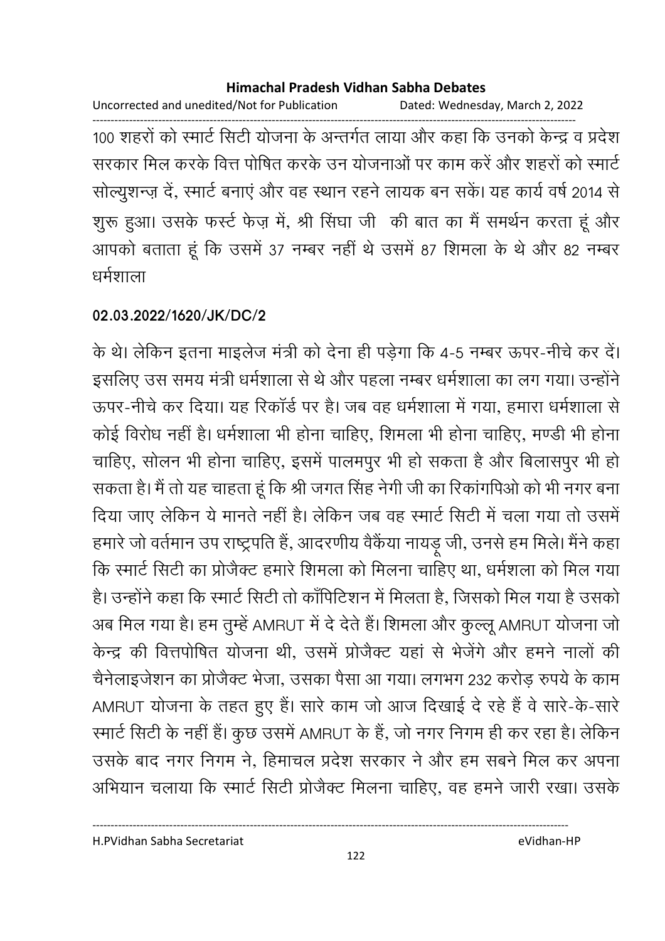Uncorrected and unedited/Not for Publication Dated: Wednesday, March 2, 2022

------------------------------------------------------------------------------------------------------------------------------------ 100 शहरों को स्मार्ट सिटी योजना के अन्तर्गत लाया और कहा कि उनको केन्द्र व प्रदेश सरकार मिल करके वित्त पोषित करके उन योजनाओं पर काम करें और शहरों को स्मार्ट सोल्युशन्ज़ दें, स्मार्ट बनाएं और वह स्थान रहने लायक बन सकें। यह कार्य वर्ष 2014 से शुरू हुआ। उसके फर्स्ट फेज़ में, श्री सिंघा जी की बात का मैं समर्थन करता हूं और आपको बताता हूं कि उसमें 37 नम्बर नहीं थे उसमें 87 शिमला के थे और 82 नम्बर धर्मशाला

### **02.03.2022/1620/JK/DC/2**

के थे। लेकिन इतना माइलेज मंत्री को देना ही पड़ेगा कि 4-5 नम्बर ऊपर-नीचे कर दें। इसलिए उस समय मंत्री धर्मशाला से थे और पहला नम्बर धर्मशाला का लग गया। उन्होंने ऊपर-नीचे कर दिया। यह रिकार्ड पर हैं। जब वह धर्मशाला में गया, हमारा धर्मशाला से कोई विरोध नहीं है। धर्मशाला भी होना चाहिए, शिमला भी होना चाहिए, मण्डी भी होना चाहिए, सोलन भी होना चाहिए, इसमें पालमपुर भी हो सकता है और बिलासपुर भी हो सकता है। मैं तो यह चाहता हूँ कि श्री जगत सिंह नेगी जी का रिकागपिओं को भी नगर बना दिया जाए लेकिन ये मानते नहीं हैं। लेकिन जब वह स्मार्ट सिटी में चला गया तो उसमें हमारे जो वर्तमान उप राष्ट्रपति हैं, आदरणीय वैकैया नायड़ू जी, उनसे हम मिले। मैंने कहा कि स्मार्ट सिटी का प्रजिक्ट हमारे शिमला को मिलना चाहिए था, धर्मशला को मिल गया है। उन्होंने कहा कि स्मार्ट सिटी तो कार्पिटिशन में मिलता है, जिसको मिल गया है उसको अब मिल गया है। हम तुम्हें AMRUT में दे देते हैं। शिमला और कुल्लू AMRUT योजना जो केन्द्र की वित्तपोषित योजना थी, उसमें प्रोजैक्ट यहां से भेजेंगे और हमने नालों की चैनेलाइजेशन का प्रोजैक्ट भेजा, उसका पैसा आ गया। लगभग 232 करोड़ रुपये के काम AMRUT योजना के तहत हुए हैं। सारे काम जो आज दिखाई दे रहे हैं वे सारे-के-सारे रमार्ट सिटी के नहीं है। कुछ उसमें AMRUT के हैं, जो नगर निगम ही कर रहा है। लेकिन उसके बाद नगर निगम ने, हिमाचल प्रदेश सरकार ने और हम सबने मिल कर अपना आभयान चलाया कि स्मार्ट सिटी प्रजिक्ट मिलना चाहिए, वह हमने जारी रखा। उसके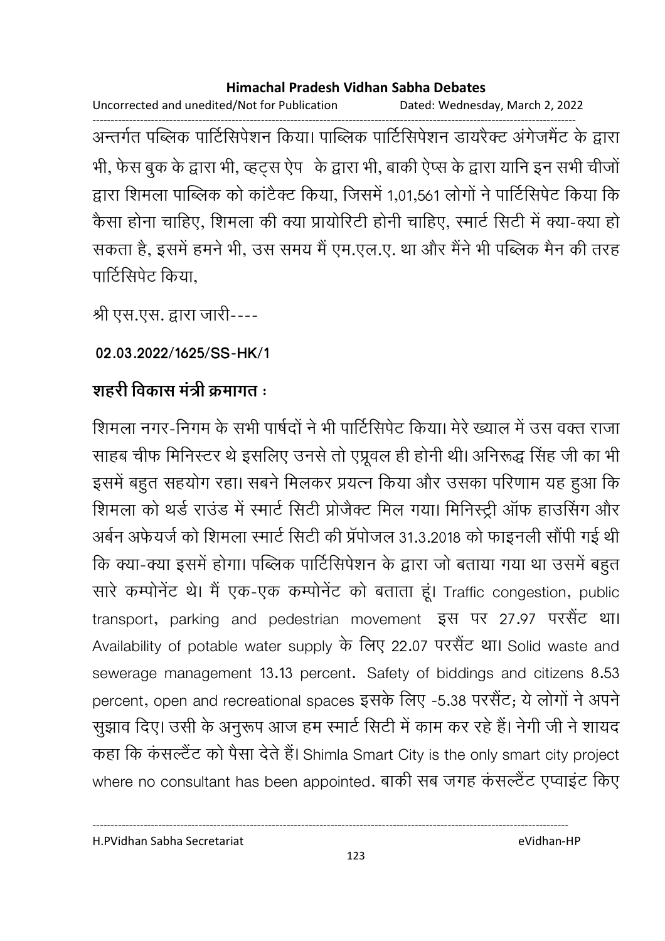Uncorrected and unedited/Not for Publication Dated: Wednesday, March 2, 2022

------------------------------------------------------------------------------------------------------------------------------------ अन्तर्गत पब्लिक पार्टिसिपेशन किया। पाब्लिक पार्टिसिपेशन डायरेक्ट अंगेजमेंट के द्वारा , `) ) ( , ह| i ) ( , i; ) ( 
 : # 8 द्वारा शिमला पाब्लिक को कांटैक्ट किया, जिसमें 1,01,561 लोगों ने पार्टिसिपेट किया कि कैसा होना चाहिए, शिमला की क्या प्रायोरिटी होनी चाहिए, स्मार्ट सिटी में क्या-क्या हो सकता है, इसमें हमने भी, उस समय में एम.एल.ए. था और मैंने भी पब्लिक मैंन की तरह पार्टिसिपेट किया.

श्री एस.एस. द्वारा जारी----

**02.03.2022/1625/SS-HK/1**

## शहरी विकास मंत्री क्रमांगत **:**

शिमला नगर-निगम के सभी पार्षदों ने भी पार्टिसिपेट किया। मेरे ख्याल में उस वक्त राजा साहब चीफ मिनिस्टर थे इसलिए उनसे तो एप्रूवल ही होनी थी। अनिरूद्ध सिंह जी का भी इसमें बहुत सहयोग रहा। सबने मिलकर प्रयत्न किया और उसका परिणाम यह हुआ कि शिमला को थर्ड राउंड में स्मार्ट सिटी प्रजिक्ट मिल गया। मिनिस्ट्री आफ हाउंसिंग और अबेन अर्फयजे को शिमला स्मार्ट सिटी की प्रपोजल 31.3.2018 को फाइनली सौपी गई थी | कि क्या-क्या इसमें होगा। पब्लिक पार्टिसिपेशन के द्वारा जो बताया गया था उसमें बहुत सारे कम्पोनेंट थे। मैं एक-एक कम्पोनेंट को बताता हूं। Traffic congestion, public transport, parking and pedestrian movement इस पर 27.97 परसैंट था। Availability of potable water supply के लिए 22.07 परसैंट था। Solid waste and sewerage management 13.13 percent. Safety of biddings and citizens 8.53 percent, open and recreational spaces इसके लिए -5.38 परसैंट; ये लोगों ने अपने सुझाव दिए। उसी के अनुरूप आज हम स्मार्ट सिटी में काम कर रहे हैं। नेगी जी ने शायद कहा कि कंसल्टैंट को पैसा देते हैं। Shimla Smart City is the only smart city project where no consultant has been appointed. बाकी सब जगह कसल्टैट एप्वाइट किए

H.PVidhan Sabha Secretariat eVidhan-HP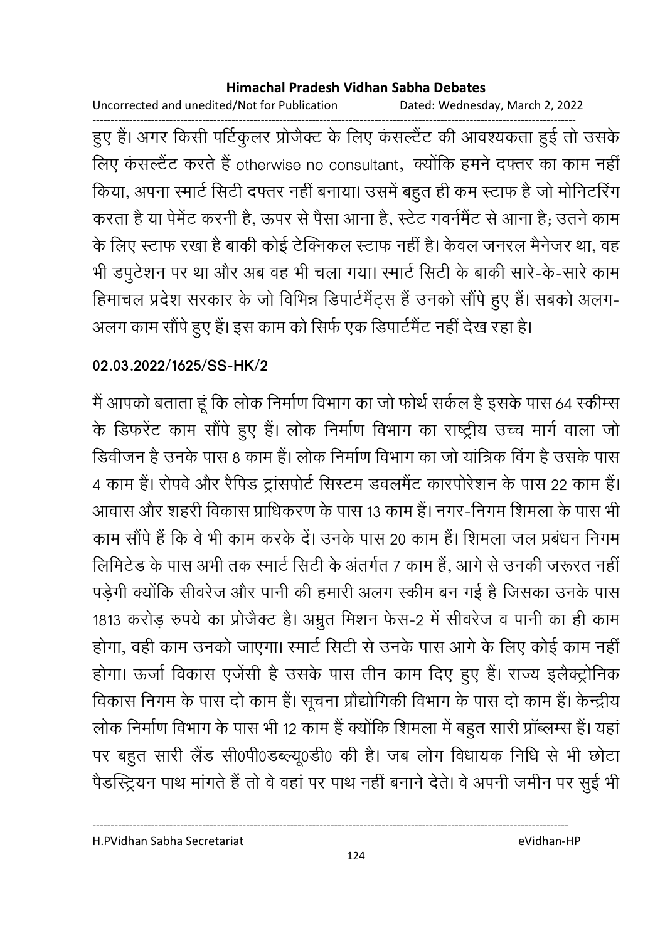Uncorrected and unedited/Not for Publication Dated: Wednesday, March 2, 2022

------------------------------------------------------------------------------------------------------------------------------------ हुए हैं। अगर किसी पटिकुलर प्रजिक्ट के लिए कसल्टेट की आवश्यकता हुई तो उसके लिए कंसल्टैंट करते हैं otherwise no consultant, क्योंकि हमने दफ्तर का काम नहीं किया, अपना स्मार्ट सिटी दफ्तर नहीं बनाया। उसमें बहुत ही कम स्टाफ हैं जो मोनिटरिंग करता है या पेमेंट करनी हैं, ऊपर से पैसा आना है, स्टेंट गवर्नमेंट से आना है; उतने काम के लिए स्टाफ रखा है बाकी कोई टेक्निकल स्टाफ नहीं है। केवल जनरल मैंनेजर था, वह भी डपुटेशन पर था और अब वह भी चला गया। स्मार्ट सिटी के बाकी सारे-के-सारे काम हिमाचल प्रदेश सरकार के जो विभिन्न डिपार्टमैंट्स हैं उनको सौंपे हुए हैं। सबको अलग-अलग काम सौंपे हुए हैं। इस काम को सिर्फ एक डिपार्टमैंट नहीं देख रहा है।

### **02.03.2022/1625/SS-HK/2**

में आपको बताता हूं कि लोक निर्माण विभाग का जो फोर्थ सकेल हैं इसके पास 64 स्कीम्स के डिफरेंट काम सौंपे हुए हैं। लोक निर्माण विभाग का राष्ट्रीय उच्च मार्ग वाला जो डिवीजन है उनके पास 8 काम है। लोक निर्माण विभाग का जो यात्रिक विग है उसके पास 4 काम हैं। रोपवे और रैपिड ट्रांसपोर्ट सिस्टम डवलमैंट कारपोरेशन के पास 22 काम हैं। आवास और शहरी विकास प्राधिकरण के पास 13 काम है। नगर-निगम शिमला के पास भी काम सौंपे हैं कि वे भी काम करके दें। उनके पास 20 काम है। शिमला जल प्रबंधन निगम लिमिटेंड के पास अभी तक स्मार्ट सिटी के अंतर्गत 7 काम है, आगे से उनकी जरूरत नहीं | पड़ेगी क्योंकि सीवरेज और पानी की हमारी अलग स्कीम बन गई है जिसका उनके पास 1813 करोड़ रुपये का प्रोजैक्ट है। अम्रुत मिशन फेंस-2 में सीवरेंज व पानी का ही काम होगा, वहीं काम उनको जाएगा। स्मार्ट सिटी से उनके पास आगे के लिए कोई काम नहीं होगा। ऊर्जा विकास एजेंसी है उसके पास तीन काम दिए हुए हैं। राज्य इलैक्ट्रोनिक विकास निगम के पास दो काम है। सूचना प्रौद्योगिकी विभाग के पास दो काम है। केन्द्रीय लोक निर्माण विभाग के पास भी 12 काम है क्योंकि शिमला में बहुत सारी प्राब्लम्स है। यहाँ पर बहुत सारी लैंड सी0पी0डब्ल्यू0डी0 की है। जब लोग विधायक निधि से भी छोटा पैडरिट्रियन पाथ मांगते हैं तो वे वहां पर पाथ नहीं बनाने देते। वे अपनी जमीन पर सुई भी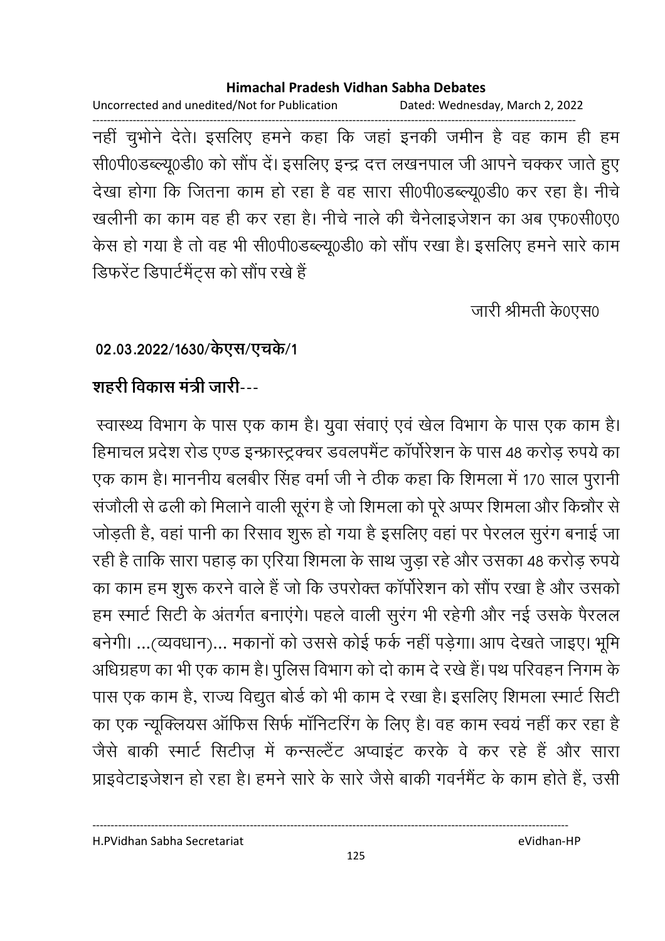Uncorrected and unedited/Not for Publication Dated: Wednesday, March 2, 2022 ------------------------------------------------------------------------------------------------------------------------------------

नहीं चुभोने देते। इसलिए हमने कहा कि जहां इनकी जमीन हैं वह काम ही हम सी0पी0डब्ल्यू0डी0 को सौंप दें। इसलिए इन्द्र दत्त लखनपाल जी आपने चक्कर जाते हुए देखा होगा कि जितना काम हो रहा है वह सारा सी0पी0डब्ल्यू0डी0 कर रहा है। नीचे खलीनी का काम वह ही कर रहा है। नीचे नाले की चैनेलाइजेशन का अब एफ0सी0ए0 केस हो गया है तो वह भी सी0पी0डब्ल्यू0डी0 को सौंप रखा है। इसलिए हमने सारे काम डिफरेंट डिपार्टमेंट्स को सौंप रखे हैं

जारी श्रीमती के0एस0

### 02.03.2022/1630/केएस/एचके/1

## शहरी विकास मंत्री जारी---

स्वास्थ्य विभाग के पास एक काम है। यूवा संवाएं एवं खेल विभाग के पास एक काम है। हिमाचल प्रदेश रोड एण्ड इन्फ्रास्ट्रक्चर डवलपमैंट कॉर्पोरेशन के पास 48 करोड़ रुपये का एक काम है। माननीय बलबीर सिंह वर्मा जी ने ठीक कहा कि शिमला में 170 साल पुरानी सजौली से ढली को मिलाने वाली सूरंग है जो शिमला को पूरे अप्पर शिमला और किन्नौर से जोड़ती हैं, वहां पानी का रिसाव शुरू हो गया है इसलिए वहां पर पेरलल सुरंग बनाई जा रही है ताकि सारा पहाड़ का एरिया शिमला के साथ जुड़ा रहे और उसका 48 करोड़ रुपये | का काम हम शुरू करने वाले हैं जो कि उपरोक्त कॉर्पोरेशन को सौंप रखा है और उसको हम स्मार्ट सिटी के अंतर्गत बनाएंगे। पहले वाली सुरंग भी रहेगी और नई उसके पैरलल बनेगी। …(व्यवधान)… मकानों को उससे कोई फर्क नहीं पड़ेगा। आप देखते जाइए। भूमि आंधेग्रहण का भी एक काम है। पुलिस विभाग को दो काम दे रखे हैं। पथ परिवहन निगम के पास एक काम है, राज्य विद्युत बोर्ड को भी काम दे रखा है। इसलिए शिमला स्मार्ट सिटी का एक न्यूक्लियस ऑफिस सिर्फ मॉनिटरिंग के लिए है। वह काम स्वयं नहीं कर रहा है जैसे बाकी स्मार्ट सिटीज़ में कन्सल्टैट अप्वाइट करके वे कर रहे हैं और सारा प्राइवेंटाइजेशन हो रहा है। हमने सारे के सारे जैसे बाकी गवर्नमेंट के काम होते हैं, उसी

H.PVidhan Sabha Secretariat eVidhan-HP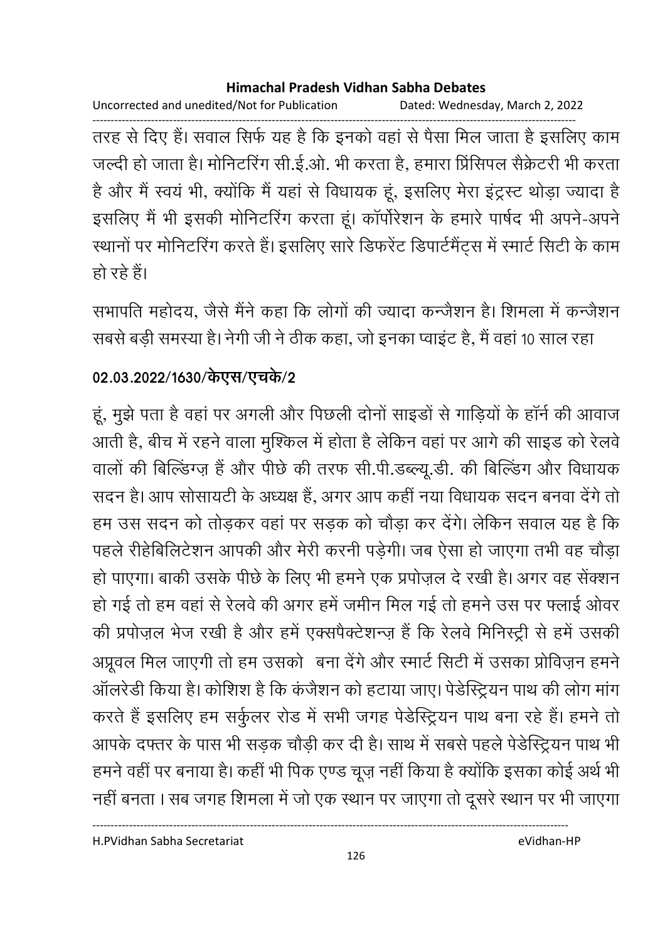Uncorrected and unedited/Not for Publication Dated: Wednesday, March 2, 2022

------------------------------------------------------------------------------------------------------------------------------------ तरह से दिए हैं। सवाल सिर्फ यह है कि इनको वहां से पैसा मिल जाता है इसलिए काम जल्दी हो जाता है। मोनिटरिंग सी.ई.ओ. भी करता है, हमारा प्रिसिपल सैक्रेटरी भी करता है और मैं स्वयं भी, क्योंकि मैं यहां से विधायक हूं, इसलिए मेरा इंट्रस्ट थोड़ा ज्यादा है इसलिए मैं भी इसकी मोनिटरिंग करता हूं। कार्पोरेशन के हमारे पार्षद भी अपने-अपने स्थानों पर मोनिटरिंग करते हैं। इसलिए सारे डिफरेट डिपार्टमैंट्स में स्मार्ट सिटी के काम हो रहे हैं।

सभापति महोदय, जैसे मैंने कहा कि लोगों की ज्यादा कन्जैशन हैं। शिमला में कन्जैशन सबसे बड़ी समस्या है। नेगी जी ने ठीक कहा, जो इनका प्वाइट है, मैं वहां 10 साल रहा

## 02.03.2022/1630/केएस/एच**के**/2

हूं, मुझे पता है वहां पर अगली और पिछली दोनों साइंडों से गाड़ियों के हाने की आवाज आती हैं, बीच में रहने वाला मुश्किल में होता है लेकिन वहां पर आगे की साइंड को रेलवें वालों की बिल्डिंग्ज़ हैं और पीछे की तरफ सी.पी.डब्ल्यू.डी. की बिल्डिंग और विधायक सदन है। आप सोसायटी के अध्यक्ष है, अगर आप कहीं नया विधायक सदन बनवा देंगे तो हम उस सदन को तोड़कर वहां पर सड़क को चौड़ा कर देंगे। लेकिन सवाल यह है कि पहले रेहिबिलिटेशन आपकी और मेरी करनी पड़ेगी। जब ऐसा हो जाएगा तभी वह चौड़ा हो पाएगा। बाकी उसके पेछि के लिए भी हमने एक प्रपोज़ल दे रखी है। अगर वह सेक्शन हो गई तो हम वहां से रेलवे की अगर हमें जमीन मिल गई तो हमने उस पर फ्लाई ओवर की प्रपोज़ल भेज रखी है और हमें एक्सपैक्टेशन्ज़ है कि रेलवे मिनिस्ट्री से हमें उसकी \*". . 8/< ह 2  7<) V 4 4 7 2 ^ ह) आलरेडी किया है। कोशिश है कि कर्जेशन को हटाया जाए। पेंडेस्ट्रियन पाथ की लोग मांग करते हैं इसलिए हम संकुलर रोड में सभी जगह पेडेस्ट्रियन पाथ बना रहे हैं। हमने तो आपके दफ्तर के पास भी सड़क चौड़ी कर दी है। साथ में सबसे पहले पेडीस्ट्रेयन पाथ भी हमने वहीं पर बनाया है। कहीं भी पिक एण्ड चूज़ नहीं किया है क्योंकि इसका कोई अर्थ भी नहीं बनता । सब जगह शिमला में जो एक स्थान पर जाएगा तो दूसरे स्थान पर भी जाएगा

H.PVidhan Sabha Secretariat eVidhan-HP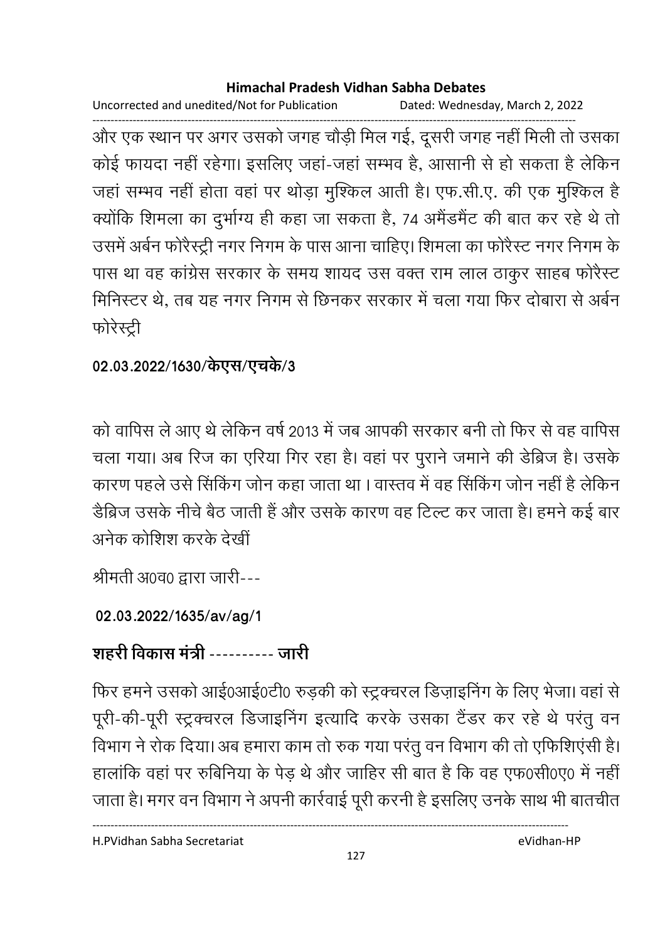Uncorrected and unedited/Not for Publication Dated: Wednesday, March 2, 2022

------------------------------------------------------------------------------------------------------------------------------------ और एक स्थान पर अगर उसको जगह चौड़ी मिल गई, दूसरी जगह नहीं मिली तो उसका कोई फायदा नहीं रहेगा। इसलिए जहा-जहां सम्भव है, आसानी से हो सकता है लेकिन जहाँ सम्भव नहीं होता वहां पर थोड़ा मुश्किल आती है। एफ.सी.ए. की एक मुश्किल है क्योंकि शिमला का दुर्भाग्य ही कहा जा सकता है, 74 अमैडमैंट की बात कर रहे थे तो उसमें अबेन फरिस्ट्री नगर निगम के पास आना चाहिए। शिमला का फरिस्ट नगर निगम के पास था वह कांग्रेस सरकार के समय शायद उस वक्त राम लाल ठाकुर साहब फोरैस्ट मिनिस्टर थे, तब यह नगर निगम से छिनकर सरकार में चला गया फिर दोबारा से अर्बन फरिस्ट्री

## 02.03.2022/1630/केएस/एचके/3

को वापिस ले आए थे लेकिन वर्ष 2013 में जब आपकी सरकार बनी तो फिर से वह वापिस चला गया। अब रिज का एरिया गिर रहा है। वहां पर पुराने जमाने की डेब्रिज हैं। उसके कारण पहले उसे सिकिंग जोन कहा जाता था । वास्तव में वह सिकिंग जोन नहीं है लेकिन डैब्रिज उसके नीचे बैठ जाती है और उसके कारण वह टिल्ट कर जाता है। हमने कई बार अनेक कोशिश करके देखीं

श्रीमती अ0व0 द्वारा जारी---

## **02.03.2022/1635/av/ag/1**

# शहरी विकास मंत्री ---------- जारी

फिर हमने उसको आई0आई0टी0 रुड़की को स्ट्रक्चरल डिज़ाइनिंग के लिए भेजा। वहां से पूरी-की-पूरी स्ट्रक्चरल डिजाइनिंग इत्यादि करके उसका टैंडर कर रहे थे परंतु वन विभाग ने रोक दिया। अब हमारा काम तो रुक गया परंतु वन विभाग की तो एफिशिएसी है। हालांकि वहां पर रुबिनिया के पेड़ थे और जाहिर सी बात है कि वह एफ0सी0ए0 में नहीं। जाता है। मगर वन विभाग ने अपनी कार्रवाई पूरी करनी हैं इसलिए उनके साथ भी बातचीत

H.PVidhan Sabha Secretariat eVidhan-HP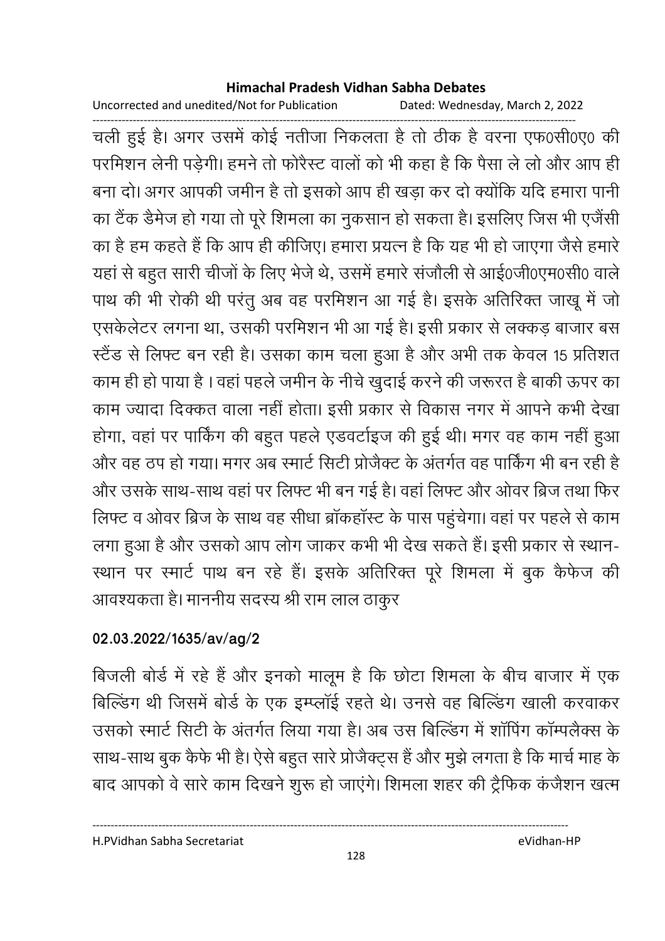Uncorrected and unedited/Not for Publication Dated: Wednesday, March 2, 2022

------------------------------------------------------------------------------------------------------------------------------------ चली हुई है। अगर उसमें कोई नतीजा निकलता है तो ठीक है वरना एफ0सी0ए0 की परमिशन लेनी पड़ेगी। हमने तो फरिस्ट वालों को भी कहा है कि पैसा ले लो और आप ही बना दो। अगर आपकी जमीन है तो इसको आप ही खड़ा कर दो क्योंकि यदि हमारा पानी का टैक डैमेज हो गया तो पूरे शिमला का नुकसान हो सकता है। इसलिए जिस भी एजेंसी का है हम कहते हैं कि आप ही कीजिए। हमारा प्रयत्न है कि यह भी हो जाएगा जैसे हमारे | यहाँ से बहुत सारी चीजों के लिए भेजे थे, उसमें हमारे सजाली से आई0जी0एम0सी0 वालें पाथ की भी रोकी थी परंतु अब वह परमिशन आ गई है। इसके अतिरिक्त जाखू में जो एसकेलेटर लगना था, उसकी परमिशन भी आ गई है। इसी प्रकार से लक्कड़ बाजार बस स्टैंड से लिफ्ट बन रही है। उसका काम चला हुआ है और अभी तक केवल 15 प्रतिशत काम ही हो पाया है । वहां पहले जमीन के नीचे खुदाई करने की जरूरत हैं बाकी ऊपर का काम ज्यादा दिक्कत वाला नहीं होता। इसी प्रकार से विकास नगर में आपने कभी देखा होगा, वहां पर पाकिंग की बहुत पहले एंडवटोइज की हुई थी। मगर वह काम नहीं हुआ और वह ठप हो गया। मगर अब स्मार्ट सिटी प्रजिक्ट के अंतर्गत वह पाकिंग भी बन रही हैं। और उसके साथ-साथ वहां पर लिफ्ट भी बन गई है। वहां लिफ्ट और ओवर ब्रिज तथा फिर लिफ्ट व ओवर ब्रिज के साथ वह सीधा ब्राकहास्ट के पास पहुंचेगा। वहां पर पहले से काम लगा हुआ है और उसको आप लोग जाकर कभी भी देख सकते हैं। इसी प्रकार से स्थान-स्थान पर स्मार्ट पाथ बन रहे हैं। इसके अतिरिक्त पूरे शिमला में बुक कैफेंज की आवश्यकता है। माननीय सदस्य श्री राम लाल ठाकुर

### **02.03.2022/1635/av/ag/2**

बिजली बोर्ड में रहे हैं और इनको मालूम है कि छोटा शिमला के बीच बाजार में एक बिल्डिंग थी जिसमें बोर्ड के एक इम्प्लाई रहते थे। उनसे वह बिल्डिंग खाली करवाकर उसको स्मार्ट सिटी के अंतर्गत लिया गया है। अब उस बिल्डिंग में शापिंग काम्पलैक्स के साथ-साथ बुक कैर्फ भी है। ऐसे बहुत सारे प्रजिक्ट्स है और मुझे लगता है कि मार्च माह के बाद आपको वे सारे काम दिखने शुरू हो जाएंगे। शिमला शहर की ट्रैफिक कर्जेशन खत्म

----------------------------------------------------------------------------------------------------------------------------------

H.PVidhan Sabha Secretariat eVidhan-HP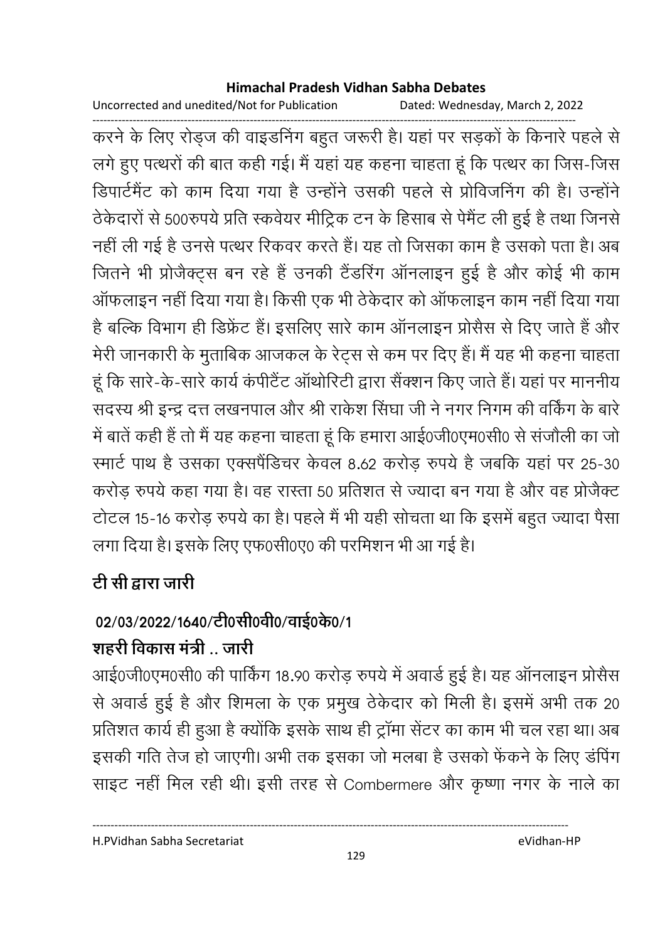Uncorrected and unedited/Not for Publication Dated: Wednesday, March 2, 2022

------------------------------------------------------------------------------------------------------------------------------------ करने के लिए रोड्ज की वाइंडनिंग बहुत जरूरी हैं। यहां पर सड़कों के किनारे पहले से लगे हुए पत्थरों की बात कहीं गई। मैं यहां यह कहना चाहता हूं कि पत्थर का जिस-जिस डिपार्टमेंट को काम दिया गया है उन्होंने उसकी पहले से प्रोविजनिंग की हैं। उन्होंने ठेकेदारों से 500रुपये प्रति स्कर्वयर मीट्रिक टन के हिसाब से पेमेंट ली हुई है तथा जिनसे नहीं ली गई है उनसे पत्थर रिकवर करते हैं। यह तो जिसका काम है उसको पता है। अब जितने भी प्रजिक्ट्स बन रहे हैं उनकी टैंडरिंग आनलाइन हुई हैं और कोई भी काम आफलाइन नहीं दिया गया है। किसी एक भी ठेकेदार को आफलाइन काम नहीं दिया गया है बल्कि विभाग ही डिफ्रेंट हैं। इसलिए सारे काम आनलाइन प्रसिस से दिए जाते हैं और मेरी जानकारी के मुताबिक आजकल के रेट्स से कम पर दिए हैं। मैं यह भी कहना चाहता | हूं कि सारे-के-सारे कार्य कपेटिट आर्थारिटी द्वारा सैक्शन किए जाते हैं। यहां पर माननीय सदस्य श्री इन्द्र दत्त लखनपाल और श्री राकेश सिंघा जी ने नगर निगम की वर्किंग के बारें . में बातें कहीं है तो मैं यह कहना चाहता हूं कि हमारा आई0जी0एम0सी0 से संजाैली का जो रमार्ट पाथ है उसका एक्सपैंडिचर केवल 8.62 करोड़ रुपये है जबकि यहां पर 25-30 करोड़ रुपये कहा गया है। वह रास्ता 50 प्रतिशत से ज्यादा बन गया है और वह प्रोजैक्ट टोटल 15-16 करोड़ रुपये का है। पहले मैं भी यही सोचता था कि इसमें बहुत ज्यादा पैसा लगा दिया है। इसके लिए एफ0सी0ए0 की परमिशन भी आ गई है।

# टी सी द्वारा जारी

# 02/03/2022/1640/टी0सी0वी0/वाई0क0/1

# शहरी विकास मंत्री .. जारी

आई0जी0एम0सी0 की पाकिंग 18.90 करोड़ रुपये में अवार्ड हुई है। यह आनलाइन प्रसिस से अवार्ड हुई है और शिमला के एक प्रमुख ठेकेदार को मिली हैं। इसमें अभी तक 20 प्रतिशत कार्य ही हुआ है क्योंकि इसके साथ ही ट्रामा सेंटर का काम भी चल रहा था। अब इसकी गति तेज हो जाएगी। अभी तक इसका जो मलबा है उसको फेंकने के लिए डर्पिंग साइट नहीं मिल रही थी। इसी तरह से Combermere और कृष्णा नगर के नाले का

H.PVidhan Sabha Secretariat eVidhan-HP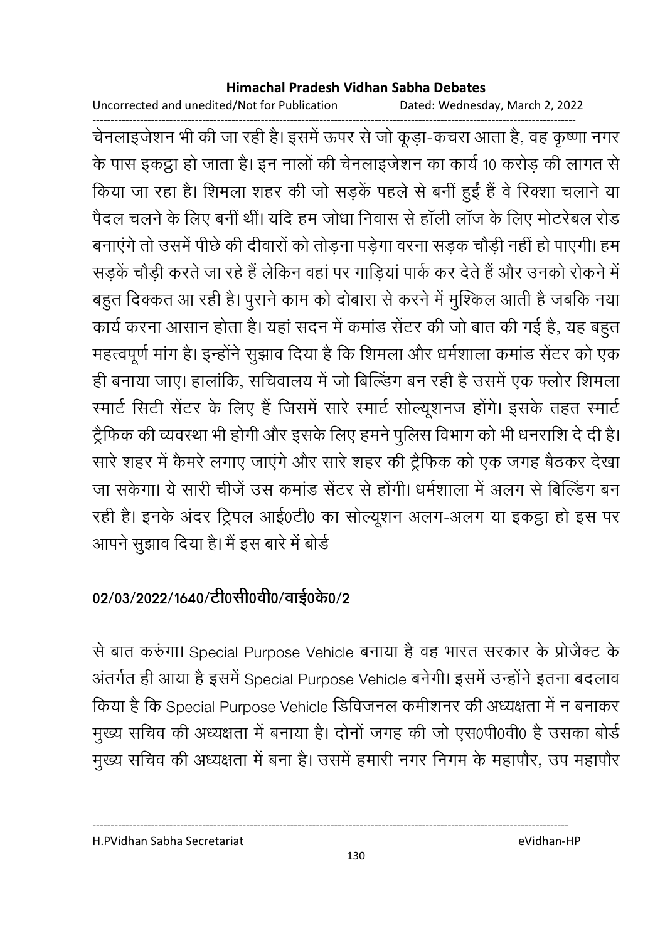Uncorrected and unedited/Not for Publication Dated: Wednesday, March 2, 2022

------------------------------------------------------------------------------------------------------------------------------------ चेनलाइजेशन भी की जा रही है। इसमें ऊपर से जो कूड़ा-कचरा आता है, वह कृष्णा नगर के पास इकट्ठा हो जाता है। इन नालों की चेनलाइजेशन का कार्य 10 करोड़ की लागत से किया जा रहा है। शिमला शहर की जो सड़के पहले से बनी हुई है वे रिक्शा चलाने या पैदल चलने के लिए बनी थी। यदि हम जोधा निवास से हाली लाज के लिए मोटरेबल रोड बनाएंगे तो उसमें पीछे की दीवारों को तोड़ना पड़ेगा वरना सड़क चौड़ी नहीं हो पाएगी। हम सड़के चौड़ी करते जा रहे हैं लेकिन वहां पर गाड़िया पार्क कर देते हैं और उनको रोकने में बहुत दिक्कत आ रही है। पुराने काम को दोबारा से करने में मुश्किल आती है जबकि नया कार्य करना आसान होता है। यहाँ सदन में कमांड सेंटर की जो बात की गई है, यह बहुत महत्वपूर्ण मांग है। इन्होंने सुझाव दिया है कि शिमला और धर्मशाला कमांड सेंटर को एक ही बनाया जाए। हालांकि, सचिवालय में जो बिल्डिंग बन रही है उसमें एक फ्लोर शिमला रमार्ट सिटी सेंटर के लिए हैं जिसमें सारे स्मार्ट सोल्यूशनज होंगे। इसके तहत स्मार्ट ट्रैफिक की व्यवस्था भी होगी और इसके लिए हमने पुलिस विभाग को भी धनराशि दें दी है। सारे शहर में कैमरे लगाए जाएंगे और सारे शहर की ट्रैफिक को एक जगह बैठकर देखा जा सकेगा। ये सारी चीजे उस कमांड सेंटर से होगी। धर्मशाला में अलग से बिल्डिंग बन रही है। इनके अंदर ट्रिपल आई0टी0 का सोल्यूशन अलग-अलग या इकट्ठा हो इस पर आपने सूझाव दिया है। मैं इस बारे में बोर्ड

## 02/03/2022/1640/टी0सी0वी0/वाई0के0/2

से बात करुंगा। Special Purpose Vehicle बनाया है वह भारत सरकार के प्रोजैक्ट के अंतर्गत ही आया है इसमें Special Purpose Vehicle बनेगी। इसमें उन्होंने इतना बदलाव किया है कि Special Purpose Vehicle डिविजनल कमीशनर की अध्यक्षता में न बनाकर मुख्य सचिव की अध्यक्षता में बनाया है। दोनों जगह की जो एस0पी0वी0 हैं उसका बोर्ड मुख्य सचिव की अध्यक्षता में बना है। उसमें हमारी नगर निगम के महापौर, उप महापौर

H.PVidhan Sabha Secretariat eVidhan-HP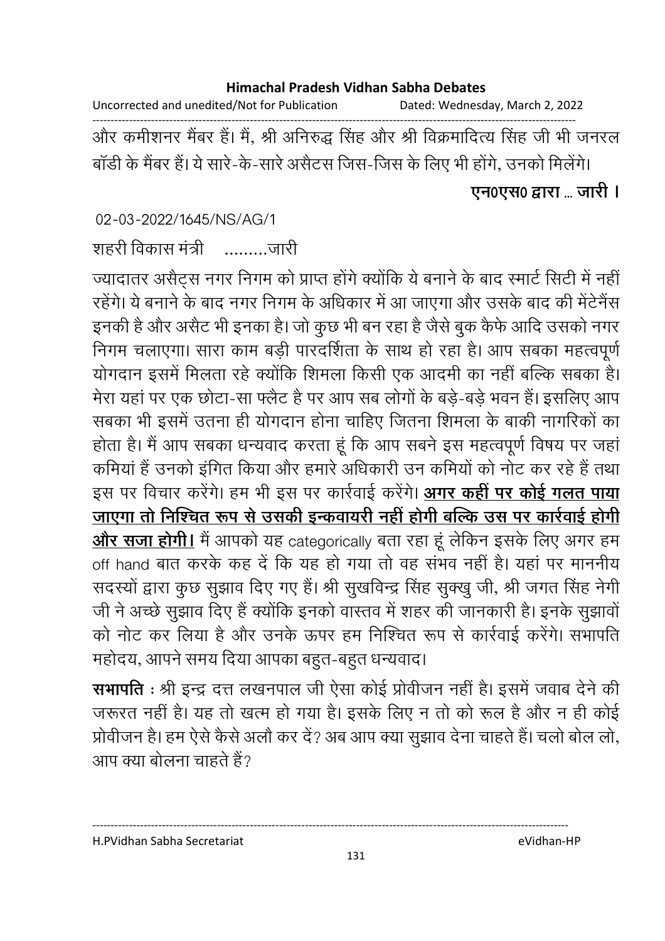Uncorrected and unedited/Not for Publication Dated: Wednesday, March 2, 2022

------------------------------------------------------------------------------------------------------------------------------------ और कमीशनर मैंबर है। मैं, श्री अनिरुद्ध सिंह और श्री विक्रमादित्य सिंह जी भी जनरल बार्डी के मैंबर है। ये सारे-के-सारे असैटस जिस-जिस के लिए भी होंगे, उनको मिलेंगे।

### एन0एस0 द्वारा ... जारी **।**

02-03-2022/1645/NS/AG/1

शहरी विकास मंत्री  $\ldots$  . जारी

ज्यादातर असैट्स नगर निगम को प्राप्त होंगे क्योंकि ये बनाने के बाद स्मार्ट सिटी में नहीं। रहेंगे। ये बनाने के बाद नगर निगम के अधिकार में आ जाएगा और उसके बाद की मेंटेनैस इनकी है और असैट भी इनका है। जो कुछ भी बन रहा है जैसे बुक कैफे आदि उसको नगर निगम चलाएगा। सारा काम बड़ी पारदर्शिता के साथ हो रहा है। आप सबका महत्वपूर्ण योगदान इसमें मिलता रहे क्योंकि शिमला किसी एक आदमी का नहीं बल्कि सबका है। मेरा यहां पर एक छोटा-सा फ्लैट है पर आप सब लोगों के बड़े-बड़े भवन हैं। इसलिए आप संबका भी इसमें उतना ही योगदान होना चाहिए जितना शिमला के बाकी नागरिकों का होता है। मैं आप सबका धन्यवाद करता हूं कि आप सबने इस महत्वपूर्ण विषय पर जहां कमिया है उनको इंगित किया और हमारे अधिकारी उन कमियों को नोट कर रहे हैं तथा इस पर विचार करेंगे। हम भी इस पर कार्रवाई करेंगे। <u>अगर कही पर कोई गलत पाया</u> <u>जाएगा तो निश्चित रूप से उसकी इन्कवायरी नहीं होगी बल्कि उस पर कार्रवाई होगी</u> <u>और सजा होगी।</u> मैं आपको यह categorically बता रहा हूं लेकिन इसके लिए अगर हम off hand बात करके कह दें कि यह हो गया तो वह सभव नहीं है। यहां पर माननीय सदस्यों द्वारा कुछ सुझाव दिए गए हैं। श्री सुखर्विन्द्र सिंह सुक्खु जी, श्री जगत सिंह नेगी जी ने अच्छे सुझाव दिए हैं क्योंकि इनको वास्तव में शहर की जानकारी हैं। इनके सुझावों ' को नोट कर लिया है और उनके ऊपर हम निश्चित रूप से कार्रवाई करेंगे। सभापति महोदय, आपने समय दिया आपका बहुत-बहुत धन्यवाद।

**सभापति** : श्री इन्द्र दत्त लखनपाल जी ऐसा कोई प्रोवीजन नहीं है। इसमें जवाब देने की जरूरत नहीं है। यह तो खत्म हो गया है। इसके लिए न तो को रूल है और न ही कोई प्रोवीजन है। हम ऐसे कैसे अलौ कर दें? अब आप क्या सुझाव देना चाहते हैं। चलों बोल लो, आप क्या बोलना चाहते हैं?

H.PVidhan Sabha Secretariat eVidhan-HP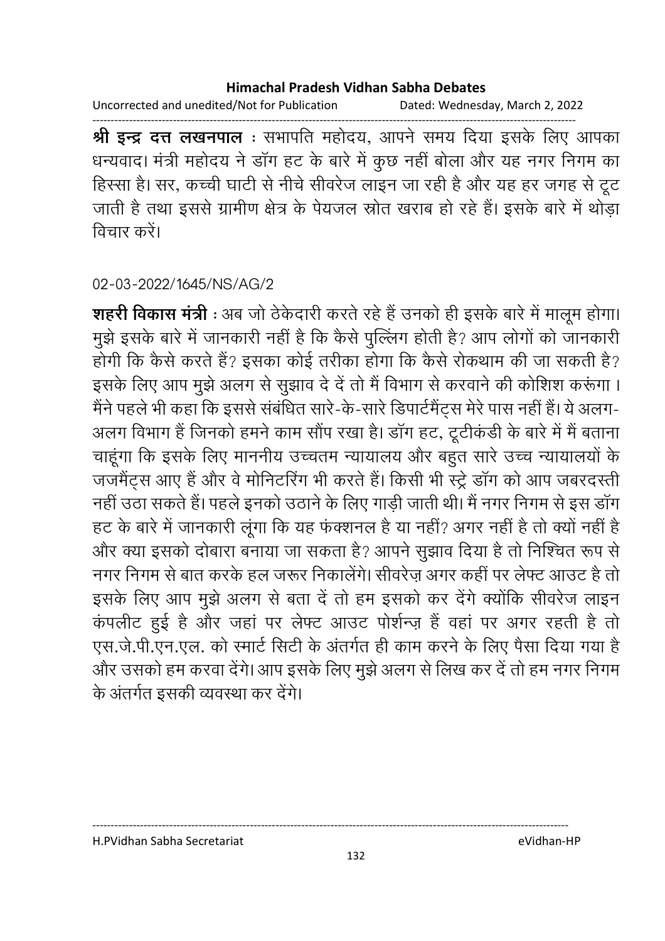Uncorrected and unedited/Not for Publication Dated: Wednesday, March 2, 2022

------------------------------------------------------------------------------------------------------------------------------------ **श्री इन्द्र दत्त लखनपाल** : सभापति महोदय, आपने समय दिया इसके लिए आपका धन्यवाद। मंत्री महोदय ने डांग हट के बारे में कुछ नहीं बोला और यह नगर निगम का हिस्सा है। सर, कच्ची घाटी से नीचे सीवरेज लाइन जा रही है और यह हर जगह से टूट जाती है तथा इससे ग्रामीण क्षेत्र के पेयजल स्रोत खराब हो रहे हैं। इसके बारे में थोड़ा तिचार करें।

02-03-2022/1645/NS/AG/2

**शहरी विकास मंत्री** : अब जो ठेकेदारी करते रहे हैं उनको ही इसके बारे में मालूम होगा। मुझे इसके बारे में जानकारी नहीं है कि कैसे पुल्लिंग होती है? आप लोगों को जानकारी होगी कि कैसे करते हैं? इसका कोई तरीका होगा कि कैसे रोकथाम की जा सकती है? इसके लिए आप मुझे अलग से सुझाव दें दें तो मैं विभाग से करवाने की कोशिश करूंगा । मैंने पहले भी कहा कि इससे संबंधित सारे-के-सारे डिपार्टमैंट्स मेरे पास नहीं हैं। ये अलग-अलग विभाग है जिनको हमने काम सौप रखा है। डांग हट, टूटीकडी के बारे में मैं बताना चाहूँगा कि इसके लिए माननीय उच्चतम न्यायालय और बहुत सारे उच्च न्यायालयों के जजमैट्स आए हैं और वे मोनिटरिंग भी करते हैं। किसी भी स्ट्रे डांग को आप जबरदस्ती नहीं उठा सकते हैं। पहले इनको उठाने के लिए गाड़ी जाती थी। मैं नगर निगम से इस डांग हट के बारे में जानकारी लूगा कि यह फक्शनल है या नहीं? अगर नहीं हैं तो क्यों नहीं हैं-और क्या इसको दोबारा बनाया जा सकता है? आपने सूझाव दिया है तो निश्चित रूप से नगर निगम से बात करके हल जरूर निकालेंगे। सीवरेज़ अगर कहीं पर लेफ्ट आउट हैं तो इसके लिए आप मुझे अलग से बता दे तो हम इसको कर देंगे क्योंकि सीवरेंज लाइन कपलीट हुई है और जहां पर लेफ्ट आउट पोशेन्ज़ है वहां पर अगर रहती है तो एस.जे.पी.एन.एल. को स्मार्ट सिटी के अंतर्गत ही काम करने के लिए पैसा दिया गया है और उसको हम करवा देंगे। आप इसके लिए मुझे अलग से लिख कर दें तो हम नगर निगम के अंतर्गत इसकी व्यवस्था कर देंगे।